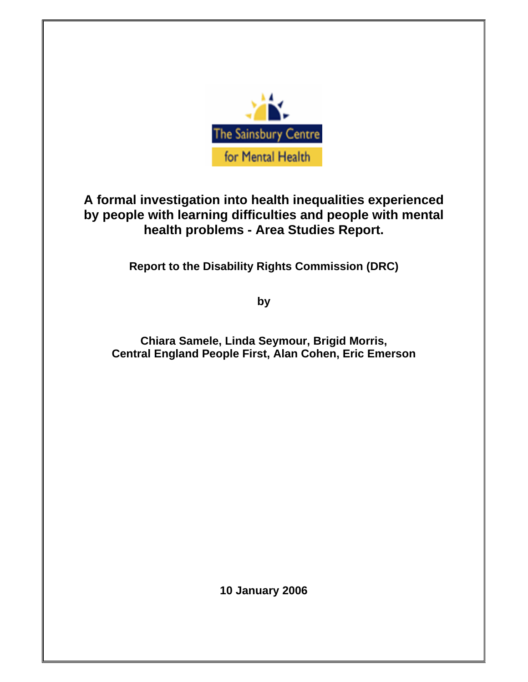

# **A formal investigation into health inequalities experienced by people with learning difficulties and people with mental health problems - Area Studies Report.**

**Report to the Disability Rights Commission (DRC)** 

**by** 

**Chiara Samele, Linda Seymour, Brigid Morris, Central England People First, Alan Cohen, Eric Emerson** 

**10 January 2006**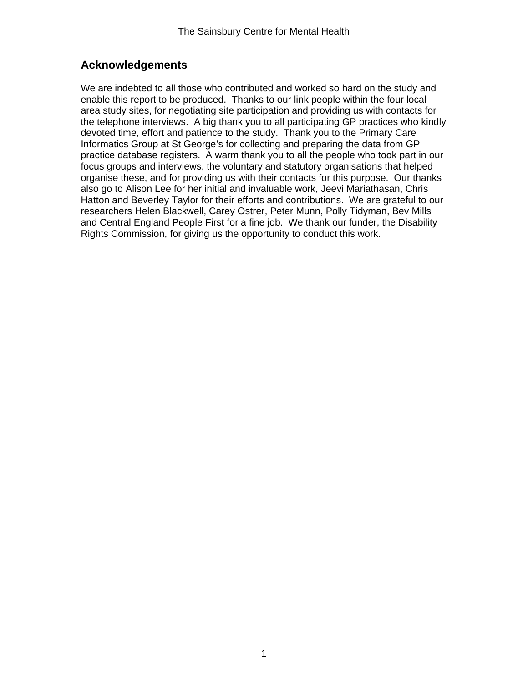# **Acknowledgements**

We are indebted to all those who contributed and worked so hard on the study and enable this report to be produced. Thanks to our link people within the four local area study sites, for negotiating site participation and providing us with contacts for the telephone interviews. A big thank you to all participating GP practices who kindly devoted time, effort and patience to the study. Thank you to the Primary Care Informatics Group at St George's for collecting and preparing the data from GP practice database registers. A warm thank you to all the people who took part in our focus groups and interviews, the voluntary and statutory organisations that helped organise these, and for providing us with their contacts for this purpose. Our thanks also go to Alison Lee for her initial and invaluable work, Jeevi Mariathasan, Chris Hatton and Beverley Taylor for their efforts and contributions. We are grateful to our researchers Helen Blackwell, Carey Ostrer, Peter Munn, Polly Tidyman, Bev Mills and Central England People First for a fine job. We thank our funder, the Disability Rights Commission, for giving us the opportunity to conduct this work.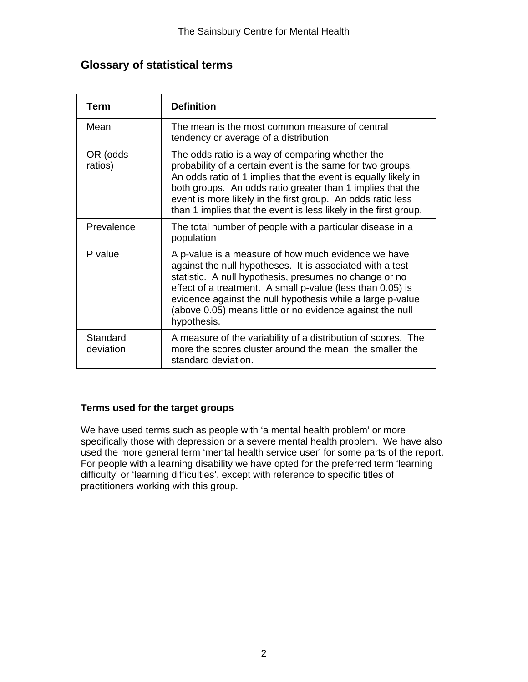# **Glossary of statistical terms**

| <b>Term</b>           | <b>Definition</b>                                                                                                                                                                                                                                                                                                                                                                  |
|-----------------------|------------------------------------------------------------------------------------------------------------------------------------------------------------------------------------------------------------------------------------------------------------------------------------------------------------------------------------------------------------------------------------|
| Mean                  | The mean is the most common measure of central<br>tendency or average of a distribution.                                                                                                                                                                                                                                                                                           |
| OR (odds<br>ratios)   | The odds ratio is a way of comparing whether the<br>probability of a certain event is the same for two groups.<br>An odds ratio of 1 implies that the event is equally likely in<br>both groups. An odds ratio greater than 1 implies that the<br>event is more likely in the first group. An odds ratio less<br>than 1 implies that the event is less likely in the first group.  |
| Prevalence            | The total number of people with a particular disease in a<br>population                                                                                                                                                                                                                                                                                                            |
| P value               | A p-value is a measure of how much evidence we have<br>against the null hypotheses. It is associated with a test<br>statistic. A null hypothesis, presumes no change or no<br>effect of a treatment. A small p-value (less than 0.05) is<br>evidence against the null hypothesis while a large p-value<br>(above 0.05) means little or no evidence against the null<br>hypothesis. |
| Standard<br>deviation | A measure of the variability of a distribution of scores. The<br>more the scores cluster around the mean, the smaller the<br>standard deviation.                                                                                                                                                                                                                                   |

## **Terms used for the target groups**

We have used terms such as people with 'a mental health problem' or more specifically those with depression or a severe mental health problem. We have also used the more general term 'mental health service user' for some parts of the report. For people with a learning disability we have opted for the preferred term 'learning difficulty' or 'learning difficulties', except with reference to specific titles of practitioners working with this group.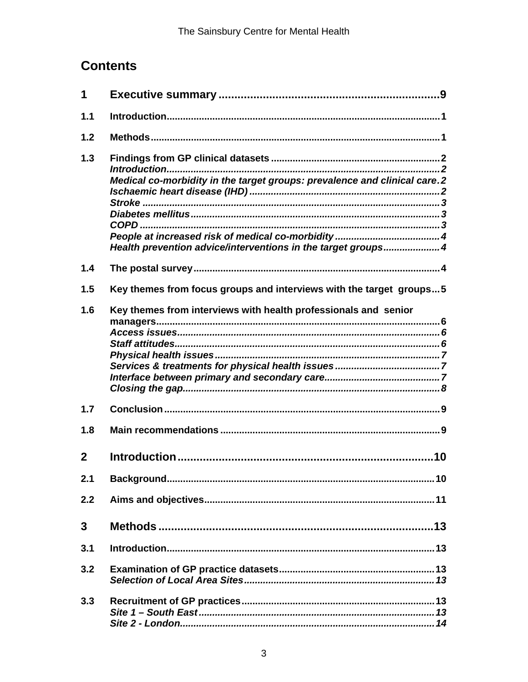# **Contents**

| 1            |                                                                                                                                           |
|--------------|-------------------------------------------------------------------------------------------------------------------------------------------|
| 1.1          |                                                                                                                                           |
| 1.2          |                                                                                                                                           |
| 1.3          | Medical co-morbidity in the target groups: prevalence and clinical care.2<br>Health prevention advice/interventions in the target groups4 |
| 1.4          |                                                                                                                                           |
| 1.5          | Key themes from focus groups and interviews with the target groups5                                                                       |
| 1.6          | Key themes from interviews with health professionals and senior                                                                           |
| 1.7          |                                                                                                                                           |
| 1.8          |                                                                                                                                           |
| $\mathbf{2}$ |                                                                                                                                           |
| 2.1          |                                                                                                                                           |
| 2.2          |                                                                                                                                           |
| 3            |                                                                                                                                           |
| 3.1          |                                                                                                                                           |
| 3.2          |                                                                                                                                           |
| 3.3          |                                                                                                                                           |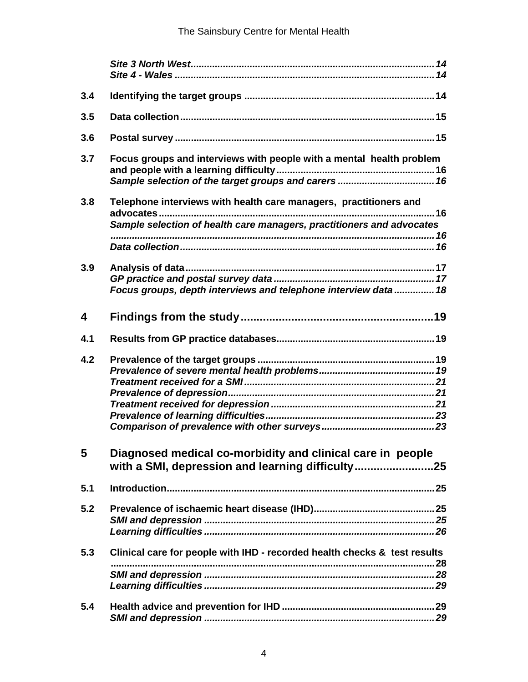| 3.4 |                                                                                                                                            |
|-----|--------------------------------------------------------------------------------------------------------------------------------------------|
| 3.5 |                                                                                                                                            |
| 3.6 |                                                                                                                                            |
| 3.7 | Focus groups and interviews with people with a mental health problem                                                                       |
| 3.8 | Telephone interviews with health care managers, practitioners and<br>Sample selection of health care managers, practitioners and advocates |
| 3.9 | Focus groups, depth interviews and telephone interview data 18                                                                             |
| 4   |                                                                                                                                            |
| 4.1 |                                                                                                                                            |
| 4.2 |                                                                                                                                            |
| 5   | Diagnosed medical co-morbidity and clinical care in people<br>with a SMI, depression and learning difficulty                               |
| 5.1 |                                                                                                                                            |
| 5.2 |                                                                                                                                            |
| 5.3 | Clinical care for people with IHD - recorded health checks & test results                                                                  |
| 5.4 |                                                                                                                                            |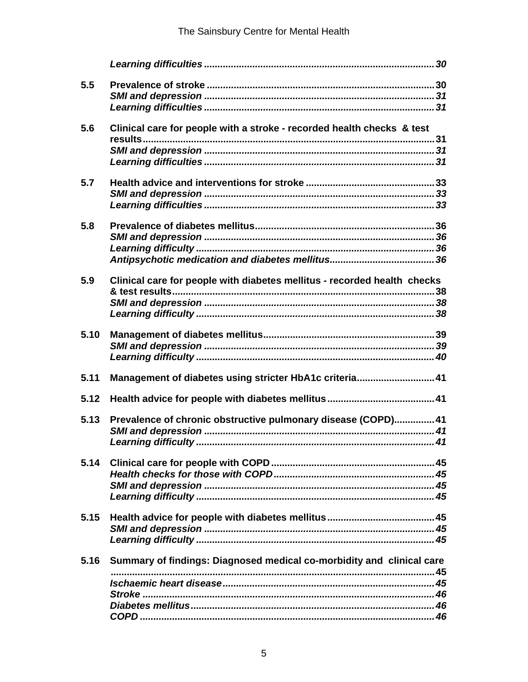| 5.5  |                                                                          |
|------|--------------------------------------------------------------------------|
|      |                                                                          |
|      |                                                                          |
| 5.6  | Clinical care for people with a stroke - recorded health checks & test   |
|      |                                                                          |
|      |                                                                          |
|      |                                                                          |
| 5.7  |                                                                          |
|      |                                                                          |
|      |                                                                          |
| 5.8  |                                                                          |
|      |                                                                          |
|      |                                                                          |
|      |                                                                          |
| 5.9  | Clinical care for people with diabetes mellitus - recorded health checks |
|      |                                                                          |
|      |                                                                          |
|      |                                                                          |
| 5.10 |                                                                          |
|      |                                                                          |
|      |                                                                          |
| 5.11 | Management of diabetes using stricter HbA1c criteria41                   |
| 5.12 |                                                                          |
| 5.13 | Prevalence of chronic obstructive pulmonary disease (COPD) 41            |
|      |                                                                          |
|      |                                                                          |
| 5.14 |                                                                          |
|      |                                                                          |
|      |                                                                          |
|      |                                                                          |
| 5.15 |                                                                          |
|      |                                                                          |
|      |                                                                          |
| 5.16 | Summary of findings: Diagnosed medical co-morbidity and clinical care    |
|      |                                                                          |
|      |                                                                          |
|      |                                                                          |
|      |                                                                          |
|      |                                                                          |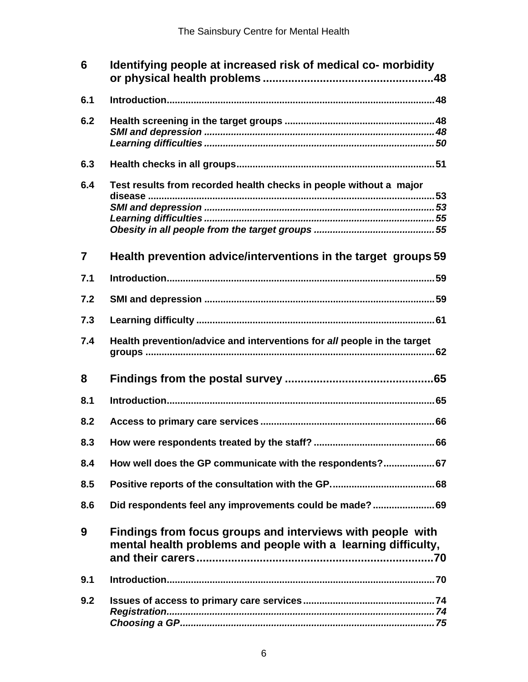| 6              | Identifying people at increased risk of medical co- morbidity                                                               |  |  |  |  |
|----------------|-----------------------------------------------------------------------------------------------------------------------------|--|--|--|--|
| 6.1            |                                                                                                                             |  |  |  |  |
| 6.2            |                                                                                                                             |  |  |  |  |
| 6.3            |                                                                                                                             |  |  |  |  |
| 6.4            | Test results from recorded health checks in people without a major                                                          |  |  |  |  |
| $\overline{7}$ | Health prevention advice/interventions in the target groups 59                                                              |  |  |  |  |
| 7.1            |                                                                                                                             |  |  |  |  |
| 7.2            |                                                                                                                             |  |  |  |  |
| 7.3            |                                                                                                                             |  |  |  |  |
| 7.4            | Health prevention/advice and interventions for all people in the target                                                     |  |  |  |  |
| 8              |                                                                                                                             |  |  |  |  |
| 8.1            |                                                                                                                             |  |  |  |  |
| 8.2            |                                                                                                                             |  |  |  |  |
| 8.3            |                                                                                                                             |  |  |  |  |
| 8.4            | How well does the GP communicate with the respondents? 67                                                                   |  |  |  |  |
| 8.5            |                                                                                                                             |  |  |  |  |
| 8.6            | Did respondents feel any improvements could be made?69                                                                      |  |  |  |  |
| 9              | Findings from focus groups and interviews with people with<br>mental health problems and people with a learning difficulty, |  |  |  |  |
| 9.1            |                                                                                                                             |  |  |  |  |
| 9.2            |                                                                                                                             |  |  |  |  |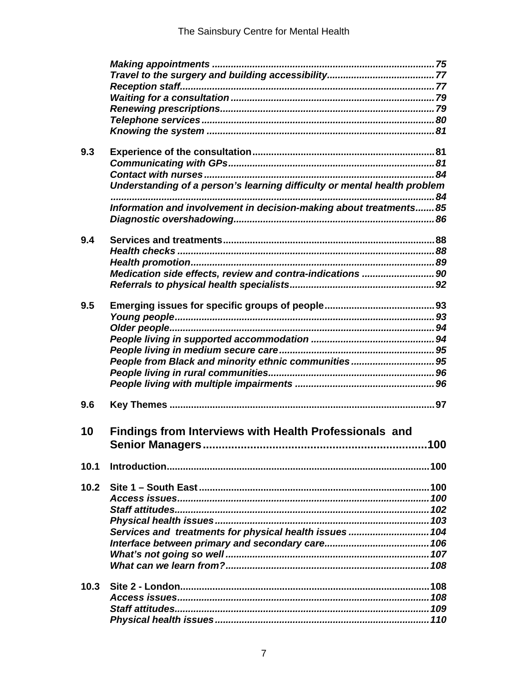| 9.3  |                                                                          |     |
|------|--------------------------------------------------------------------------|-----|
|      |                                                                          |     |
|      |                                                                          |     |
|      | Understanding of a person's learning difficulty or mental health problem |     |
|      |                                                                          |     |
|      | Information and involvement in decision-making about treatments 85       |     |
|      |                                                                          |     |
| 9.4  |                                                                          |     |
|      |                                                                          |     |
|      |                                                                          |     |
|      | Medication side effects, review and contra-indications  90               |     |
|      |                                                                          |     |
|      |                                                                          |     |
| 9.5  |                                                                          |     |
|      |                                                                          |     |
|      |                                                                          |     |
|      |                                                                          |     |
|      |                                                                          |     |
|      | People from Black and minority ethnic communities 95                     |     |
|      |                                                                          |     |
|      |                                                                          |     |
|      |                                                                          |     |
| 9.6  |                                                                          |     |
|      |                                                                          |     |
| 10   | <b>Findings from Interviews with Health Professionals and</b>            |     |
|      |                                                                          | 100 |
|      |                                                                          |     |
| 10.1 |                                                                          |     |
| 10.2 |                                                                          |     |
|      |                                                                          |     |
|      |                                                                          |     |
|      |                                                                          |     |
|      | Services and treatments for physical health issues 104                   |     |
|      |                                                                          |     |
|      |                                                                          |     |
|      |                                                                          |     |
|      |                                                                          |     |
| 10.3 |                                                                          |     |
|      |                                                                          |     |
|      |                                                                          |     |
|      |                                                                          |     |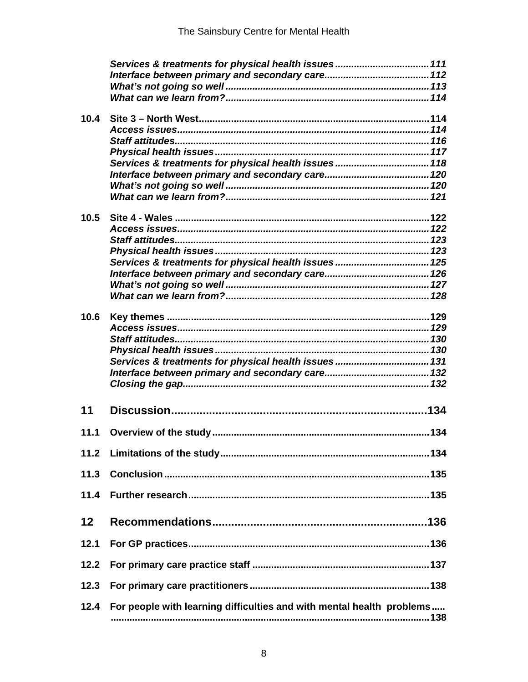|        | Services & treatments for physical health issues 111                  |
|--------|-----------------------------------------------------------------------|
|        |                                                                       |
|        |                                                                       |
|        |                                                                       |
| 10.4   |                                                                       |
|        |                                                                       |
|        |                                                                       |
|        |                                                                       |
|        |                                                                       |
|        | Services & treatments for physical health issues 118                  |
|        |                                                                       |
|        |                                                                       |
|        |                                                                       |
| 10.5   |                                                                       |
|        |                                                                       |
|        |                                                                       |
|        |                                                                       |
|        |                                                                       |
|        |                                                                       |
|        |                                                                       |
|        |                                                                       |
|        |                                                                       |
| 10.6   |                                                                       |
|        |                                                                       |
|        |                                                                       |
|        |                                                                       |
|        |                                                                       |
|        |                                                                       |
|        |                                                                       |
|        |                                                                       |
| 11     |                                                                       |
| 11.1   |                                                                       |
|        |                                                                       |
| $11.2$ |                                                                       |
|        |                                                                       |
| 11.3   |                                                                       |
| 11.4   |                                                                       |
|        |                                                                       |
| 12     |                                                                       |
|        |                                                                       |
| 12.1   |                                                                       |
|        |                                                                       |
| 12.2   |                                                                       |
| 12.3   |                                                                       |
|        |                                                                       |
| 12.4   | For people with learning difficulties and with mental health problems |
|        |                                                                       |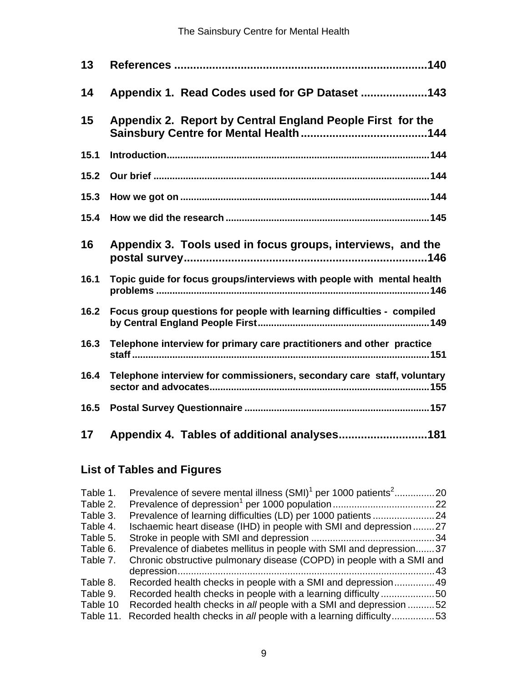| 13   |                                                                        |
|------|------------------------------------------------------------------------|
| 14   | Appendix 1. Read Codes used for GP Dataset 143                         |
| 15   | Appendix 2. Report by Central England People First for the             |
| 15.1 |                                                                        |
| 15.2 |                                                                        |
| 15.3 |                                                                        |
| 15.4 |                                                                        |
| 16   | Appendix 3. Tools used in focus groups, interviews, and the            |
| 16.1 | Topic guide for focus groups/interviews with people with mental health |
| 16.2 | Focus group questions for people with learning difficulties - compiled |
| 16.3 | Telephone interview for primary care practitioners and other practice  |
| 16.4 | Telephone interview for commissioners, secondary care staff, voluntary |
| 16.5 |                                                                        |
| 17   | Appendix 4. Tables of additional analyses181                           |

# **List of Tables and Figures**

| Table 1.  | Prevalence of severe mental illness (SMI) <sup>1</sup> per 1000 patients <sup>2</sup> | . 20 |
|-----------|---------------------------------------------------------------------------------------|------|
| Table 2.  |                                                                                       |      |
| Table 3.  |                                                                                       |      |
| Table 4.  | Ischaemic heart disease (IHD) in people with SMI and depression 27                    |      |
| Table 5.  |                                                                                       |      |
| Table 6.  | Prevalence of diabetes mellitus in people with SMI and depression37                   |      |
| Table 7.  | Chronic obstructive pulmonary disease (COPD) in people with a SMI and                 |      |
|           |                                                                                       | . 43 |
| Table 8.  | Recorded health checks in people with a SMI and depression 49                         |      |
| Table 9.  | Recorded health checks in people with a learning difficulty 50                        |      |
| Table 10  | Recorded health checks in all people with a SMI and depression 52                     |      |
| Table 11. | Recorded health checks in all people with a learning difficulty53                     |      |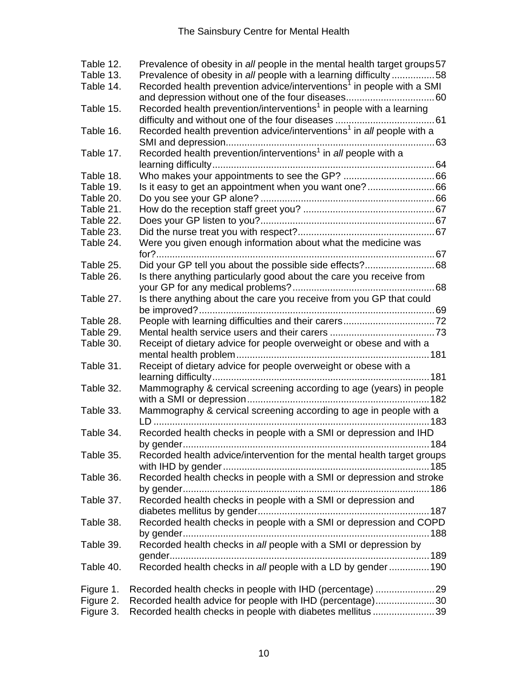| Table 12. | Prevalence of obesity in all people in the mental health target groups 57         |
|-----------|-----------------------------------------------------------------------------------|
| Table 13. | Prevalence of obesity in all people with a learning difficulty 58                 |
| Table 14. | Recorded health prevention advice/interventions <sup>1</sup> in people with a SMI |
| Table 15. | Recorded health prevention/interventions <sup>1</sup> in people with a learning   |
| Table 16. | Recorded health prevention advice/interventions <sup>1</sup> in all people with a |
| Table 17. | Recorded health prevention/interventions <sup>1</sup> in all people with a        |
| Table 18. |                                                                                   |
| Table 19. |                                                                                   |
| Table 20. |                                                                                   |
| Table 21. |                                                                                   |
| Table 22. |                                                                                   |
| Table 23. |                                                                                   |
| Table 24. | Were you given enough information about what the medicine was                     |
|           |                                                                                   |
| Table 25. | Did your GP tell you about the possible side effects?68                           |
| Table 26. | Is there anything particularly good about the care you receive from               |
|           |                                                                                   |
| Table 27. | Is there anything about the care you receive from you GP that could               |
|           |                                                                                   |
| Table 28. |                                                                                   |
| Table 29. |                                                                                   |
| Table 30. | Receipt of dietary advice for people overweight or obese and with a               |
| Table 31. | Receipt of dietary advice for people overweight or obese with a                   |
|           |                                                                                   |
| Table 32. | Mammography & cervical screening according to age (years) in people               |
| Table 33. | Mammography & cervical screening according to age in people with a                |
|           |                                                                                   |
| Table 34. | Recorded health checks in people with a SMI or depression and IHD                 |
| Table 35. | Recorded health advice/intervention for the mental health target groups           |
| Table 36. | Recorded health checks in people with a SMI or depression and stroke              |
| Table 37. | Recorded health checks in people with a SMI or depression and                     |
| Table 38. | Recorded health checks in people with a SMI or depression and COPD                |
| Table 39. | Recorded health checks in all people with a SMI or depression by                  |
| Table 40. | Recorded health checks in all people with a LD by gender190                       |
| Figure 1. |                                                                                   |
| Figure 2. | Recorded health advice for people with IHD (percentage)30                         |
| Figure 3. | Recorded health checks in people with diabetes mellitus 39                        |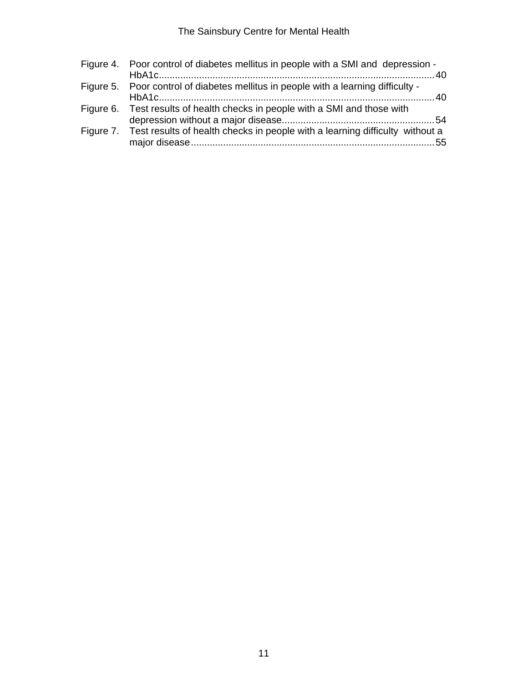| Figure 4. Poor control of diabetes mellitus in people with a SMI and depression -      |  |
|----------------------------------------------------------------------------------------|--|
| Figure 5. Poor control of diabetes mellitus in people with a learning difficulty -     |  |
| Figure 6. Test results of health checks in people with a SMI and those with            |  |
| Figure 7. Test results of health checks in people with a learning difficulty without a |  |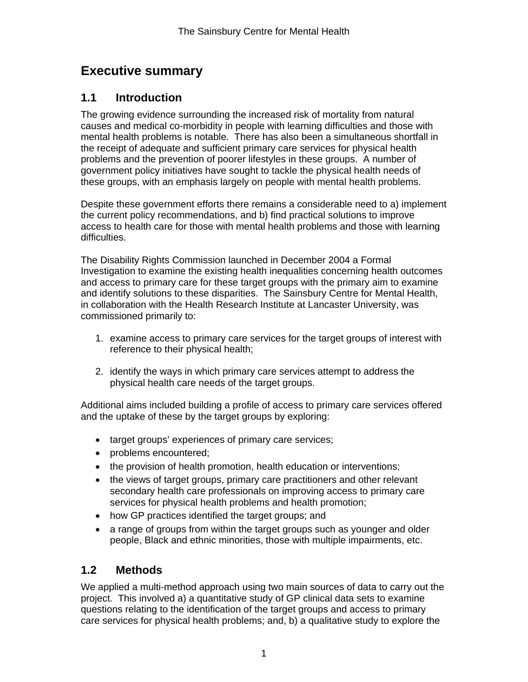# **Executive summary**

# **1.1 Introduction**

The growing evidence surrounding the increased risk of mortality from natural causes and medical co-morbidity in people with learning difficulties and those with mental health problems is notable. There has also been a simultaneous shortfall in the receipt of adequate and sufficient primary care services for physical health problems and the prevention of poorer lifestyles in these groups. A number of government policy initiatives have sought to tackle the physical health needs of these groups, with an emphasis largely on people with mental health problems.

Despite these government efforts there remains a considerable need to a) implement the current policy recommendations, and b) find practical solutions to improve access to health care for those with mental health problems and those with learning difficulties.

The Disability Rights Commission launched in December 2004 a Formal Investigation to examine the existing health inequalities concerning health outcomes and access to primary care for these target groups with the primary aim to examine and identify solutions to these disparities. The Sainsbury Centre for Mental Health, in collaboration with the Health Research Institute at Lancaster University, was commissioned primarily to:

- 1. examine access to primary care services for the target groups of interest with reference to their physical health;
- 2. identify the ways in which primary care services attempt to address the physical health care needs of the target groups.

Additional aims included building a profile of access to primary care services offered and the uptake of these by the target groups by exploring:

- target groups' experiences of primary care services;
- problems encountered;
- the provision of health promotion, health education or interventions;
- the views of target groups, primary care practitioners and other relevant secondary health care professionals on improving access to primary care services for physical health problems and health promotion;
- how GP practices identified the target groups; and
- a range of groups from within the target groups such as younger and older people, Black and ethnic minorities, those with multiple impairments, etc.

# **1.2 Methods**

We applied a multi-method approach using two main sources of data to carry out the project. This involved a) a quantitative study of GP clinical data sets to examine questions relating to the identification of the target groups and access to primary care services for physical health problems; and, b) a qualitative study to explore the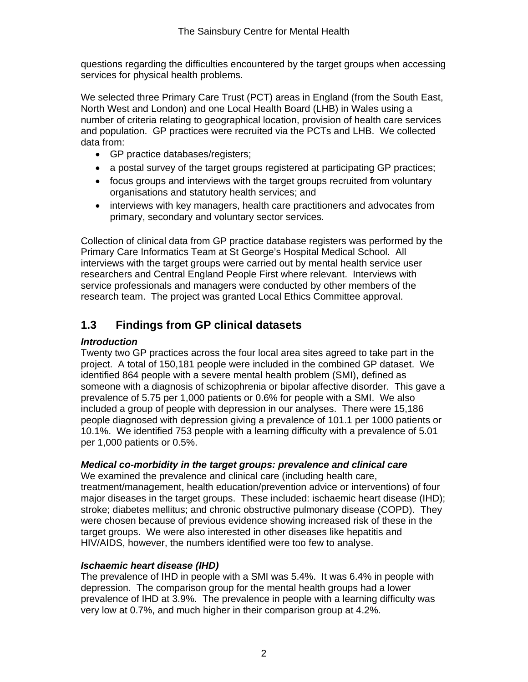questions regarding the difficulties encountered by the target groups when accessing services for physical health problems.

We selected three Primary Care Trust (PCT) areas in England (from the South East, North West and London) and one Local Health Board (LHB) in Wales using a number of criteria relating to geographical location, provision of health care services and population. GP practices were recruited via the PCTs and LHB. We collected data from:

- GP practice databases/registers;
- a postal survey of the target groups registered at participating GP practices;
- focus groups and interviews with the target groups recruited from voluntary organisations and statutory health services; and
- interviews with key managers, health care practitioners and advocates from primary, secondary and voluntary sector services.

Collection of clinical data from GP practice database registers was performed by the Primary Care Informatics Team at St George's Hospital Medical School. All interviews with the target groups were carried out by mental health service user researchers and Central England People First where relevant. Interviews with service professionals and managers were conducted by other members of the research team. The project was granted Local Ethics Committee approval.

# **1.3 Findings from GP clinical datasets**

### *Introduction*

Twenty two GP practices across the four local area sites agreed to take part in the project. A total of 150,181 people were included in the combined GP dataset. We identified 864 people with a severe mental health problem (SMI), defined as someone with a diagnosis of schizophrenia or bipolar affective disorder. This gave a prevalence of 5.75 per 1,000 patients or 0.6% for people with a SMI. We also included a group of people with depression in our analyses. There were 15,186 people diagnosed with depression giving a prevalence of 101.1 per 1000 patients or 10.1%. We identified 753 people with a learning difficulty with a prevalence of 5.01 per 1,000 patients or 0.5%.

### *Medical co-morbidity in the target groups: prevalence and clinical care*

We examined the prevalence and clinical care (including health care, treatment/management, health education/prevention advice or interventions) of four major diseases in the target groups. These included: ischaemic heart disease (IHD); stroke; diabetes mellitus; and chronic obstructive pulmonary disease (COPD). They were chosen because of previous evidence showing increased risk of these in the target groups. We were also interested in other diseases like hepatitis and HIV/AIDS, however, the numbers identified were too few to analyse.

### *Ischaemic heart disease (IHD)*

The prevalence of IHD in people with a SMI was 5.4%. It was 6.4% in people with depression. The comparison group for the mental health groups had a lower prevalence of IHD at 3.9%. The prevalence in people with a learning difficulty was very low at 0.7%, and much higher in their comparison group at 4.2%.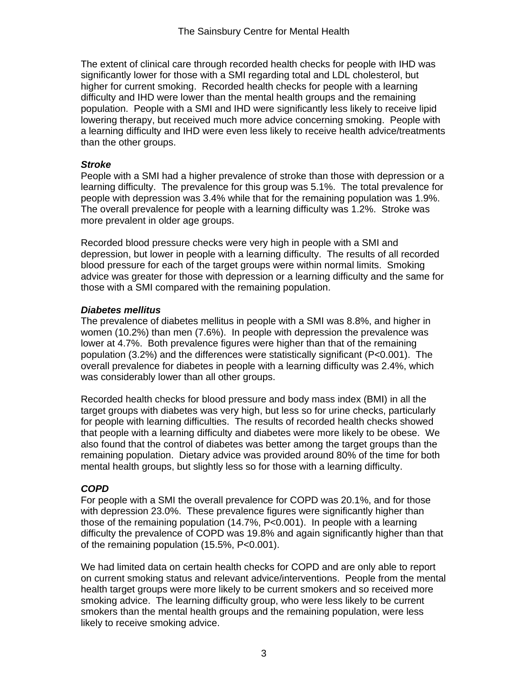The extent of clinical care through recorded health checks for people with IHD was significantly lower for those with a SMI regarding total and LDL cholesterol, but higher for current smoking. Recorded health checks for people with a learning difficulty and IHD were lower than the mental health groups and the remaining population. People with a SMI and IHD were significantly less likely to receive lipid lowering therapy, but received much more advice concerning smoking. People with a learning difficulty and IHD were even less likely to receive health advice/treatments than the other groups.

#### *Stroke*

People with a SMI had a higher prevalence of stroke than those with depression or a learning difficulty. The prevalence for this group was 5.1%. The total prevalence for people with depression was 3.4% while that for the remaining population was 1.9%. The overall prevalence for people with a learning difficulty was 1.2%. Stroke was more prevalent in older age groups.

Recorded blood pressure checks were very high in people with a SMI and depression, but lower in people with a learning difficulty. The results of all recorded blood pressure for each of the target groups were within normal limits. Smoking advice was greater for those with depression or a learning difficulty and the same for those with a SMI compared with the remaining population.

### *Diabetes mellitus*

The prevalence of diabetes mellitus in people with a SMI was 8.8%, and higher in women (10.2%) than men (7.6%). In people with depression the prevalence was lower at 4.7%. Both prevalence figures were higher than that of the remaining population (3.2%) and the differences were statistically significant (P<0.001). The overall prevalence for diabetes in people with a learning difficulty was 2.4%, which was considerably lower than all other groups.

Recorded health checks for blood pressure and body mass index (BMI) in all the target groups with diabetes was very high, but less so for urine checks, particularly for people with learning difficulties. The results of recorded health checks showed that people with a learning difficulty and diabetes were more likely to be obese. We also found that the control of diabetes was better among the target groups than the remaining population. Dietary advice was provided around 80% of the time for both mental health groups, but slightly less so for those with a learning difficulty.

### *COPD*

For people with a SMI the overall prevalence for COPD was 20.1%, and for those with depression 23.0%. These prevalence figures were significantly higher than those of the remaining population (14.7%, P<0.001). In people with a learning difficulty the prevalence of COPD was 19.8% and again significantly higher than that of the remaining population (15.5%, P<0.001).

We had limited data on certain health checks for COPD and are only able to report on current smoking status and relevant advice/interventions. People from the mental health target groups were more likely to be current smokers and so received more smoking advice. The learning difficulty group, who were less likely to be current smokers than the mental health groups and the remaining population, were less likely to receive smoking advice.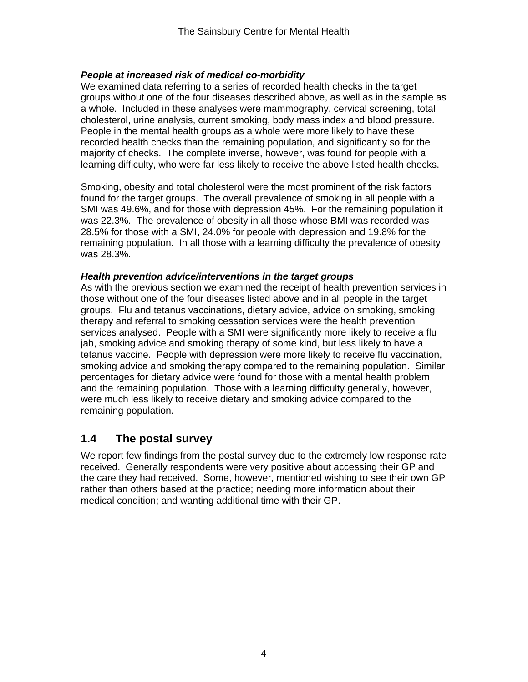### *People at increased risk of medical co-morbidity*

We examined data referring to a series of recorded health checks in the target groups without one of the four diseases described above, as well as in the sample as a whole. Included in these analyses were mammography, cervical screening, total cholesterol, urine analysis, current smoking, body mass index and blood pressure. People in the mental health groups as a whole were more likely to have these recorded health checks than the remaining population, and significantly so for the majority of checks. The complete inverse, however, was found for people with a learning difficulty, who were far less likely to receive the above listed health checks.

Smoking, obesity and total cholesterol were the most prominent of the risk factors found for the target groups. The overall prevalence of smoking in all people with a SMI was 49.6%, and for those with depression 45%. For the remaining population it was 22.3%. The prevalence of obesity in all those whose BMI was recorded was 28.5% for those with a SMI, 24.0% for people with depression and 19.8% for the remaining population. In all those with a learning difficulty the prevalence of obesity was 28.3%.

#### *Health prevention advice/interventions in the target groups*

As with the previous section we examined the receipt of health prevention services in those without one of the four diseases listed above and in all people in the target groups. Flu and tetanus vaccinations, dietary advice, advice on smoking, smoking therapy and referral to smoking cessation services were the health prevention services analysed. People with a SMI were significantly more likely to receive a flu jab, smoking advice and smoking therapy of some kind, but less likely to have a tetanus vaccine. People with depression were more likely to receive flu vaccination, smoking advice and smoking therapy compared to the remaining population. Similar percentages for dietary advice were found for those with a mental health problem and the remaining population. Those with a learning difficulty generally, however, were much less likely to receive dietary and smoking advice compared to the remaining population.

# **1.4 The postal survey**

We report few findings from the postal survey due to the extremely low response rate received. Generally respondents were very positive about accessing their GP and the care they had received. Some, however, mentioned wishing to see their own GP rather than others based at the practice; needing more information about their medical condition; and wanting additional time with their GP.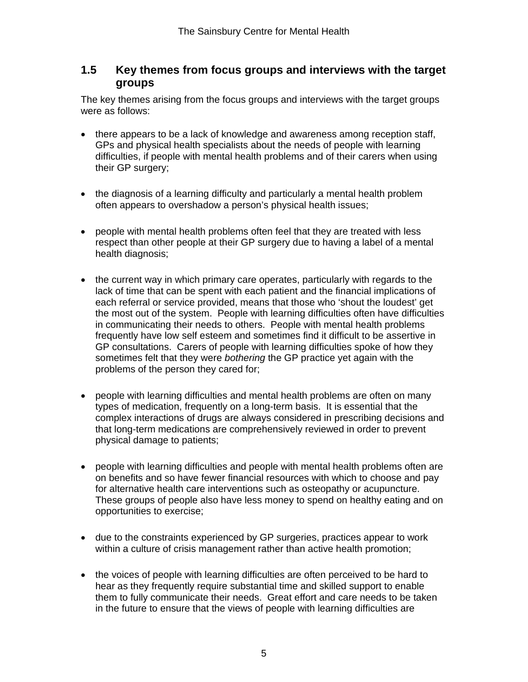## **1.5 Key themes from focus groups and interviews with the target groups**

The key themes arising from the focus groups and interviews with the target groups were as follows:

- there appears to be a lack of knowledge and awareness among reception staff, GPs and physical health specialists about the needs of people with learning difficulties, if people with mental health problems and of their carers when using their GP surgery;
- the diagnosis of a learning difficulty and particularly a mental health problem often appears to overshadow a person's physical health issues;
- people with mental health problems often feel that they are treated with less respect than other people at their GP surgery due to having a label of a mental health diagnosis;
- the current way in which primary care operates, particularly with regards to the lack of time that can be spent with each patient and the financial implications of each referral or service provided, means that those who 'shout the loudest' get the most out of the system. People with learning difficulties often have difficulties in communicating their needs to others. People with mental health problems frequently have low self esteem and sometimes find it difficult to be assertive in GP consultations. Carers of people with learning difficulties spoke of how they sometimes felt that they were *bothering* the GP practice yet again with the problems of the person they cared for;
- people with learning difficulties and mental health problems are often on many types of medication, frequently on a long-term basis. It is essential that the complex interactions of drugs are always considered in prescribing decisions and that long-term medications are comprehensively reviewed in order to prevent physical damage to patients;
- people with learning difficulties and people with mental health problems often are on benefits and so have fewer financial resources with which to choose and pay for alternative health care interventions such as osteopathy or acupuncture. These groups of people also have less money to spend on healthy eating and on opportunities to exercise;
- due to the constraints experienced by GP surgeries, practices appear to work within a culture of crisis management rather than active health promotion;
- the voices of people with learning difficulties are often perceived to be hard to hear as they frequently require substantial time and skilled support to enable them to fully communicate their needs. Great effort and care needs to be taken in the future to ensure that the views of people with learning difficulties are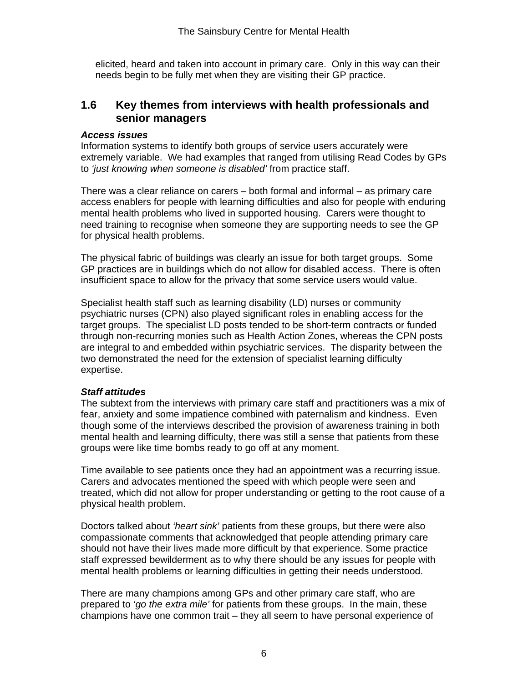elicited, heard and taken into account in primary care. Only in this way can their needs begin to be fully met when they are visiting their GP practice.

## **1.6 Key themes from interviews with health professionals and senior managers**

#### *Access issues*

Information systems to identify both groups of service users accurately were extremely variable. We had examples that ranged from utilising Read Codes by GPs to *'just knowing when someone is disabled'* from practice staff.

There was a clear reliance on carers – both formal and informal – as primary care access enablers for people with learning difficulties and also for people with enduring mental health problems who lived in supported housing. Carers were thought to need training to recognise when someone they are supporting needs to see the GP for physical health problems.

The physical fabric of buildings was clearly an issue for both target groups. Some GP practices are in buildings which do not allow for disabled access. There is often insufficient space to allow for the privacy that some service users would value.

Specialist health staff such as learning disability (LD) nurses or community psychiatric nurses (CPN) also played significant roles in enabling access for the target groups. The specialist LD posts tended to be short-term contracts or funded through non-recurring monies such as Health Action Zones, whereas the CPN posts are integral to and embedded within psychiatric services. The disparity between the two demonstrated the need for the extension of specialist learning difficulty expertise.

#### *Staff attitudes*

The subtext from the interviews with primary care staff and practitioners was a mix of fear, anxiety and some impatience combined with paternalism and kindness. Even though some of the interviews described the provision of awareness training in both mental health and learning difficulty, there was still a sense that patients from these groups were like time bombs ready to go off at any moment.

Time available to see patients once they had an appointment was a recurring issue. Carers and advocates mentioned the speed with which people were seen and treated, which did not allow for proper understanding or getting to the root cause of a physical health problem.

Doctors talked about *'heart sink'* patients from these groups, but there were also compassionate comments that acknowledged that people attending primary care should not have their lives made more difficult by that experience. Some practice staff expressed bewilderment as to why there should be any issues for people with mental health problems or learning difficulties in getting their needs understood.

There are many champions among GPs and other primary care staff, who are prepared to *'go the extra mile'* for patients from these groups. In the main, these champions have one common trait – they all seem to have personal experience of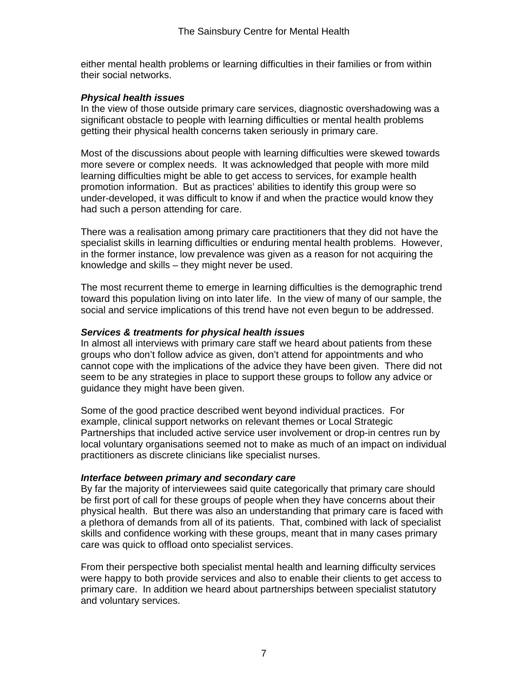either mental health problems or learning difficulties in their families or from within their social networks.

#### *Physical health issues*

In the view of those outside primary care services, diagnostic overshadowing was a significant obstacle to people with learning difficulties or mental health problems getting their physical health concerns taken seriously in primary care.

Most of the discussions about people with learning difficulties were skewed towards more severe or complex needs. It was acknowledged that people with more mild learning difficulties might be able to get access to services, for example health promotion information. But as practices' abilities to identify this group were so under-developed, it was difficult to know if and when the practice would know they had such a person attending for care.

There was a realisation among primary care practitioners that they did not have the specialist skills in learning difficulties or enduring mental health problems. However, in the former instance, low prevalence was given as a reason for not acquiring the knowledge and skills – they might never be used.

The most recurrent theme to emerge in learning difficulties is the demographic trend toward this population living on into later life. In the view of many of our sample, the social and service implications of this trend have not even begun to be addressed.

### *Services & treatments for physical health issues*

In almost all interviews with primary care staff we heard about patients from these groups who don't follow advice as given, don't attend for appointments and who cannot cope with the implications of the advice they have been given. There did not seem to be any strategies in place to support these groups to follow any advice or guidance they might have been given.

Some of the good practice described went beyond individual practices. For example, clinical support networks on relevant themes or Local Strategic Partnerships that included active service user involvement or drop-in centres run by local voluntary organisations seemed not to make as much of an impact on individual practitioners as discrete clinicians like specialist nurses.

#### *Interface between primary and secondary care*

By far the majority of interviewees said quite categorically that primary care should be first port of call for these groups of people when they have concerns about their physical health. But there was also an understanding that primary care is faced with a plethora of demands from all of its patients. That, combined with lack of specialist skills and confidence working with these groups, meant that in many cases primary care was quick to offload onto specialist services.

From their perspective both specialist mental health and learning difficulty services were happy to both provide services and also to enable their clients to get access to primary care. In addition we heard about partnerships between specialist statutory and voluntary services.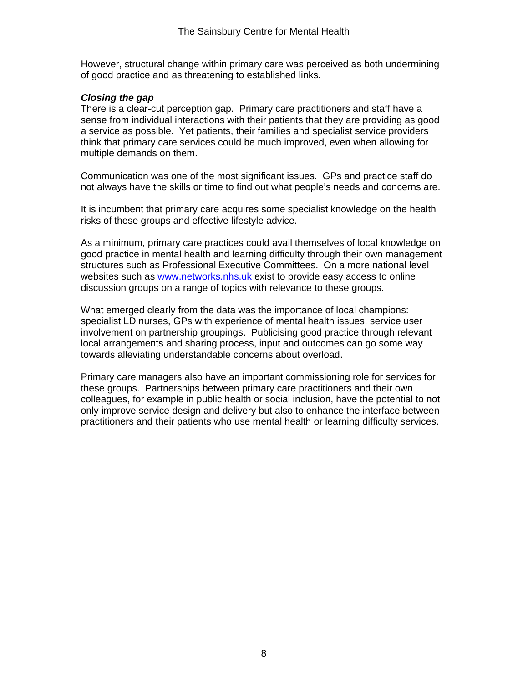However, structural change within primary care was perceived as both undermining of good practice and as threatening to established links.

### *Closing the gap*

There is a clear-cut perception gap. Primary care practitioners and staff have a sense from individual interactions with their patients that they are providing as good a service as possible. Yet patients, their families and specialist service providers think that primary care services could be much improved, even when allowing for multiple demands on them.

Communication was one of the most significant issues. GPs and practice staff do not always have the skills or time to find out what people's needs and concerns are.

It is incumbent that primary care acquires some specialist knowledge on the health risks of these groups and effective lifestyle advice.

As a minimum, primary care practices could avail themselves of local knowledge on good practice in mental health and learning difficulty through their own management structures such as Professional Executive Committees. On a more national level websites such as www.networks.nhs.uk exist to provide easy access to online discussion groups on a range of topics with relevance to these groups.

What emerged clearly from the data was the importance of local champions: specialist LD nurses, GPs with experience of mental health issues, service user involvement on partnership groupings. Publicising good practice through relevant local arrangements and sharing process, input and outcomes can go some way towards alleviating understandable concerns about overload.

Primary care managers also have an important commissioning role for services for these groups. Partnerships between primary care practitioners and their own colleagues, for example in public health or social inclusion, have the potential to not only improve service design and delivery but also to enhance the interface between practitioners and their patients who use mental health or learning difficulty services.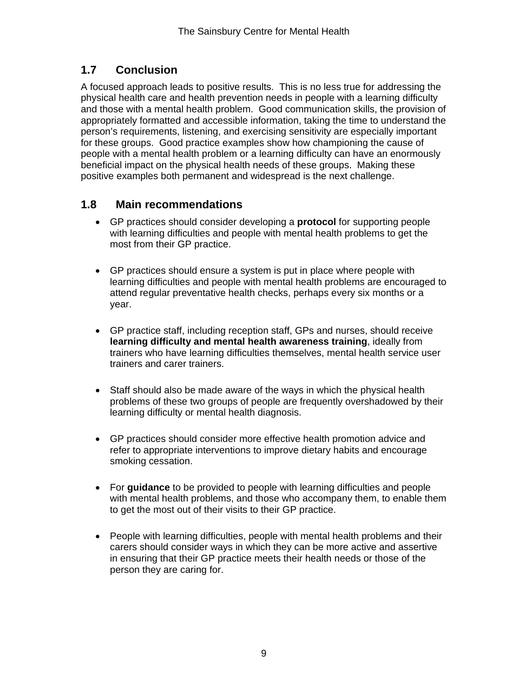# **1.7 Conclusion**

A focused approach leads to positive results. This is no less true for addressing the physical health care and health prevention needs in people with a learning difficulty and those with a mental health problem. Good communication skills, the provision of appropriately formatted and accessible information, taking the time to understand the person's requirements, listening, and exercising sensitivity are especially important for these groups. Good practice examples show how championing the cause of people with a mental health problem or a learning difficulty can have an enormously beneficial impact on the physical health needs of these groups. Making these positive examples both permanent and widespread is the next challenge.

# **1.8 Main recommendations**

- GP practices should consider developing a **protocol** for supporting people with learning difficulties and people with mental health problems to get the most from their GP practice.
- GP practices should ensure a system is put in place where people with learning difficulties and people with mental health problems are encouraged to attend regular preventative health checks, perhaps every six months or a year.
- GP practice staff, including reception staff, GPs and nurses, should receive **learning difficulty and mental health awareness training**, ideally from trainers who have learning difficulties themselves, mental health service user trainers and carer trainers.
- Staff should also be made aware of the ways in which the physical health problems of these two groups of people are frequently overshadowed by their learning difficulty or mental health diagnosis.
- GP practices should consider more effective health promotion advice and refer to appropriate interventions to improve dietary habits and encourage smoking cessation.
- For **guidance** to be provided to people with learning difficulties and people with mental health problems, and those who accompany them, to enable them to get the most out of their visits to their GP practice.
- People with learning difficulties, people with mental health problems and their carers should consider ways in which they can be more active and assertive in ensuring that their GP practice meets their health needs or those of the person they are caring for.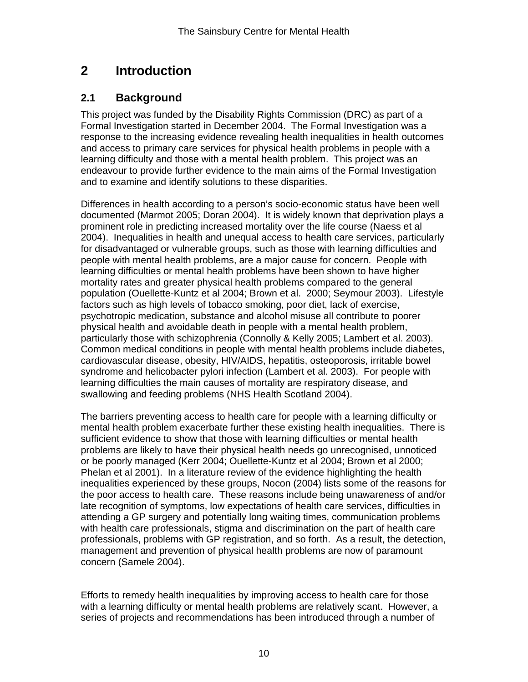# **2 Introduction**

## **2.1 Background**

This project was funded by the Disability Rights Commission (DRC) as part of a Formal Investigation started in December 2004. The Formal Investigation was a response to the increasing evidence revealing health inequalities in health outcomes and access to primary care services for physical health problems in people with a learning difficulty and those with a mental health problem. This project was an endeavour to provide further evidence to the main aims of the Formal Investigation and to examine and identify solutions to these disparities.

Differences in health according to a person's socio-economic status have been well documented (Marmot 2005; Doran 2004). It is widely known that deprivation plays a prominent role in predicting increased mortality over the life course (Naess et al 2004). Inequalities in health and unequal access to health care services, particularly for disadvantaged or vulnerable groups, such as those with learning difficulties and people with mental health problems, are a major cause for concern. People with learning difficulties or mental health problems have been shown to have higher mortality rates and greater physical health problems compared to the general population (Ouellette-Kuntz et al 2004; Brown et al. 2000; Seymour 2003). Lifestyle factors such as high levels of tobacco smoking, poor diet, lack of exercise, psychotropic medication, substance and alcohol misuse all contribute to poorer physical health and avoidable death in people with a mental health problem, particularly those with schizophrenia (Connolly & Kelly 2005; Lambert et al. 2003). Common medical conditions in people with mental health problems include diabetes, cardiovascular disease, obesity, HIV/AIDS, hepatitis, osteoporosis, irritable bowel syndrome and helicobacter pylori infection (Lambert et al. 2003). For people with learning difficulties the main causes of mortality are respiratory disease, and swallowing and feeding problems (NHS Health Scotland 2004).

The barriers preventing access to health care for people with a learning difficulty or mental health problem exacerbate further these existing health inequalities. There is sufficient evidence to show that those with learning difficulties or mental health problems are likely to have their physical health needs go unrecognised, unnoticed or be poorly managed (Kerr 2004; Ouellette-Kuntz et al 2004; Brown et al 2000; Phelan et al 2001). In a literature review of the evidence highlighting the health inequalities experienced by these groups, Nocon (2004) lists some of the reasons for the poor access to health care. These reasons include being unawareness of and/or late recognition of symptoms, low expectations of health care services, difficulties in attending a GP surgery and potentially long waiting times, communication problems with health care professionals, stigma and discrimination on the part of health care professionals, problems with GP registration, and so forth. As a result, the detection, management and prevention of physical health problems are now of paramount concern (Samele 2004).

Efforts to remedy health inequalities by improving access to health care for those with a learning difficulty or mental health problems are relatively scant. However, a series of projects and recommendations has been introduced through a number of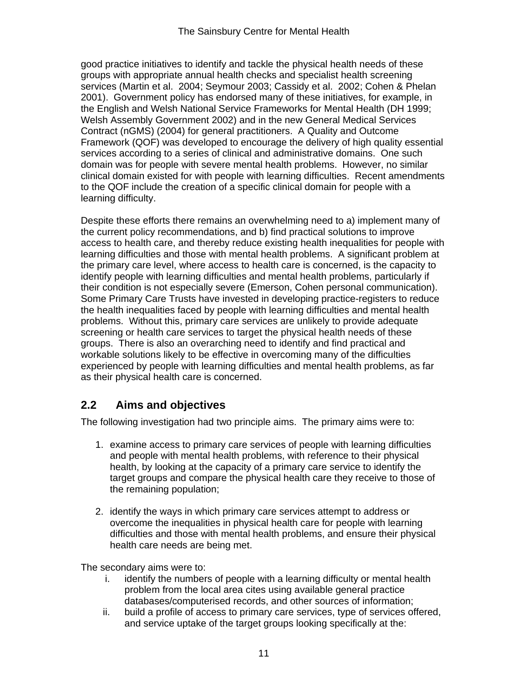good practice initiatives to identify and tackle the physical health needs of these groups with appropriate annual health checks and specialist health screening services (Martin et al. 2004; Seymour 2003; Cassidy et al. 2002; Cohen & Phelan 2001). Government policy has endorsed many of these initiatives, for example, in the English and Welsh National Service Frameworks for Mental Health (DH 1999; Welsh Assembly Government 2002) and in the new General Medical Services Contract (nGMS) (2004) for general practitioners. A Quality and Outcome Framework (QOF) was developed to encourage the delivery of high quality essential services according to a series of clinical and administrative domains. One such domain was for people with severe mental health problems. However, no similar clinical domain existed for with people with learning difficulties. Recent amendments to the QOF include the creation of a specific clinical domain for people with a learning difficulty.

Despite these efforts there remains an overwhelming need to a) implement many of the current policy recommendations, and b) find practical solutions to improve access to health care, and thereby reduce existing health inequalities for people with learning difficulties and those with mental health problems. A significant problem at the primary care level, where access to health care is concerned, is the capacity to identify people with learning difficulties and mental health problems, particularly if their condition is not especially severe (Emerson, Cohen personal communication). Some Primary Care Trusts have invested in developing practice-registers to reduce the health inequalities faced by people with learning difficulties and mental health problems. Without this, primary care services are unlikely to provide adequate screening or health care services to target the physical health needs of these groups. There is also an overarching need to identify and find practical and workable solutions likely to be effective in overcoming many of the difficulties experienced by people with learning difficulties and mental health problems, as far as their physical health care is concerned.

# **2.2 Aims and objectives**

The following investigation had two principle aims. The primary aims were to:

- 1. examine access to primary care services of people with learning difficulties and people with mental health problems, with reference to their physical health, by looking at the capacity of a primary care service to identify the target groups and compare the physical health care they receive to those of the remaining population;
- 2. identify the ways in which primary care services attempt to address or overcome the inequalities in physical health care for people with learning difficulties and those with mental health problems, and ensure their physical health care needs are being met.

The secondary aims were to:

- i. identify the numbers of people with a learning difficulty or mental health problem from the local area cites using available general practice databases/computerised records, and other sources of information;
- ii. build a profile of access to primary care services, type of services offered, and service uptake of the target groups looking specifically at the: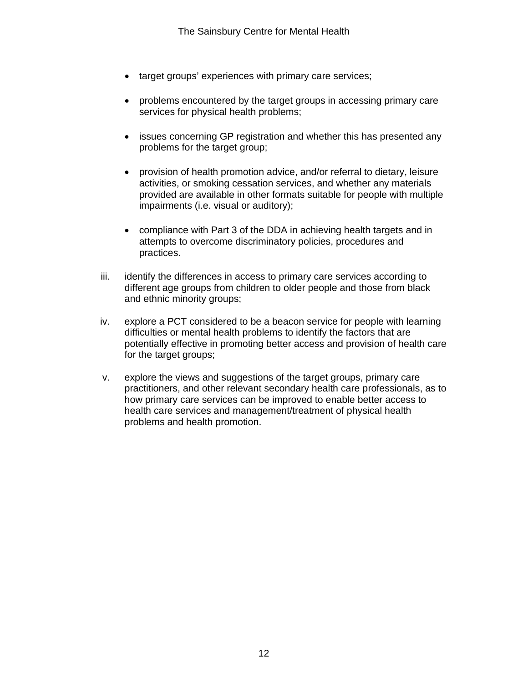- target groups' experiences with primary care services;
- problems encountered by the target groups in accessing primary care services for physical health problems;
- issues concerning GP registration and whether this has presented any problems for the target group;
- provision of health promotion advice, and/or referral to dietary, leisure activities, or smoking cessation services, and whether any materials provided are available in other formats suitable for people with multiple impairments (i.e. visual or auditory);
- compliance with Part 3 of the DDA in achieving health targets and in attempts to overcome discriminatory policies, procedures and practices.
- iii. identify the differences in access to primary care services according to different age groups from children to older people and those from black and ethnic minority groups;
- iv. explore a PCT considered to be a beacon service for people with learning difficulties or mental health problems to identify the factors that are potentially effective in promoting better access and provision of health care for the target groups;
- v. explore the views and suggestions of the target groups, primary care practitioners, and other relevant secondary health care professionals, as to how primary care services can be improved to enable better access to health care services and management/treatment of physical health problems and health promotion.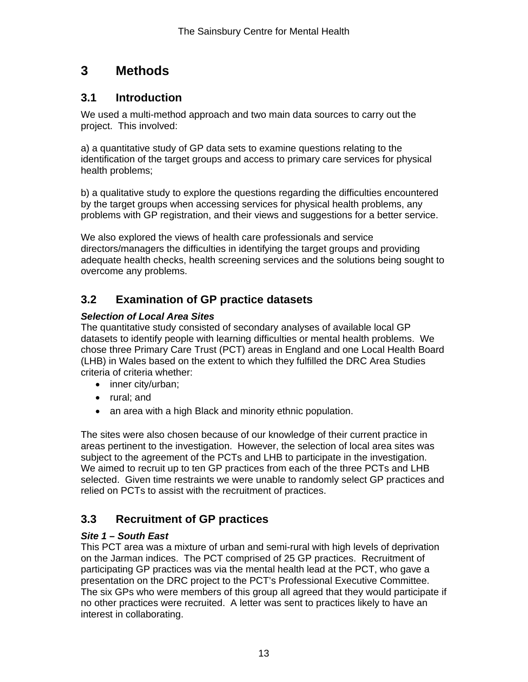# **3 Methods**

## **3.1 Introduction**

We used a multi-method approach and two main data sources to carry out the project. This involved:

a) a quantitative study of GP data sets to examine questions relating to the identification of the target groups and access to primary care services for physical health problems;

b) a qualitative study to explore the questions regarding the difficulties encountered by the target groups when accessing services for physical health problems, any problems with GP registration, and their views and suggestions for a better service.

We also explored the views of health care professionals and service directors/managers the difficulties in identifying the target groups and providing adequate health checks, health screening services and the solutions being sought to overcome any problems.

# **3.2 Examination of GP practice datasets**

### *Selection of Local Area Sites*

The quantitative study consisted of secondary analyses of available local GP datasets to identify people with learning difficulties or mental health problems. We chose three Primary Care Trust (PCT) areas in England and one Local Health Board (LHB) in Wales based on the extent to which they fulfilled the DRC Area Studies criteria of criteria whether:

- inner city/urban;
- rural; and
- an area with a high Black and minority ethnic population.

The sites were also chosen because of our knowledge of their current practice in areas pertinent to the investigation. However, the selection of local area sites was subject to the agreement of the PCTs and LHB to participate in the investigation. We aimed to recruit up to ten GP practices from each of the three PCTs and LHB selected. Given time restraints we were unable to randomly select GP practices and relied on PCTs to assist with the recruitment of practices.

# **3.3 Recruitment of GP practices**

### *Site 1 – South East*

This PCT area was a mixture of urban and semi-rural with high levels of deprivation on the Jarman indices. The PCT comprised of 25 GP practices. Recruitment of participating GP practices was via the mental health lead at the PCT, who gave a presentation on the DRC project to the PCT's Professional Executive Committee. The six GPs who were members of this group all agreed that they would participate if no other practices were recruited. A letter was sent to practices likely to have an interest in collaborating.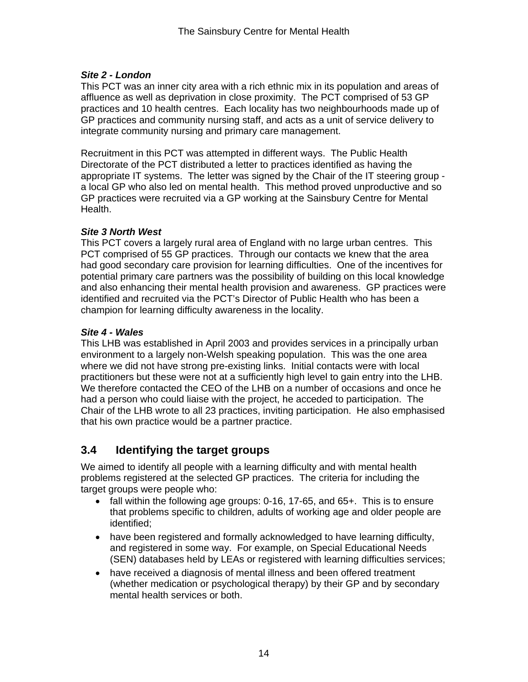### *Site 2 - London*

This PCT was an inner city area with a rich ethnic mix in its population and areas of affluence as well as deprivation in close proximity. The PCT comprised of 53 GP practices and 10 health centres. Each locality has two neighbourhoods made up of GP practices and community nursing staff, and acts as a unit of service delivery to integrate community nursing and primary care management.

Recruitment in this PCT was attempted in different ways. The Public Health Directorate of the PCT distributed a letter to practices identified as having the appropriate IT systems. The letter was signed by the Chair of the IT steering group a local GP who also led on mental health. This method proved unproductive and so GP practices were recruited via a GP working at the Sainsbury Centre for Mental Health.

### *Site 3 North West*

This PCT covers a largely rural area of England with no large urban centres. This PCT comprised of 55 GP practices. Through our contacts we knew that the area had good secondary care provision for learning difficulties. One of the incentives for potential primary care partners was the possibility of building on this local knowledge and also enhancing their mental health provision and awareness. GP practices were identified and recruited via the PCT's Director of Public Health who has been a champion for learning difficulty awareness in the locality.

### *Site 4 - Wales*

This LHB was established in April 2003 and provides services in a principally urban environment to a largely non-Welsh speaking population. This was the one area where we did not have strong pre-existing links. Initial contacts were with local practitioners but these were not at a sufficiently high level to gain entry into the LHB. We therefore contacted the CEO of the LHB on a number of occasions and once he had a person who could liaise with the project, he acceded to participation. The Chair of the LHB wrote to all 23 practices, inviting participation. He also emphasised that his own practice would be a partner practice.

# **3.4 Identifying the target groups**

We aimed to identify all people with a learning difficulty and with mental health problems registered at the selected GP practices. The criteria for including the target groups were people who:

- fall within the following age groups: 0-16, 17-65, and 65+. This is to ensure that problems specific to children, adults of working age and older people are identified;
- have been registered and formally acknowledged to have learning difficulty, and registered in some way. For example, on Special Educational Needs (SEN) databases held by LEAs or registered with learning difficulties services;
- have received a diagnosis of mental illness and been offered treatment (whether medication or psychological therapy) by their GP and by secondary mental health services or both.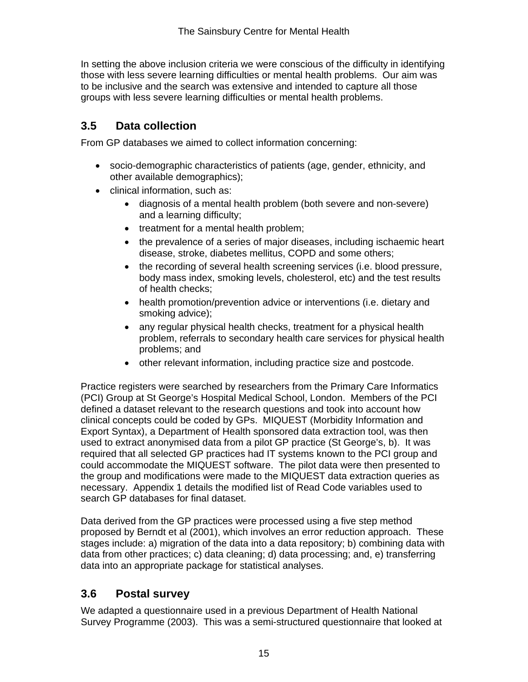In setting the above inclusion criteria we were conscious of the difficulty in identifying those with less severe learning difficulties or mental health problems. Our aim was to be inclusive and the search was extensive and intended to capture all those groups with less severe learning difficulties or mental health problems.

# **3.5 Data collection**

From GP databases we aimed to collect information concerning:

- socio-demographic characteristics of patients (age, gender, ethnicity, and other available demographics);
- clinical information, such as:
	- diagnosis of a mental health problem (both severe and non-severe) and a learning difficulty;
	- treatment for a mental health problem;
	- the prevalence of a series of major diseases, including ischaemic heart disease, stroke, diabetes mellitus, COPD and some others;
	- the recording of several health screening services (i.e. blood pressure, body mass index, smoking levels, cholesterol, etc) and the test results of health checks;
	- health promotion/prevention advice or interventions (i.e. dietary and smoking advice);
	- any regular physical health checks, treatment for a physical health problem, referrals to secondary health care services for physical health problems; and
	- other relevant information, including practice size and postcode.

Practice registers were searched by researchers from the Primary Care Informatics (PCI) Group at St George's Hospital Medical School, London. Members of the PCI defined a dataset relevant to the research questions and took into account how clinical concepts could be coded by GPs. MIQUEST (Morbidity Information and Export Syntax), a Department of Health sponsored data extraction tool, was then used to extract anonymised data from a pilot GP practice (St George's, b). It was required that all selected GP practices had IT systems known to the PCI group and could accommodate the MIQUEST software. The pilot data were then presented to the group and modifications were made to the MIQUEST data extraction queries as necessary. Appendix 1 details the modified list of Read Code variables used to search GP databases for final dataset.

Data derived from the GP practices were processed using a five step method proposed by Berndt et al (2001), which involves an error reduction approach. These stages include: a) migration of the data into a data repository; b) combining data with data from other practices; c) data cleaning; d) data processing; and, e) transferring data into an appropriate package for statistical analyses.

# **3.6 Postal survey**

We adapted a questionnaire used in a previous Department of Health National Survey Programme (2003). This was a semi-structured questionnaire that looked at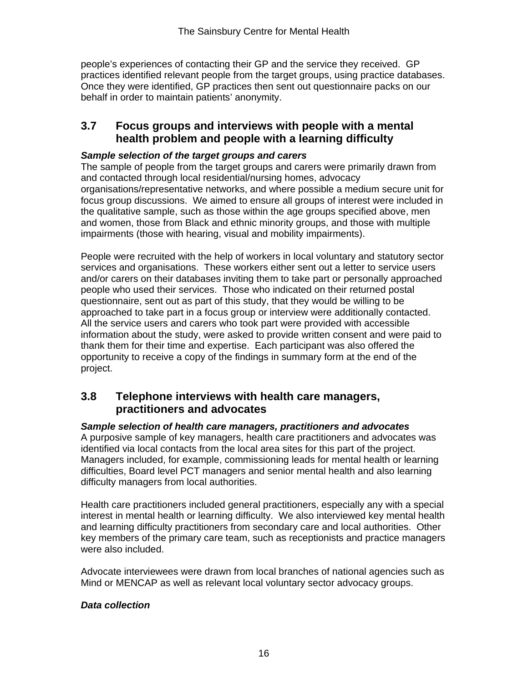people's experiences of contacting their GP and the service they received. GP practices identified relevant people from the target groups, using practice databases. Once they were identified, GP practices then sent out questionnaire packs on our behalf in order to maintain patients' anonymity.

## **3.7 Focus groups and interviews with people with a mental health problem and people with a learning difficulty**

### *Sample selection of the target groups and carers*

The sample of people from the target groups and carers were primarily drawn from and contacted through local residential/nursing homes, advocacy organisations/representative networks, and where possible a medium secure unit for focus group discussions. We aimed to ensure all groups of interest were included in the qualitative sample, such as those within the age groups specified above, men and women, those from Black and ethnic minority groups, and those with multiple impairments (those with hearing, visual and mobility impairments).

People were recruited with the help of workers in local voluntary and statutory sector services and organisations. These workers either sent out a letter to service users and/or carers on their databases inviting them to take part or personally approached people who used their services. Those who indicated on their returned postal questionnaire, sent out as part of this study, that they would be willing to be approached to take part in a focus group or interview were additionally contacted. All the service users and carers who took part were provided with accessible information about the study, were asked to provide written consent and were paid to thank them for their time and expertise. Each participant was also offered the opportunity to receive a copy of the findings in summary form at the end of the project.

## **3.8 Telephone interviews with health care managers, practitioners and advocates**

*Sample selection of health care managers, practitioners and advocates*  A purposive sample of key managers, health care practitioners and advocates was identified via local contacts from the local area sites for this part of the project.

Managers included, for example, commissioning leads for mental health or learning difficulties, Board level PCT managers and senior mental health and also learning difficulty managers from local authorities.

Health care practitioners included general practitioners, especially any with a special interest in mental health or learning difficulty. We also interviewed key mental health and learning difficulty practitioners from secondary care and local authorities. Other key members of the primary care team, such as receptionists and practice managers were also included.

Advocate interviewees were drawn from local branches of national agencies such as Mind or MENCAP as well as relevant local voluntary sector advocacy groups.

### *Data collection*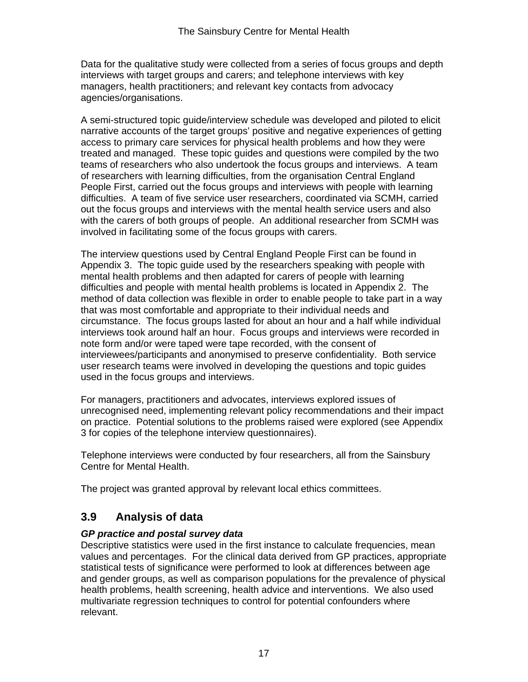Data for the qualitative study were collected from a series of focus groups and depth interviews with target groups and carers; and telephone interviews with key managers, health practitioners; and relevant key contacts from advocacy agencies/organisations.

A semi-structured topic guide/interview schedule was developed and piloted to elicit narrative accounts of the target groups' positive and negative experiences of getting access to primary care services for physical health problems and how they were treated and managed. These topic guides and questions were compiled by the two teams of researchers who also undertook the focus groups and interviews. A team of researchers with learning difficulties, from the organisation Central England People First, carried out the focus groups and interviews with people with learning difficulties. A team of five service user researchers, coordinated via SCMH, carried out the focus groups and interviews with the mental health service users and also with the carers of both groups of people. An additional researcher from SCMH was involved in facilitating some of the focus groups with carers.

The interview questions used by Central England People First can be found in Appendix 3. The topic guide used by the researchers speaking with people with mental health problems and then adapted for carers of people with learning difficulties and people with mental health problems is located in Appendix 2. The method of data collection was flexible in order to enable people to take part in a way that was most comfortable and appropriate to their individual needs and circumstance. The focus groups lasted for about an hour and a half while individual interviews took around half an hour. Focus groups and interviews were recorded in note form and/or were taped were tape recorded, with the consent of interviewees/participants and anonymised to preserve confidentiality. Both service user research teams were involved in developing the questions and topic guides used in the focus groups and interviews.

For managers, practitioners and advocates, interviews explored issues of unrecognised need, implementing relevant policy recommendations and their impact on practice. Potential solutions to the problems raised were explored (see Appendix 3 for copies of the telephone interview questionnaires).

Telephone interviews were conducted by four researchers, all from the Sainsbury Centre for Mental Health.

The project was granted approval by relevant local ethics committees.

# **3.9 Analysis of data**

### *GP practice and postal survey data*

Descriptive statistics were used in the first instance to calculate frequencies, mean values and percentages. For the clinical data derived from GP practices, appropriate statistical tests of significance were performed to look at differences between age and gender groups, as well as comparison populations for the prevalence of physical health problems, health screening, health advice and interventions. We also used multivariate regression techniques to control for potential confounders where relevant.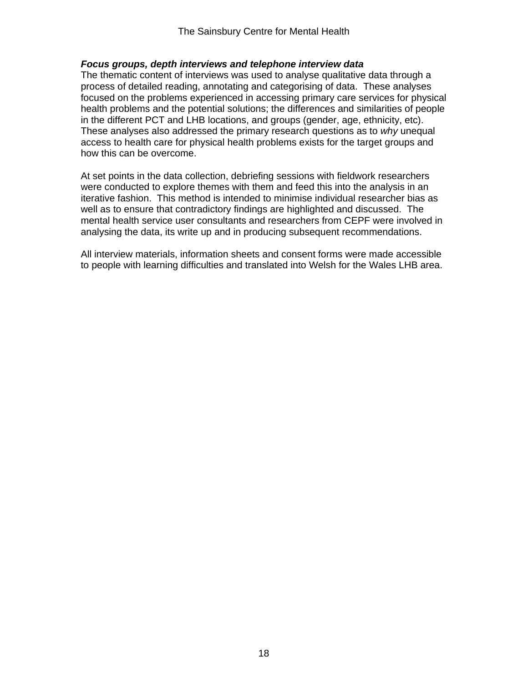#### *Focus groups, depth interviews and telephone interview data*

The thematic content of interviews was used to analyse qualitative data through a process of detailed reading, annotating and categorising of data. These analyses focused on the problems experienced in accessing primary care services for physical health problems and the potential solutions; the differences and similarities of people in the different PCT and LHB locations, and groups (gender, age, ethnicity, etc). These analyses also addressed the primary research questions as to *why* unequal access to health care for physical health problems exists for the target groups and how this can be overcome.

At set points in the data collection, debriefing sessions with fieldwork researchers were conducted to explore themes with them and feed this into the analysis in an iterative fashion. This method is intended to minimise individual researcher bias as well as to ensure that contradictory findings are highlighted and discussed. The mental health service user consultants and researchers from CEPF were involved in analysing the data, its write up and in producing subsequent recommendations.

All interview materials, information sheets and consent forms were made accessible to people with learning difficulties and translated into Welsh for the Wales LHB area.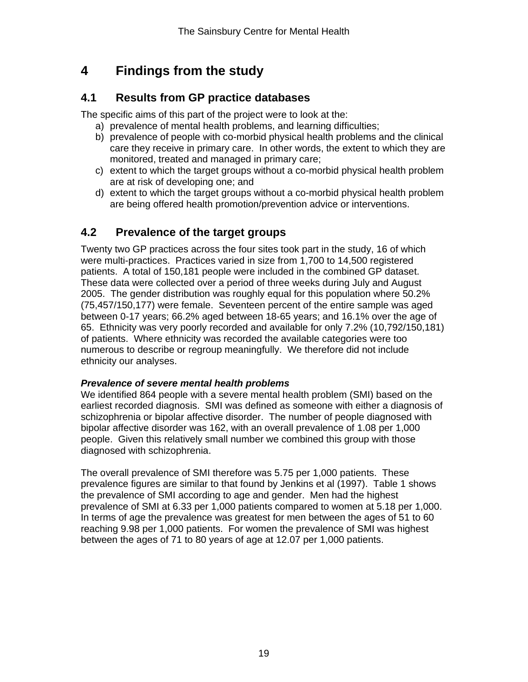# **4 Findings from the study**

# **4.1 Results from GP practice databases**

The specific aims of this part of the project were to look at the:

- a) prevalence of mental health problems, and learning difficulties;
- b) prevalence of people with co-morbid physical health problems and the clinical care they receive in primary care. In other words, the extent to which they are monitored, treated and managed in primary care;
- c) extent to which the target groups without a co-morbid physical health problem are at risk of developing one; and
- d) extent to which the target groups without a co-morbid physical health problem are being offered health promotion/prevention advice or interventions.

# **4.2 Prevalence of the target groups**

Twenty two GP practices across the four sites took part in the study, 16 of which were multi-practices. Practices varied in size from 1,700 to 14,500 registered patients. A total of 150,181 people were included in the combined GP dataset. These data were collected over a period of three weeks during July and August 2005. The gender distribution was roughly equal for this population where 50.2% (75,457/150,177) were female. Seventeen percent of the entire sample was aged between 0-17 years; 66.2% aged between 18-65 years; and 16.1% over the age of 65. Ethnicity was very poorly recorded and available for only 7.2% (10,792/150,181) of patients. Where ethnicity was recorded the available categories were too numerous to describe or regroup meaningfully. We therefore did not include ethnicity our analyses.

## *Prevalence of severe mental health problems*

We identified 864 people with a severe mental health problem (SMI) based on the earliest recorded diagnosis. SMI was defined as someone with either a diagnosis of schizophrenia or bipolar affective disorder. The number of people diagnosed with bipolar affective disorder was 162, with an overall prevalence of 1.08 per 1,000 people. Given this relatively small number we combined this group with those diagnosed with schizophrenia.

The overall prevalence of SMI therefore was 5.75 per 1,000 patients. These prevalence figures are similar to that found by Jenkins et al (1997). Table 1 shows the prevalence of SMI according to age and gender. Men had the highest prevalence of SMI at 6.33 per 1,000 patients compared to women at 5.18 per 1,000. In terms of age the prevalence was greatest for men between the ages of 51 to 60 reaching 9.98 per 1,000 patients. For women the prevalence of SMI was highest between the ages of 71 to 80 years of age at 12.07 per 1,000 patients.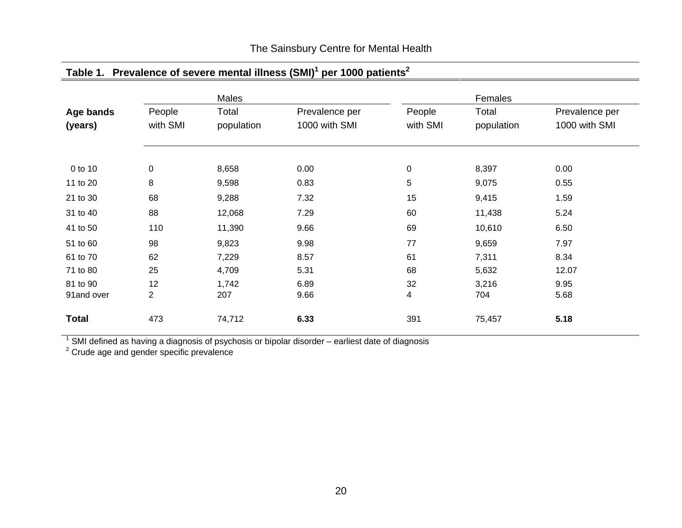|                        |           | Males        |                |          | Females      |                |
|------------------------|-----------|--------------|----------------|----------|--------------|----------------|
| Age bands              | People    | Total        | Prevalence per | People   | Total        | Prevalence per |
| (years)                | with SMI  | population   | 1000 with SMI  | with SMI | population   | 1000 with SMI  |
|                        |           |              |                |          |              |                |
| 0 to 10                | $\pmb{0}$ | 8,658        | 0.00           | 0        | 8,397        | 0.00           |
| 11 to 20               | 8         | 9,598        | 0.83           | 5        | 9,075        | 0.55           |
| 21 to 30               | 68        | 9,288        | 7.32           | 15       | 9,415        | 1.59           |
| 31 to 40               | 88        | 12,068       | 7.29           | 60       | 11,438       | 5.24           |
| 41 to 50               | 110       | 11,390       | 9.66           | 69       | 10,610       | 6.50           |
| 51 to 60               | 98        | 9,823        | 9.98           | 77       | 9,659        | 7.97           |
| 61 to 70               | 62        | 7,229        | 8.57           | 61       | 7,311        | 8.34           |
| 71 to 80               | 25        | 4,709        | 5.31           | 68       | 5,632        | 12.07          |
| 81 to 90<br>91and over | 12<br>2   | 1,742<br>207 | 6.89<br>9.66   | 32<br>4  | 3,216<br>704 | 9.95<br>5.68   |
| <b>Total</b>           | 473       | 74,712       | 6.33           | 391      | 75,457       | 5.18           |

# **Table 1. Prevalence of severe mental illness (SMI)1 per 1000 patients2**

 $^1$  SMI defined as having a diagnosis of psychosis or bipolar disorder – earliest date of diagnosis

 $2$  Crude age and gender specific prevalence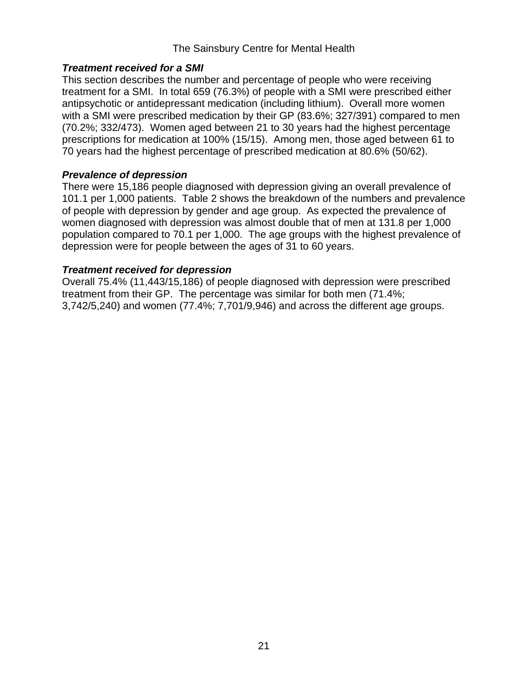### The Sainsbury Centre for Mental Health

### *Treatment received for a SMI*

This section describes the number and percentage of people who were receiving treatment for a SMI. In total 659 (76.3%) of people with a SMI were prescribed either antipsychotic or antidepressant medication (including lithium). Overall more women with a SMI were prescribed medication by their GP (83.6%; 327/391) compared to men (70.2%; 332/473). Women aged between 21 to 30 years had the highest percentage prescriptions for medication at 100% (15/15). Among men, those aged between 61 to 70 years had the highest percentage of prescribed medication at 80.6% (50/62).

### *Prevalence of depression*

There were 15,186 people diagnosed with depression giving an overall prevalence of 101.1 per 1,000 patients. Table 2 shows the breakdown of the numbers and prevalence of people with depression by gender and age group. As expected the prevalence of women diagnosed with depression was almost double that of men at 131.8 per 1,000 population compared to 70.1 per 1,000. The age groups with the highest prevalence of depression were for people between the ages of 31 to 60 years.

### *Treatment received for depression*

Overall 75.4% (11,443/15,186) of people diagnosed with depression were prescribed treatment from their GP. The percentage was similar for both men (71.4%; 3,742/5,240) and women (77.4%; 7,701/9,946) and across the different age groups.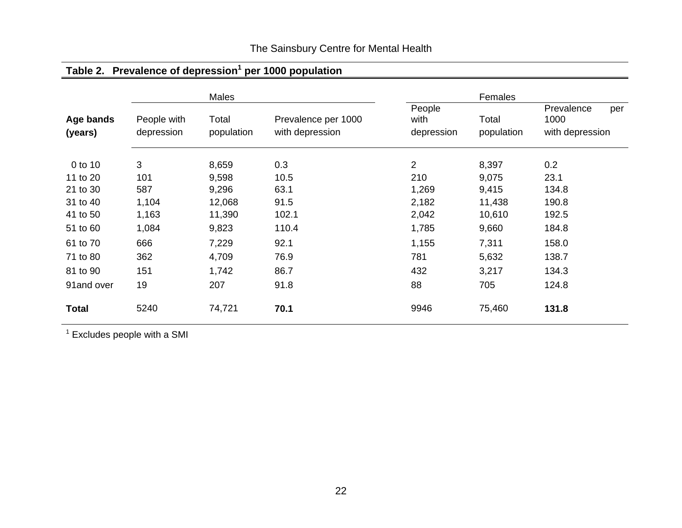|              | Males       |            |                     | Females    |            |                   |  |
|--------------|-------------|------------|---------------------|------------|------------|-------------------|--|
|              |             |            |                     | People     |            | Prevalence<br>per |  |
| Age bands    | People with | Total      | Prevalence per 1000 | with       | Total      | 1000              |  |
| (years)      | depression  | population | with depression     | depression | population | with depression   |  |
| 0 to 10      | 3           | 8,659      | 0.3                 | 2          | 8,397      | 0.2               |  |
| 11 to 20     | 101         | 9,598      | 10.5                | 210        | 9,075      | 23.1              |  |
| 21 to 30     | 587         | 9,296      | 63.1                | 1,269      | 9,415      | 134.8             |  |
| 31 to 40     | 1,104       | 12,068     | 91.5                | 2,182      | 11,438     | 190.8             |  |
| 41 to 50     | 1,163       | 11,390     | 102.1               | 2,042      | 10,610     | 192.5             |  |
| 51 to 60     | 1,084       | 9,823      | 110.4               | 1,785      | 9,660      | 184.8             |  |
| 61 to 70     | 666         | 7,229      | 92.1                | 1,155      | 7,311      | 158.0             |  |
| 71 to 80     | 362         | 4,709      | 76.9                | 781        | 5,632      | 138.7             |  |
| 81 to 90     | 151         | 1,742      | 86.7                | 432        | 3,217      | 134.3             |  |
| 91and over   | 19          | 207        | 91.8                | 88         | 705        | 124.8             |  |
| <b>Total</b> | 5240        | 74,721     | 70.1                | 9946       | 75,460     | 131.8             |  |

# The Sainsbury Centre for Mental Health

**Table 2. Prevalence of depression1 per 1000 population** 

 $1$  Excludes people with a SMI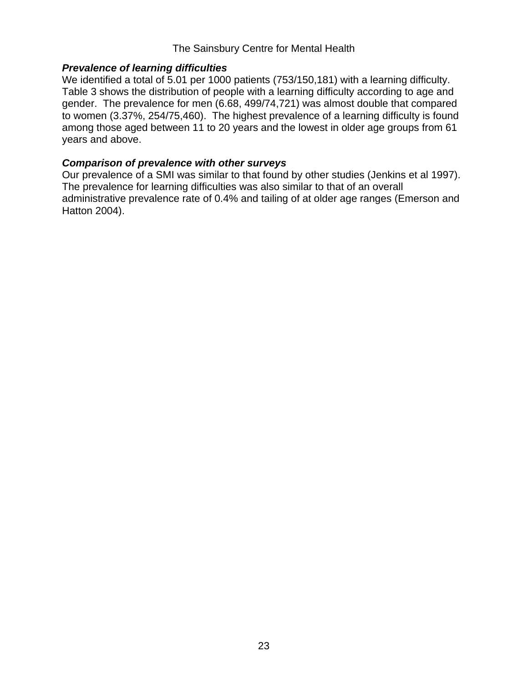### The Sainsbury Centre for Mental Health

### *Prevalence of learning difficulties*

We identified a total of 5.01 per 1000 patients (753/150,181) with a learning difficulty. Table 3 shows the distribution of people with a learning difficulty according to age and gender. The prevalence for men (6.68, 499/74,721) was almost double that compared to women (3.37%, 254/75,460). The highest prevalence of a learning difficulty is found among those aged between 11 to 20 years and the lowest in older age groups from 61 years and above.

### *Comparison of prevalence with other surveys*

Our prevalence of a SMI was similar to that found by other studies (Jenkins et al 1997). The prevalence for learning difficulties was also similar to that of an overall administrative prevalence rate of 0.4% and tailing of at older age ranges (Emerson and Hatton 2004).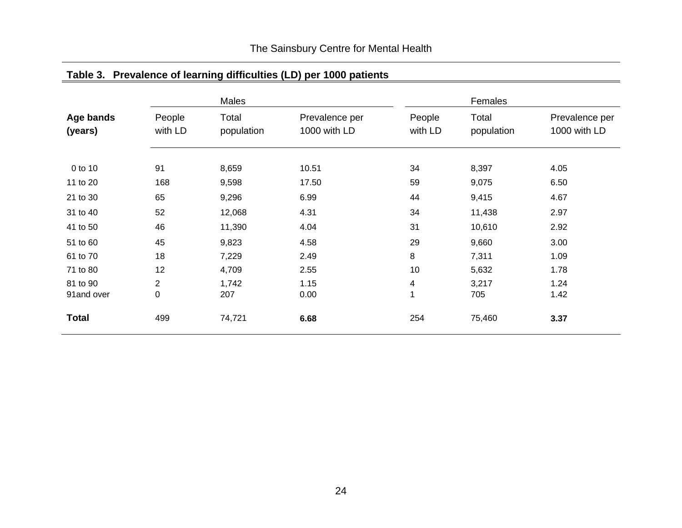| Age bands<br>(years) |                   | Males               |                                |                   | Females             |                                |
|----------------------|-------------------|---------------------|--------------------------------|-------------------|---------------------|--------------------------------|
|                      | People<br>with LD | Total<br>population | Prevalence per<br>1000 with LD | People<br>with LD | Total<br>population | Prevalence per<br>1000 with LD |
| 0 to 10              | 91                | 8,659               | 10.51                          | 34                | 8,397               | 4.05                           |
| 11 to 20             | 168               | 9,598               | 17.50                          | 59                | 9,075               | 6.50                           |
| 21 to 30             | 65                | 9,296               | 6.99                           | 44                | 9,415               | 4.67                           |
| 31 to 40             | 52                | 12,068              | 4.31                           | 34                | 11,438              | 2.97                           |
| 41 to 50             | 46                | 11,390              | 4.04                           | 31                | 10,610              | 2.92                           |
| 51 to 60             | 45                | 9,823               | 4.58                           | 29                | 9,660               | 3.00                           |
| 61 to 70             | 18                | 7,229               | 2.49                           | 8                 | 7,311               | 1.09                           |
| 71 to 80             | 12                | 4,709               | 2.55                           | 10                | 5,632               | 1.78                           |
| 81 to 90             | $\overline{2}$    | 1,742               | 1.15                           | 4                 | 3,217               | 1.24                           |
| 91and over           | 0                 | 207                 | 0.00                           |                   | 705                 | 1.42                           |
| <b>Total</b>         | 499               | 74,721              | 6.68                           | 254               | 75,460              | 3.37                           |

# **Table 3. Prevalence of learning difficulties (LD) per 1000 patients**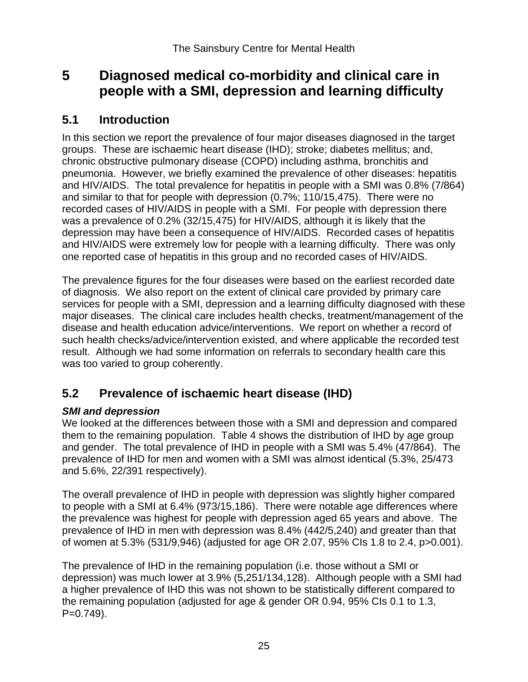# **5 Diagnosed medical co-morbidity and clinical care in people with a SMI, depression and learning difficulty**

## **5.1 Introduction**

In this section we report the prevalence of four major diseases diagnosed in the target groups. These are ischaemic heart disease (IHD); stroke; diabetes mellitus; and, chronic obstructive pulmonary disease (COPD) including asthma, bronchitis and pneumonia. However, we briefly examined the prevalence of other diseases: hepatitis and HIV/AIDS. The total prevalence for hepatitis in people with a SMI was 0.8% (7/864) and similar to that for people with depression (0.7%; 110/15,475). There were no recorded cases of HIV/AIDS in people with a SMI. For people with depression there was a prevalence of 0.2% (32/15,475) for HIV/AIDS, although it is likely that the depression may have been a consequence of HIV/AIDS. Recorded cases of hepatitis and HIV/AIDS were extremely low for people with a learning difficulty. There was only one reported case of hepatitis in this group and no recorded cases of HIV/AIDS.

The prevalence figures for the four diseases were based on the earliest recorded date of diagnosis. We also report on the extent of clinical care provided by primary care services for people with a SMI, depression and a learning difficulty diagnosed with these major diseases. The clinical care includes health checks, treatment/management of the disease and health education advice/interventions. We report on whether a record of such health checks/advice/intervention existed, and where applicable the recorded test result. Although we had some information on referrals to secondary health care this was too varied to group coherently.

# **5.2 Prevalence of ischaemic heart disease (IHD)**

## *SMI and depression*

We looked at the differences between those with a SMI and depression and compared them to the remaining population. Table 4 shows the distribution of IHD by age group and gender. The total prevalence of IHD in people with a SMI was 5.4% (47/864). The prevalence of IHD for men and women with a SMI was almost identical (5.3%, 25/473 and 5.6%, 22/391 respectively).

The overall prevalence of IHD in people with depression was slightly higher compared to people with a SMI at 6.4% (973/15,186). There were notable age differences where the prevalence was highest for people with depression aged 65 years and above. The prevalence of IHD in men with depression was 8.4% (442/5,240) and greater than that of women at 5.3% (531/9,946) (adjusted for age OR 2.07, 95% CIs 1.8 to 2.4, p>0.001).

The prevalence of IHD in the remaining population (i.e. those without a SMI or depression) was much lower at 3.9% (5,251/134,128). Although people with a SMI had a higher prevalence of IHD this was not shown to be statistically different compared to the remaining population (adjusted for age & gender OR 0.94, 95% CIs 0.1 to 1.3, P=0.749).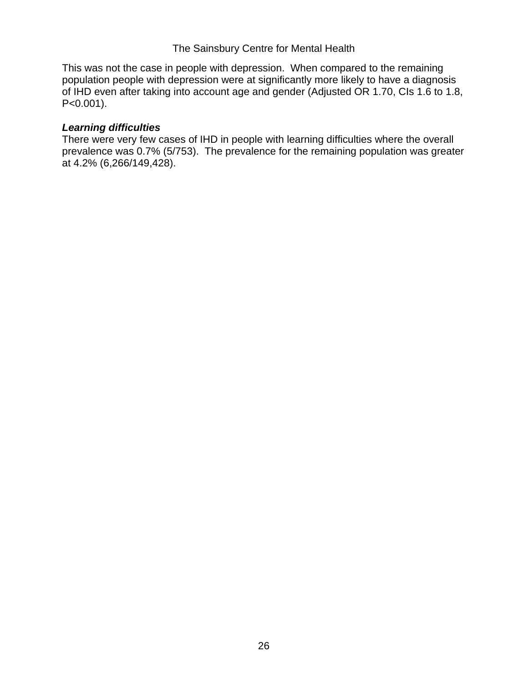This was not the case in people with depression. When compared to the remaining population people with depression were at significantly more likely to have a diagnosis of IHD even after taking into account age and gender (Adjusted OR 1.70, CIs 1.6 to 1.8, P<0.001).

#### *Learning difficulties*

There were very few cases of IHD in people with learning difficulties where the overall prevalence was 0.7% (5/753). The prevalence for the remaining population was greater at 4.2% (6,266/149,428).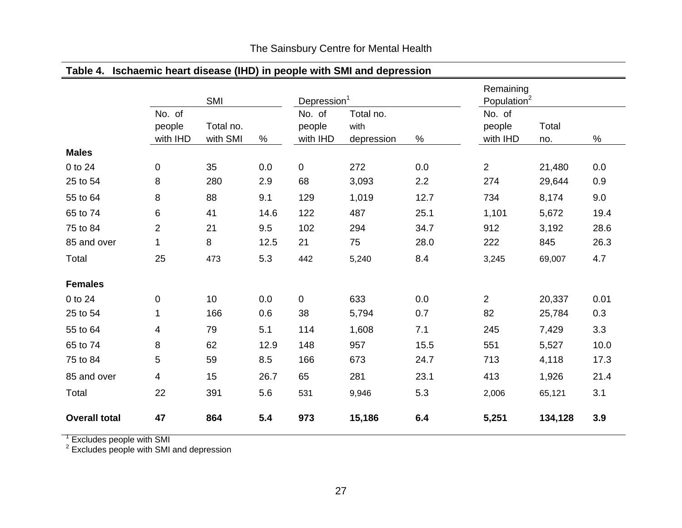| Table 4.             |                              |                       |      |                              | Ischaemic heart disease (IHD) in people with SMI and depression |      |                                      |              |      |
|----------------------|------------------------------|-----------------------|------|------------------------------|-----------------------------------------------------------------|------|--------------------------------------|--------------|------|
|                      |                              | SMI                   |      | Depression <sup>1</sup>      |                                                                 |      | Remaining<br>Population <sup>2</sup> |              |      |
|                      | No. of<br>people<br>with IHD | Total no.<br>with SMI | $\%$ | No. of<br>people<br>with IHD | Total no.<br>with<br>depression                                 | $\%$ | No. of<br>people<br>with IHD         | Total<br>no. | ℅    |
| <b>Males</b>         |                              |                       |      |                              |                                                                 |      |                                      |              |      |
| 0 to 24              | $\mathbf 0$                  | 35                    | 0.0  | $\overline{0}$               | 272                                                             | 0.0  | $\overline{2}$                       | 21,480       | 0.0  |
| 25 to 54             | 8                            | 280                   | 2.9  | 68                           | 3,093                                                           | 2.2  | 274                                  | 29,644       | 0.9  |
| 55 to 64             | 8                            | 88                    | 9.1  | 129                          | 1,019                                                           | 12.7 | 734                                  | 8,174        | 9.0  |
| 65 to 74             | 6                            | 41                    | 14.6 | 122                          | 487                                                             | 25.1 | 1,101                                | 5,672        | 19.4 |
| 75 to 84             | 2                            | 21                    | 9.5  | 102                          | 294                                                             | 34.7 | 912                                  | 3,192        | 28.6 |
| 85 and over          | $\mathbf 1$                  | 8                     | 12.5 | 21                           | 75                                                              | 28.0 | 222                                  | 845          | 26.3 |
| Total                | 25                           | 473                   | 5.3  | 442                          | 5,240                                                           | 8.4  | 3,245                                | 69,007       | 4.7  |
| <b>Females</b>       |                              |                       |      |                              |                                                                 |      |                                      |              |      |
| 0 to 24              | 0                            | 10                    | 0.0  | $\mathbf 0$                  | 633                                                             | 0.0  | $\overline{2}$                       | 20,337       | 0.01 |
| 25 to 54             | 1                            | 166                   | 0.6  | 38                           | 5,794                                                           | 0.7  | 82                                   | 25,784       | 0.3  |
| 55 to 64             | 4                            | 79                    | 5.1  | 114                          | 1,608                                                           | 7.1  | 245                                  | 7,429        | 3.3  |
| 65 to 74             | 8                            | 62                    | 12.9 | 148                          | 957                                                             | 15.5 | 551                                  | 5,527        | 10.0 |
| 75 to 84             | 5                            | 59                    | 8.5  | 166                          | 673                                                             | 24.7 | 713                                  | 4,118        | 17.3 |
| 85 and over          | 4                            | 15                    | 26.7 | 65                           | 281                                                             | 23.1 | 413                                  | 1,926        | 21.4 |
| Total                | 22                           | 391                   | 5.6  | 531                          | 9,946                                                           | 5.3  | 2,006                                | 65,121       | 3.1  |
| <b>Overall total</b> | 47                           | 864                   | 5.4  | 973                          | 15,186                                                          | 6.4  | 5,251                                | 134,128      | 3.9  |

 $\frac{1}{2}$  Excludes people with SMI<br> $\frac{2}{3}$  Excludes people with SMI and depression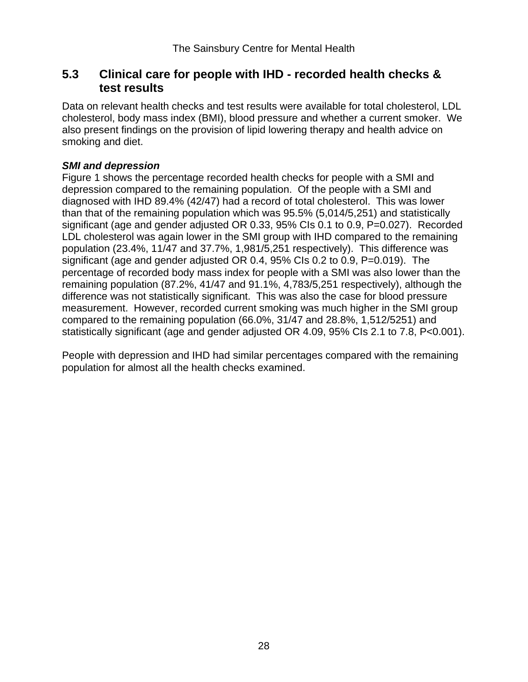## **5.3 Clinical care for people with IHD - recorded health checks & test results**

Data on relevant health checks and test results were available for total cholesterol, LDL cholesterol, body mass index (BMI), blood pressure and whether a current smoker. We also present findings on the provision of lipid lowering therapy and health advice on smoking and diet.

### *SMI and depression*

Figure 1 shows the percentage recorded health checks for people with a SMI and depression compared to the remaining population. Of the people with a SMI and diagnosed with IHD 89.4% (42/47) had a record of total cholesterol. This was lower than that of the remaining population which was 95.5% (5,014/5,251) and statistically significant (age and gender adjusted OR 0.33, 95% CIs 0.1 to 0.9, P=0.027). Recorded LDL cholesterol was again lower in the SMI group with IHD compared to the remaining population (23.4%, 11/47 and 37.7%, 1,981/5,251 respectively). This difference was significant (age and gender adjusted OR 0.4, 95% CIs 0.2 to 0.9, P=0.019). The percentage of recorded body mass index for people with a SMI was also lower than the remaining population (87.2%, 41/47 and 91.1%, 4,783/5,251 respectively), although the difference was not statistically significant. This was also the case for blood pressure measurement. However, recorded current smoking was much higher in the SMI group compared to the remaining population (66.0%, 31/47 and 28.8%, 1,512/5251) and statistically significant (age and gender adjusted OR 4.09, 95% CIs 2.1 to 7.8, P<0.001).

People with depression and IHD had similar percentages compared with the remaining population for almost all the health checks examined.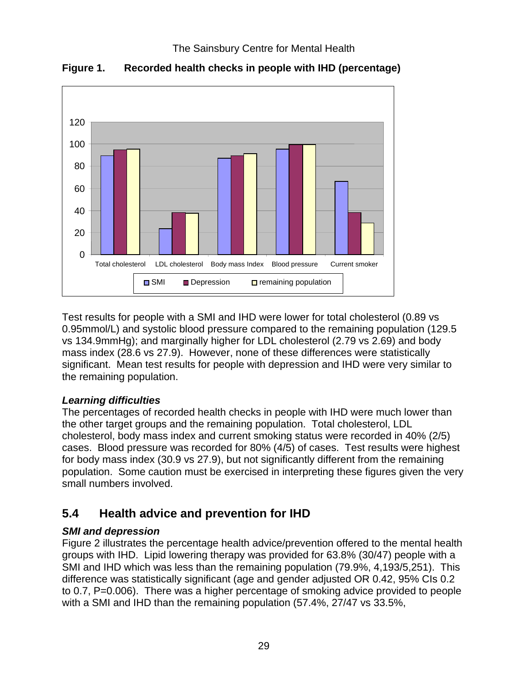

**Figure 1. Recorded health checks in people with IHD (percentage)** 

Test results for people with a SMI and IHD were lower for total cholesterol (0.89 vs 0.95mmol/L) and systolic blood pressure compared to the remaining population (129.5 vs 134.9mmHg); and marginally higher for LDL cholesterol (2.79 vs 2.69) and body mass index (28.6 vs 27.9). However, none of these differences were statistically significant. Mean test results for people with depression and IHD were very similar to the remaining population.

## *Learning difficulties*

The percentages of recorded health checks in people with IHD were much lower than the other target groups and the remaining population. Total cholesterol, LDL cholesterol, body mass index and current smoking status were recorded in 40% (2/5) cases. Blood pressure was recorded for 80% (4/5) of cases. Test results were highest for body mass index (30.9 vs 27.9), but not significantly different from the remaining population. Some caution must be exercised in interpreting these figures given the very small numbers involved.

# **5.4 Health advice and prevention for IHD**

## *SMI and depression*

Figure 2 illustrates the percentage health advice/prevention offered to the mental health groups with IHD. Lipid lowering therapy was provided for 63.8% (30/47) people with a SMI and IHD which was less than the remaining population (79.9%, 4,193/5,251). This difference was statistically significant (age and gender adjusted OR 0.42, 95% CIs 0.2 to 0.7, P=0.006). There was a higher percentage of smoking advice provided to people with a SMI and IHD than the remaining population (57.4%, 27/47 vs 33.5%,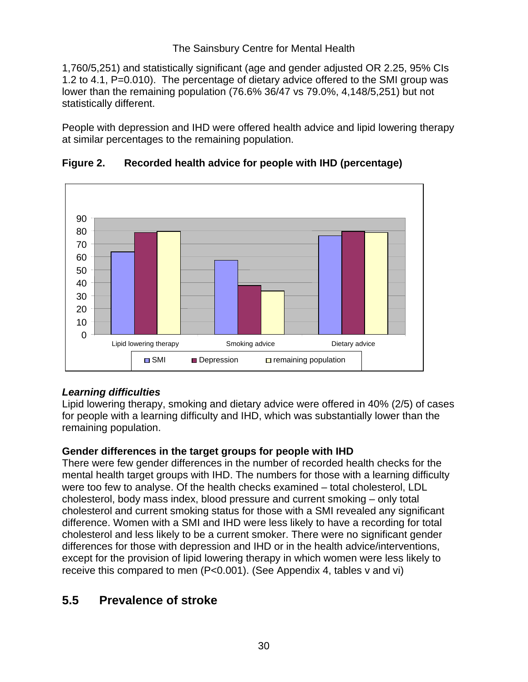1,760/5,251) and statistically significant (age and gender adjusted OR 2.25, 95% CIs 1.2 to 4.1, P=0.010). The percentage of dietary advice offered to the SMI group was lower than the remaining population (76.6% 36/47 vs 79.0%, 4,148/5,251) but not statistically different.

People with depression and IHD were offered health advice and lipid lowering therapy at similar percentages to the remaining population.



### **Figure 2. Recorded health advice for people with IHD (percentage)**

## *Learning difficulties*

Lipid lowering therapy, smoking and dietary advice were offered in 40% (2/5) of cases for people with a learning difficulty and IHD, which was substantially lower than the remaining population.

### **Gender differences in the target groups for people with IHD**

There were few gender differences in the number of recorded health checks for the mental health target groups with IHD. The numbers for those with a learning difficulty were too few to analyse. Of the health checks examined – total cholesterol, LDL cholesterol, body mass index, blood pressure and current smoking – only total cholesterol and current smoking status for those with a SMI revealed any significant difference. Women with a SMI and IHD were less likely to have a recording for total cholesterol and less likely to be a current smoker. There were no significant gender differences for those with depression and IHD or in the health advice/interventions, except for the provision of lipid lowering therapy in which women were less likely to receive this compared to men (P<0.001). (See Appendix 4, tables v and vi)

# **5.5 Prevalence of stroke**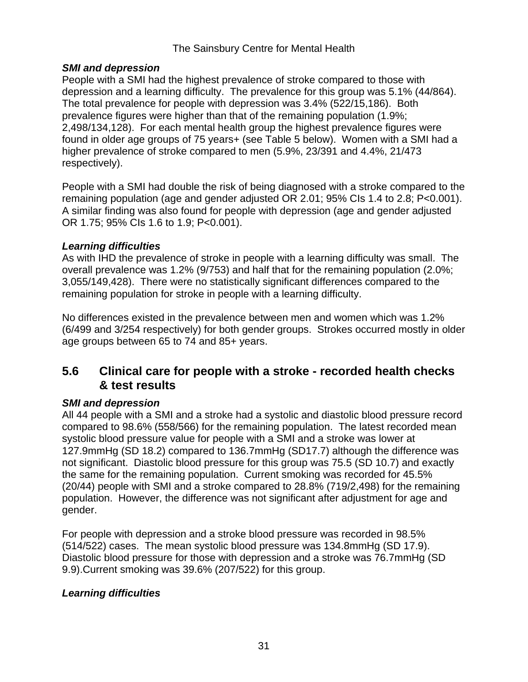### *SMI and depression*

People with a SMI had the highest prevalence of stroke compared to those with depression and a learning difficulty. The prevalence for this group was 5.1% (44/864). The total prevalence for people with depression was 3.4% (522/15,186). Both prevalence figures were higher than that of the remaining population (1.9%; 2,498/134,128). For each mental health group the highest prevalence figures were found in older age groups of 75 years+ (see Table 5 below). Women with a SMI had a higher prevalence of stroke compared to men (5.9%, 23/391 and 4.4%, 21/473 respectively).

People with a SMI had double the risk of being diagnosed with a stroke compared to the remaining population (age and gender adjusted OR 2.01; 95% CIs 1.4 to 2.8; P<0.001). A similar finding was also found for people with depression (age and gender adjusted OR 1.75; 95% CIs 1.6 to 1.9; P<0.001).

### *Learning difficulties*

As with IHD the prevalence of stroke in people with a learning difficulty was small. The overall prevalence was 1.2% (9/753) and half that for the remaining population (2.0%; 3,055/149,428). There were no statistically significant differences compared to the remaining population for stroke in people with a learning difficulty.

No differences existed in the prevalence between men and women which was 1.2% (6/499 and 3/254 respectively) for both gender groups. Strokes occurred mostly in older age groups between 65 to 74 and 85+ years.

## **5.6 Clinical care for people with a stroke - recorded health checks & test results**

## *SMI and depression*

All 44 people with a SMI and a stroke had a systolic and diastolic blood pressure record compared to 98.6% (558/566) for the remaining population. The latest recorded mean systolic blood pressure value for people with a SMI and a stroke was lower at 127.9mmHg (SD 18.2) compared to 136.7mmHg (SD17.7) although the difference was not significant. Diastolic blood pressure for this group was 75.5 (SD 10.7) and exactly the same for the remaining population. Current smoking was recorded for 45.5% (20/44) people with SMI and a stroke compared to 28.8% (719/2,498) for the remaining population. However, the difference was not significant after adjustment for age and gender.

For people with depression and a stroke blood pressure was recorded in 98.5% (514/522) cases. The mean systolic blood pressure was 134.8mmHg (SD 17.9). Diastolic blood pressure for those with depression and a stroke was 76.7mmHg (SD 9.9).Current smoking was 39.6% (207/522) for this group.

## *Learning difficulties*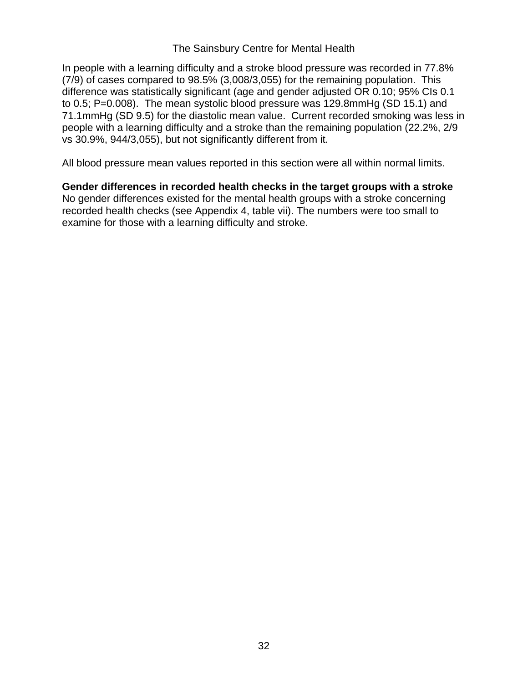In people with a learning difficulty and a stroke blood pressure was recorded in 77.8% (7/9) of cases compared to 98.5% (3,008/3,055) for the remaining population. This difference was statistically significant (age and gender adjusted OR 0.10; 95% CIs 0.1 to 0.5; P=0.008). The mean systolic blood pressure was 129.8mmHg (SD 15.1) and 71.1mmHg (SD 9.5) for the diastolic mean value. Current recorded smoking was less in people with a learning difficulty and a stroke than the remaining population (22.2%, 2/9 vs 30.9%, 944/3,055), but not significantly different from it.

All blood pressure mean values reported in this section were all within normal limits.

**Gender differences in recorded health checks in the target groups with a stroke**  No gender differences existed for the mental health groups with a stroke concerning recorded health checks (see Appendix 4, table vii). The numbers were too small to examine for those with a learning difficulty and stroke.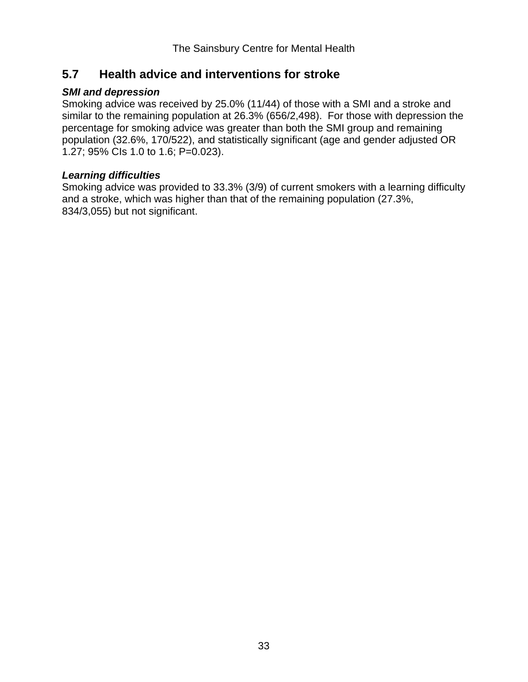## **5.7 Health advice and interventions for stroke**

### *SMI and depression*

Smoking advice was received by 25.0% (11/44) of those with a SMI and a stroke and similar to the remaining population at 26.3% (656/2,498). For those with depression the percentage for smoking advice was greater than both the SMI group and remaining population (32.6%, 170/522), and statistically significant (age and gender adjusted OR 1.27; 95% CIs 1.0 to 1.6; P=0.023).

### *Learning difficulties*

Smoking advice was provided to 33.3% (3/9) of current smokers with a learning difficulty and a stroke, which was higher than that of the remaining population (27.3%, 834/3,055) but not significant.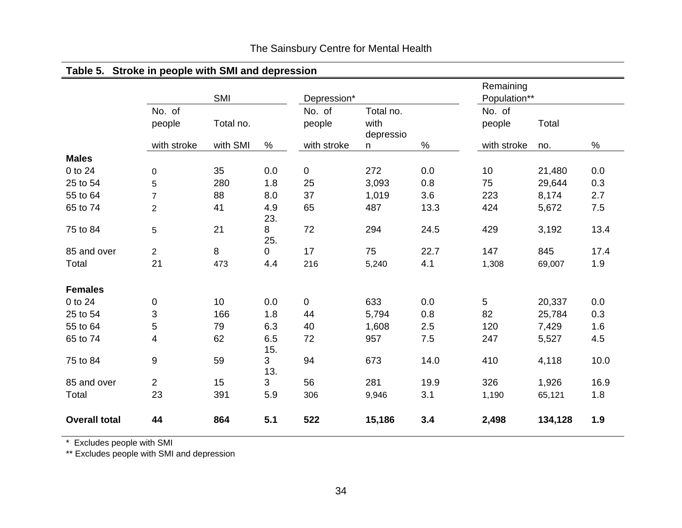| Table 5. Stroke in people with SMI and depression |                           |           |                |             |           |      |              |         |      |
|---------------------------------------------------|---------------------------|-----------|----------------|-------------|-----------|------|--------------|---------|------|
|                                                   |                           |           |                |             |           |      | Remaining    |         |      |
|                                                   |                           | SMI       |                | Depression* |           |      | Population** |         |      |
|                                                   | No. of                    |           |                | No. of      | Total no. |      | No. of       |         |      |
|                                                   | people                    | Total no. |                | people      | with      |      | people       | Total   |      |
|                                                   |                           |           |                |             | depressio |      |              |         |      |
|                                                   | with stroke               | with SMI  | $\%$           | with stroke | n         | %    | with stroke  | no.     | $\%$ |
| <b>Males</b>                                      |                           |           |                |             |           |      |              |         |      |
| 0 to 24                                           | $\pmb{0}$                 | 35        | 0.0            | $\pmb{0}$   | 272       | 0.0  | 10           | 21,480  | 0.0  |
| 25 to 54                                          | 5                         | 280       | 1.8            | 25          | 3,093     | 0.8  | 75           | 29,644  | 0.3  |
| 55 to 64                                          | $\overline{7}$            | 88        | 8.0            | 37          | 1,019     | 3.6  | 223          | 8,174   | 2.7  |
| 65 to 74                                          | $\overline{2}$            | 41        | 4.9            | 65          | 487       | 13.3 | 424          | 5,672   | 7.5  |
|                                                   |                           |           | 23.            |             |           |      |              |         |      |
| 75 to 84                                          | 5                         | 21        | 8              | 72          | 294       | 24.5 | 429          | 3,192   | 13.4 |
|                                                   |                           |           | 25.            |             |           |      |              |         |      |
| 85 and over                                       | $\overline{2}$            | 8         | $\overline{0}$ | 17          | 75        | 22.7 | 147          | 845     | 17.4 |
| Total                                             | 21                        | 473       | 4.4            | 216         | 5,240     | 4.1  | 1,308        | 69,007  | 1.9  |
| <b>Females</b>                                    |                           |           |                |             |           |      |              |         |      |
| 0 to 24                                           | 0                         | 10        | 0.0            | $\mathbf 0$ | 633       | 0.0  | 5            | 20,337  | 0.0  |
| 25 to 54                                          | $\ensuremath{\mathsf{3}}$ | 166       | 1.8            | 44          | 5,794     | 0.8  | 82           | 25,784  | 0.3  |
| 55 to 64                                          | 5                         | 79        | 6.3            | 40          | 1,608     | 2.5  | 120          | 7,429   | 1.6  |
| 65 to 74                                          | $\overline{4}$            | 62        | 6.5            | 72          | 957       | 7.5  | 247          | 5,527   | 4.5  |
|                                                   |                           |           | 15.            |             |           |      |              |         |      |
| 75 to 84                                          | $\boldsymbol{9}$          | 59        | $\mathbf{3}$   | 94          | 673       | 14.0 | 410          | 4,118   | 10.0 |
|                                                   |                           |           | 13.            |             |           |      |              |         |      |
| 85 and over                                       | $\overline{2}$            | 15        | $\mathbf{3}$   | 56          | 281       | 19.9 | 326          | 1,926   | 16.9 |
| Total                                             | 23                        | 391       | 5.9            | 306         | 9,946     | 3.1  | 1,190        | 65,121  | 1.8  |
| <b>Overall total</b>                              | 44                        | 864       | 5.1            | 522         | 15,186    | 3.4  | 2,498        | 134,128 | 1.9  |

\* Excludes people with SMI

\*\* Excludes people with SMI and depression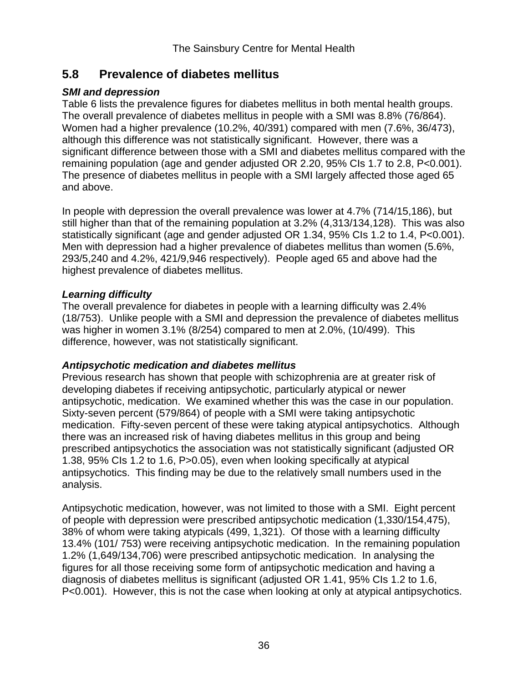## **5.8 Prevalence of diabetes mellitus**

### *SMI and depression*

Table 6 lists the prevalence figures for diabetes mellitus in both mental health groups. The overall prevalence of diabetes mellitus in people with a SMI was 8.8% (76/864). Women had a higher prevalence (10.2%, 40/391) compared with men (7.6%, 36/473), although this difference was not statistically significant. However, there was a significant difference between those with a SMI and diabetes mellitus compared with the remaining population (age and gender adjusted OR 2.20, 95% CIs 1.7 to 2.8, P<0.001). The presence of diabetes mellitus in people with a SMI largely affected those aged 65 and above.

In people with depression the overall prevalence was lower at 4.7% (714/15,186), but still higher than that of the remaining population at 3.2% (4,313/134,128). This was also statistically significant (age and gender adjusted OR 1.34, 95% CIs 1.2 to 1.4, P<0.001). Men with depression had a higher prevalence of diabetes mellitus than women (5.6%, 293/5,240 and 4.2%, 421/9,946 respectively). People aged 65 and above had the highest prevalence of diabetes mellitus.

### *Learning difficulty*

The overall prevalence for diabetes in people with a learning difficulty was 2.4% (18/753). Unlike people with a SMI and depression the prevalence of diabetes mellitus was higher in women 3.1% (8/254) compared to men at 2.0%, (10/499). This difference, however, was not statistically significant.

## *Antipsychotic medication and diabetes mellitus*

Previous research has shown that people with schizophrenia are at greater risk of developing diabetes if receiving antipsychotic, particularly atypical or newer antipsychotic, medication. We examined whether this was the case in our population. Sixty-seven percent (579/864) of people with a SMI were taking antipsychotic medication. Fifty-seven percent of these were taking atypical antipsychotics. Although there was an increased risk of having diabetes mellitus in this group and being prescribed antipsychotics the association was not statistically significant (adjusted OR 1.38, 95% CIs 1.2 to 1.6, P>0.05), even when looking specifically at atypical antipsychotics. This finding may be due to the relatively small numbers used in the analysis.

Antipsychotic medication, however, was not limited to those with a SMI. Eight percent of people with depression were prescribed antipsychotic medication (1,330/154,475), 38% of whom were taking atypicals (499, 1,321). Of those with a learning difficulty 13.4% (101/ 753) were receiving antipsychotic medication. In the remaining population 1.2% (1,649/134,706) were prescribed antipsychotic medication. In analysing the figures for all those receiving some form of antipsychotic medication and having a diagnosis of diabetes mellitus is significant (adjusted OR 1.41, 95% CIs 1.2 to 1.6, P<0.001). However, this is not the case when looking at only at atypical antipsychotics.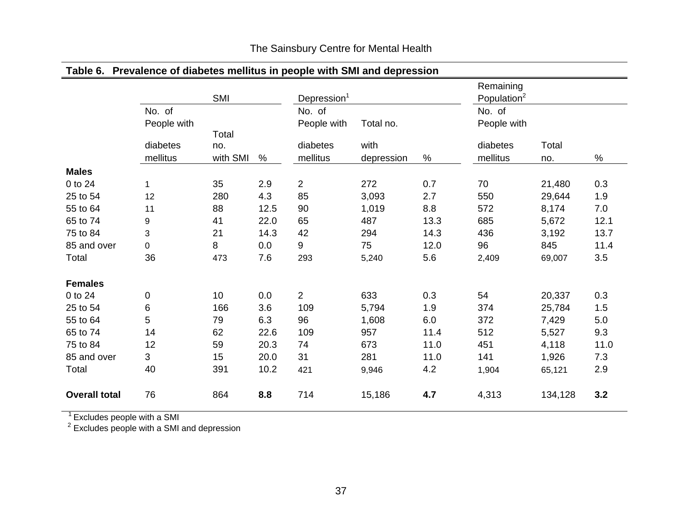| Table 6. Prevalence of diabetes mellitus in people with SMI and depression |             |          |      |                         |            |      |                         |         |      |
|----------------------------------------------------------------------------|-------------|----------|------|-------------------------|------------|------|-------------------------|---------|------|
|                                                                            |             |          |      |                         |            |      | Remaining               |         |      |
|                                                                            |             | SMI      |      | Depression <sup>1</sup> |            |      | Population <sup>2</sup> |         |      |
|                                                                            | No. of      |          |      | No. of                  |            |      | No. of                  |         |      |
|                                                                            | People with |          |      | People with             | Total no.  |      | People with             |         |      |
|                                                                            |             | Total    |      |                         |            |      |                         |         |      |
|                                                                            | diabetes    | no.      |      | diabetes                | with       |      | diabetes                | Total   |      |
|                                                                            | mellitus    | with SMI | $\%$ | mellitus                | depression | %    | mellitus                | no.     | $\%$ |
| <b>Males</b>                                                               |             |          |      |                         |            |      |                         |         |      |
| 0 to 24                                                                    | $\mathbf 1$ | 35       | 2.9  | $\overline{2}$          | 272        | 0.7  | 70                      | 21,480  | 0.3  |
| 25 to 54                                                                   | 12          | 280      | 4.3  | 85                      | 3,093      | 2.7  | 550                     | 29,644  | 1.9  |
| 55 to 64                                                                   | 11          | 88       | 12.5 | 90                      | 1,019      | 8.8  | 572                     | 8,174   | 7.0  |
| 65 to 74                                                                   | 9           | 41       | 22.0 | 65                      | 487        | 13.3 | 685                     | 5,672   | 12.1 |
| 75 to 84                                                                   | 3           | 21       | 14.3 | 42                      | 294        | 14.3 | 436                     | 3,192   | 13.7 |
| 85 and over                                                                | 0           | 8        | 0.0  | 9                       | 75         | 12.0 | 96                      | 845     | 11.4 |
| Total                                                                      | 36          | 473      | 7.6  | 293                     | 5,240      | 5.6  | 2,409                   | 69,007  | 3.5  |
| <b>Females</b>                                                             |             |          |      |                         |            |      |                         |         |      |
| 0 to 24                                                                    | 0           | 10       | 0.0  | $\overline{2}$          | 633        | 0.3  | 54                      | 20,337  | 0.3  |
| 25 to 54                                                                   | 6           | 166      | 3.6  | 109                     | 5,794      | 1.9  | 374                     | 25,784  | 1.5  |
| 55 to 64                                                                   | 5           | 79       | 6.3  | 96                      | 1,608      | 6.0  | 372                     | 7,429   | 5.0  |
| 65 to 74                                                                   | 14          | 62       | 22.6 | 109                     | 957        | 11.4 | 512                     | 5,527   | 9.3  |
| 75 to 84                                                                   | 12          | 59       | 20.3 | 74                      | 673        | 11.0 | 451                     | 4,118   | 11.0 |
| 85 and over                                                                | 3           | 15       | 20.0 | 31                      | 281        | 11.0 | 141                     | 1,926   | 7.3  |
| Total                                                                      | 40          | 391      | 10.2 | 421                     | 9,946      | 4.2  | 1,904                   | 65,121  | 2.9  |
| <b>Overall total</b>                                                       | 76          | 864      | 8.8  | 714                     | 15,186     | 4.7  | 4,313                   | 134,128 | 3.2  |

 $^1$  Excludes people with a SMI

 $2$  Excludes people with a SMI and depression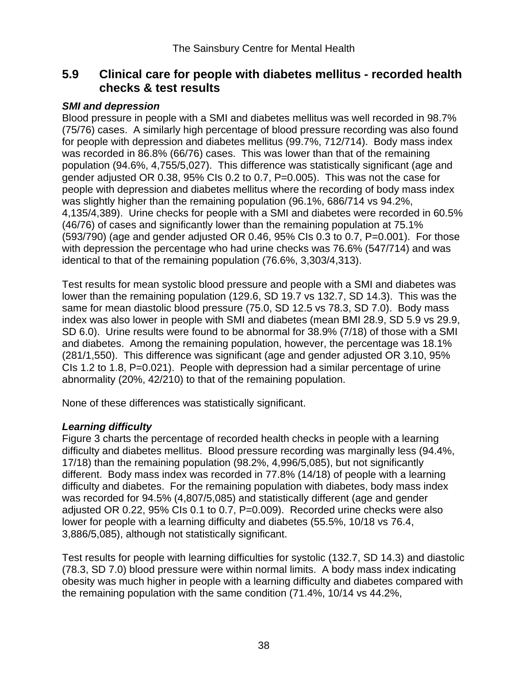## **5.9 Clinical care for people with diabetes mellitus** *-* **recorded health checks & test results**

### *SMI and depression*

Blood pressure in people with a SMI and diabetes mellitus was well recorded in 98.7% (75/76) cases. A similarly high percentage of blood pressure recording was also found for people with depression and diabetes mellitus (99.7%, 712/714). Body mass index was recorded in 86.8% (66/76) cases. This was lower than that of the remaining population (94.6%, 4,755/5,027). This difference was statistically significant (age and gender adjusted OR 0.38, 95% CIs 0.2 to 0.7, P=0.005). This was not the case for people with depression and diabetes mellitus where the recording of body mass index was slightly higher than the remaining population (96.1%, 686/714 vs 94.2%, 4,135/4,389). Urine checks for people with a SMI and diabetes were recorded in 60.5% (46/76) of cases and significantly lower than the remaining population at 75.1% (593/790) (age and gender adjusted OR 0.46, 95% CIs 0.3 to 0.7, P=0.001). For those with depression the percentage who had urine checks was 76.6% (547/714) and was identical to that of the remaining population (76.6%, 3,303/4,313).

Test results for mean systolic blood pressure and people with a SMI and diabetes was lower than the remaining population (129.6, SD 19.7 vs 132.7, SD 14.3). This was the same for mean diastolic blood pressure (75.0, SD 12.5 vs 78.3, SD 7.0). Body mass index was also lower in people with SMI and diabetes (mean BMI 28.9, SD 5.9 vs 29.9, SD 6.0). Urine results were found to be abnormal for 38.9% (7/18) of those with a SMI and diabetes. Among the remaining population, however, the percentage was 18.1% (281/1,550). This difference was significant (age and gender adjusted OR 3.10, 95% CIs 1.2 to 1.8, P=0.021). People with depression had a similar percentage of urine abnormality (20%, 42/210) to that of the remaining population.

None of these differences was statistically significant.

### *Learning difficulty*

Figure 3 charts the percentage of recorded health checks in people with a learning difficulty and diabetes mellitus. Blood pressure recording was marginally less (94.4%, 17/18) than the remaining population (98.2%, 4,996/5,085), but not significantly different. Body mass index was recorded in 77.8% (14/18) of people with a learning difficulty and diabetes. For the remaining population with diabetes, body mass index was recorded for 94.5% (4,807/5,085) and statistically different (age and gender adjusted OR 0.22, 95% CIs 0.1 to 0.7, P=0.009). Recorded urine checks were also lower for people with a learning difficulty and diabetes (55.5%, 10/18 vs 76.4, 3,886/5,085), although not statistically significant.

Test results for people with learning difficulties for systolic (132.7, SD 14.3) and diastolic (78.3, SD 7.0) blood pressure were within normal limits. A body mass index indicating obesity was much higher in people with a learning difficulty and diabetes compared with the remaining population with the same condition (71.4%, 10/14 vs 44.2%,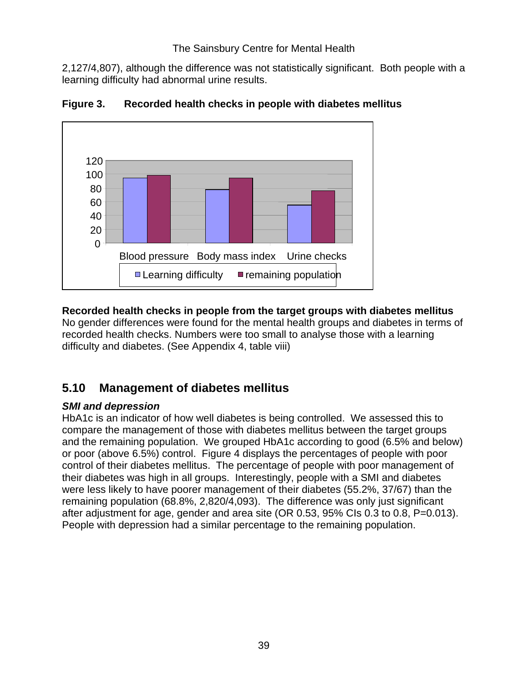2,127/4,807), although the difference was not statistically significant. Both people with a learning difficulty had abnormal urine results.



**Figure 3. Recorded health checks in people with diabetes mellitus** 

## **Recorded health checks in people from the target groups with diabetes mellitus**

No gender differences were found for the mental health groups and diabetes in terms of recorded health checks. Numbers were too small to analyse those with a learning difficulty and diabetes. (See Appendix 4, table viii)

# **5.10 Management of diabetes mellitus**

### *SMI and depression*

HbA1c is an indicator of how well diabetes is being controlled. We assessed this to compare the management of those with diabetes mellitus between the target groups and the remaining population. We grouped HbA1c according to good (6.5% and below) or poor (above 6.5%) control. Figure 4 displays the percentages of people with poor control of their diabetes mellitus. The percentage of people with poor management of their diabetes was high in all groups. Interestingly, people with a SMI and diabetes were less likely to have poorer management of their diabetes (55.2%, 37/67) than the remaining population (68.8%, 2,820/4,093). The difference was only just significant after adjustment for age, gender and area site (OR 0.53, 95% CIs 0.3 to 0.8, P=0.013). People with depression had a similar percentage to the remaining population.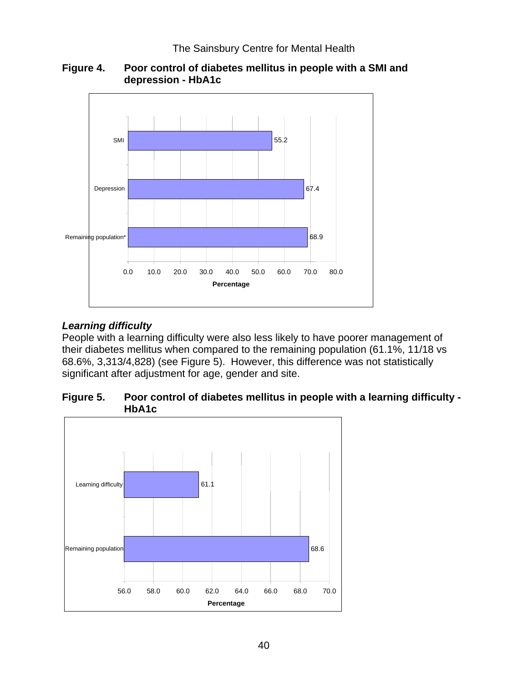

### **Figure 4. Poor control of diabetes mellitus in people with a SMI and depression - HbA1c**

## *Learning difficulty*

People with a learning difficulty were also less likely to have poorer management of their diabetes mellitus when compared to the remaining population (61.1%, 11/18 vs 68.6%, 3,313/4,828) (see Figure 5). However, this difference was not statistically significant after adjustment for age, gender and site.

### **Figure 5. Poor control of diabetes mellitus in people with a learning difficulty - HbA1c**

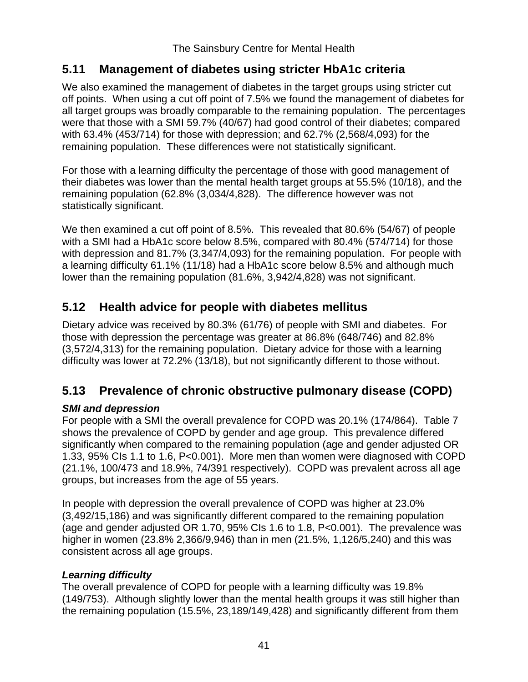## **5.11 Management of diabetes using stricter HbA1c criteria**

We also examined the management of diabetes in the target groups using stricter cut off points. When using a cut off point of 7.5% we found the management of diabetes for all target groups was broadly comparable to the remaining population. The percentages were that those with a SMI 59.7% (40/67) had good control of their diabetes; compared with 63.4% (453/714) for those with depression; and 62.7% (2,568/4,093) for the remaining population. These differences were not statistically significant.

For those with a learning difficulty the percentage of those with good management of their diabetes was lower than the mental health target groups at 55.5% (10/18), and the remaining population (62.8% (3,034/4,828). The difference however was not statistically significant.

We then examined a cut off point of 8.5%. This revealed that 80.6% (54/67) of people with a SMI had a HbA1c score below 8.5%, compared with 80.4% (574/714) for those with depression and 81.7% (3,347/4,093) for the remaining population. For people with a learning difficulty 61.1% (11/18) had a HbA1c score below 8.5% and although much lower than the remaining population (81.6%, 3,942/4,828) was not significant.

# **5.12 Health advice for people with diabetes mellitus**

Dietary advice was received by 80.3% (61/76) of people with SMI and diabetes. For those with depression the percentage was greater at 86.8% (648/746) and 82.8% (3,572/4,313) for the remaining population. Dietary advice for those with a learning difficulty was lower at 72.2% (13/18), but not significantly different to those without.

# **5.13 Prevalence of chronic obstructive pulmonary disease (COPD)**

## *SMI and depression*

For people with a SMI the overall prevalence for COPD was 20.1% (174/864). Table 7 shows the prevalence of COPD by gender and age group. This prevalence differed significantly when compared to the remaining population (age and gender adjusted OR 1.33, 95% CIs 1.1 to 1.6, P<0.001). More men than women were diagnosed with COPD (21.1%, 100/473 and 18.9%, 74/391 respectively). COPD was prevalent across all age groups, but increases from the age of 55 years.

In people with depression the overall prevalence of COPD was higher at 23.0% (3,492/15,186) and was significantly different compared to the remaining population (age and gender adjusted OR 1.70, 95% CIs 1.6 to 1.8, P<0.001). The prevalence was higher in women (23.8% 2,366/9,946) than in men (21.5%, 1,126/5,240) and this was consistent across all age groups.

### *Learning difficulty*

The overall prevalence of COPD for people with a learning difficulty was 19.8% (149/753). Although slightly lower than the mental health groups it was still higher than the remaining population (15.5%, 23,189/149,428) and significantly different from them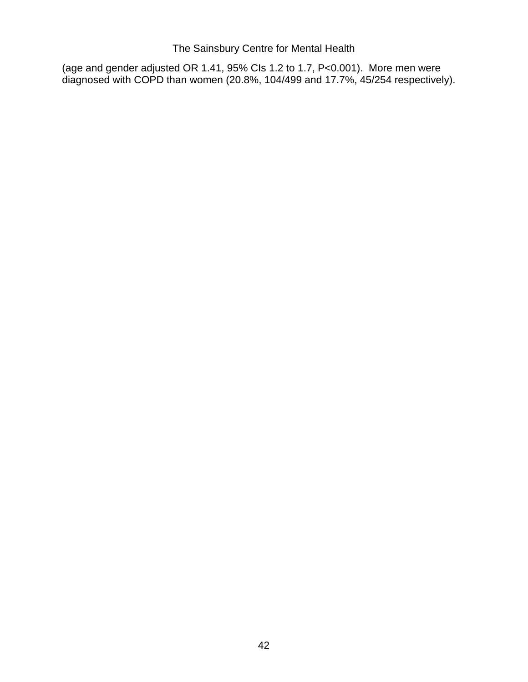(age and gender adjusted OR 1.41, 95% CIs 1.2 to 1.7, P<0.001). More men were diagnosed with COPD than women (20.8%, 104/499 and 17.7%, 45/254 respectively).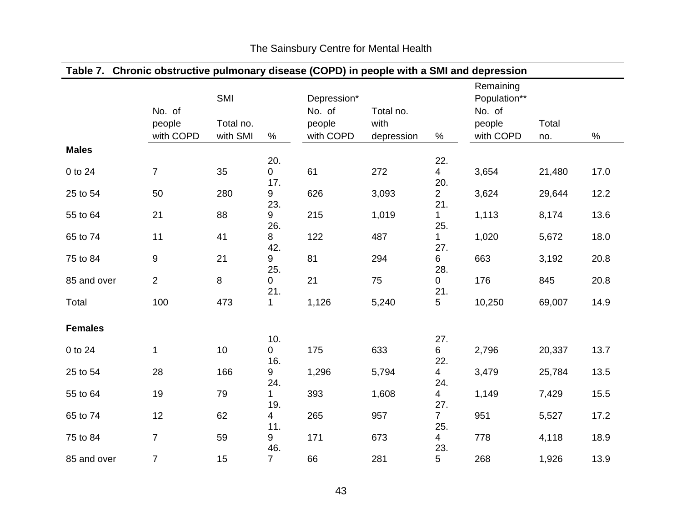|                | Table 7. Chronic obstructive pulmonary disease (COPD) in people with a SMI and depression |           |                       |             |            |                    |              |        |      |
|----------------|-------------------------------------------------------------------------------------------|-----------|-----------------------|-------------|------------|--------------------|--------------|--------|------|
|                |                                                                                           |           |                       |             |            |                    | Remaining    |        |      |
|                |                                                                                           | SMI       |                       | Depression* |            |                    | Population** |        |      |
|                | No. of                                                                                    |           |                       | No. of      | Total no.  |                    | No. of       |        |      |
|                | people                                                                                    | Total no. |                       | people      | with       |                    | people       | Total  |      |
|                | with COPD                                                                                 | with SMI  | $\%$                  | with COPD   | depression | $\%$               | with COPD    | no.    | $\%$ |
| <b>Males</b>   |                                                                                           |           |                       |             |            |                    |              |        |      |
|                |                                                                                           |           | 20.                   |             |            | 22.                |              |        |      |
| 0 to 24        | $\overline{7}$                                                                            | 35        | $\overline{0}$        | 61          | 272        | $\overline{4}$     | 3,654        | 21,480 | 17.0 |
|                |                                                                                           |           | 17.                   |             |            | 20.                |              |        |      |
| 25 to 54       | 50                                                                                        | 280       | 9                     | 626         | 3,093      | $\overline{2}$     | 3,624        | 29,644 | 12.2 |
|                |                                                                                           |           | 23.                   |             |            | 21.                |              |        |      |
| 55 to 64       | 21                                                                                        | 88        | 9<br>26.              | 215         | 1,019      | $\mathbf 1$<br>25. | 1,113        | 8,174  | 13.6 |
| 65 to 74       | 11                                                                                        | 41        | 8                     | 122         | 487        | 1                  | 1,020        | 5,672  | 18.0 |
|                |                                                                                           |           | 42.                   |             |            | 27.                |              |        |      |
| 75 to 84       | 9                                                                                         | 21        | 9                     | 81          | 294        | 6                  | 663          | 3,192  | 20.8 |
|                |                                                                                           |           | 25.                   |             |            | 28.                |              |        |      |
| 85 and over    | $\overline{2}$                                                                            | 8         | $\mathbf 0$           | 21          | 75         | 0                  | 176          | 845    | 20.8 |
|                |                                                                                           |           | 21.                   |             |            | 21.                |              |        |      |
| Total          | 100                                                                                       | 473       | 1                     | 1,126       | 5,240      | 5                  | 10,250       | 69,007 | 14.9 |
|                |                                                                                           |           |                       |             |            |                    |              |        |      |
| <b>Females</b> |                                                                                           |           |                       |             |            |                    |              |        |      |
|                |                                                                                           |           | 10.                   |             |            | 27.                |              |        |      |
| 0 to 24        | 1                                                                                         | 10        | 0<br>16.              | 175         | 633        | 6<br>22.           | 2,796        | 20,337 | 13.7 |
| 25 to 54       | 28                                                                                        | 166       | 9                     | 1,296       | 5,794      | $\overline{4}$     | 3,479        | 25,784 | 13.5 |
|                |                                                                                           |           | 24.                   |             |            | 24.                |              |        |      |
| 55 to 64       | 19                                                                                        | 79        | $\mathbf 1$           | 393         | 1,608      | $\overline{4}$     | 1,149        | 7,429  | 15.5 |
|                |                                                                                           |           | 19.                   |             |            | 27.                |              |        |      |
| 65 to 74       | 12                                                                                        | 62        | $\overline{4}$        | 265         | 957        | $\overline{7}$     | 951          | 5,527  | 17.2 |
|                |                                                                                           |           | 11.                   |             |            | 25.                |              |        |      |
| 75 to 84       | $\overline{7}$                                                                            | 59        | 9                     | 171         | 673        | $\overline{4}$     | 778          | 4,118  | 18.9 |
|                |                                                                                           |           | 46.<br>$\overline{7}$ |             |            | 23.                |              |        |      |
| 85 and over    | $\overline{7}$                                                                            | 15        |                       | 66          | 281        | 5                  | 268          | 1,926  | 13.9 |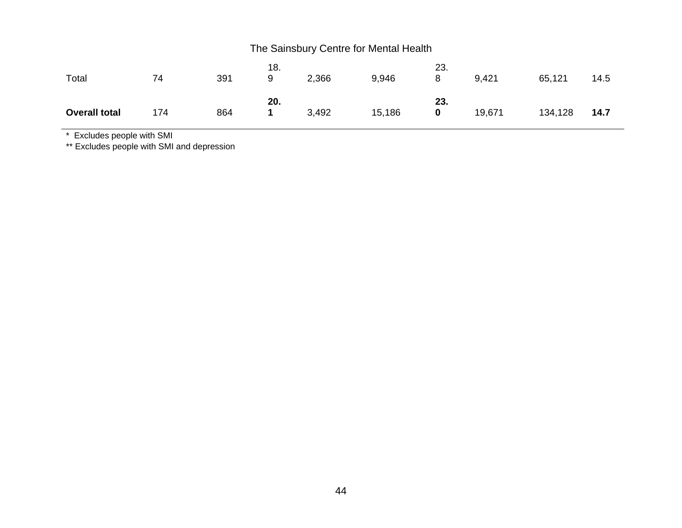| Total                | 74  | 391 | 18.<br>9 | 2,366 | 9,946  | 23.<br>8 | 9,421  | 65,121  | 14.5 |
|----------------------|-----|-----|----------|-------|--------|----------|--------|---------|------|
| <b>Overall total</b> | 174 | 864 | 20.      | 3,492 | 15,186 | 23.<br>0 | 19,671 | 134,128 | 14.7 |

\* Excludes people with SMI

\*\* Excludes people with SMI and depression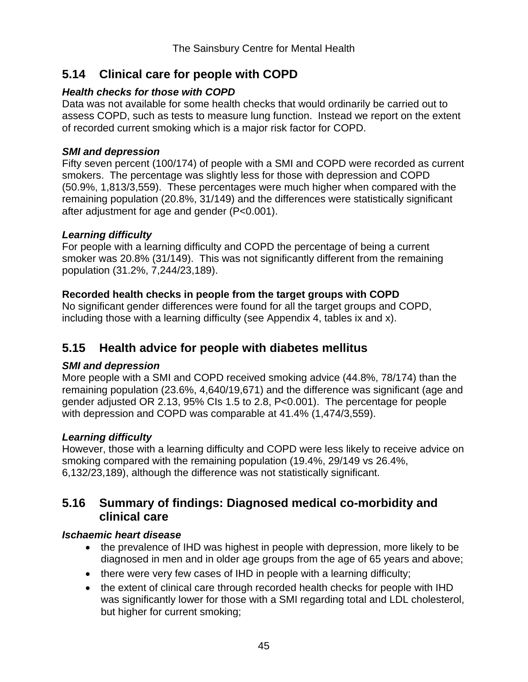# **5.14 Clinical care for people with COPD**

### *Health checks for those with COPD*

Data was not available for some health checks that would ordinarily be carried out to assess COPD, such as tests to measure lung function. Instead we report on the extent of recorded current smoking which is a major risk factor for COPD.

### *SMI and depression*

Fifty seven percent (100/174) of people with a SMI and COPD were recorded as current smokers. The percentage was slightly less for those with depression and COPD (50.9%, 1,813/3,559). These percentages were much higher when compared with the remaining population (20.8%, 31/149) and the differences were statistically significant after adjustment for age and gender (P<0.001).

### *Learning difficulty*

For people with a learning difficulty and COPD the percentage of being a current smoker was 20.8% (31/149). This was not significantly different from the remaining population (31.2%, 7,244/23,189).

## **Recorded health checks in people from the target groups with COPD**

No significant gender differences were found for all the target groups and COPD, including those with a learning difficulty (see Appendix 4, tables ix and x).

# **5.15 Health advice for people with diabetes mellitus**

## *SMI and depression*

More people with a SMI and COPD received smoking advice (44.8%, 78/174) than the remaining population (23.6%, 4,640/19,671) and the difference was significant (age and gender adjusted OR 2.13, 95% CIs 1.5 to 2.8, P<0.001). The percentage for people with depression and COPD was comparable at 41.4% (1,474/3,559).

## *Learning difficulty*

However, those with a learning difficulty and COPD were less likely to receive advice on smoking compared with the remaining population (19.4%, 29/149 vs 26.4%, 6,132/23,189), although the difference was not statistically significant.

## **5.16 Summary of findings: Diagnosed medical co-morbidity and clinical care**

## *Ischaemic heart disease*

- the prevalence of IHD was highest in people with depression, more likely to be diagnosed in men and in older age groups from the age of 65 years and above;
- there were very few cases of IHD in people with a learning difficulty;
- the extent of clinical care through recorded health checks for people with IHD was significantly lower for those with a SMI regarding total and LDL cholesterol, but higher for current smoking;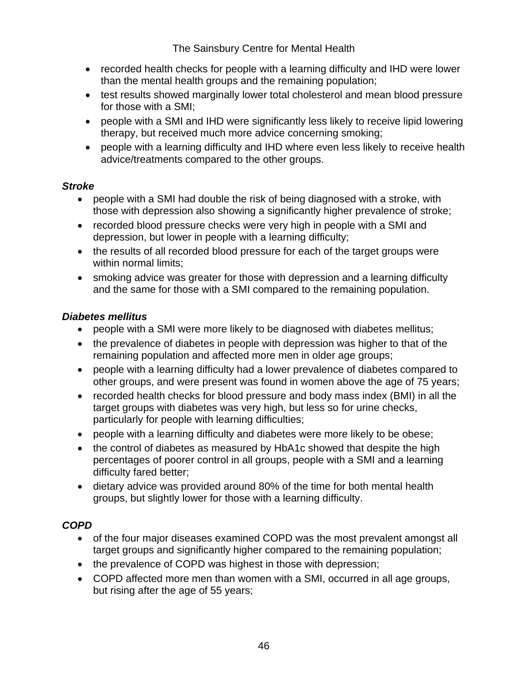- recorded health checks for people with a learning difficulty and IHD were lower than the mental health groups and the remaining population;
- test results showed marginally lower total cholesterol and mean blood pressure for those with a SMI;
- people with a SMI and IHD were significantly less likely to receive lipid lowering therapy, but received much more advice concerning smoking;
- people with a learning difficulty and IHD where even less likely to receive health advice/treatments compared to the other groups.

### *Stroke*

- people with a SMI had double the risk of being diagnosed with a stroke, with those with depression also showing a significantly higher prevalence of stroke;
- recorded blood pressure checks were very high in people with a SMI and depression, but lower in people with a learning difficulty;
- the results of all recorded blood pressure for each of the target groups were within normal limits;
- smoking advice was greater for those with depression and a learning difficulty and the same for those with a SMI compared to the remaining population.

### *Diabetes mellitus*

- people with a SMI were more likely to be diagnosed with diabetes mellitus;
- the prevalence of diabetes in people with depression was higher to that of the remaining population and affected more men in older age groups;
- people with a learning difficulty had a lower prevalence of diabetes compared to other groups, and were present was found in women above the age of 75 years;
- recorded health checks for blood pressure and body mass index (BMI) in all the target groups with diabetes was very high, but less so for urine checks, particularly for people with learning difficulties;
- people with a learning difficulty and diabetes were more likely to be obese;
- the control of diabetes as measured by HbA1c showed that despite the high percentages of poorer control in all groups, people with a SMI and a learning difficulty fared better;
- dietary advice was provided around 80% of the time for both mental health groups, but slightly lower for those with a learning difficulty.

## *COPD*

- of the four major diseases examined COPD was the most prevalent amongst all target groups and significantly higher compared to the remaining population;
- the prevalence of COPD was highest in those with depression;
- COPD affected more men than women with a SMI, occurred in all age groups, but rising after the age of 55 years;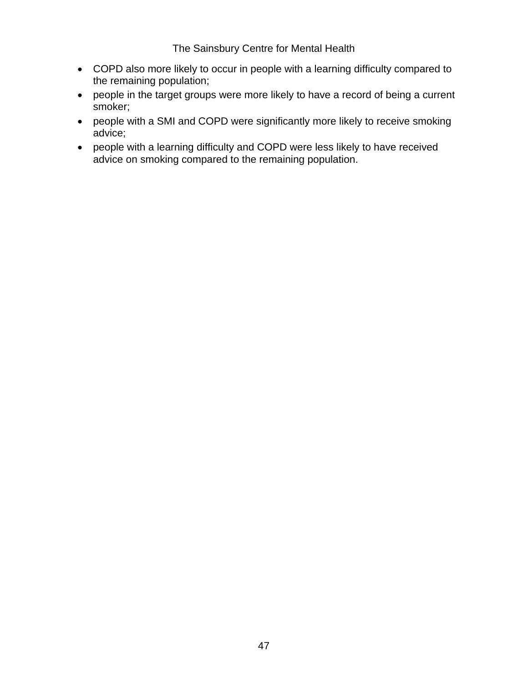- COPD also more likely to occur in people with a learning difficulty compared to the remaining population;
- people in the target groups were more likely to have a record of being a current smoker;
- people with a SMI and COPD were significantly more likely to receive smoking advice;
- people with a learning difficulty and COPD were less likely to have received advice on smoking compared to the remaining population.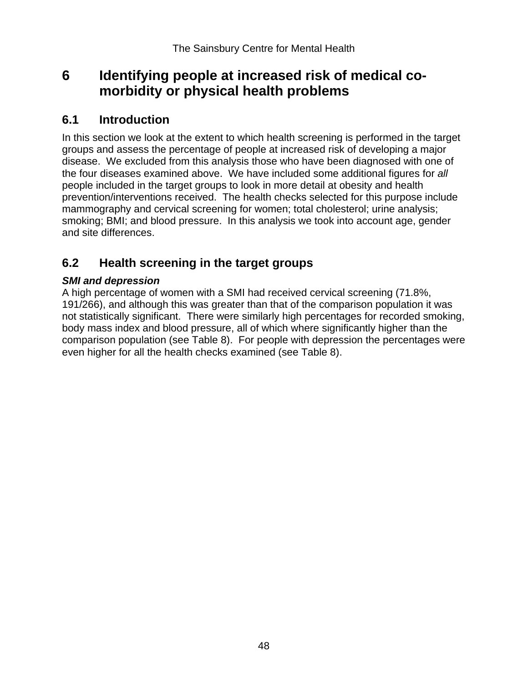# **6 Identifying people at increased risk of medical co morbidity or physical health problems**

## **6.1 Introduction**

In this section we look at the extent to which health screening is performed in the target groups and assess the percentage of people at increased risk of developing a major disease. We excluded from this analysis those who have been diagnosed with one of the four diseases examined above. We have included some additional figures for *all* people included in the target groups to look in more detail at obesity and health prevention/interventions received. The health checks selected for this purpose include mammography and cervical screening for women; total cholesterol; urine analysis; smoking; BMI; and blood pressure. In this analysis we took into account age, gender and site differences.

# **6.2 Health screening in the target groups**

## *SMI and depression*

A high percentage of women with a SMI had received cervical screening (71.8%, 191/266), and although this was greater than that of the comparison population it was not statistically significant. There were similarly high percentages for recorded smoking, body mass index and blood pressure, all of which where significantly higher than the comparison population (see Table 8). For people with depression the percentages were even higher for all the health checks examined (see Table 8).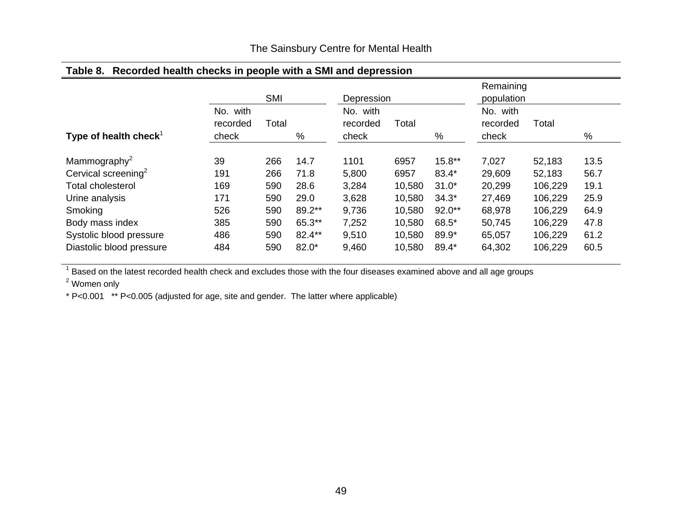| <b>⊺able 8.</b><br>Recorded health checks in people with a SMI and depression |                      |       |         |                         |        |          |                         |         |      |
|-------------------------------------------------------------------------------|----------------------|-------|---------|-------------------------|--------|----------|-------------------------|---------|------|
|                                                                               |                      | SMI   |         | Depression              |        |          | Remaining<br>population |         |      |
|                                                                               | No. with<br>recorded | Total |         | with<br>No.<br>recorded | Total  |          | with<br>No.<br>recorded | Total   |      |
| Type of health check <sup>1</sup>                                             | check                |       | %       | check                   |        | $\%$     | check                   |         | %    |
| Mammography <sup>2</sup>                                                      | 39                   | 266   | 14.7    | 1101                    | 6957   | $15.8**$ | 7,027                   | 52,183  | 13.5 |
| Cervical screening <sup>2</sup>                                               | 191                  | 266   | 71.8    | 5,800                   | 6957   | 83.4*    | 29,609                  | 52,183  | 56.7 |
| <b>Total cholesterol</b>                                                      | 169                  | 590   | 28.6    | 3,284                   | 10,580 | $31.0*$  | 20,299                  | 106,229 | 19.1 |
| Urine analysis                                                                | 171                  | 590   | 29.0    | 3,628                   | 10,580 | $34.3*$  | 27,469                  | 106,229 | 25.9 |
| Smoking                                                                       | 526                  | 590   | 89.2**  | 9,736                   | 10,580 | $92.0**$ | 68,978                  | 106,229 | 64.9 |
| Body mass index                                                               | 385                  | 590   | 65.3**  | 7,252                   | 10,580 | 68.5*    | 50,745                  | 106,229 | 47.8 |
| Systolic blood pressure                                                       | 486                  | 590   | 82.4**  | 9,510                   | 10,580 | 89.9*    | 65,057                  | 106,229 | 61.2 |
| Diastolic blood pressure                                                      | 484                  | 590   | $82.0*$ | 9,460                   | 10,580 | 89.4*    | 64,302                  | 106,229 | 60.5 |

### **Table 8. Recorded health checks in people with a SMI and depression**

 $1$  Based on the latest recorded health check and excludes those with the four diseases examined above and all age groups

<sup>2</sup> Women only

\* P<0.001 \*\* P<0.005 (adjusted for age, site and gender. The latter where applicable)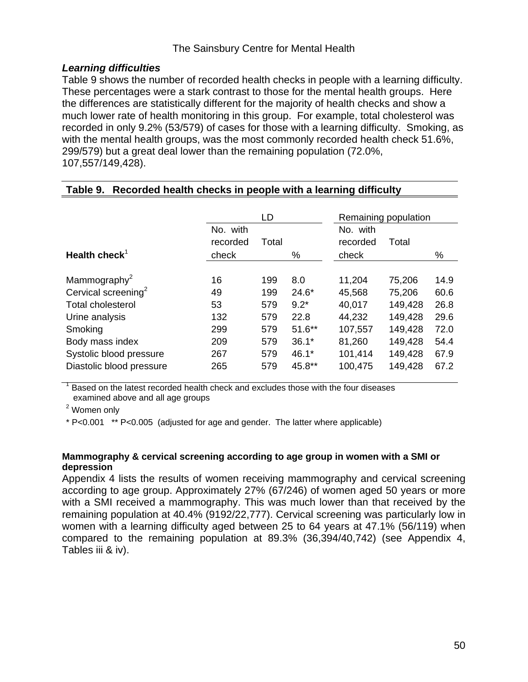### *Learning difficulties*

Table 9 shows the number of recorded health checks in people with a learning difficulty. These percentages were a stark contrast to those for the mental health groups. Here the differences are statistically different for the majority of health checks and show a much lower rate of health monitoring in this group. For example, total cholesterol was recorded in only 9.2% (53/579) of cases for those with a learning difficulty. Smoking, as with the mental health groups, was the most commonly recorded health check 51.6%, 299/579) but a great deal lower than the remaining population (72.0%, 107,557/149,428).

|                                 |                      | LD    |          | Remaining population |         |      |
|---------------------------------|----------------------|-------|----------|----------------------|---------|------|
|                                 | No. with<br>recorded | Total |          | No. with<br>recorded | Total   |      |
| Health check <sup>1</sup>       | check                |       | %        | check                |         | %    |
| Mammography <sup>2</sup>        | 16                   | 199   | 8.0      | 11,204               | 75,206  | 14.9 |
| Cervical screening <sup>2</sup> | 49                   | 199   | $24.6*$  | 45,568               | 75,206  | 60.6 |
| <b>Total cholesterol</b>        | 53                   | 579   | $9.2*$   | 40,017               | 149,428 | 26.8 |
| Urine analysis                  | 132                  | 579   | 22.8     | 44,232               | 149,428 | 29.6 |
| Smoking                         | 299                  | 579   | $51.6**$ | 107,557              | 149,428 | 72.0 |
| Body mass index                 | 209                  | 579   | $36.1*$  | 81,260               | 149,428 | 54.4 |
| Systolic blood pressure         | 267                  | 579   | $46.1*$  | 101,414              | 149,428 | 67.9 |
| Diastolic blood pressure        | 265                  | 579   | 45.8**   | 100,475              | 149,428 | 67.2 |

### **Table 9. Recorded health checks in people with a learning difficulty**

1 Based on the latest recorded health check and excludes those with the four diseases examined above and all age groups

<sup>2</sup> Women only

\* P<0.001 \*\* P<0.005 (adjusted for age and gender. The latter where applicable)

#### **Mammography & cervical screening according to age group in women with a SMI or depression**

Appendix 4 lists the results of women receiving mammography and cervical screening according to age group. Approximately 27% (67/246) of women aged 50 years or more with a SMI received a mammography. This was much lower than that received by the remaining population at 40.4% (9192/22,777). Cervical screening was particularly low in women with a learning difficulty aged between 25 to 64 years at 47.1% (56/119) when compared to the remaining population at 89.3% (36,394/40,742) (see Appendix 4, Tables iii & iv).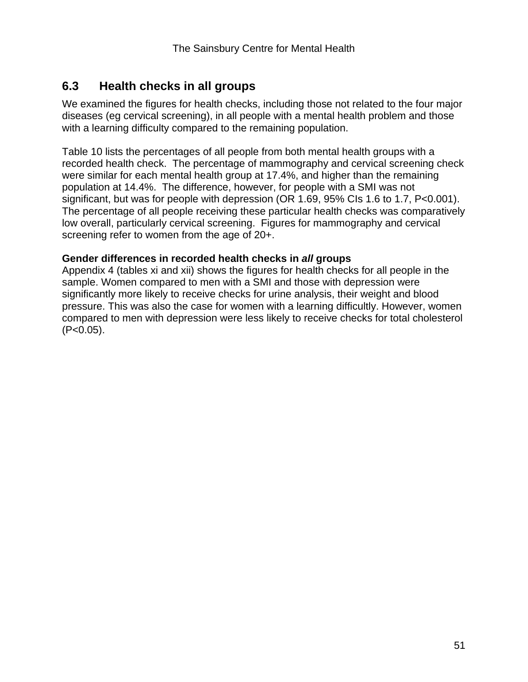# **6.3 Health checks in all groups**

We examined the figures for health checks, including those not related to the four major diseases (eg cervical screening), in all people with a mental health problem and those with a learning difficulty compared to the remaining population.

Table 10 lists the percentages of all people from both mental health groups with a recorded health check. The percentage of mammography and cervical screening check were similar for each mental health group at 17.4%, and higher than the remaining population at 14.4%. The difference, however, for people with a SMI was not significant, but was for people with depression (OR 1.69, 95% CIs 1.6 to 1.7, P<0.001). The percentage of all people receiving these particular health checks was comparatively low overall, particularly cervical screening. Figures for mammography and cervical screening refer to women from the age of 20+.

### **Gender differences in recorded health checks in** *all* **groups**

Appendix 4 (tables xi and xii) shows the figures for health checks for all people in the sample. Women compared to men with a SMI and those with depression were significantly more likely to receive checks for urine analysis, their weight and blood pressure. This was also the case for women with a learning difficultly. However, women compared to men with depression were less likely to receive checks for total cholesterol  $(P<0.05)$ .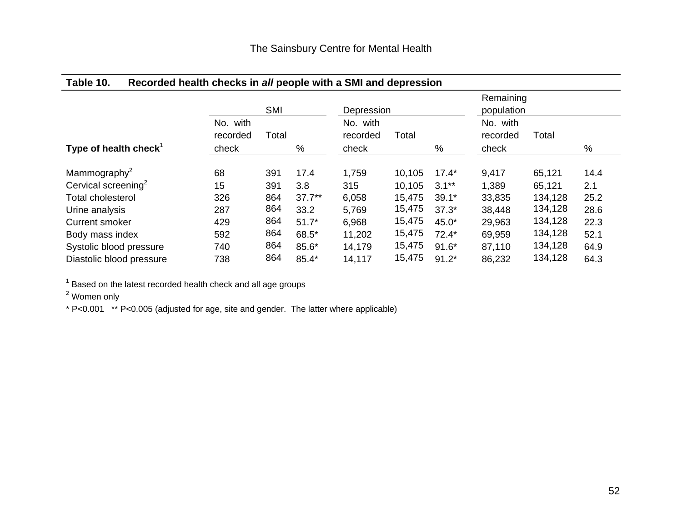### **Table 10. Recorded health checks in** *all* **people with a SMI and depression**

|                                   |                               | SMI   |          | Depression                    |        |         | Remaining<br>population       |         |      |
|-----------------------------------|-------------------------------|-------|----------|-------------------------------|--------|---------|-------------------------------|---------|------|
| Type of health check <sup>1</sup> | No. with<br>recorded<br>check | Total | %        | No. with<br>recorded<br>check | Total  | %       | No. with<br>recorded<br>check | Total   | %    |
| Mammography <sup>2</sup>          | 68                            | 391   | 17.4     | 1,759                         | 10,105 | $17.4*$ | 9,417                         | 65,121  | 14.4 |
| Cervical screening <sup>2</sup>   | 15                            | 391   | 3.8      | 315                           | 10,105 | $3.1**$ | 1,389                         | 65,121  | 2.1  |
| <b>Total cholesterol</b>          | 326                           | 864   | $37.7**$ | 6,058                         | 15,475 | $39.1*$ | 33,835                        | 134,128 | 25.2 |
| Urine analysis                    | 287                           | 864   | 33.2     | 5,769                         | 15,475 | $37.3*$ | 38,448                        | 134,128 | 28.6 |
| <b>Current smoker</b>             | 429                           | 864   | $51.7*$  | 6,968                         | 15,475 | $45.0*$ | 29,963                        | 134,128 | 22.3 |
| Body mass index                   | 592                           | 864   | 68.5*    | 11,202                        | 15,475 | $72.4*$ | 69,959                        | 134,128 | 52.1 |
| Systolic blood pressure           | 740                           | 864   | 85.6*    | 14,179                        | 15,475 | $91.6*$ | 87,110                        | 134,128 | 64.9 |
| Diastolic blood pressure          | 738                           | 864   | $85.4*$  | 14,117                        | 15,475 | $91.2*$ | 86,232                        | 134,128 | 64.3 |

<sup>1</sup> Based on the latest recorded health check and all age groups

<sup>2</sup> Women only

\* P<0.001 \*\* P<0.005 (adjusted for age, site and gender. The latter where applicable)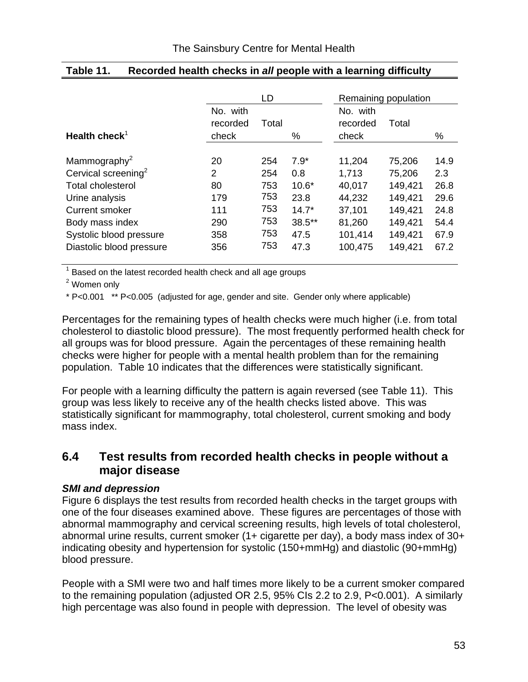|                                                                 |                      | LD    |          |                      | Remaining population |      |
|-----------------------------------------------------------------|----------------------|-------|----------|----------------------|----------------------|------|
|                                                                 | No. with<br>recorded | Total |          | No. with<br>recorded | Total                |      |
| Health check <sup>1</sup>                                       | check                |       | ℅        | check                |                      | ℅    |
| Mammography <sup>2</sup>                                        | 20                   | 254   | $7.9*$   | 11,204               | 75,206               | 14.9 |
| Cervical screening <sup>2</sup>                                 | $\overline{2}$       | 254   | 0.8      | 1,713                | 75,206               | 2.3  |
| <b>Total cholesterol</b>                                        | 80                   | 753   | $10.6*$  | 40,017               | 149,421              | 26.8 |
| Urine analysis                                                  | 179                  | 753   | 23.8     | 44,232               | 149,421              | 29.6 |
| <b>Current smoker</b>                                           | 111                  | 753   | $14.7*$  | 37,101               | 149,421              | 24.8 |
| Body mass index                                                 | 290                  | 753   | $38.5**$ | 81,260               | 149,421              | 54.4 |
| Systolic blood pressure                                         | 358                  | 753   | 47.5     | 101,414              | 149,421              | 67.9 |
| Diastolic blood pressure                                        | 356                  | 753   | 47.3     | 100,475              | 149,421              | 67.2 |
| $1$ Boood on the latest reserved booth sheek and all age groups |                      |       |          |                      |                      |      |

## **Table 11. Recorded health checks in** *all* **people with a learning difficulty**

 $1$  Based on the latest recorded health check and all age groups

<sup>2</sup> Women only

\* P<0.001 \*\* P<0.005 (adjusted for age, gender and site. Gender only where applicable)

Percentages for the remaining types of health checks were much higher (i.e. from total cholesterol to diastolic blood pressure). The most frequently performed health check for all groups was for blood pressure. Again the percentages of these remaining health checks were higher for people with a mental health problem than for the remaining population. Table 10 indicates that the differences were statistically significant.

For people with a learning difficulty the pattern is again reversed (see Table 11). This group was less likely to receive any of the health checks listed above. This was statistically significant for mammography, total cholesterol, current smoking and body mass index.

## **6.4 Test results from recorded health checks in people without a major disease**

### *SMI and depression*

Figure 6 displays the test results from recorded health checks in the target groups with one of the four diseases examined above. These figures are percentages of those with abnormal mammography and cervical screening results, high levels of total cholesterol, abnormal urine results, current smoker (1+ cigarette per day), a body mass index of 30+ indicating obesity and hypertension for systolic (150+mmHg) and diastolic (90+mmHg) blood pressure.

People with a SMI were two and half times more likely to be a current smoker compared to the remaining population (adjusted OR 2.5, 95% CIs 2.2 to 2.9, P<0.001). A similarly high percentage was also found in people with depression. The level of obesity was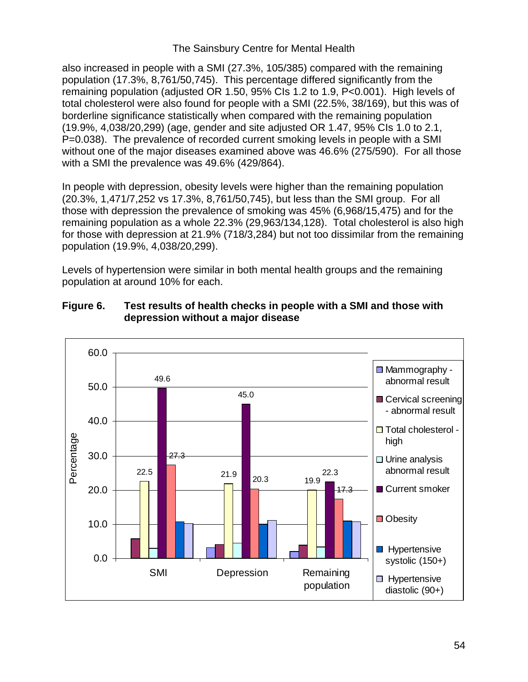also increased in people with a SMI (27.3%, 105/385) compared with the remaining population (17.3%, 8,761/50,745). This percentage differed significantly from the remaining population (adjusted OR 1.50, 95% CIs 1.2 to 1.9, P<0.001). High levels of total cholesterol were also found for people with a SMI (22.5%, 38/169), but this was of borderline significance statistically when compared with the remaining population (19.9%, 4,038/20,299) (age, gender and site adjusted OR 1.47, 95% CIs 1.0 to 2.1, P=0.038). The prevalence of recorded current smoking levels in people with a SMI without one of the major diseases examined above was 46.6% (275/590). For all those with a SMI the prevalence was 49.6% (429/864).

In people with depression, obesity levels were higher than the remaining population (20.3%, 1,471/7,252 vs 17.3%, 8,761/50,745), but less than the SMI group. For all those with depression the prevalence of smoking was 45% (6,968/15,475) and for the remaining population as a whole 22.3% (29,963/134,128). Total cholesterol is also high for those with depression at 21.9% (718/3,284) but not too dissimilar from the remaining population (19.9%, 4,038/20,299).

Levels of hypertension were similar in both mental health groups and the remaining population at around 10% for each.



### **Figure 6. Test results of health checks in people with a SMI and those with depression without a major disease**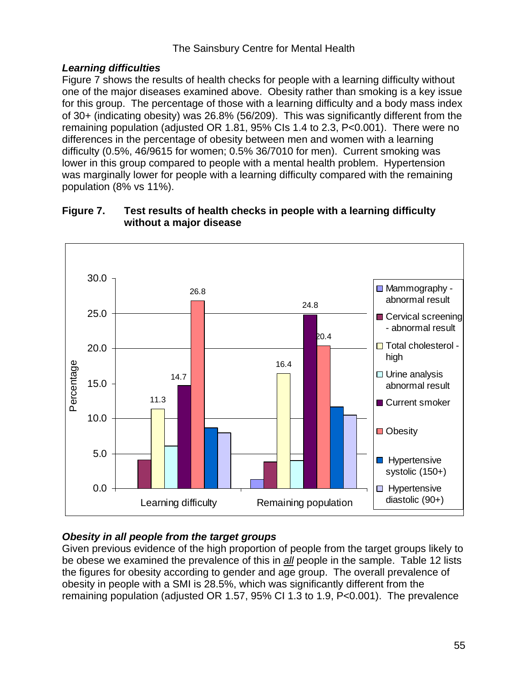## *Learning difficulties*

Figure 7 shows the results of health checks for people with a learning difficulty without one of the major diseases examined above. Obesity rather than smoking is a key issue for this group. The percentage of those with a learning difficulty and a body mass index of 30+ (indicating obesity) was 26.8% (56/209). This was significantly different from the remaining population (adjusted OR 1.81, 95% CIs 1.4 to 2.3, P<0.001). There were no differences in the percentage of obesity between men and women with a learning difficulty (0.5%, 46/9615 for women; 0.5% 36/7010 for men). Current smoking was lower in this group compared to people with a mental health problem. Hypertension was marginally lower for people with a learning difficulty compared with the remaining population (8% vs 11%).



### **Figure 7. Test results of health checks in people with a learning difficulty without a major disease**

## *Obesity in all people from the target groups*

Given previous evidence of the high proportion of people from the target groups likely to be obese we examined the prevalence of this in *all* people in the sample. Table 12 lists the figures for obesity according to gender and age group. The overall prevalence of obesity in people with a SMI is 28.5%, which was significantly different from the remaining population (adjusted OR 1.57, 95% CI 1.3 to 1.9, P<0.001). The prevalence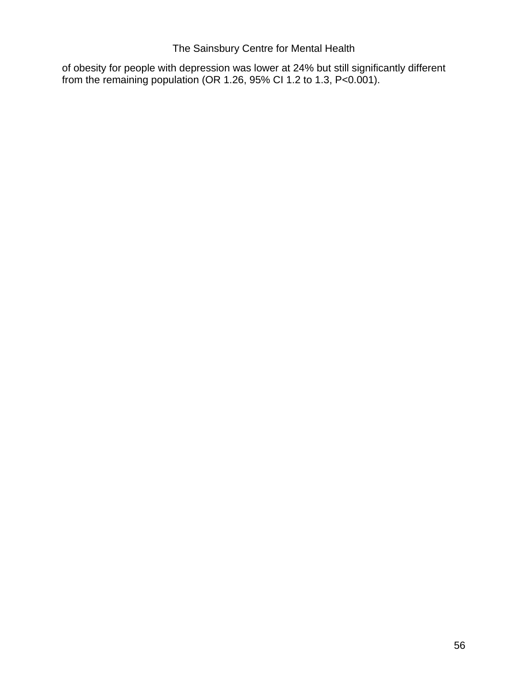of obesity for people with depression was lower at 24% but still significantly different from the remaining population (OR 1.26, 95% CI 1.2 to 1.3, P<0.001).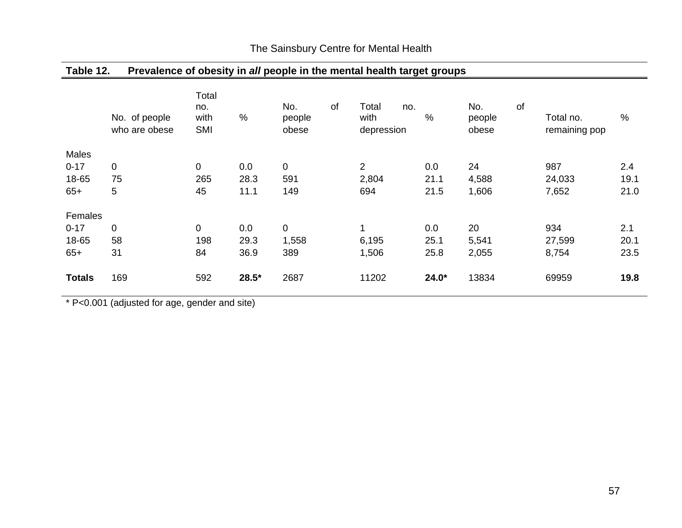|               | No. of people<br>who are obese | Total<br>no.<br>with<br><b>SMI</b> | %       | No.<br>people<br>obese | of | Total<br>no.<br>with<br>depression | $\%$    | No.<br>people<br>obese | of | Total no.<br>remaining pop | $\%$ |
|---------------|--------------------------------|------------------------------------|---------|------------------------|----|------------------------------------|---------|------------------------|----|----------------------------|------|
| Males         |                                |                                    |         |                        |    |                                    |         |                        |    |                            |      |
| $0 - 17$      | 0                              | $\mathbf 0$                        | 0.0     | $\pmb{0}$              |    | $\overline{c}$                     | 0.0     | 24                     |    | 987                        | 2.4  |
| 18-65         | 75                             | 265                                | 28.3    | 591                    |    | 2,804                              | 21.1    | 4,588                  |    | 24,033                     | 19.1 |
| $65+$         | 5                              | 45                                 | 11.1    | 149                    |    | 694                                | 21.5    | 1,606                  |    | 7,652                      | 21.0 |
| Females       |                                |                                    |         |                        |    |                                    |         |                        |    |                            |      |
| $0 - 17$      | 0                              | $\mathbf 0$                        | 0.0     | $\pmb{0}$              |    | $\mathbf{1}$                       | 0.0     | 20                     |    | 934                        | 2.1  |
| 18-65         | 58                             | 198                                | 29.3    | 1,558                  |    | 6,195                              | 25.1    | 5,541                  |    | 27,599                     | 20.1 |
| $65+$         | 31                             | 84                                 | 36.9    | 389                    |    | 1,506                              | 25.8    | 2,055                  |    | 8,754                      | 23.5 |
| <b>Totals</b> | 169                            | 592                                | $28.5*$ | 2687                   |    | 11202                              | $24.0*$ | 13834                  |    | 69959                      | 19.8 |

**Table 12. Prevalence of obesity in** *all* **people in the mental health target groups** 

\* P<0.001 (adjusted for age, gender and site)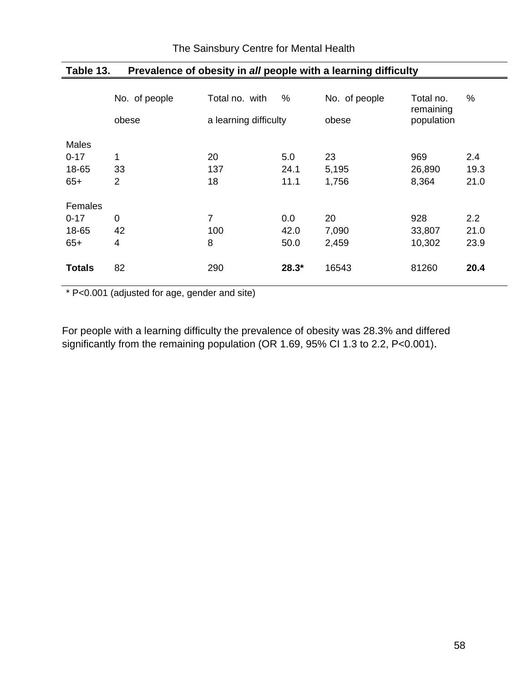|               | No. of people<br>obese | Total no. with<br>a learning difficulty | $\%$    | No. of people<br>obese | Total no.<br>remaining<br>population | %    |
|---------------|------------------------|-----------------------------------------|---------|------------------------|--------------------------------------|------|
| <b>Males</b>  |                        |                                         |         |                        |                                      |      |
| $0 - 17$      | 1                      | 20                                      | 5.0     | 23                     | 969                                  | 2.4  |
| 18-65         | 33                     | 137                                     | 24.1    | 5,195                  | 26,890                               | 19.3 |
| $65+$         | $\overline{2}$         | 18                                      | 11.1    | 1,756                  | 8,364                                | 21.0 |
| Females       |                        |                                         |         |                        |                                      |      |
| $0 - 17$      | 0                      | 7                                       | 0.0     | 20                     | 928                                  | 2.2  |
| 18-65         | 42                     | 100                                     | 42.0    | 7,090                  | 33,807                               | 21.0 |
| $65+$         | 4                      | 8                                       | 50.0    | 2,459                  | 10,302                               | 23.9 |
|               |                        |                                         |         |                        |                                      |      |
| <b>Totals</b> | 82                     | 290                                     | $28.3*$ | 16543                  | 81260                                | 20.4 |
|               |                        |                                         |         |                        |                                      |      |

**Table 13. Prevalence of obesity in** *all* **people with a learning difficulty** 

\* P<0.001 (adjusted for age, gender and site)

For people with a learning difficulty the prevalence of obesity was 28.3% and differed significantly from the remaining population (OR 1.69, 95% CI 1.3 to 2.2, P<0.001).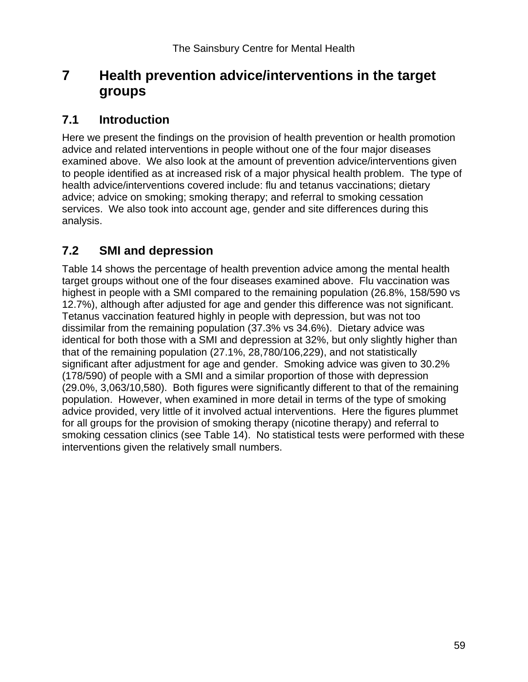# **7 Health prevention advice/interventions in the target groups**

## **7.1 Introduction**

Here we present the findings on the provision of health prevention or health promotion advice and related interventions in people without one of the four major diseases examined above. We also look at the amount of prevention advice/interventions given to people identified as at increased risk of a major physical health problem. The type of health advice/interventions covered include: flu and tetanus vaccinations; dietary advice; advice on smoking; smoking therapy; and referral to smoking cessation services. We also took into account age, gender and site differences during this analysis.

# **7.2 SMI and depression**

Table 14 shows the percentage of health prevention advice among the mental health target groups without one of the four diseases examined above. Flu vaccination was highest in people with a SMI compared to the remaining population (26.8%, 158/590 vs 12.7%), although after adjusted for age and gender this difference was not significant. Tetanus vaccination featured highly in people with depression, but was not too dissimilar from the remaining population (37.3% vs 34.6%). Dietary advice was identical for both those with a SMI and depression at 32%, but only slightly higher than that of the remaining population (27.1%, 28,780/106,229), and not statistically significant after adjustment for age and gender. Smoking advice was given to 30.2% (178/590) of people with a SMI and a similar proportion of those with depression (29.0%, 3,063/10,580). Both figures were significantly different to that of the remaining population. However, when examined in more detail in terms of the type of smoking advice provided, very little of it involved actual interventions. Here the figures plummet for all groups for the provision of smoking therapy (nicotine therapy) and referral to smoking cessation clinics (see Table 14). No statistical tests were performed with these interventions given the relatively small numbers.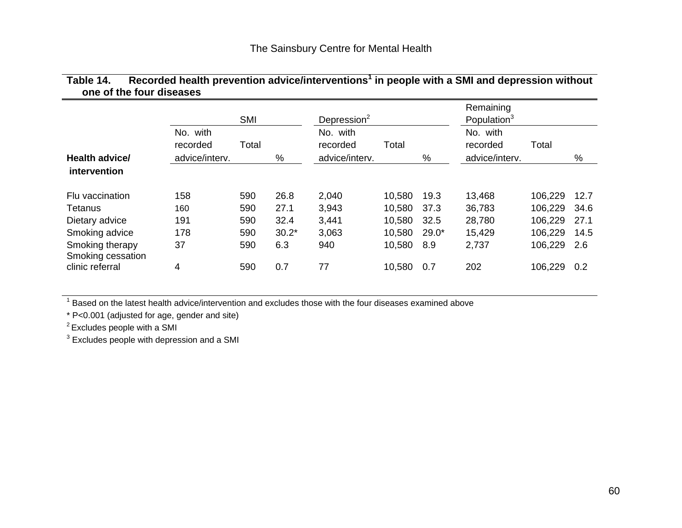| Table 14. | Recorded health prevention advice/interventions $^1$ in people with a SMI and depression without |  |
|-----------|--------------------------------------------------------------------------------------------------|--|
|           | one of the four diseases                                                                         |  |

|                                      | <b>SMI</b>                             |       |         | Depression $2$                         |        |         | Remaining<br>Population <sup>3</sup>   |         |      |
|--------------------------------------|----------------------------------------|-------|---------|----------------------------------------|--------|---------|----------------------------------------|---------|------|
| Health advice/                       | No. with<br>recorded<br>advice/interv. | Total | %       | No. with<br>recorded<br>advice/interv. | Total  | %       | No. with<br>recorded<br>advice/interv. | Total   | %    |
| intervention                         |                                        |       |         |                                        |        |         |                                        |         |      |
| Flu vaccination                      | 158                                    | 590   | 26.8    | 2,040                                  | 10,580 | 19.3    | 13,468                                 | 106,229 | 12.7 |
| Tetanus                              | 160                                    | 590   | 27.1    | 3,943                                  | 10,580 | 37.3    | 36,783                                 | 106,229 | 34.6 |
| Dietary advice                       | 191                                    | 590   | 32.4    | 3,441                                  | 10,580 | 32.5    | 28,780                                 | 106,229 | 27.1 |
| Smoking advice                       | 178                                    | 590   | $30.2*$ | 3,063                                  | 10,580 | $29.0*$ | 15,429                                 | 106,229 | 14.5 |
| Smoking therapy<br>Smoking cessation | 37                                     | 590   | 6.3     | 940                                    | 10,580 | 8.9     | 2,737                                  | 106,229 | 2.6  |
| clinic referral                      | 4                                      | 590   | 0.7     | 77                                     | 10,580 | 0.7     | 202                                    | 106,229 | 0.2  |

 $1$  Based on the latest health advice/intervention and excludes those with the four diseases examined above

\* P<0.001 (adjusted for age, gender and site)

2 Excludes people with a SMI

<sup>3</sup> Excludes people with depression and a SMI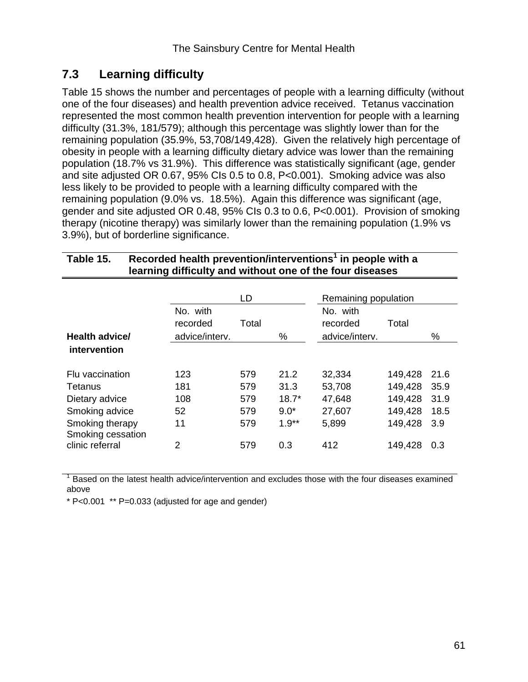# **7.3 Learning difficulty**

Table 15 shows the number and percentages of people with a learning difficulty (without one of the four diseases) and health prevention advice received. Tetanus vaccination represented the most common health prevention intervention for people with a learning difficulty (31.3%, 181/579); although this percentage was slightly lower than for the remaining population (35.9%, 53,708/149,428). Given the relatively high percentage of obesity in people with a learning difficulty dietary advice was lower than the remaining population (18.7% vs 31.9%). This difference was statistically significant (age, gender and site adjusted OR 0.67, 95% CIs 0.5 to 0.8, P<0.001). Smoking advice was also less likely to be provided to people with a learning difficulty compared with the remaining population (9.0% vs. 18.5%). Again this difference was significant (age, gender and site adjusted OR 0.48, 95% CIs 0.3 to 0.6, P<0.001). Provision of smoking therapy (nicotine therapy) was similarly lower than the remaining population (1.9% vs 3.9%), but of borderline significance.

| learning difficulty and without one of the four diseases                                               |                                        |                                 |                                              |                                               |                                                     |                                     |
|--------------------------------------------------------------------------------------------------------|----------------------------------------|---------------------------------|----------------------------------------------|-----------------------------------------------|-----------------------------------------------------|-------------------------------------|
|                                                                                                        |                                        | LD                              |                                              | Remaining population                          |                                                     |                                     |
| Health advice/                                                                                         | No. with<br>recorded<br>advice/interv. | Total                           | %                                            | No. with<br>recorded<br>advice/interv.        | Total                                               | %                                   |
| intervention                                                                                           |                                        |                                 |                                              |                                               |                                                     |                                     |
| Flu vaccination<br>Tetanus<br>Dietary advice<br>Smoking advice<br>Smoking therapy<br>Smoking cessation | 123<br>181<br>108<br>52<br>11          | 579<br>579<br>579<br>579<br>579 | 21.2<br>31.3<br>$18.7*$<br>$9.0*$<br>$1.9**$ | 32,334<br>53,708<br>47,648<br>27,607<br>5,899 | 149,428<br>149,428<br>149,428<br>149,428<br>149,428 | 21.6<br>35.9<br>31.9<br>18.5<br>3.9 |
| clinic referral                                                                                        | 2                                      | 579                             | 0.3                                          | 412                                           | 149,428                                             | 0.3                                 |

| Table 15. | Recorded health prevention/interventions <sup>1</sup> in people with a |
|-----------|------------------------------------------------------------------------|
|           | learning difficulty and without one of the four diseases               |

1 Based on the latest health advice/intervention and excludes those with the four diseases examined above

\* P<0.001 \*\* P=0.033 (adjusted for age and gender)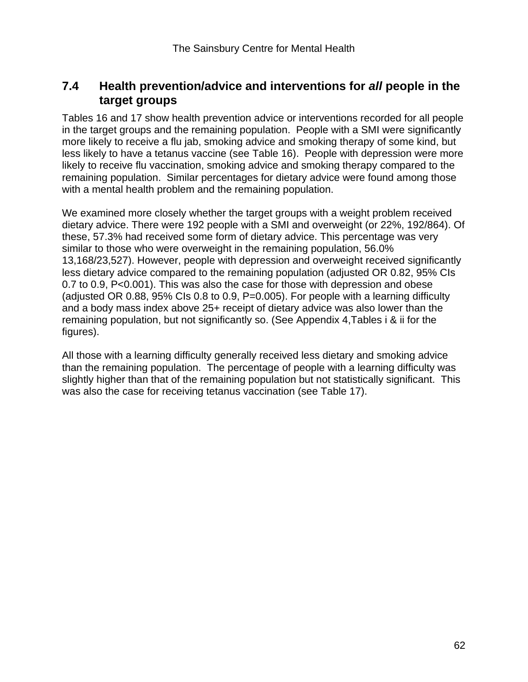## **7.4 Health prevention/advice and interventions for** *all* **people in the target groups**

Tables 16 and 17 show health prevention advice or interventions recorded for all people in the target groups and the remaining population. People with a SMI were significantly more likely to receive a flu jab, smoking advice and smoking therapy of some kind, but less likely to have a tetanus vaccine (see Table 16). People with depression were more likely to receive flu vaccination, smoking advice and smoking therapy compared to the remaining population. Similar percentages for dietary advice were found among those with a mental health problem and the remaining population.

We examined more closely whether the target groups with a weight problem received dietary advice. There were 192 people with a SMI and overweight (or 22%, 192/864). Of these, 57.3% had received some form of dietary advice. This percentage was very similar to those who were overweight in the remaining population, 56.0% 13,168/23,527). However, people with depression and overweight received significantly less dietary advice compared to the remaining population (adjusted OR 0.82, 95% CIs 0.7 to 0.9, P<0.001). This was also the case for those with depression and obese (adjusted OR 0.88, 95% CIs 0.8 to 0.9, P=0.005). For people with a learning difficulty and a body mass index above 25+ receipt of dietary advice was also lower than the remaining population, but not significantly so. (See Appendix 4,Tables i & ii for the figures).

All those with a learning difficulty generally received less dietary and smoking advice than the remaining population. The percentage of people with a learning difficulty was slightly higher than that of the remaining population but not statistically significant. This was also the case for receiving tetanus vaccination (see Table 17).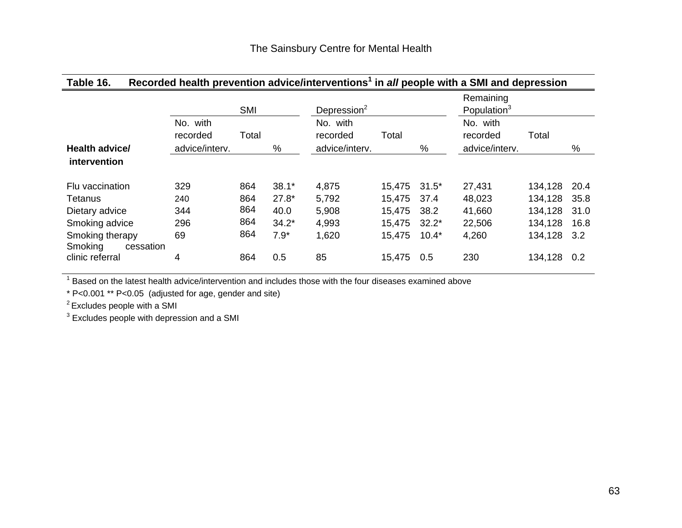# **Table 16. Recorded health prevention advice/interventions1 in** *all* **people with a SMI and depression**

|                                         |                                        | <b>SMI</b> |         | Depression <sup>2</sup>                |        |         | Remaining<br>Population <sup>3</sup>   |         |      |
|-----------------------------------------|----------------------------------------|------------|---------|----------------------------------------|--------|---------|----------------------------------------|---------|------|
| <b>Health advice/</b>                   | No. with<br>recorded<br>advice/interv. | Total      | %       | No. with<br>recorded<br>advice/interv. | Total  | %       | No. with<br>recorded<br>advice/interv. | Total   | $\%$ |
| intervention                            |                                        |            |         |                                        |        |         |                                        |         |      |
| Flu vaccination                         | 329                                    | 864        | $38.1*$ | 4,875                                  | 15,475 | $31.5*$ | 27,431                                 | 134,128 | 20.4 |
| Tetanus                                 | 240                                    | 864        | $27.8*$ | 5,792                                  | 15,475 | 37.4    | 48,023                                 | 134,128 | 35.8 |
| Dietary advice                          | 344                                    | 864        | 40.0    | 5,908                                  | 15,475 | 38.2    | 41,660                                 | 134,128 | 31.0 |
| Smoking advice                          | 296                                    | 864        | $34.2*$ | 4,993                                  | 15,475 | $32.2*$ | 22,506                                 | 134,128 | 16.8 |
| Smoking therapy<br>Smoking<br>cessation | 69                                     | 864        | $7.9*$  | 1,620                                  | 15,475 | $10.4*$ | 4,260                                  | 134,128 | 3.2  |
| clinic referral                         | 4                                      | 864        | 0.5     | 85                                     | 15,475 | 0.5     | 230                                    | 134,128 | 0.2  |

 $^1$  Based on the latest health advice/intervention and includes those with the four diseases examined above

\* P<0.001 \*\* P<0.05 (adjusted for age, gender and site)

2 Excludes people with a SMI

<sup>3</sup> Excludes people with depression and a SMI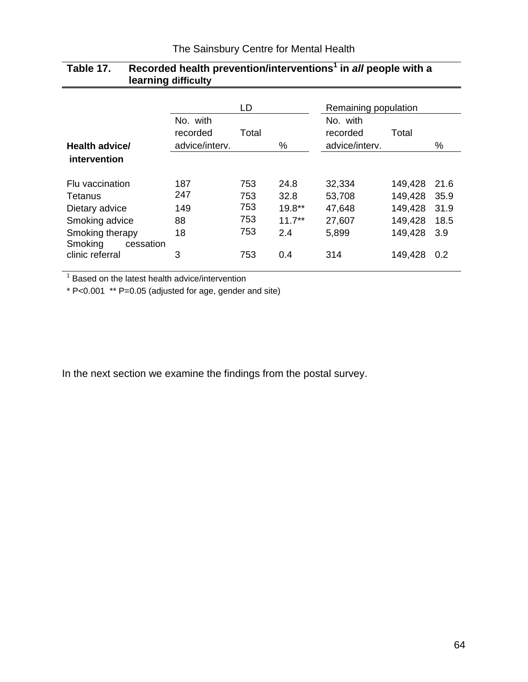|                      |                | LD    |           | Remaining population |         |      |
|----------------------|----------------|-------|-----------|----------------------|---------|------|
|                      | No. with       |       |           | No. with             |         |      |
|                      | recorded       | Total |           | recorded             | Total   |      |
| Health advice/       | advice/interv. |       | %         | advice/interv.       |         | $\%$ |
| intervention         |                |       |           |                      |         |      |
| Flu vaccination      | 187            | 753   | 24.8      | 32,334               | 149,428 | 21.6 |
| Tetanus              | 247            | 753   | 32.8      | 53,708               | 149,428 | 35.9 |
| Dietary advice       | 149            | 753   | $19.8**$  | 47,648               | 149,428 | 31.9 |
| Smoking advice       | 88             | 753   | $11.7***$ | 27,607               | 149,428 | 18.5 |
| Smoking therapy      | 18             | 753   | 2.4       | 5,899                | 149,428 | 3.9  |
| Smoking<br>cessation |                |       |           |                      |         |      |
| clinic referral      | 3              | 753   | 0.4       | 314                  | 149,428 | 0.2  |

## **Table 17.** Recorded health prevention/interventions<sup>1</sup> in all people with a  **learning difficulty**

<sup>1</sup> Based on the latest health advice/intervention

\* P<0.001 \*\* P=0.05 (adjusted for age, gender and site)

In the next section we examine the findings from the postal survey.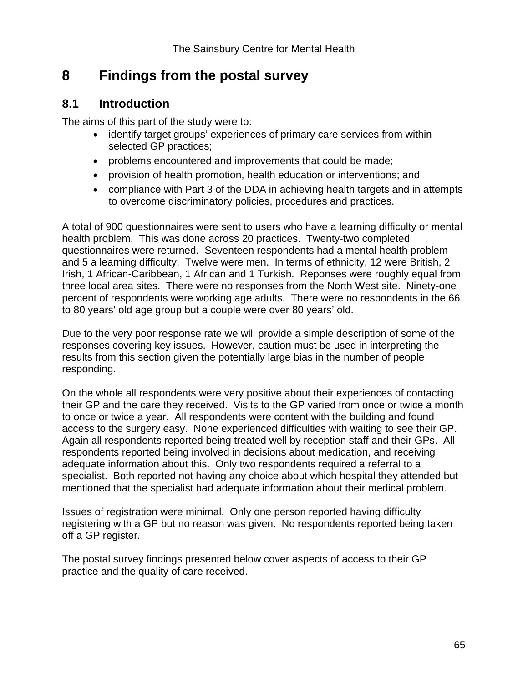# **8 Findings from the postal survey**

## **8.1 Introduction**

The aims of this part of the study were to:

- identify target groups' experiences of primary care services from within selected GP practices;
- problems encountered and improvements that could be made;
- provision of health promotion, health education or interventions; and
- compliance with Part 3 of the DDA in achieving health targets and in attempts to overcome discriminatory policies, procedures and practices.

A total of 900 questionnaires were sent to users who have a learning difficulty or mental health problem. This was done across 20 practices. Twenty-two completed questionnaires were returned. Seventeen respondents had a mental health problem and 5 a learning difficulty. Twelve were men. In terms of ethnicity, 12 were British, 2 Irish, 1 African-Caribbean, 1 African and 1 Turkish. Reponses were roughly equal from three local area sites. There were no responses from the North West site. Ninety-one percent of respondents were working age adults. There were no respondents in the 66 to 80 years' old age group but a couple were over 80 years' old.

Due to the very poor response rate we will provide a simple description of some of the responses covering key issues. However, caution must be used in interpreting the results from this section given the potentially large bias in the number of people responding.

On the whole all respondents were very positive about their experiences of contacting their GP and the care they received. Visits to the GP varied from once or twice a month to once or twice a year. All respondents were content with the building and found access to the surgery easy. None experienced difficulties with waiting to see their GP. Again all respondents reported being treated well by reception staff and their GPs. All respondents reported being involved in decisions about medication, and receiving adequate information about this. Only two respondents required a referral to a specialist. Both reported not having any choice about which hospital they attended but mentioned that the specialist had adequate information about their medical problem.

Issues of registration were minimal. Only one person reported having difficulty registering with a GP but no reason was given. No respondents reported being taken off a GP register.

The postal survey findings presented below cover aspects of access to their GP practice and the quality of care received.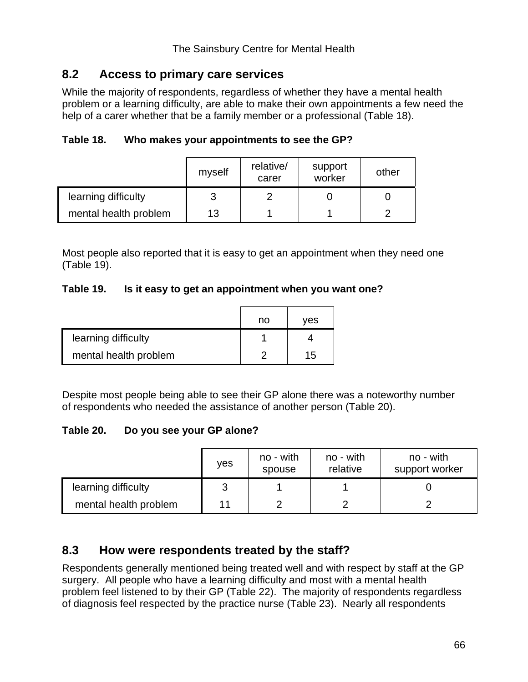# **8.2 Access to primary care services**

While the majority of respondents, regardless of whether they have a mental health problem or a learning difficulty, are able to make their own appointments a few need the help of a carer whether that be a family member or a professional (Table 18).

| Table 18. |  | Who makes your appointments to see the GP? |
|-----------|--|--------------------------------------------|
|           |  |                                            |

|                       | myself | relative/<br>carer | support<br>worker | other |
|-----------------------|--------|--------------------|-------------------|-------|
| learning difficulty   | 3      |                    |                   |       |
| mental health problem | 13     |                    |                   |       |

Most people also reported that it is easy to get an appointment when they need one (Table 19).

## **Table 19. Is it easy to get an appointment when you want one?**

|                       | no | ves |
|-----------------------|----|-----|
| learning difficulty   |    |     |
| mental health problem |    | 15  |

Despite most people being able to see their GP alone there was a noteworthy number of respondents who needed the assistance of another person (Table 20).

## **Table 20. Do you see your GP alone?**

|                       | <b>ves</b> | no - with<br>spouse | no - with<br>relative | no - with<br>support worker |
|-----------------------|------------|---------------------|-----------------------|-----------------------------|
| learning difficulty   |            |                     |                       |                             |
| mental health problem | 11         |                     |                       |                             |

# **8.3 How were respondents treated by the staff?**

Respondents generally mentioned being treated well and with respect by staff at the GP surgery. All people who have a learning difficulty and most with a mental health problem feel listened to by their GP (Table 22). The majority of respondents regardless of diagnosis feel respected by the practice nurse (Table 23). Nearly all respondents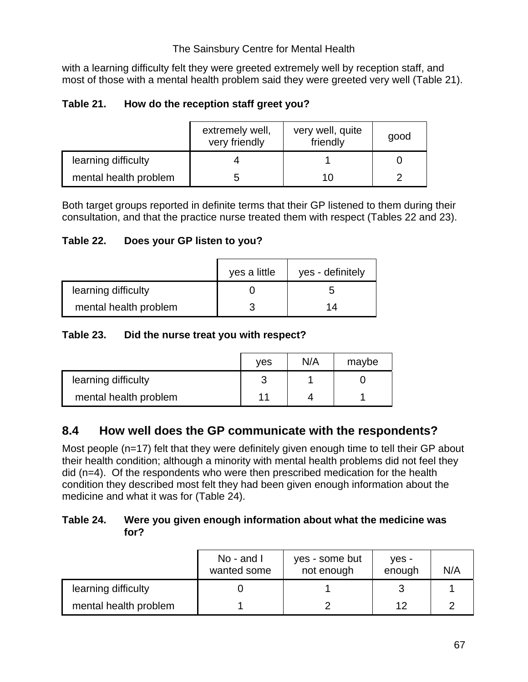with a learning difficulty felt they were greeted extremely well by reception staff, and most of those with a mental health problem said they were greeted very well (Table 21).

## **Table 21. How do the reception staff greet you?**

|                       | extremely well,<br>very friendly | very well, quite<br>friendly | good |
|-----------------------|----------------------------------|------------------------------|------|
| learning difficulty   |                                  |                              |      |
| mental health problem |                                  | 10                           |      |

Both target groups reported in definite terms that their GP listened to them during their consultation, and that the practice nurse treated them with respect (Tables 22 and 23).

## **Table 22. Does your GP listen to you?**

|                       | yes a little | yes - definitely |
|-----------------------|--------------|------------------|
| learning difficulty   |              |                  |
| mental health problem |              | 14               |

## **Table 23. Did the nurse treat you with respect?**

|                       | ves | N/A | maybe |
|-----------------------|-----|-----|-------|
| learning difficulty   |     |     |       |
| mental health problem | 11  |     |       |

# **8.4 How well does the GP communicate with the respondents?**

Most people (n=17) felt that they were definitely given enough time to tell their GP about their health condition; although a minority with mental health problems did not feel they did (n=4). Of the respondents who were then prescribed medication for the health condition they described most felt they had been given enough information about the medicine and what it was for (Table 24).

## **Table 24. Were you given enough information about what the medicine was for?**

|                       | No - and I<br>wanted some | yes - some but<br>not enough | ves -<br>enough | N/A |
|-----------------------|---------------------------|------------------------------|-----------------|-----|
| learning difficulty   |                           |                              |                 |     |
| mental health problem |                           |                              | 12              |     |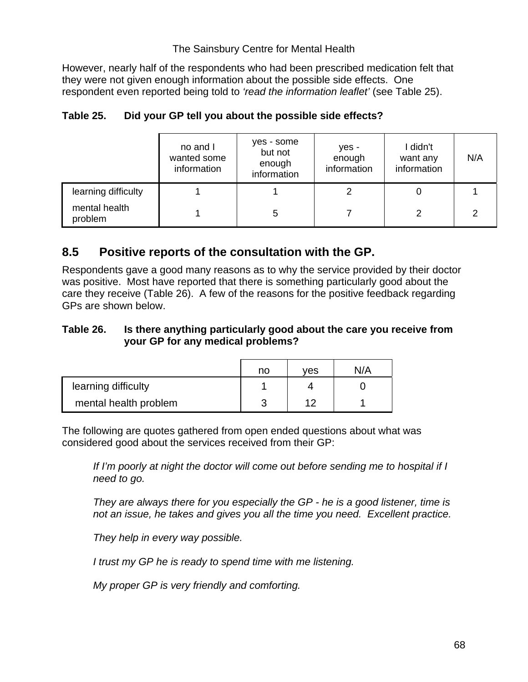However, nearly half of the respondents who had been prescribed medication felt that they were not given enough information about the possible side effects. One respondent even reported being told to *'read the information leaflet'* (see Table 25).

|                          | no and I<br>wanted some<br>information | yes - some<br>but not<br>enough<br>information | yes -<br>enough<br>information | I didn't<br>want any<br>information | N/A |
|--------------------------|----------------------------------------|------------------------------------------------|--------------------------------|-------------------------------------|-----|
| learning difficulty      |                                        |                                                |                                |                                     |     |
| mental health<br>problem |                                        | 5                                              |                                | າ                                   |     |

## **Table 25. Did your GP tell you about the possible side effects?**

# **8.5 Positive reports of the consultation with the GP.**

Respondents gave a good many reasons as to why the service provided by their doctor was positive. Most have reported that there is something particularly good about the care they receive (Table 26). A few of the reasons for the positive feedback regarding GPs are shown below.

## **Table 26. Is there anything particularly good about the care you receive from your GP for any medical problems?**

|                       | no | ves | N/A |
|-----------------------|----|-----|-----|
| learning difficulty   |    |     |     |
| mental health problem |    | ィク  |     |

The following are quotes gathered from open ended questions about what was considered good about the services received from their GP:

*If I'm poorly at night the doctor will come out before sending me to hospital if I need to go.* 

*They are always there for you especially the GP - he is a good listener, time is not an issue, he takes and gives you all the time you need. Excellent practice.* 

*They help in every way possible.* 

*I trust my GP he is ready to spend time with me listening.* 

*My proper GP is very friendly and comforting.*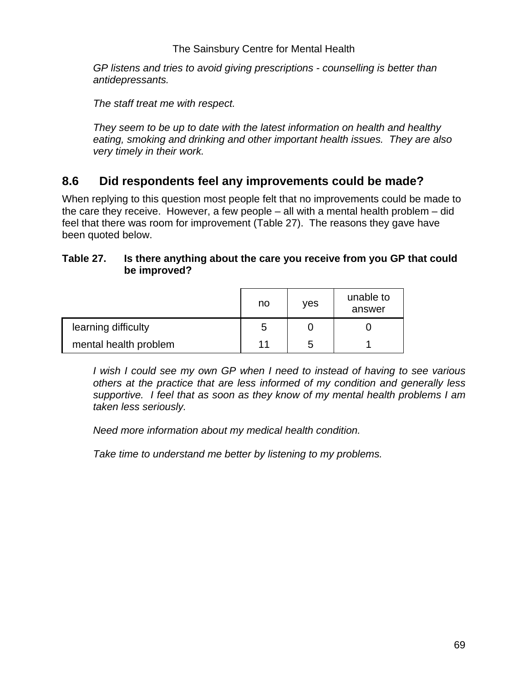*GP listens and tries to avoid giving prescriptions - counselling is better than antidepressants.* 

*The staff treat me with respect.* 

*They seem to be up to date with the latest information on health and healthy eating, smoking and drinking and other important health issues. They are also very timely in their work.* 

# **8.6 Did respondents feel any improvements could be made?**

When replying to this question most people felt that no improvements could be made to the care they receive. However, a few people – all with a mental health problem – did feel that there was room for improvement (Table 27). The reasons they gave have been quoted below.

## **Table 27. Is there anything about the care you receive from you GP that could be improved?**

|                       | no | ves | unable to<br>answer |
|-----------------------|----|-----|---------------------|
| learning difficulty   | 5  |     |                     |
| mental health problem | 11 | 5   |                     |

*I wish I could see my own GP when I need to instead of having to see various others at the practice that are less informed of my condition and generally less supportive. I feel that as soon as they know of my mental health problems I am taken less seriously.* 

*Need more information about my medical health condition.* 

*Take time to understand me better by listening to my problems.*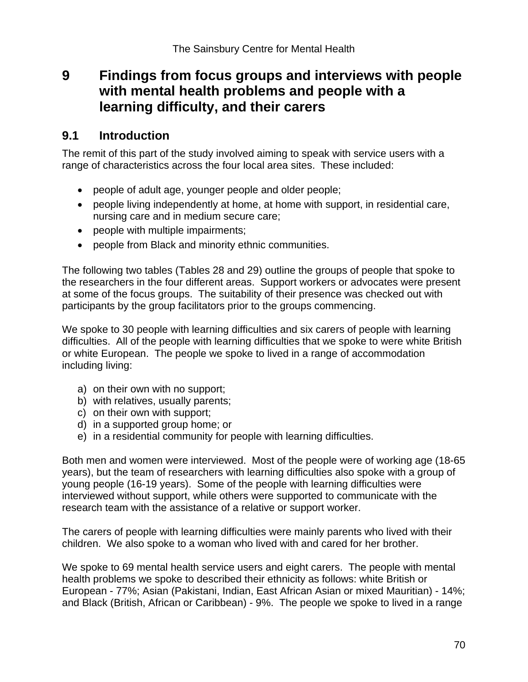# **9 Findings from focus groups and interviews with people with mental health problems and people with a learning difficulty, and their carers**

## **9.1 Introduction**

The remit of this part of the study involved aiming to speak with service users with a range of characteristics across the four local area sites. These included:

- people of adult age, younger people and older people;
- people living independently at home, at home with support, in residential care, nursing care and in medium secure care;
- people with multiple impairments;
- people from Black and minority ethnic communities.

The following two tables (Tables 28 and 29) outline the groups of people that spoke to the researchers in the four different areas. Support workers or advocates were present at some of the focus groups. The suitability of their presence was checked out with participants by the group facilitators prior to the groups commencing.

We spoke to 30 people with learning difficulties and six carers of people with learning difficulties. All of the people with learning difficulties that we spoke to were white British or white European. The people we spoke to lived in a range of accommodation including living:

- a) on their own with no support;
- b) with relatives, usually parents;
- c) on their own with support;
- d) in a supported group home; or
- e) in a residential community for people with learning difficulties.

Both men and women were interviewed. Most of the people were of working age (18-65 years), but the team of researchers with learning difficulties also spoke with a group of young people (16-19 years). Some of the people with learning difficulties were interviewed without support, while others were supported to communicate with the research team with the assistance of a relative or support worker.

The carers of people with learning difficulties were mainly parents who lived with their children. We also spoke to a woman who lived with and cared for her brother.

We spoke to 69 mental health service users and eight carers. The people with mental health problems we spoke to described their ethnicity as follows: white British or European - 77%; Asian (Pakistani, Indian, East African Asian or mixed Mauritian) - 14%; and Black (British, African or Caribbean) - 9%. The people we spoke to lived in a range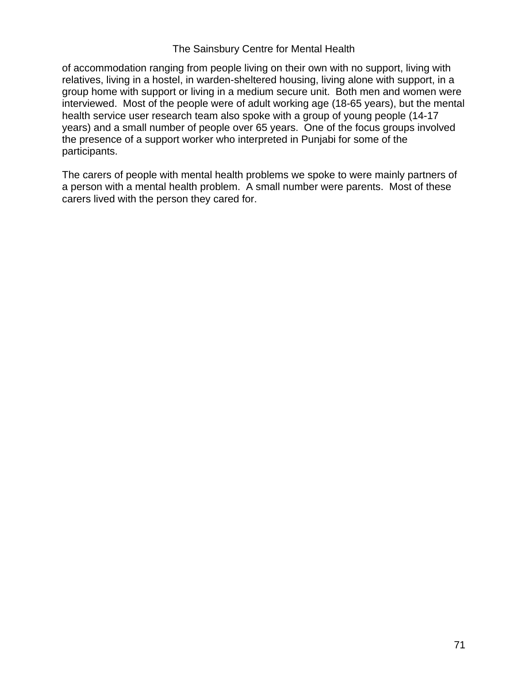of accommodation ranging from people living on their own with no support, living with relatives, living in a hostel, in warden-sheltered housing, living alone with support, in a group home with support or living in a medium secure unit. Both men and women were interviewed. Most of the people were of adult working age (18-65 years), but the mental health service user research team also spoke with a group of young people (14-17 years) and a small number of people over 65 years. One of the focus groups involved the presence of a support worker who interpreted in Punjabi for some of the participants.

The carers of people with mental health problems we spoke to were mainly partners of a person with a mental health problem. A small number were parents. Most of these carers lived with the person they cared for.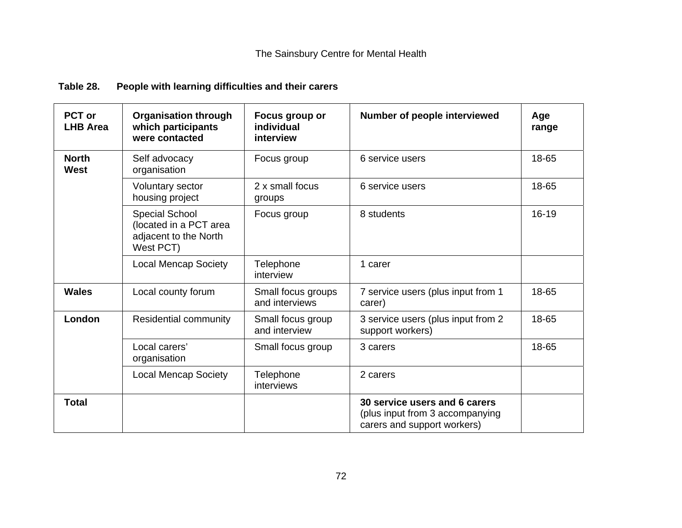# **Table 28. People with learning difficulties and their carers**

| <b>PCT or</b><br><b>LHB Area</b> | <b>Organisation through</b><br>which participants<br>were contacted            | Focus group or<br>individual<br>interview | Number of people interviewed                                                                    | Age<br>range |
|----------------------------------|--------------------------------------------------------------------------------|-------------------------------------------|-------------------------------------------------------------------------------------------------|--------------|
| <b>North</b><br><b>West</b>      | Self advocacy<br>organisation                                                  | Focus group                               | 6 service users                                                                                 | 18-65        |
|                                  | <b>Voluntary sector</b><br>housing project                                     | 2 x small focus<br>groups                 | 6 service users                                                                                 | 18-65        |
|                                  | Special School<br>(located in a PCT area<br>adjacent to the North<br>West PCT) | Focus group                               | 8 students                                                                                      | 16-19        |
|                                  | <b>Local Mencap Society</b>                                                    | Telephone<br>interview                    | 1 carer                                                                                         |              |
| <b>Wales</b>                     | Local county forum                                                             | Small focus groups<br>and interviews      | 7 service users (plus input from 1<br>carer)                                                    | 18-65        |
| London                           | <b>Residential community</b>                                                   | Small focus group<br>and interview        | 3 service users (plus input from 2<br>support workers)                                          | 18-65        |
|                                  | Local carers'<br>organisation                                                  | Small focus group                         | 3 carers                                                                                        | 18-65        |
|                                  | <b>Local Mencap Society</b>                                                    | <b>Telephone</b><br>interviews            | 2 carers                                                                                        |              |
| <b>Total</b>                     |                                                                                |                                           | 30 service users and 6 carers<br>(plus input from 3 accompanying<br>carers and support workers) |              |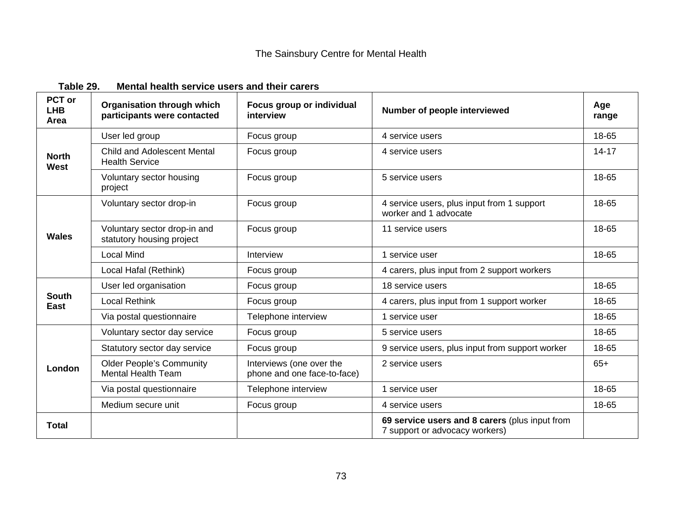| PCT or<br><b>LHB</b><br>Area | <b>Organisation through which</b><br>participants were contacted | Focus group or individual<br>interview                  | Number of people interviewed                                                     | Age<br>range |
|------------------------------|------------------------------------------------------------------|---------------------------------------------------------|----------------------------------------------------------------------------------|--------------|
| <b>North</b><br>West         | User led group                                                   | Focus group                                             | 4 service users                                                                  | 18-65        |
|                              | <b>Child and Adolescent Mental</b><br><b>Health Service</b>      | Focus group                                             | 4 service users                                                                  | $14 - 17$    |
|                              | Voluntary sector housing<br>project                              | Focus group                                             | 5 service users                                                                  | 18-65        |
| <b>Wales</b>                 | Voluntary sector drop-in                                         | Focus group                                             | 4 service users, plus input from 1 support<br>worker and 1 advocate              | 18-65        |
|                              | Voluntary sector drop-in and<br>statutory housing project        | Focus group                                             | 11 service users                                                                 | 18-65        |
|                              | <b>Local Mind</b>                                                | Interview                                               | 1 service user                                                                   | 18-65        |
|                              | Local Hafal (Rethink)                                            | Focus group                                             | 4 carers, plus input from 2 support workers                                      |              |
| <b>South</b><br>East         | User led organisation                                            | Focus group                                             | 18 service users                                                                 | 18-65        |
|                              | <b>Local Rethink</b>                                             | Focus group                                             | 4 carers, plus input from 1 support worker                                       | 18-65        |
|                              | Via postal questionnaire                                         | Telephone interview                                     | 1 service user                                                                   | 18-65        |
| London                       | Voluntary sector day service                                     | Focus group                                             | 5 service users                                                                  | 18-65        |
|                              | Statutory sector day service                                     | Focus group                                             | 9 service users, plus input from support worker                                  | 18-65        |
|                              | <b>Older People's Community</b><br><b>Mental Health Team</b>     | Interviews (one over the<br>phone and one face-to-face) | 2 service users                                                                  | $65+$        |
|                              | Via postal questionnaire                                         | Telephone interview                                     | 1 service user                                                                   | 18-65        |
|                              | Medium secure unit                                               | Focus group                                             | 4 service users                                                                  | 18-65        |
| <b>Total</b>                 |                                                                  |                                                         | 69 service users and 8 carers (plus input from<br>7 support or advocacy workers) |              |

#### **Table 29. Mental health service users and their carers**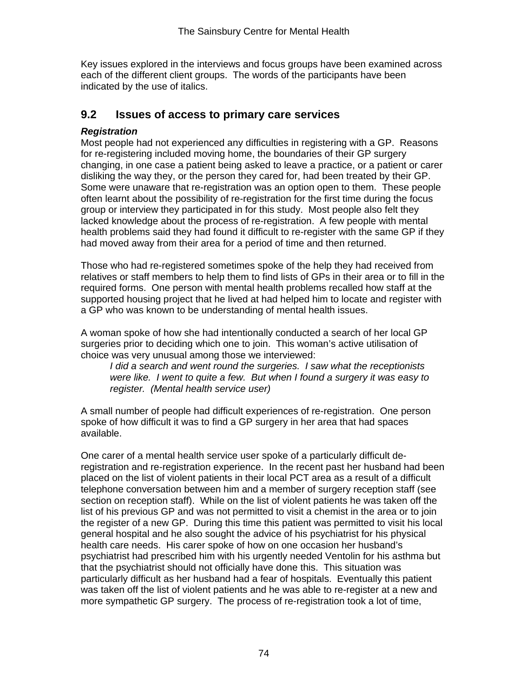Key issues explored in the interviews and focus groups have been examined across each of the different client groups. The words of the participants have been indicated by the use of italics.

## **9.2 Issues of access to primary care services**

## *Registration*

Most people had not experienced any difficulties in registering with a GP. Reasons for re-registering included moving home, the boundaries of their GP surgery changing, in one case a patient being asked to leave a practice, or a patient or carer disliking the way they, or the person they cared for, had been treated by their GP. Some were unaware that re-registration was an option open to them. These people often learnt about the possibility of re-registration for the first time during the focus group or interview they participated in for this study. Most people also felt they lacked knowledge about the process of re-registration. A few people with mental health problems said they had found it difficult to re-register with the same GP if they had moved away from their area for a period of time and then returned.

Those who had re-registered sometimes spoke of the help they had received from relatives or staff members to help them to find lists of GPs in their area or to fill in the required forms. One person with mental health problems recalled how staff at the supported housing project that he lived at had helped him to locate and register with a GP who was known to be understanding of mental health issues.

A woman spoke of how she had intentionally conducted a search of her local GP surgeries prior to deciding which one to join. This woman's active utilisation of choice was very unusual among those we interviewed:

*I did a search and went round the surgeries. I saw what the receptionists were like. I went to quite a few. But when I found a surgery it was easy to register. (Mental health service user)* 

A small number of people had difficult experiences of re-registration. One person spoke of how difficult it was to find a GP surgery in her area that had spaces available.

One carer of a mental health service user spoke of a particularly difficult deregistration and re-registration experience. In the recent past her husband had been placed on the list of violent patients in their local PCT area as a result of a difficult telephone conversation between him and a member of surgery reception staff (see section on reception staff). While on the list of violent patients he was taken off the list of his previous GP and was not permitted to visit a chemist in the area or to join the register of a new GP. During this time this patient was permitted to visit his local general hospital and he also sought the advice of his psychiatrist for his physical health care needs. His carer spoke of how on one occasion her husband's psychiatrist had prescribed him with his urgently needed Ventolin for his asthma but that the psychiatrist should not officially have done this. This situation was particularly difficult as her husband had a fear of hospitals. Eventually this patient was taken off the list of violent patients and he was able to re-register at a new and more sympathetic GP surgery. The process of re-registration took a lot of time,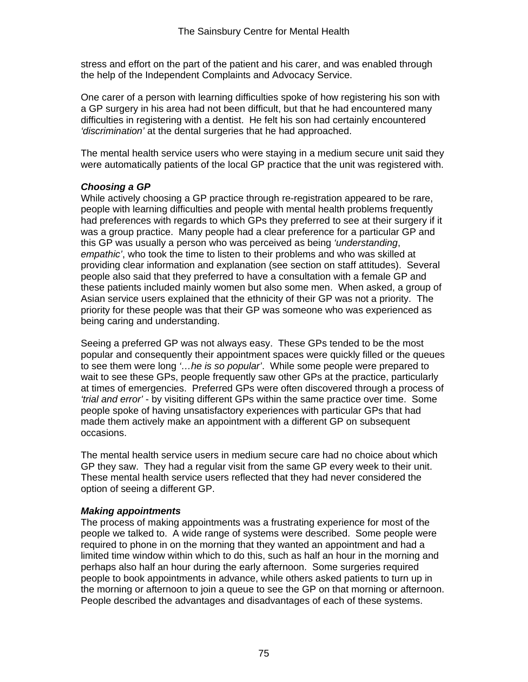stress and effort on the part of the patient and his carer, and was enabled through the help of the Independent Complaints and Advocacy Service.

One carer of a person with learning difficulties spoke of how registering his son with a GP surgery in his area had not been difficult, but that he had encountered many difficulties in registering with a dentist. He felt his son had certainly encountered *'discrimination'* at the dental surgeries that he had approached.

The mental health service users who were staying in a medium secure unit said they were automatically patients of the local GP practice that the unit was registered with.

#### *Choosing a GP*

While actively choosing a GP practice through re-registration appeared to be rare, people with learning difficulties and people with mental health problems frequently had preferences with regards to which GPs they preferred to see at their surgery if it was a group practice. Many people had a clear preference for a particular GP and this GP was usually a person who was perceived as being *'understanding*, *empathic'*, who took the time to listen to their problems and who was skilled at providing clear information and explanation (see section on staff attitudes). Several people also said that they preferred to have a consultation with a female GP and these patients included mainly women but also some men. When asked, a group of Asian service users explained that the ethnicity of their GP was not a priority. The priority for these people was that their GP was someone who was experienced as being caring and understanding.

Seeing a preferred GP was not always easy. These GPs tended to be the most popular and consequently their appointment spaces were quickly filled or the queues to see them were long *'…he is so popular'*. While some people were prepared to wait to see these GPs, people frequently saw other GPs at the practice, particularly at times of emergencies. Preferred GPs were often discovered through a process of *'trial and error'* - by visiting different GPs within the same practice over time. Some people spoke of having unsatisfactory experiences with particular GPs that had made them actively make an appointment with a different GP on subsequent occasions.

The mental health service users in medium secure care had no choice about which GP they saw. They had a regular visit from the same GP every week to their unit. These mental health service users reflected that they had never considered the option of seeing a different GP.

#### *Making appointments*

The process of making appointments was a frustrating experience for most of the people we talked to. A wide range of systems were described. Some people were required to phone in on the morning that they wanted an appointment and had a limited time window within which to do this, such as half an hour in the morning and perhaps also half an hour during the early afternoon. Some surgeries required people to book appointments in advance, while others asked patients to turn up in the morning or afternoon to join a queue to see the GP on that morning or afternoon. People described the advantages and disadvantages of each of these systems.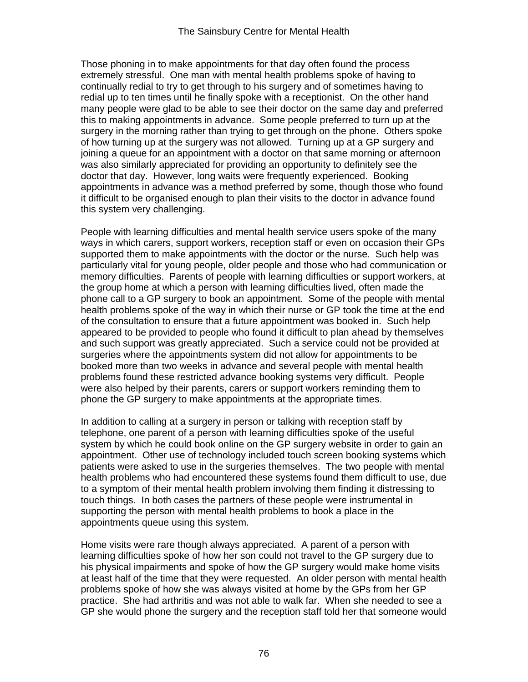Those phoning in to make appointments for that day often found the process extremely stressful. One man with mental health problems spoke of having to continually redial to try to get through to his surgery and of sometimes having to redial up to ten times until he finally spoke with a receptionist. On the other hand many people were glad to be able to see their doctor on the same day and preferred this to making appointments in advance. Some people preferred to turn up at the surgery in the morning rather than trying to get through on the phone. Others spoke of how turning up at the surgery was not allowed. Turning up at a GP surgery and joining a queue for an appointment with a doctor on that same morning or afternoon was also similarly appreciated for providing an opportunity to definitely see the doctor that day. However, long waits were frequently experienced. Booking appointments in advance was a method preferred by some, though those who found it difficult to be organised enough to plan their visits to the doctor in advance found this system very challenging.

People with learning difficulties and mental health service users spoke of the many ways in which carers, support workers, reception staff or even on occasion their GPs supported them to make appointments with the doctor or the nurse. Such help was particularly vital for young people, older people and those who had communication or memory difficulties. Parents of people with learning difficulties or support workers, at the group home at which a person with learning difficulties lived, often made the phone call to a GP surgery to book an appointment. Some of the people with mental health problems spoke of the way in which their nurse or GP took the time at the end of the consultation to ensure that a future appointment was booked in. Such help appeared to be provided to people who found it difficult to plan ahead by themselves and such support was greatly appreciated. Such a service could not be provided at surgeries where the appointments system did not allow for appointments to be booked more than two weeks in advance and several people with mental health problems found these restricted advance booking systems very difficult. People were also helped by their parents, carers or support workers reminding them to phone the GP surgery to make appointments at the appropriate times.

In addition to calling at a surgery in person or talking with reception staff by telephone, one parent of a person with learning difficulties spoke of the useful system by which he could book online on the GP surgery website in order to gain an appointment. Other use of technology included touch screen booking systems which patients were asked to use in the surgeries themselves. The two people with mental health problems who had encountered these systems found them difficult to use, due to a symptom of their mental health problem involving them finding it distressing to touch things. In both cases the partners of these people were instrumental in supporting the person with mental health problems to book a place in the appointments queue using this system.

Home visits were rare though always appreciated. A parent of a person with learning difficulties spoke of how her son could not travel to the GP surgery due to his physical impairments and spoke of how the GP surgery would make home visits at least half of the time that they were requested. An older person with mental health problems spoke of how she was always visited at home by the GPs from her GP practice. She had arthritis and was not able to walk far. When she needed to see a GP she would phone the surgery and the reception staff told her that someone would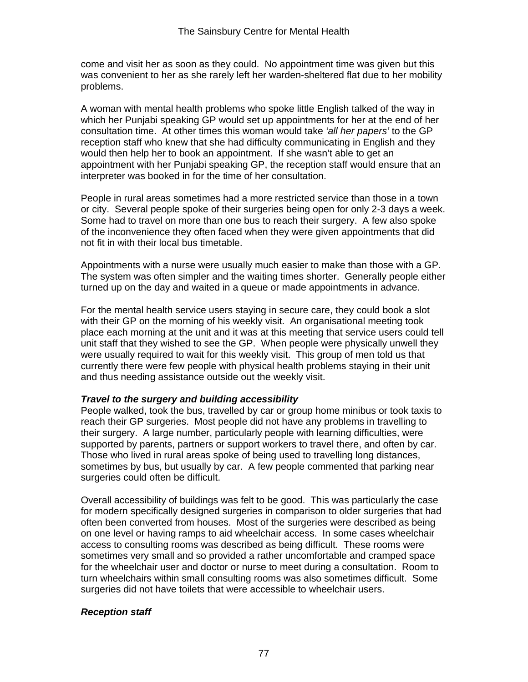come and visit her as soon as they could. No appointment time was given but this was convenient to her as she rarely left her warden-sheltered flat due to her mobility problems.

A woman with mental health problems who spoke little English talked of the way in which her Punjabi speaking GP would set up appointments for her at the end of her consultation time. At other times this woman would take *'all her papers'* to the GP reception staff who knew that she had difficulty communicating in English and they would then help her to book an appointment. If she wasn't able to get an appointment with her Punjabi speaking GP, the reception staff would ensure that an interpreter was booked in for the time of her consultation.

People in rural areas sometimes had a more restricted service than those in a town or city. Several people spoke of their surgeries being open for only 2-3 days a week. Some had to travel on more than one bus to reach their surgery. A few also spoke of the inconvenience they often faced when they were given appointments that did not fit in with their local bus timetable.

Appointments with a nurse were usually much easier to make than those with a GP. The system was often simpler and the waiting times shorter. Generally people either turned up on the day and waited in a queue or made appointments in advance.

For the mental health service users staying in secure care, they could book a slot with their GP on the morning of his weekly visit. An organisational meeting took place each morning at the unit and it was at this meeting that service users could tell unit staff that they wished to see the GP. When people were physically unwell they were usually required to wait for this weekly visit. This group of men told us that currently there were few people with physical health problems staying in their unit and thus needing assistance outside out the weekly visit.

#### *Travel to the surgery and building accessibility*

People walked, took the bus, travelled by car or group home minibus or took taxis to reach their GP surgeries. Most people did not have any problems in travelling to their surgery. A large number, particularly people with learning difficulties, were supported by parents, partners or support workers to travel there, and often by car. Those who lived in rural areas spoke of being used to travelling long distances, sometimes by bus, but usually by car. A few people commented that parking near surgeries could often be difficult.

Overall accessibility of buildings was felt to be good. This was particularly the case for modern specifically designed surgeries in comparison to older surgeries that had often been converted from houses. Most of the surgeries were described as being on one level or having ramps to aid wheelchair access. In some cases wheelchair access to consulting rooms was described as being difficult. These rooms were sometimes very small and so provided a rather uncomfortable and cramped space for the wheelchair user and doctor or nurse to meet during a consultation. Room to turn wheelchairs within small consulting rooms was also sometimes difficult. Some surgeries did not have toilets that were accessible to wheelchair users.

#### *Reception staff*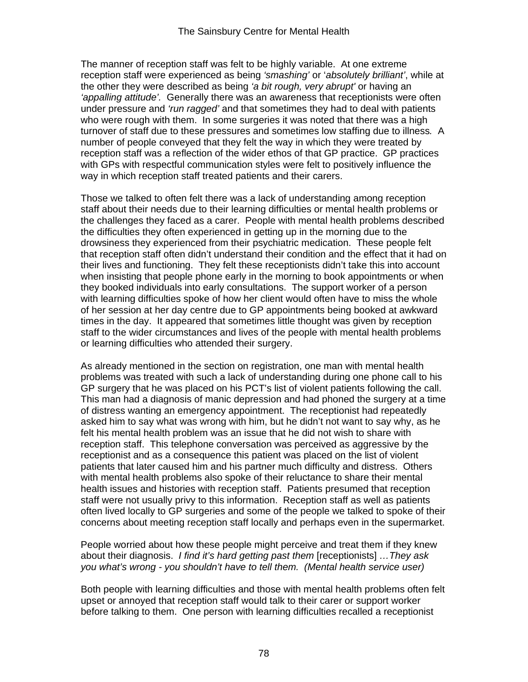The manner of reception staff was felt to be highly variable. At one extreme reception staff were experienced as being *'smashing'* or '*absolutely brilliant'*, while at the other they were described as being *'a bit rough, very abrupt'* or having an *'appalling attitude'.* Generally there was an awareness that receptionists were often under pressure and *'run ragged'* and that sometimes they had to deal with patients who were rough with them. In some surgeries it was noted that there was a high turnover of staff due to these pressures and sometimes low staffing due to illness*.* A number of people conveyed that they felt the way in which they were treated by reception staff was a reflection of the wider ethos of that GP practice. GP practices with GPs with respectful communication styles were felt to positively influence the way in which reception staff treated patients and their carers.

Those we talked to often felt there was a lack of understanding among reception staff about their needs due to their learning difficulties or mental health problems or the challenges they faced as a carer. People with mental health problems described the difficulties they often experienced in getting up in the morning due to the drowsiness they experienced from their psychiatric medication. These people felt that reception staff often didn't understand their condition and the effect that it had on their lives and functioning. They felt these receptionists didn't take this into account when insisting that people phone early in the morning to book appointments or when they booked individuals into early consultations. The support worker of a person with learning difficulties spoke of how her client would often have to miss the whole of her session at her day centre due to GP appointments being booked at awkward times in the day. It appeared that sometimes little thought was given by reception staff to the wider circumstances and lives of the people with mental health problems or learning difficulties who attended their surgery.

As already mentioned in the section on registration, one man with mental health problems was treated with such a lack of understanding during one phone call to his GP surgery that he was placed on his PCT's list of violent patients following the call. This man had a diagnosis of manic depression and had phoned the surgery at a time of distress wanting an emergency appointment. The receptionist had repeatedly asked him to say what was wrong with him, but he didn't not want to say why, as he felt his mental health problem was an issue that he did not wish to share with reception staff. This telephone conversation was perceived as aggressive by the receptionist and as a consequence this patient was placed on the list of violent patients that later caused him and his partner much difficulty and distress. Others with mental health problems also spoke of their reluctance to share their mental health issues and histories with reception staff. Patients presumed that reception staff were not usually privy to this information. Reception staff as well as patients often lived locally to GP surgeries and some of the people we talked to spoke of their concerns about meeting reception staff locally and perhaps even in the supermarket.

People worried about how these people might perceive and treat them if they knew about their diagnosis. *I find it's hard getting past them* [receptionists] *…They ask you what's wrong - you shouldn't have to tell them. (Mental health service user)*

Both people with learning difficulties and those with mental health problems often felt upset or annoyed that reception staff would talk to their carer or support worker before talking to them. One person with learning difficulties recalled a receptionist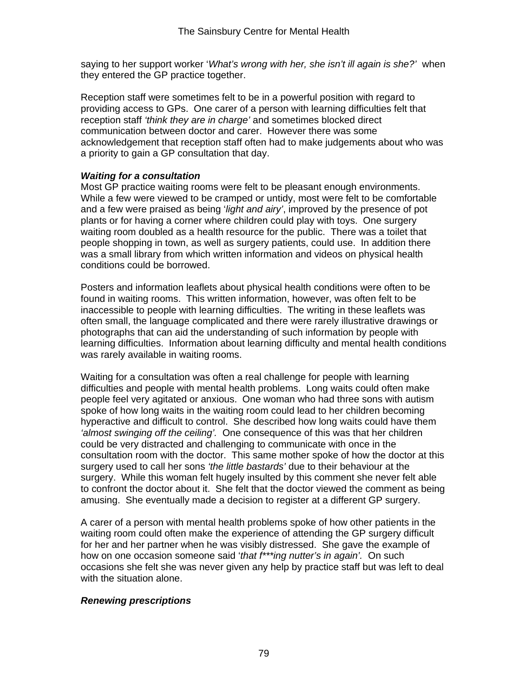saying to her support worker '*What's wrong with her, she isn't ill again is she?'* when they entered the GP practice together.

Reception staff were sometimes felt to be in a powerful position with regard to providing access to GPs. One carer of a person with learning difficulties felt that reception staff *'think they are in charge'* and sometimes blocked direct communication between doctor and carer. However there was some acknowledgement that reception staff often had to make judgements about who was a priority to gain a GP consultation that day.

#### *Waiting for a consultation*

Most GP practice waiting rooms were felt to be pleasant enough environments. While a few were viewed to be cramped or untidy, most were felt to be comfortable and a few were praised as being '*light and airy'*, improved by the presence of pot plants or for having a corner where children could play with toys. One surgery waiting room doubled as a health resource for the public. There was a toilet that people shopping in town, as well as surgery patients, could use. In addition there was a small library from which written information and videos on physical health conditions could be borrowed.

Posters and information leaflets about physical health conditions were often to be found in waiting rooms. This written information, however, was often felt to be inaccessible to people with learning difficulties. The writing in these leaflets was often small, the language complicated and there were rarely illustrative drawings or photographs that can aid the understanding of such information by people with learning difficulties. Information about learning difficulty and mental health conditions was rarely available in waiting rooms.

Waiting for a consultation was often a real challenge for people with learning difficulties and people with mental health problems. Long waits could often make people feel very agitated or anxious. One woman who had three sons with autism spoke of how long waits in the waiting room could lead to her children becoming hyperactive and difficult to control. She described how long waits could have them *'almost swinging off the ceiling'.* One consequence of this was that her children could be very distracted and challenging to communicate with once in the consultation room with the doctor. This same mother spoke of how the doctor at this surgery used to call her sons *'the little bastards'* due to their behaviour at the surgery. While this woman felt hugely insulted by this comment she never felt able to confront the doctor about it. She felt that the doctor viewed the comment as being amusing. She eventually made a decision to register at a different GP surgery.

A carer of a person with mental health problems spoke of how other patients in the waiting room could often make the experience of attending the GP surgery difficult for her and her partner when he was visibly distressed. She gave the example of how on one occasion someone said '*that f\*\*\*ing nutter's in again'.* On such occasions she felt she was never given any help by practice staff but was left to deal with the situation alone.

#### *Renewing prescriptions*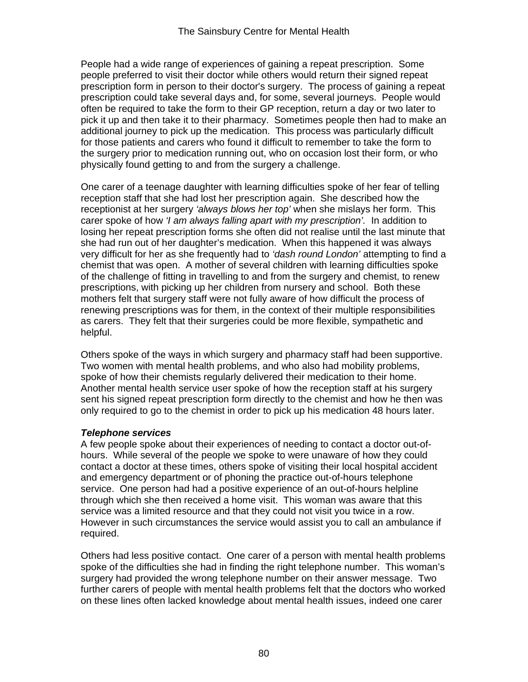People had a wide range of experiences of gaining a repeat prescription. Some people preferred to visit their doctor while others would return their signed repeat prescription form in person to their doctor's surgery. The process of gaining a repeat prescription could take several days and, for some, several journeys. People would often be required to take the form to their GP reception, return a day or two later to pick it up and then take it to their pharmacy. Sometimes people then had to make an additional journey to pick up the medication. This process was particularly difficult for those patients and carers who found it difficult to remember to take the form to the surgery prior to medication running out, who on occasion lost their form, or who physically found getting to and from the surgery a challenge.

One carer of a teenage daughter with learning difficulties spoke of her fear of telling reception staff that she had lost her prescription again. She described how the receptionist at her surgery *'always blows her top'* when she mislays her form. This carer spoke of how *'I am always falling apart with my prescription'.* In addition to losing her repeat prescription forms she often did not realise until the last minute that she had run out of her daughter's medication. When this happened it was always very difficult for her as she frequently had to *'dash round London'* attempting to find a chemist that was open. A mother of several children with learning difficulties spoke of the challenge of fitting in travelling to and from the surgery and chemist, to renew prescriptions, with picking up her children from nursery and school. Both these mothers felt that surgery staff were not fully aware of how difficult the process of renewing prescriptions was for them, in the context of their multiple responsibilities as carers. They felt that their surgeries could be more flexible, sympathetic and helpful.

Others spoke of the ways in which surgery and pharmacy staff had been supportive. Two women with mental health problems, and who also had mobility problems, spoke of how their chemists regularly delivered their medication to their home. Another mental health service user spoke of how the reception staff at his surgery sent his signed repeat prescription form directly to the chemist and how he then was only required to go to the chemist in order to pick up his medication 48 hours later.

#### *Telephone services*

A few people spoke about their experiences of needing to contact a doctor out-ofhours. While several of the people we spoke to were unaware of how they could contact a doctor at these times, others spoke of visiting their local hospital accident and emergency department or of phoning the practice out-of-hours telephone service. One person had had a positive experience of an out-of-hours helpline through which she then received a home visit. This woman was aware that this service was a limited resource and that they could not visit you twice in a row. However in such circumstances the service would assist you to call an ambulance if required.

Others had less positive contact. One carer of a person with mental health problems spoke of the difficulties she had in finding the right telephone number. This woman's surgery had provided the wrong telephone number on their answer message. Two further carers of people with mental health problems felt that the doctors who worked on these lines often lacked knowledge about mental health issues, indeed one carer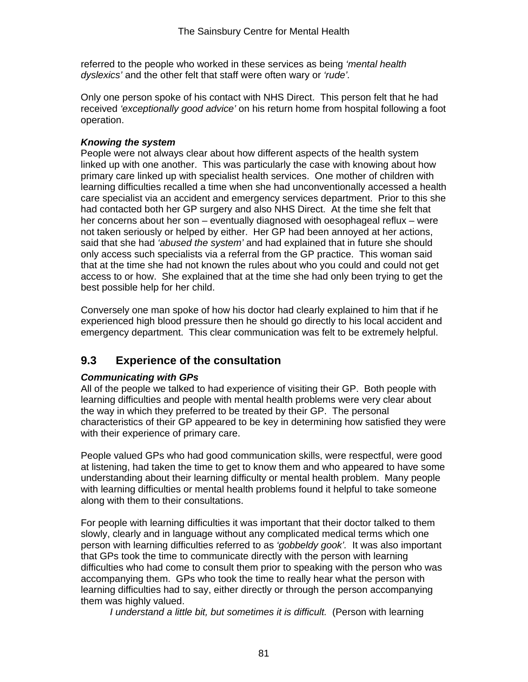referred to the people who worked in these services as being *'mental health dyslexics'* and the other felt that staff were often wary or *'rude'.* 

Only one person spoke of his contact with NHS Direct. This person felt that he had received *'exceptionally good advice'* on his return home from hospital following a foot operation.

## *Knowing the system*

People were not always clear about how different aspects of the health system linked up with one another. This was particularly the case with knowing about how primary care linked up with specialist health services. One mother of children with learning difficulties recalled a time when she had unconventionally accessed a health care specialist via an accident and emergency services department. Prior to this she had contacted both her GP surgery and also NHS Direct. At the time she felt that her concerns about her son – eventually diagnosed with oesophageal reflux – were not taken seriously or helped by either. Her GP had been annoyed at her actions, said that she had *'abused the system'* and had explained that in future she should only access such specialists via a referral from the GP practice. This woman said that at the time she had not known the rules about who you could and could not get access to or how. She explained that at the time she had only been trying to get the best possible help for her child.

Conversely one man spoke of how his doctor had clearly explained to him that if he experienced high blood pressure then he should go directly to his local accident and emergency department. This clear communication was felt to be extremely helpful.

# **9.3 Experience of the consultation**

## *Communicating with GPs*

All of the people we talked to had experience of visiting their GP. Both people with learning difficulties and people with mental health problems were very clear about the way in which they preferred to be treated by their GP. The personal characteristics of their GP appeared to be key in determining how satisfied they were with their experience of primary care.

People valued GPs who had good communication skills, were respectful, were good at listening, had taken the time to get to know them and who appeared to have some understanding about their learning difficulty or mental health problem. Many people with learning difficulties or mental health problems found it helpful to take someone along with them to their consultations.

For people with learning difficulties it was important that their doctor talked to them slowly, clearly and in language without any complicated medical terms which one person with learning difficulties referred to as *'gobbeldy gook'.* It was also important that GPs took the time to communicate directly with the person with learning difficulties who had come to consult them prior to speaking with the person who was accompanying them. GPs who took the time to really hear what the person with learning difficulties had to say, either directly or through the person accompanying them was highly valued.

*I understand a little bit, but sometimes it is difficult.* (Person with learning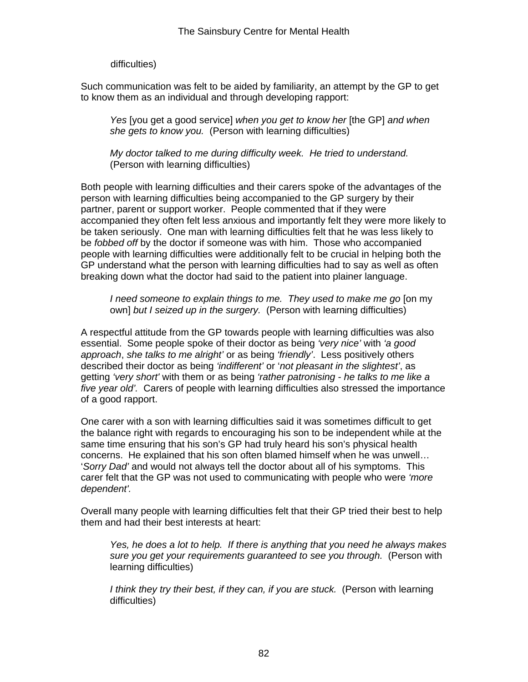#### difficulties)

Such communication was felt to be aided by familiarity, an attempt by the GP to get to know them as an individual and through developing rapport:

*Yes* [you get a good service] *when you get to know her* [the GP] *and when she gets to know you.* (Person with learning difficulties)

*My doctor talked to me during difficulty week. He tried to understand.*  (Person with learning difficulties)

Both people with learning difficulties and their carers spoke of the advantages of the person with learning difficulties being accompanied to the GP surgery by their partner, parent or support worker. People commented that if they were accompanied they often felt less anxious and importantly felt they were more likely to be taken seriously. One man with learning difficulties felt that he was less likely to be *fobbed off* by the doctor if someone was with him. Those who accompanied people with learning difficulties were additionally felt to be crucial in helping both the GP understand what the person with learning difficulties had to say as well as often breaking down what the doctor had said to the patient into plainer language.

*I need someone to explain things to me. They used to make me go* [on my own] *but I seized up in the surgery.* (Person with learning difficulties)

A respectful attitude from the GP towards people with learning difficulties was also essential. Some people spoke of their doctor as being *'very nice'* with *'a good approach*, *she talks to me alright'* or as being *'friendly'*. Less positively others described their doctor as being *'indifferent'* or '*not pleasant in the slightest'*, as getting *'very short'* with them or as being *'rather patronising - he talks to me like a five year old'.* Carers of people with learning difficulties also stressed the importance of a good rapport.

One carer with a son with learning difficulties said it was sometimes difficult to get the balance right with regards to encouraging his son to be independent while at the same time ensuring that his son's GP had truly heard his son's physical health concerns. He explained that his son often blamed himself when he was unwell… '*Sorry Dad'* and would not always tell the doctor about all of his symptoms. This carer felt that the GP was not used to communicating with people who were *'more dependent'.* 

Overall many people with learning difficulties felt that their GP tried their best to help them and had their best interests at heart:

*Yes, he does a lot to help. If there is anything that you need he always makes sure you get your requirements guaranteed to see you through.* (Person with learning difficulties)

*I think they try their best, if they can, if you are stuck.* (Person with learning difficulties)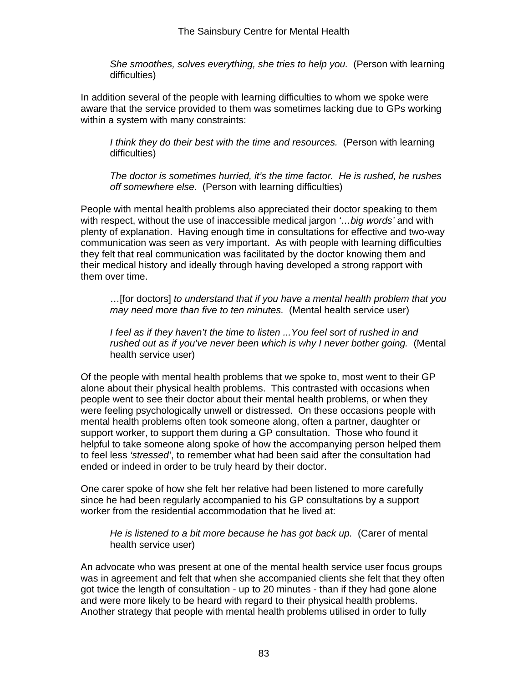*She smoothes, solves everything, she tries to help you.* (Person with learning difficulties)

In addition several of the people with learning difficulties to whom we spoke were aware that the service provided to them was sometimes lacking due to GPs working within a system with many constraints:

*I think they do their best with the time and resources.* (Person with learning difficulties)

*The doctor is sometimes hurried, it's the time factor. He is rushed, he rushes off somewhere else.* (Person with learning difficulties)

People with mental health problems also appreciated their doctor speaking to them with respect, without the use of inaccessible medical jargon *'…big words'* and with plenty of explanation. Having enough time in consultations for effective and two-way communication was seen as very important. As with people with learning difficulties they felt that real communication was facilitated by the doctor knowing them and their medical history and ideally through having developed a strong rapport with them over time.

…[for doctors] *to understand that if you have a mental health problem that you may need more than five to ten minutes.* (Mental health service user)

*I feel as if they haven't the time to listen ...You feel sort of rushed in and rushed out as if you've never been which is why I never bother going.* (Mental health service user)

Of the people with mental health problems that we spoke to, most went to their GP alone about their physical health problems. This contrasted with occasions when people went to see their doctor about their mental health problems, or when they were feeling psychologically unwell or distressed. On these occasions people with mental health problems often took someone along, often a partner, daughter or support worker, to support them during a GP consultation. Those who found it helpful to take someone along spoke of how the accompanying person helped them to feel less *'stressed'*, to remember what had been said after the consultation had ended or indeed in order to be truly heard by their doctor.

One carer spoke of how she felt her relative had been listened to more carefully since he had been regularly accompanied to his GP consultations by a support worker from the residential accommodation that he lived at:

*He is listened to a bit more because he has got back up.* (Carer of mental health service user)

An advocate who was present at one of the mental health service user focus groups was in agreement and felt that when she accompanied clients she felt that they often got twice the length of consultation - up to 20 minutes - than if they had gone alone and were more likely to be heard with regard to their physical health problems. Another strategy that people with mental health problems utilised in order to fully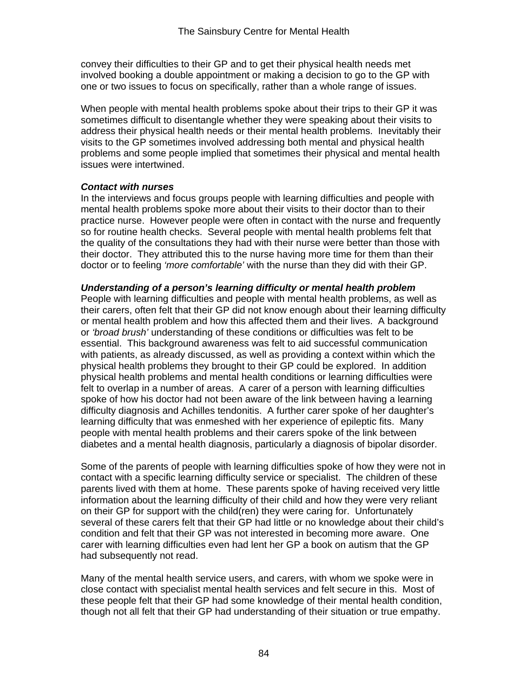convey their difficulties to their GP and to get their physical health needs met involved booking a double appointment or making a decision to go to the GP with one or two issues to focus on specifically, rather than a whole range of issues.

When people with mental health problems spoke about their trips to their GP it was sometimes difficult to disentangle whether they were speaking about their visits to address their physical health needs or their mental health problems. Inevitably their visits to the GP sometimes involved addressing both mental and physical health problems and some people implied that sometimes their physical and mental health issues were intertwined.

#### *Contact with nurses*

In the interviews and focus groups people with learning difficulties and people with mental health problems spoke more about their visits to their doctor than to their practice nurse. However people were often in contact with the nurse and frequently so for routine health checks. Several people with mental health problems felt that the quality of the consultations they had with their nurse were better than those with their doctor. They attributed this to the nurse having more time for them than their doctor or to feeling *'more comfortable'* with the nurse than they did with their GP.

#### *Understanding of a person's learning difficulty or mental health problem*

People with learning difficulties and people with mental health problems, as well as their carers, often felt that their GP did not know enough about their learning difficulty or mental health problem and how this affected them and their lives. A background or *'broad brush'* understanding of these conditions or difficulties was felt to be essential. This background awareness was felt to aid successful communication with patients, as already discussed, as well as providing a context within which the physical health problems they brought to their GP could be explored. In addition physical health problems and mental health conditions or learning difficulties were felt to overlap in a number of areas. A carer of a person with learning difficulties spoke of how his doctor had not been aware of the link between having a learning difficulty diagnosis and Achilles tendonitis. A further carer spoke of her daughter's learning difficulty that was enmeshed with her experience of epileptic fits. Many people with mental health problems and their carers spoke of the link between diabetes and a mental health diagnosis, particularly a diagnosis of bipolar disorder.

Some of the parents of people with learning difficulties spoke of how they were not in contact with a specific learning difficulty service or specialist. The children of these parents lived with them at home. These parents spoke of having received very little information about the learning difficulty of their child and how they were very reliant on their GP for support with the child(ren) they were caring for. Unfortunately several of these carers felt that their GP had little or no knowledge about their child's condition and felt that their GP was not interested in becoming more aware. One carer with learning difficulties even had lent her GP a book on autism that the GP had subsequently not read.

Many of the mental health service users, and carers, with whom we spoke were in close contact with specialist mental health services and felt secure in this. Most of these people felt that their GP had some knowledge of their mental health condition, though not all felt that their GP had understanding of their situation or true empathy.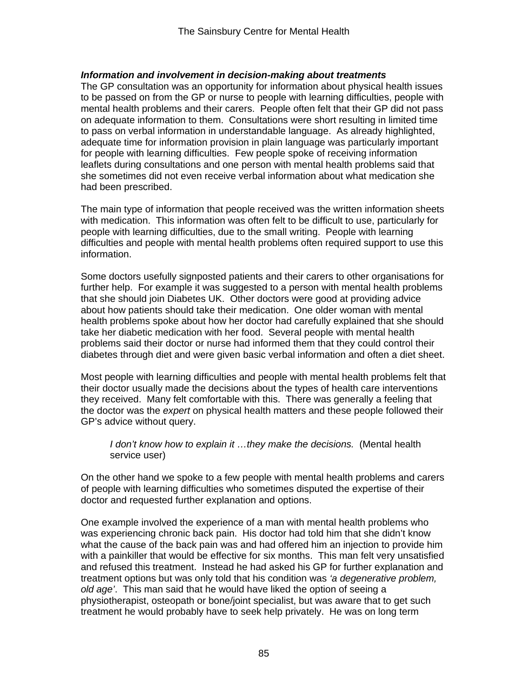#### *Information and involvement in decision-making about treatments*

The GP consultation was an opportunity for information about physical health issues to be passed on from the GP or nurse to people with learning difficulties, people with mental health problems and their carers. People often felt that their GP did not pass on adequate information to them. Consultations were short resulting in limited time to pass on verbal information in understandable language. As already highlighted, adequate time for information provision in plain language was particularly important for people with learning difficulties. Few people spoke of receiving information leaflets during consultations and one person with mental health problems said that she sometimes did not even receive verbal information about what medication she had been prescribed.

The main type of information that people received was the written information sheets with medication. This information was often felt to be difficult to use, particularly for people with learning difficulties, due to the small writing. People with learning difficulties and people with mental health problems often required support to use this information.

Some doctors usefully signposted patients and their carers to other organisations for further help. For example it was suggested to a person with mental health problems that she should join Diabetes UK. Other doctors were good at providing advice about how patients should take their medication. One older woman with mental health problems spoke about how her doctor had carefully explained that she should take her diabetic medication with her food. Several people with mental health problems said their doctor or nurse had informed them that they could control their diabetes through diet and were given basic verbal information and often a diet sheet.

Most people with learning difficulties and people with mental health problems felt that their doctor usually made the decisions about the types of health care interventions they received. Many felt comfortable with this. There was generally a feeling that the doctor was the *expert* on physical health matters and these people followed their GP's advice without query.

#### *I don't know how to explain it ...they make the decisions.* (Mental health service user)

On the other hand we spoke to a few people with mental health problems and carers of people with learning difficulties who sometimes disputed the expertise of their doctor and requested further explanation and options.

One example involved the experience of a man with mental health problems who was experiencing chronic back pain. His doctor had told him that she didn't know what the cause of the back pain was and had offered him an injection to provide him with a painkiller that would be effective for six months. This man felt very unsatisfied and refused this treatment. Instead he had asked his GP for further explanation and treatment options but was only told that his condition was *'a degenerative problem, old age'*. This man said that he would have liked the option of seeing a physiotherapist, osteopath or bone/joint specialist, but was aware that to get such treatment he would probably have to seek help privately. He was on long term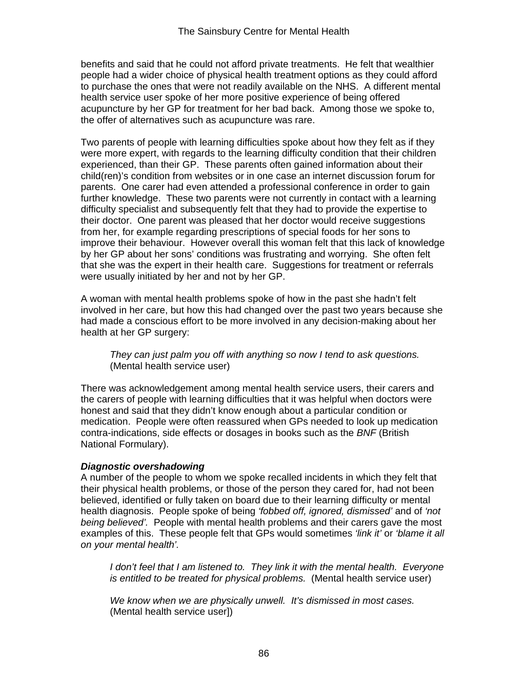benefits and said that he could not afford private treatments. He felt that wealthier people had a wider choice of physical health treatment options as they could afford to purchase the ones that were not readily available on the NHS. A different mental health service user spoke of her more positive experience of being offered acupuncture by her GP for treatment for her bad back. Among those we spoke to, the offer of alternatives such as acupuncture was rare.

Two parents of people with learning difficulties spoke about how they felt as if they were more expert, with regards to the learning difficulty condition that their children experienced, than their GP. These parents often gained information about their child(ren)'s condition from websites or in one case an internet discussion forum for parents. One carer had even attended a professional conference in order to gain further knowledge. These two parents were not currently in contact with a learning difficulty specialist and subsequently felt that they had to provide the expertise to their doctor. One parent was pleased that her doctor would receive suggestions from her, for example regarding prescriptions of special foods for her sons to improve their behaviour. However overall this woman felt that this lack of knowledge by her GP about her sons' conditions was frustrating and worrying. She often felt that she was the expert in their health care. Suggestions for treatment or referrals were usually initiated by her and not by her GP.

A woman with mental health problems spoke of how in the past she hadn't felt involved in her care, but how this had changed over the past two years because she had made a conscious effort to be more involved in any decision-making about her health at her GP surgery:

*They can just palm you off with anything so now I tend to ask questions.*  (Mental health service user)

There was acknowledgement among mental health service users, their carers and the carers of people with learning difficulties that it was helpful when doctors were honest and said that they didn't know enough about a particular condition or medication. People were often reassured when GPs needed to look up medication contra-indications, side effects or dosages in books such as the *BNF* (British National Formulary).

#### *Diagnostic overshadowing*

A number of the people to whom we spoke recalled incidents in which they felt that their physical health problems, or those of the person they cared for, had not been believed, identified or fully taken on board due to their learning difficulty or mental health diagnosis. People spoke of being *'fobbed off, ignored, dismissed'* and of *'not being believed'.* People with mental health problems and their carers gave the most examples of this. These people felt that GPs would sometimes *'link it'* or *'blame it all on your mental health'.* 

*I* don't feel that I am listened to. They link it with the mental health. Everyone *is entitled to be treated for physical problems.* (Mental health service user)

*We know when we are physically unwell. It's dismissed in most cases.*  (Mental health service user])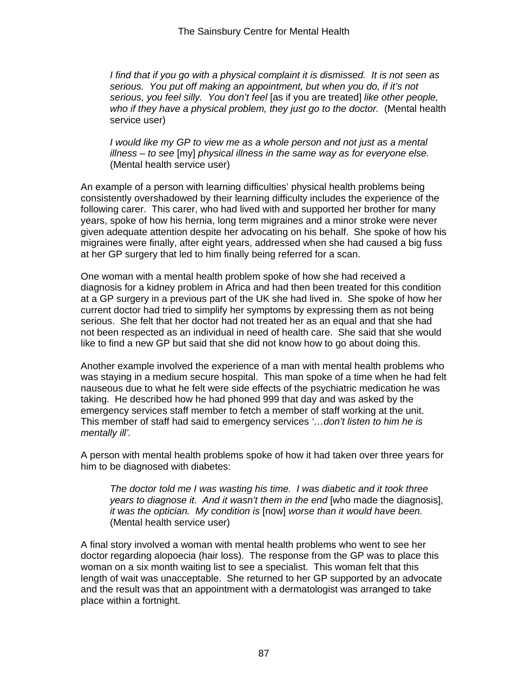*I find that if you go with a physical complaint it is dismissed. It is not seen as serious. You put off making an appointment, but when you do, if it's not serious, you feel silly. You don't feel* [as if you are treated] *like other people,*  who if they have a physical problem, they just go to the doctor. (Mental health service user)

*I would like my GP to view me as a whole person and not just as a mental illness – to see* [my] *physical illness in the same way as for everyone else.*  (Mental health service user)

An example of a person with learning difficulties' physical health problems being consistently overshadowed by their learning difficulty includes the experience of the following carer. This carer, who had lived with and supported her brother for many years, spoke of how his hernia, long term migraines and a minor stroke were never given adequate attention despite her advocating on his behalf. She spoke of how his migraines were finally, after eight years, addressed when she had caused a big fuss at her GP surgery that led to him finally being referred for a scan.

One woman with a mental health problem spoke of how she had received a diagnosis for a kidney problem in Africa and had then been treated for this condition at a GP surgery in a previous part of the UK she had lived in. She spoke of how her current doctor had tried to simplify her symptoms by expressing them as not being serious. She felt that her doctor had not treated her as an equal and that she had not been respected as an individual in need of health care. She said that she would like to find a new GP but said that she did not know how to go about doing this.

Another example involved the experience of a man with mental health problems who was staying in a medium secure hospital. This man spoke of a time when he had felt nauseous due to what he felt were side effects of the psychiatric medication he was taking. He described how he had phoned 999 that day and was asked by the emergency services staff member to fetch a member of staff working at the unit. This member of staff had said to emergency services *'…don't listen to him he is mentally ill'.* 

A person with mental health problems spoke of how it had taken over three years for him to be diagnosed with diabetes:

*The doctor told me I was wasting his time. I was diabetic and it took three years to diagnose it. And it wasn't them in the end* [who made the diagnosis], *it was the optician. My condition is* [now] *worse than it would have been.*  (Mental health service user)

A final story involved a woman with mental health problems who went to see her doctor regarding alopoecia (hair loss). The response from the GP was to place this woman on a six month waiting list to see a specialist. This woman felt that this length of wait was unacceptable. She returned to her GP supported by an advocate and the result was that an appointment with a dermatologist was arranged to take place within a fortnight.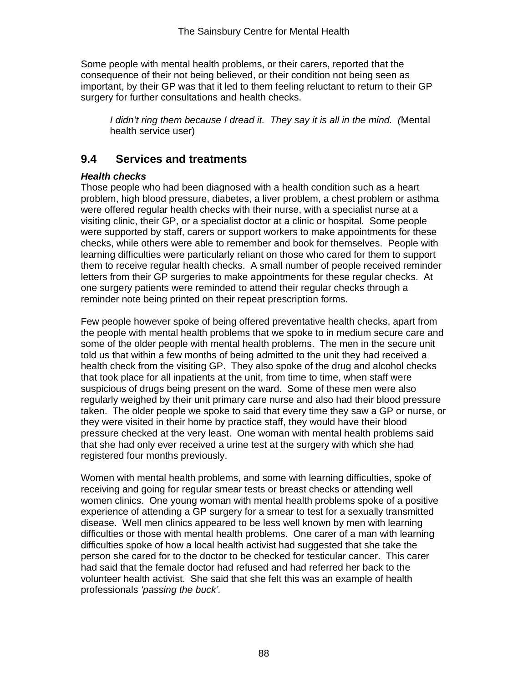Some people with mental health problems, or their carers, reported that the consequence of their not being believed, or their condition not being seen as important, by their GP was that it led to them feeling reluctant to return to their GP surgery for further consultations and health checks.

*I didn't ring them because I dread it. They say it is all in the mind. (*Mental health service user)

## **9.4 Services and treatments**

## *Health checks*

Those people who had been diagnosed with a health condition such as a heart problem, high blood pressure, diabetes, a liver problem, a chest problem or asthma were offered regular health checks with their nurse, with a specialist nurse at a visiting clinic, their GP, or a specialist doctor at a clinic or hospital. Some people were supported by staff, carers or support workers to make appointments for these checks, while others were able to remember and book for themselves. People with learning difficulties were particularly reliant on those who cared for them to support them to receive regular health checks. A small number of people received reminder letters from their GP surgeries to make appointments for these regular checks. At one surgery patients were reminded to attend their regular checks through a reminder note being printed on their repeat prescription forms.

Few people however spoke of being offered preventative health checks, apart from the people with mental health problems that we spoke to in medium secure care and some of the older people with mental health problems. The men in the secure unit told us that within a few months of being admitted to the unit they had received a health check from the visiting GP. They also spoke of the drug and alcohol checks that took place for all inpatients at the unit, from time to time, when staff were suspicious of drugs being present on the ward. Some of these men were also regularly weighed by their unit primary care nurse and also had their blood pressure taken. The older people we spoke to said that every time they saw a GP or nurse, or they were visited in their home by practice staff, they would have their blood pressure checked at the very least. One woman with mental health problems said that she had only ever received a urine test at the surgery with which she had registered four months previously.

Women with mental health problems, and some with learning difficulties, spoke of receiving and going for regular smear tests or breast checks or attending well women clinics. One young woman with mental health problems spoke of a positive experience of attending a GP surgery for a smear to test for a sexually transmitted disease. Well men clinics appeared to be less well known by men with learning difficulties or those with mental health problems. One carer of a man with learning difficulties spoke of how a local health activist had suggested that she take the person she cared for to the doctor to be checked for testicular cancer. This carer had said that the female doctor had refused and had referred her back to the volunteer health activist. She said that she felt this was an example of health professionals *'passing the buck'.*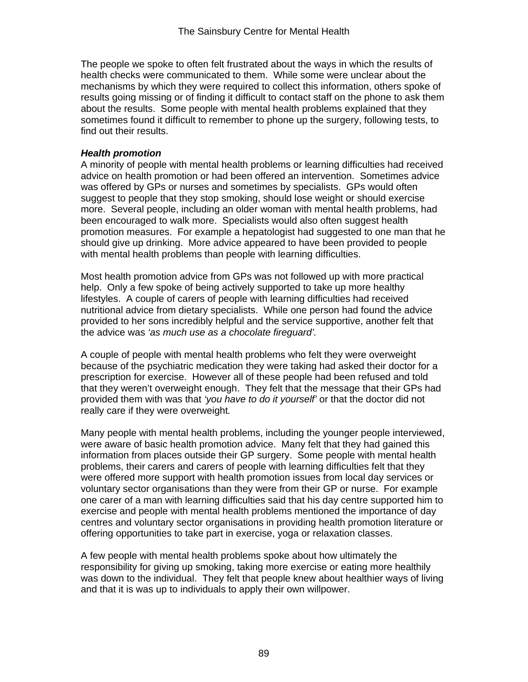The people we spoke to often felt frustrated about the ways in which the results of health checks were communicated to them. While some were unclear about the mechanisms by which they were required to collect this information, others spoke of results going missing or of finding it difficult to contact staff on the phone to ask them about the results. Some people with mental health problems explained that they sometimes found it difficult to remember to phone up the surgery, following tests, to find out their results.

#### *Health promotion*

A minority of people with mental health problems or learning difficulties had received advice on health promotion or had been offered an intervention. Sometimes advice was offered by GPs or nurses and sometimes by specialists. GPs would often suggest to people that they stop smoking, should lose weight or should exercise more. Several people, including an older woman with mental health problems, had been encouraged to walk more. Specialists would also often suggest health promotion measures. For example a hepatologist had suggested to one man that he should give up drinking. More advice appeared to have been provided to people with mental health problems than people with learning difficulties.

Most health promotion advice from GPs was not followed up with more practical help. Only a few spoke of being actively supported to take up more healthy lifestyles. A couple of carers of people with learning difficulties had received nutritional advice from dietary specialists. While one person had found the advice provided to her sons incredibly helpful and the service supportive, another felt that the advice was *'as much use as a chocolate fireguard'.* 

A couple of people with mental health problems who felt they were overweight because of the psychiatric medication they were taking had asked their doctor for a prescription for exercise. However all of these people had been refused and told that they weren't overweight enough. They felt that the message that their GPs had provided them with was that *'you have to do it yourself'* or that the doctor did not really care if they were overweight*.* 

Many people with mental health problems, including the younger people interviewed, were aware of basic health promotion advice. Many felt that they had gained this information from places outside their GP surgery. Some people with mental health problems, their carers and carers of people with learning difficulties felt that they were offered more support with health promotion issues from local day services or voluntary sector organisations than they were from their GP or nurse. For example one carer of a man with learning difficulties said that his day centre supported him to exercise and people with mental health problems mentioned the importance of day centres and voluntary sector organisations in providing health promotion literature or offering opportunities to take part in exercise, yoga or relaxation classes.

A few people with mental health problems spoke about how ultimately the responsibility for giving up smoking, taking more exercise or eating more healthily was down to the individual. They felt that people knew about healthier ways of living and that it is was up to individuals to apply their own willpower.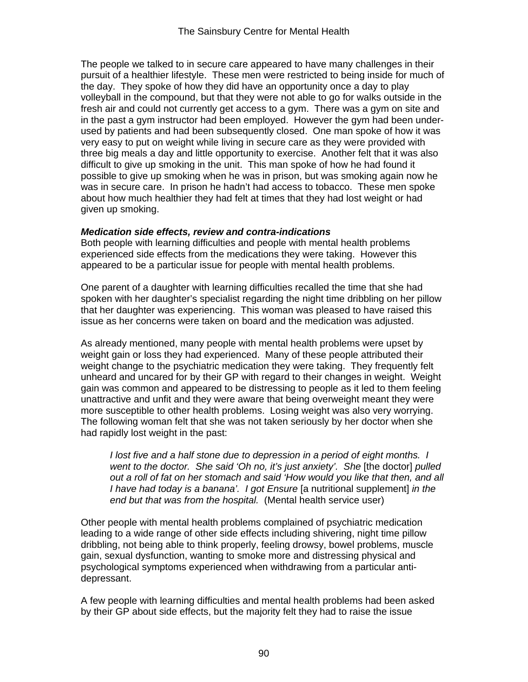The people we talked to in secure care appeared to have many challenges in their pursuit of a healthier lifestyle. These men were restricted to being inside for much of the day. They spoke of how they did have an opportunity once a day to play volleyball in the compound, but that they were not able to go for walks outside in the fresh air and could not currently get access to a gym. There was a gym on site and in the past a gym instructor had been employed. However the gym had been underused by patients and had been subsequently closed. One man spoke of how it was very easy to put on weight while living in secure care as they were provided with three big meals a day and little opportunity to exercise. Another felt that it was also difficult to give up smoking in the unit. This man spoke of how he had found it possible to give up smoking when he was in prison, but was smoking again now he was in secure care. In prison he hadn't had access to tobacco. These men spoke about how much healthier they had felt at times that they had lost weight or had given up smoking.

#### *Medication side effects, review and contra-indications*

Both people with learning difficulties and people with mental health problems experienced side effects from the medications they were taking. However this appeared to be a particular issue for people with mental health problems.

One parent of a daughter with learning difficulties recalled the time that she had spoken with her daughter's specialist regarding the night time dribbling on her pillow that her daughter was experiencing. This woman was pleased to have raised this issue as her concerns were taken on board and the medication was adjusted.

As already mentioned, many people with mental health problems were upset by weight gain or loss they had experienced. Many of these people attributed their weight change to the psychiatric medication they were taking. They frequently felt unheard and uncared for by their GP with regard to their changes in weight. Weight gain was common and appeared to be distressing to people as it led to them feeling unattractive and unfit and they were aware that being overweight meant they were more susceptible to other health problems. Losing weight was also very worrying. The following woman felt that she was not taken seriously by her doctor when she had rapidly lost weight in the past:

*I* lost five and a half stone due to depression in a period of eight months. I *went to the doctor. She said 'Oh no, it's just anxiety'. She [the doctor] pulled out a roll of fat on her stomach and said 'How would you like that then, and all I have had today is a banana'. I got Ensure* Ia nutritional supplementl *in the end but that was from the hospital.* (Mental health service user)

Other people with mental health problems complained of psychiatric medication leading to a wide range of other side effects including shivering, night time pillow dribbling, not being able to think properly, feeling drowsy, bowel problems, muscle gain, sexual dysfunction, wanting to smoke more and distressing physical and psychological symptoms experienced when withdrawing from a particular antidepressant.

A few people with learning difficulties and mental health problems had been asked by their GP about side effects, but the majority felt they had to raise the issue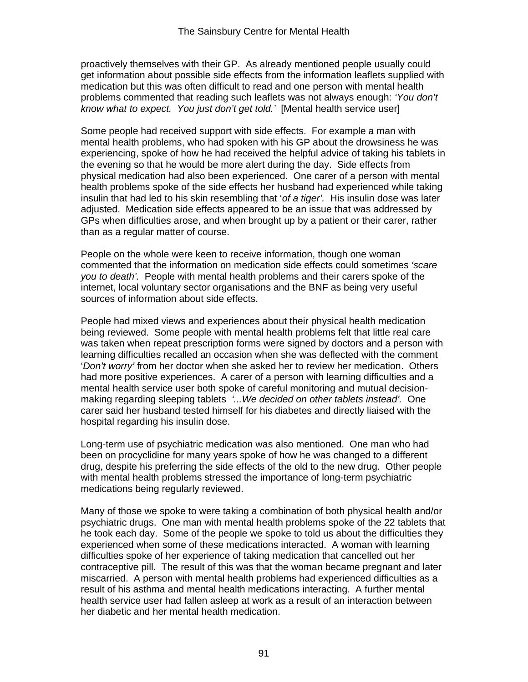proactively themselves with their GP. As already mentioned people usually could get information about possible side effects from the information leaflets supplied with medication but this was often difficult to read and one person with mental health problems commented that reading such leaflets was not always enough: *'You don't know what to expect. You just don't get told.'* [Mental health service user]

Some people had received support with side effects. For example a man with mental health problems, who had spoken with his GP about the drowsiness he was experiencing, spoke of how he had received the helpful advice of taking his tablets in the evening so that he would be more alert during the day. Side effects from physical medication had also been experienced. One carer of a person with mental health problems spoke of the side effects her husband had experienced while taking insulin that had led to his skin resembling that '*of a tiger'.* His insulin dose was later adjusted. Medication side effects appeared to be an issue that was addressed by GPs when difficulties arose, and when brought up by a patient or their carer, rather than as a regular matter of course.

People on the whole were keen to receive information, though one woman commented that the information on medication side effects could sometimes *'scare you to death'.* People with mental health problems and their carers spoke of the internet, local voluntary sector organisations and the BNF as being very useful sources of information about side effects.

People had mixed views and experiences about their physical health medication being reviewed. Some people with mental health problems felt that little real care was taken when repeat prescription forms were signed by doctors and a person with learning difficulties recalled an occasion when she was deflected with the comment '*Don't worry'* from her doctor when she asked her to review her medication. Others had more positive experiences. A carer of a person with learning difficulties and a mental health service user both spoke of careful monitoring and mutual decisionmaking regarding sleeping tablets *'...We decided on other tablets instead'.* One carer said her husband tested himself for his diabetes and directly liaised with the hospital regarding his insulin dose.

Long-term use of psychiatric medication was also mentioned. One man who had been on procyclidine for many years spoke of how he was changed to a different drug, despite his preferring the side effects of the old to the new drug. Other people with mental health problems stressed the importance of long-term psychiatric medications being regularly reviewed.

Many of those we spoke to were taking a combination of both physical health and/or psychiatric drugs. One man with mental health problems spoke of the 22 tablets that he took each day. Some of the people we spoke to told us about the difficulties they experienced when some of these medications interacted. A woman with learning difficulties spoke of her experience of taking medication that cancelled out her contraceptive pill. The result of this was that the woman became pregnant and later miscarried. A person with mental health problems had experienced difficulties as a result of his asthma and mental health medications interacting. A further mental health service user had fallen asleep at work as a result of an interaction between her diabetic and her mental health medication.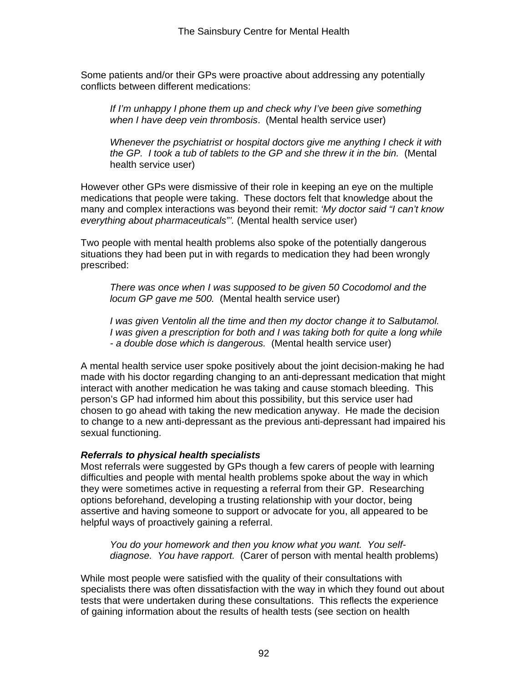Some patients and/or their GPs were proactive about addressing any potentially conflicts between different medications:

*If I'm unhappy I phone them up and check why I've been give something when I have deep vein thrombosis*. (Mental health service user)

*Whenever the psychiatrist or hospital doctors give me anything I check it with the GP. I took a tub of tablets to the GP and she threw it in the bin.* (Mental health service user)

However other GPs were dismissive of their role in keeping an eye on the multiple medications that people were taking. These doctors felt that knowledge about the many and complex interactions was beyond their remit: *'My doctor said "I can't know everything about pharmaceuticals"'.* (Mental health service user)

Two people with mental health problems also spoke of the potentially dangerous situations they had been put in with regards to medication they had been wrongly prescribed:

*There was once when I was supposed to be given 50 Cocodomol and the locum GP gave me 500.* (Mental health service user)

*I* was given Ventolin all the time and then my doctor change it to Salbutamol. *I* was given a prescription for both and *I* was taking both for guite a long while *- a double dose which is dangerous.* (Mental health service user)

A mental health service user spoke positively about the joint decision-making he had made with his doctor regarding changing to an anti-depressant medication that might interact with another medication he was taking and cause stomach bleeding. This person's GP had informed him about this possibility, but this service user had chosen to go ahead with taking the new medication anyway. He made the decision to change to a new anti-depressant as the previous anti-depressant had impaired his sexual functioning.

#### *Referrals to physical health specialists*

Most referrals were suggested by GPs though a few carers of people with learning difficulties and people with mental health problems spoke about the way in which they were sometimes active in requesting a referral from their GP. Researching options beforehand, developing a trusting relationship with your doctor, being assertive and having someone to support or advocate for you, all appeared to be helpful ways of proactively gaining a referral.

*You do your homework and then you know what you want. You selfdiagnose. You have rapport.* (Carer of person with mental health problems)

While most people were satisfied with the quality of their consultations with specialists there was often dissatisfaction with the way in which they found out about tests that were undertaken during these consultations. This reflects the experience of gaining information about the results of health tests (see section on health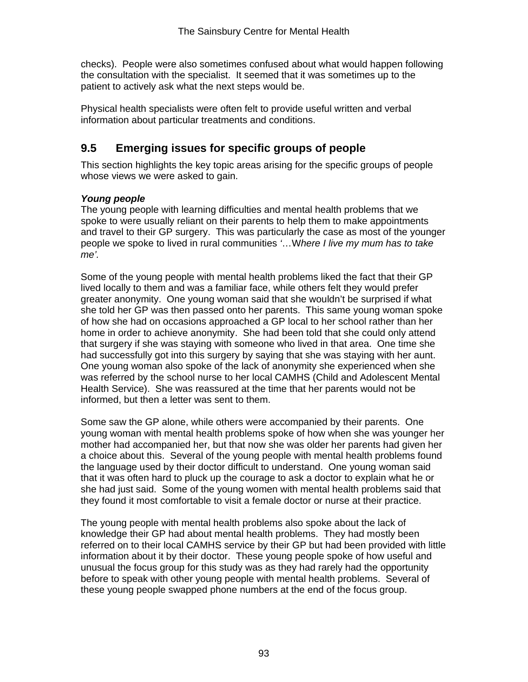checks). People were also sometimes confused about what would happen following the consultation with the specialist. It seemed that it was sometimes up to the patient to actively ask what the next steps would be.

Physical health specialists were often felt to provide useful written and verbal information about particular treatments and conditions.

# **9.5 Emerging issues for specific groups of people**

This section highlights the key topic areas arising for the specific groups of people whose views we were asked to gain.

## *Young people*

The young people with learning difficulties and mental health problems that we spoke to were usually reliant on their parents to help them to make appointments and travel to their GP surgery. This was particularly the case as most of the younger people we spoke to lived in rural communities *'*…W*here I live my mum has to take me'.* 

Some of the young people with mental health problems liked the fact that their GP lived locally to them and was a familiar face, while others felt they would prefer greater anonymity. One young woman said that she wouldn't be surprised if what she told her GP was then passed onto her parents. This same young woman spoke of how she had on occasions approached a GP local to her school rather than her home in order to achieve anonymity. She had been told that she could only attend that surgery if she was staying with someone who lived in that area. One time she had successfully got into this surgery by saying that she was staying with her aunt. One young woman also spoke of the lack of anonymity she experienced when she was referred by the school nurse to her local CAMHS (Child and Adolescent Mental Health Service). She was reassured at the time that her parents would not be informed, but then a letter was sent to them.

Some saw the GP alone, while others were accompanied by their parents. One young woman with mental health problems spoke of how when she was younger her mother had accompanied her, but that now she was older her parents had given her a choice about this. Several of the young people with mental health problems found the language used by their doctor difficult to understand. One young woman said that it was often hard to pluck up the courage to ask a doctor to explain what he or she had just said. Some of the young women with mental health problems said that they found it most comfortable to visit a female doctor or nurse at their practice.

The young people with mental health problems also spoke about the lack of knowledge their GP had about mental health problems. They had mostly been referred on to their local CAMHS service by their GP but had been provided with little information about it by their doctor. These young people spoke of how useful and unusual the focus group for this study was as they had rarely had the opportunity before to speak with other young people with mental health problems. Several of these young people swapped phone numbers at the end of the focus group.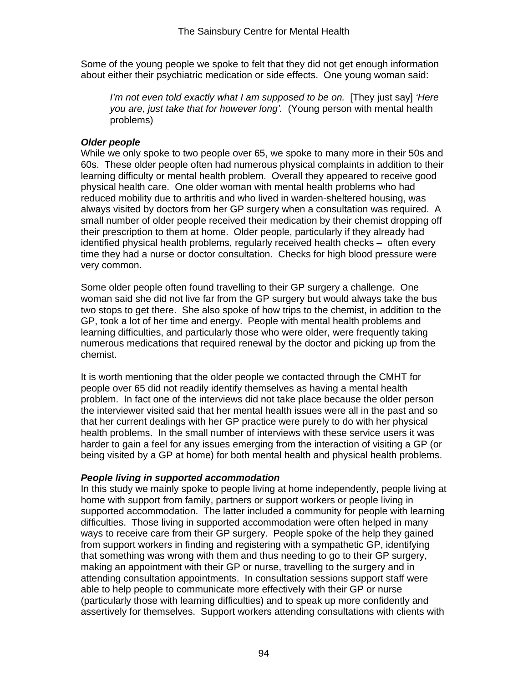Some of the young people we spoke to felt that they did not get enough information about either their psychiatric medication or side effects. One young woman said:

*I'm not even told exactly what I am supposed to be on.* [They just say] *'Here you are, just take that for however long'.* (Young person with mental health problems)

#### *Older people*

While we only spoke to two people over 65, we spoke to many more in their 50s and 60s. These older people often had numerous physical complaints in addition to their learning difficulty or mental health problem. Overall they appeared to receive good physical health care. One older woman with mental health problems who had reduced mobility due to arthritis and who lived in warden-sheltered housing, was always visited by doctors from her GP surgery when a consultation was required. A small number of older people received their medication by their chemist dropping off their prescription to them at home. Older people, particularly if they already had identified physical health problems, regularly received health checks – often every time they had a nurse or doctor consultation. Checks for high blood pressure were very common.

Some older people often found travelling to their GP surgery a challenge. One woman said she did not live far from the GP surgery but would always take the bus two stops to get there. She also spoke of how trips to the chemist, in addition to the GP, took a lot of her time and energy. People with mental health problems and learning difficulties, and particularly those who were older, were frequently taking numerous medications that required renewal by the doctor and picking up from the chemist.

It is worth mentioning that the older people we contacted through the CMHT for people over 65 did not readily identify themselves as having a mental health problem. In fact one of the interviews did not take place because the older person the interviewer visited said that her mental health issues were all in the past and so that her current dealings with her GP practice were purely to do with her physical health problems. In the small number of interviews with these service users it was harder to gain a feel for any issues emerging from the interaction of visiting a GP (or being visited by a GP at home) for both mental health and physical health problems.

#### *People living in supported accommodation*

In this study we mainly spoke to people living at home independently, people living at home with support from family, partners or support workers or people living in supported accommodation. The latter included a community for people with learning difficulties. Those living in supported accommodation were often helped in many ways to receive care from their GP surgery. People spoke of the help they gained from support workers in finding and registering with a sympathetic GP, identifying that something was wrong with them and thus needing to go to their GP surgery, making an appointment with their GP or nurse, travelling to the surgery and in attending consultation appointments. In consultation sessions support staff were able to help people to communicate more effectively with their GP or nurse (particularly those with learning difficulties) and to speak up more confidently and assertively for themselves. Support workers attending consultations with clients with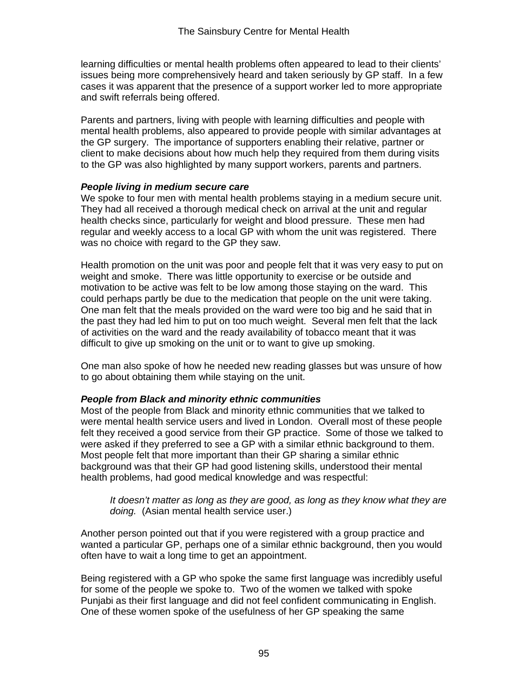learning difficulties or mental health problems often appeared to lead to their clients' issues being more comprehensively heard and taken seriously by GP staff. In a few cases it was apparent that the presence of a support worker led to more appropriate and swift referrals being offered.

Parents and partners, living with people with learning difficulties and people with mental health problems, also appeared to provide people with similar advantages at the GP surgery. The importance of supporters enabling their relative, partner or client to make decisions about how much help they required from them during visits to the GP was also highlighted by many support workers, parents and partners.

#### *People living in medium secure care*

We spoke to four men with mental health problems staying in a medium secure unit. They had all received a thorough medical check on arrival at the unit and regular health checks since, particularly for weight and blood pressure. These men had regular and weekly access to a local GP with whom the unit was registered. There was no choice with regard to the GP they saw.

Health promotion on the unit was poor and people felt that it was very easy to put on weight and smoke. There was little opportunity to exercise or be outside and motivation to be active was felt to be low among those staying on the ward. This could perhaps partly be due to the medication that people on the unit were taking. One man felt that the meals provided on the ward were too big and he said that in the past they had led him to put on too much weight. Several men felt that the lack of activities on the ward and the ready availability of tobacco meant that it was difficult to give up smoking on the unit or to want to give up smoking.

One man also spoke of how he needed new reading glasses but was unsure of how to go about obtaining them while staying on the unit.

#### *People from Black and minority ethnic communities*

Most of the people from Black and minority ethnic communities that we talked to were mental health service users and lived in London. Overall most of these people felt they received a good service from their GP practice. Some of those we talked to were asked if they preferred to see a GP with a similar ethnic background to them. Most people felt that more important than their GP sharing a similar ethnic background was that their GP had good listening skills, understood their mental health problems, had good medical knowledge and was respectful:

It doesn't matter as long as they are good, as long as they know what they are *doing.* (Asian mental health service user.)

Another person pointed out that if you were registered with a group practice and wanted a particular GP, perhaps one of a similar ethnic background, then you would often have to wait a long time to get an appointment.

Being registered with a GP who spoke the same first language was incredibly useful for some of the people we spoke to. Two of the women we talked with spoke Punjabi as their first language and did not feel confident communicating in English. One of these women spoke of the usefulness of her GP speaking the same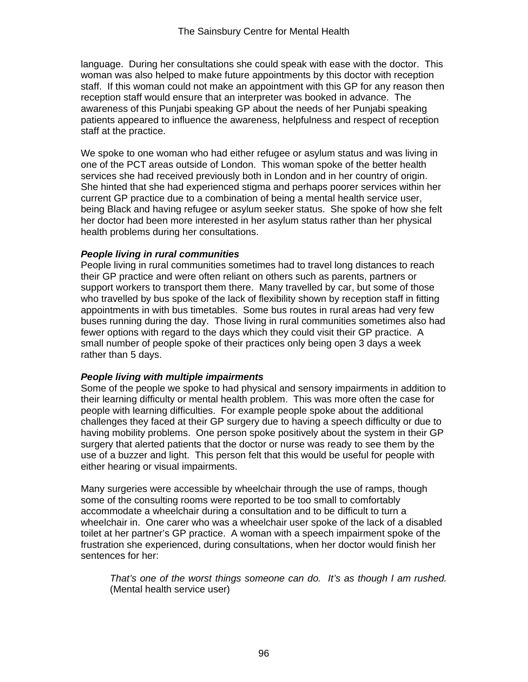language. During her consultations she could speak with ease with the doctor. This woman was also helped to make future appointments by this doctor with reception staff. If this woman could not make an appointment with this GP for any reason then reception staff would ensure that an interpreter was booked in advance. The awareness of this Punjabi speaking GP about the needs of her Punjabi speaking patients appeared to influence the awareness, helpfulness and respect of reception staff at the practice.

We spoke to one woman who had either refugee or asylum status and was living in one of the PCT areas outside of London. This woman spoke of the better health services she had received previously both in London and in her country of origin. She hinted that she had experienced stigma and perhaps poorer services within her current GP practice due to a combination of being a mental health service user, being Black and having refugee or asylum seeker status. She spoke of how she felt her doctor had been more interested in her asylum status rather than her physical health problems during her consultations.

#### *People living in rural communities*

People living in rural communities sometimes had to travel long distances to reach their GP practice and were often reliant on others such as parents, partners or support workers to transport them there. Many travelled by car, but some of those who travelled by bus spoke of the lack of flexibility shown by reception staff in fitting appointments in with bus timetables. Some bus routes in rural areas had very few buses running during the day. Those living in rural communities sometimes also had fewer options with regard to the days which they could visit their GP practice. A small number of people spoke of their practices only being open 3 days a week rather than 5 days.

#### *People living with multiple impairments*

Some of the people we spoke to had physical and sensory impairments in addition to their learning difficulty or mental health problem. This was more often the case for people with learning difficulties. For example people spoke about the additional challenges they faced at their GP surgery due to having a speech difficulty or due to having mobility problems. One person spoke positively about the system in their GP surgery that alerted patients that the doctor or nurse was ready to see them by the use of a buzzer and light. This person felt that this would be useful for people with either hearing or visual impairments.

Many surgeries were accessible by wheelchair through the use of ramps, though some of the consulting rooms were reported to be too small to comfortably accommodate a wheelchair during a consultation and to be difficult to turn a wheelchair in. One carer who was a wheelchair user spoke of the lack of a disabled toilet at her partner's GP practice. A woman with a speech impairment spoke of the frustration she experienced, during consultations, when her doctor would finish her sentences for her:

*That's one of the worst things someone can do. It's as though I am rushed.*  (Mental health service user)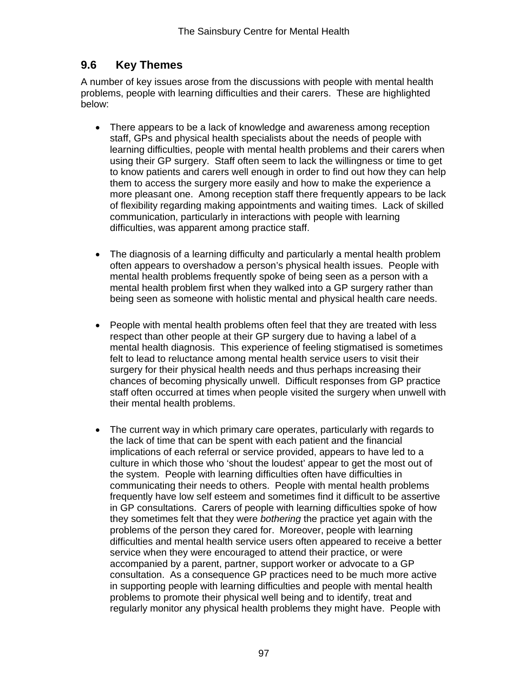# **9.6 Key Themes**

A number of key issues arose from the discussions with people with mental health problems, people with learning difficulties and their carers. These are highlighted below:

- There appears to be a lack of knowledge and awareness among reception staff, GPs and physical health specialists about the needs of people with learning difficulties, people with mental health problems and their carers when using their GP surgery. Staff often seem to lack the willingness or time to get to know patients and carers well enough in order to find out how they can help them to access the surgery more easily and how to make the experience a more pleasant one. Among reception staff there frequently appears to be lack of flexibility regarding making appointments and waiting times. Lack of skilled communication, particularly in interactions with people with learning difficulties, was apparent among practice staff.
- The diagnosis of a learning difficulty and particularly a mental health problem often appears to overshadow a person's physical health issues. People with mental health problems frequently spoke of being seen as a person with a mental health problem first when they walked into a GP surgery rather than being seen as someone with holistic mental and physical health care needs.
- People with mental health problems often feel that they are treated with less respect than other people at their GP surgery due to having a label of a mental health diagnosis. This experience of feeling stigmatised is sometimes felt to lead to reluctance among mental health service users to visit their surgery for their physical health needs and thus perhaps increasing their chances of becoming physically unwell. Difficult responses from GP practice staff often occurred at times when people visited the surgery when unwell with their mental health problems.
- The current way in which primary care operates, particularly with regards to the lack of time that can be spent with each patient and the financial implications of each referral or service provided, appears to have led to a culture in which those who 'shout the loudest' appear to get the most out of the system. People with learning difficulties often have difficulties in communicating their needs to others. People with mental health problems frequently have low self esteem and sometimes find it difficult to be assertive in GP consultations. Carers of people with learning difficulties spoke of how they sometimes felt that they were *bothering* the practice yet again with the problems of the person they cared for. Moreover, people with learning difficulties and mental health service users often appeared to receive a better service when they were encouraged to attend their practice, or were accompanied by a parent, partner, support worker or advocate to a GP consultation. As a consequence GP practices need to be much more active in supporting people with learning difficulties and people with mental health problems to promote their physical well being and to identify, treat and regularly monitor any physical health problems they might have. People with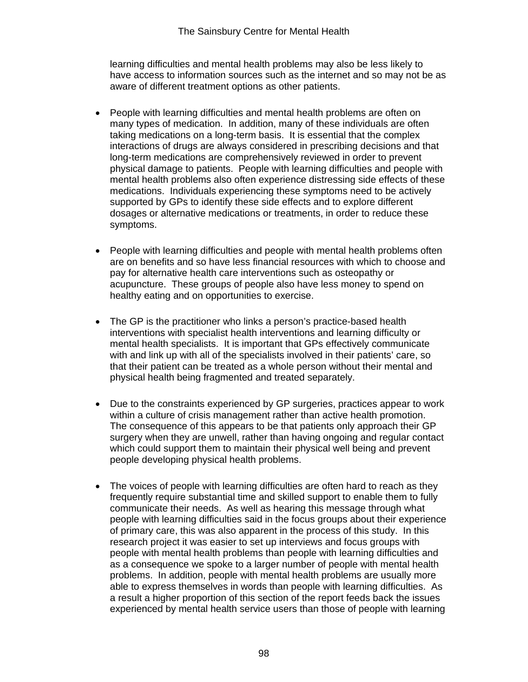learning difficulties and mental health problems may also be less likely to have access to information sources such as the internet and so may not be as aware of different treatment options as other patients.

- People with learning difficulties and mental health problems are often on many types of medication. In addition, many of these individuals are often taking medications on a long-term basis. It is essential that the complex interactions of drugs are always considered in prescribing decisions and that long-term medications are comprehensively reviewed in order to prevent physical damage to patients. People with learning difficulties and people with mental health problems also often experience distressing side effects of these medications. Individuals experiencing these symptoms need to be actively supported by GPs to identify these side effects and to explore different dosages or alternative medications or treatments, in order to reduce these symptoms.
- People with learning difficulties and people with mental health problems often are on benefits and so have less financial resources with which to choose and pay for alternative health care interventions such as osteopathy or acupuncture. These groups of people also have less money to spend on healthy eating and on opportunities to exercise.
- The GP is the practitioner who links a person's practice-based health interventions with specialist health interventions and learning difficulty or mental health specialists. It is important that GPs effectively communicate with and link up with all of the specialists involved in their patients' care, so that their patient can be treated as a whole person without their mental and physical health being fragmented and treated separately.
- Due to the constraints experienced by GP surgeries, practices appear to work within a culture of crisis management rather than active health promotion. The consequence of this appears to be that patients only approach their GP surgery when they are unwell, rather than having ongoing and regular contact which could support them to maintain their physical well being and prevent people developing physical health problems.
- The voices of people with learning difficulties are often hard to reach as they frequently require substantial time and skilled support to enable them to fully communicate their needs. As well as hearing this message through what people with learning difficulties said in the focus groups about their experience of primary care, this was also apparent in the process of this study. In this research project it was easier to set up interviews and focus groups with people with mental health problems than people with learning difficulties and as a consequence we spoke to a larger number of people with mental health problems. In addition, people with mental health problems are usually more able to express themselves in words than people with learning difficulties. As a result a higher proportion of this section of the report feeds back the issues experienced by mental health service users than those of people with learning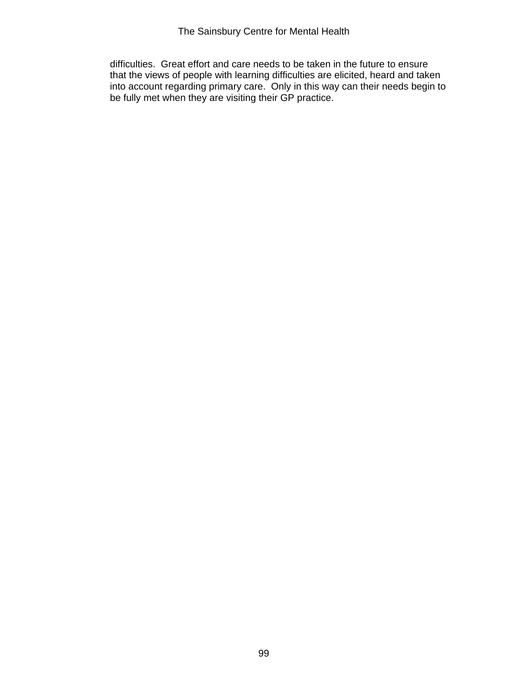difficulties. Great effort and care needs to be taken in the future to ensure that the views of people with learning difficulties are elicited, heard and taken into account regarding primary care. Only in this way can their needs begin to be fully met when they are visiting their GP practice.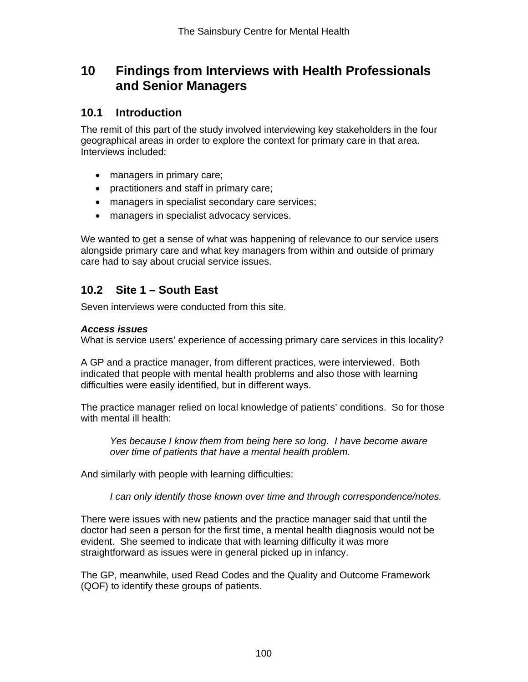# **10 Findings from Interviews with Health Professionals and Senior Managers**

## **10.1 Introduction**

The remit of this part of the study involved interviewing key stakeholders in the four geographical areas in order to explore the context for primary care in that area. Interviews included:

- managers in primary care;
- practitioners and staff in primary care;
- managers in specialist secondary care services;
- managers in specialist advocacy services.

We wanted to get a sense of what was happening of relevance to our service users alongside primary care and what key managers from within and outside of primary care had to say about crucial service issues.

# **10.2 Site 1 – South East**

Seven interviews were conducted from this site.

## *Access issues*

What is service users' experience of accessing primary care services in this locality?

A GP and a practice manager, from different practices, were interviewed. Both indicated that people with mental health problems and also those with learning difficulties were easily identified, but in different ways.

The practice manager relied on local knowledge of patients' conditions. So for those with mental ill health:

*Yes because I know them from being here so long. I have become aware over time of patients that have a mental health problem.* 

And similarly with people with learning difficulties:

*I can only identify those known over time and through correspondence/notes.* 

There were issues with new patients and the practice manager said that until the doctor had seen a person for the first time, a mental health diagnosis would not be evident. She seemed to indicate that with learning difficulty it was more straightforward as issues were in general picked up in infancy.

The GP, meanwhile, used Read Codes and the Quality and Outcome Framework (QOF) to identify these groups of patients.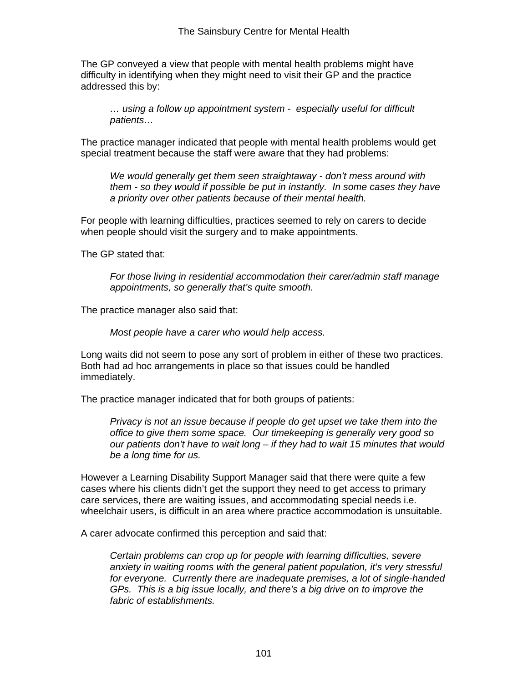The GP conveyed a view that people with mental health problems might have difficulty in identifying when they might need to visit their GP and the practice addressed this by:

*… using a follow up appointment system - especially useful for difficult patients…* 

The practice manager indicated that people with mental health problems would get special treatment because the staff were aware that they had problems:

*We would generally get them seen straightaway - don't mess around with them - so they would if possible be put in instantly. In some cases they have a priority over other patients because of their mental health.* 

For people with learning difficulties, practices seemed to rely on carers to decide when people should visit the surgery and to make appointments.

The GP stated that:

*For those living in residential accommodation their carer/admin staff manage appointments, so generally that's quite smooth.* 

The practice manager also said that:

*Most people have a carer who would help access.* 

Long waits did not seem to pose any sort of problem in either of these two practices. Both had ad hoc arrangements in place so that issues could be handled immediately.

The practice manager indicated that for both groups of patients:

*Privacy is not an issue because if people do get upset we take them into the office to give them some space. Our timekeeping is generally very good so our patients don't have to wait long – if they had to wait 15 minutes that would be a long time for us.* 

However a Learning Disability Support Manager said that there were quite a few cases where his clients didn't get the support they need to get access to primary care services, there are waiting issues, and accommodating special needs i.e. wheelchair users, is difficult in an area where practice accommodation is unsuitable.

A carer advocate confirmed this perception and said that:

*Certain problems can crop up for people with learning difficulties, severe anxiety in waiting rooms with the general patient population, it's very stressful for everyone. Currently there are inadequate premises, a lot of single-handed GPs. This is a big issue locally, and there's a big drive on to improve the fabric of establishments.*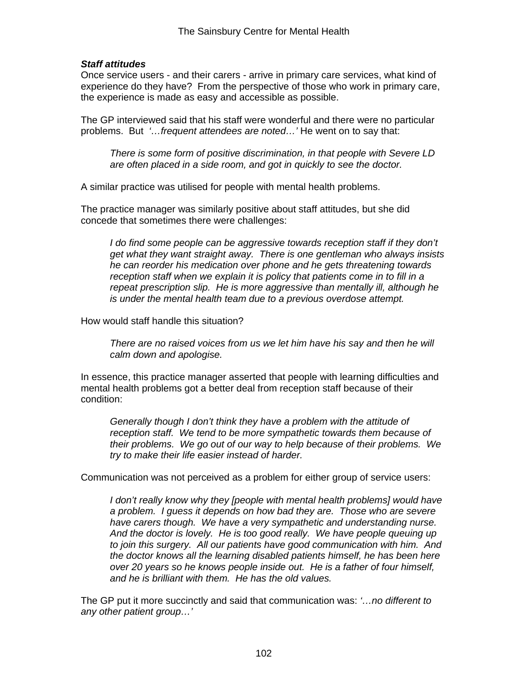## *Staff attitudes*

Once service users - and their carers - arrive in primary care services, what kind of experience do they have? From the perspective of those who work in primary care, the experience is made as easy and accessible as possible.

The GP interviewed said that his staff were wonderful and there were no particular problems. But *'…frequent attendees are noted…'* He went on to say that:

*There is some form of positive discrimination, in that people with Severe LD are often placed in a side room, and got in quickly to see the doctor.*

A similar practice was utilised for people with mental health problems.

The practice manager was similarly positive about staff attitudes, but she did concede that sometimes there were challenges:

*I do find some people can be aggressive towards reception staff if they don't get what they want straight away. There is one gentleman who always insists he can reorder his medication over phone and he gets threatening towards reception staff when we explain it is policy that patients come in to fill in a repeat prescription slip. He is more aggressive than mentally ill, although he is under the mental health team due to a previous overdose attempt.* 

How would staff handle this situation?

*There are no raised voices from us we let him have his say and then he will calm down and apologise.* 

In essence, this practice manager asserted that people with learning difficulties and mental health problems got a better deal from reception staff because of their condition:

*Generally though I don't think they have a problem with the attitude of reception staff. We tend to be more sympathetic towards them because of their problems. We go out of our way to help because of their problems. We try to make their life easier instead of harder.* 

Communication was not perceived as a problem for either group of service users:

*I don't really know why they [people with mental health problems] would have a problem. I guess it depends on how bad they are. Those who are severe have carers though. We have a very sympathetic and understanding nurse. And the doctor is lovely. He is too good really. We have people queuing up to join this surgery. All our patients have good communication with him. And the doctor knows all the learning disabled patients himself, he has been here over 20 years so he knows people inside out. He is a father of four himself, and he is brilliant with them. He has the old values.* 

The GP put it more succinctly and said that communication was: *'…no different to any other patient group…'*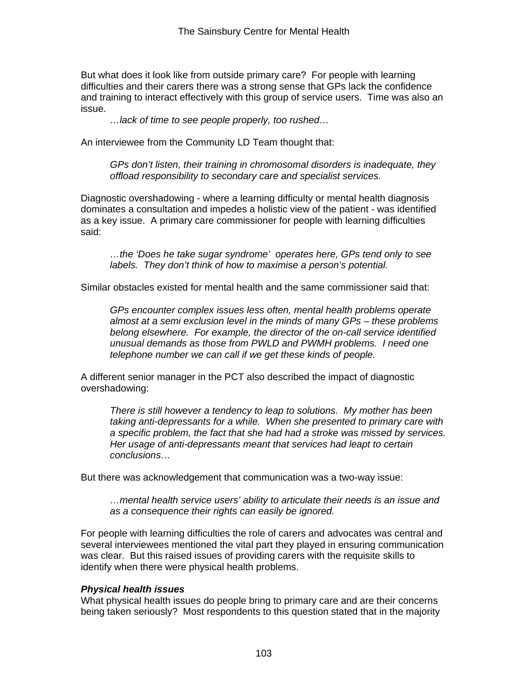But what does it look like from outside primary care? For people with learning difficulties and their carers there was a strong sense that GPs lack the confidence and training to interact effectively with this group of service users. Time was also an issue.

*…lack of time to see people properly, too rushed…* 

An interviewee from the Community LD Team thought that:

*GPs don't listen, their training in chromosomal disorders is inadequate, they offload responsibility to secondary care and specialist services.* 

Diagnostic overshadowing - where a learning difficulty or mental health diagnosis dominates a consultation and impedes a holistic view of the patient - was identified as a key issue. A primary care commissioner for people with learning difficulties said:

*…the 'Does he take sugar syndrome' operates here, GPs tend only to see labels. They don't think of how to maximise a person's potential.* 

Similar obstacles existed for mental health and the same commissioner said that:

*GPs encounter complex issues less often, mental health problems operate almost at a semi exclusion level in the minds of many GPs – these problems belong elsewhere. For example, the director of the on-call service identified unusual demands as those from PWLD and PWMH problems. I need one telephone number we can call if we get these kinds of people.* 

A different senior manager in the PCT also described the impact of diagnostic overshadowing:

*There is still however a tendency to leap to solutions. My mother has been taking anti-depressants for a while. When she presented to primary care with a specific problem, the fact that she had had a stroke was missed by services. Her usage of anti-depressants meant that services had leapt to certain conclusions…* 

But there was acknowledgement that communication was a two-way issue:

*…mental health service users' ability to articulate their needs is an issue and as a consequence their rights can easily be ignored.* 

For people with learning difficulties the role of carers and advocates was central and several interviewees mentioned the vital part they played in ensuring communication was clear. But this raised issues of providing carers with the requisite skills to identify when there were physical health problems.

## *Physical health issues*

What physical health issues do people bring to primary care and are their concerns being taken seriously? Most respondents to this question stated that in the majority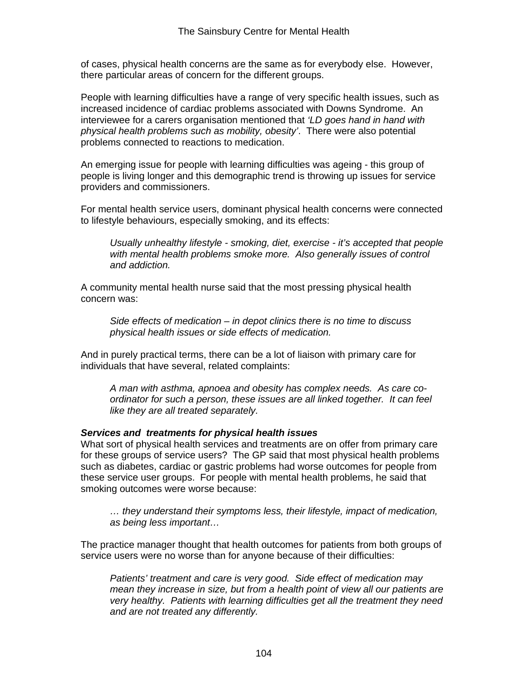of cases, physical health concerns are the same as for everybody else. However, there particular areas of concern for the different groups.

People with learning difficulties have a range of very specific health issues, such as increased incidence of cardiac problems associated with Downs Syndrome. An interviewee for a carers organisation mentioned that *'LD goes hand in hand with physical health problems such as mobility, obesity'*. There were also potential problems connected to reactions to medication.

An emerging issue for people with learning difficulties was ageing - this group of people is living longer and this demographic trend is throwing up issues for service providers and commissioners.

For mental health service users, dominant physical health concerns were connected to lifestyle behaviours, especially smoking, and its effects:

*Usually unhealthy lifestyle - smoking, diet, exercise - it's accepted that people*  with mental health problems smoke more. Also generally issues of control *and addiction.* 

A community mental health nurse said that the most pressing physical health concern was:

*Side effects of medication – in depot clinics there is no time to discuss physical health issues or side effects of medication.* 

And in purely practical terms, there can be a lot of liaison with primary care for individuals that have several, related complaints:

*A man with asthma, apnoea and obesity has complex needs. As care coordinator for such a person, these issues are all linked together. It can feel like they are all treated separately.*

## *Services and treatments for physical health issues*

What sort of physical health services and treatments are on offer from primary care for these groups of service users? The GP said that most physical health problems such as diabetes, cardiac or gastric problems had worse outcomes for people from these service user groups. For people with mental health problems, he said that smoking outcomes were worse because:

*… they understand their symptoms less, their lifestyle, impact of medication, as being less important…* 

The practice manager thought that health outcomes for patients from both groups of service users were no worse than for anyone because of their difficulties:

*Patients' treatment and care is very good. Side effect of medication may mean they increase in size, but from a health point of view all our patients are very healthy. Patients with learning difficulties get all the treatment they need and are not treated any differently.*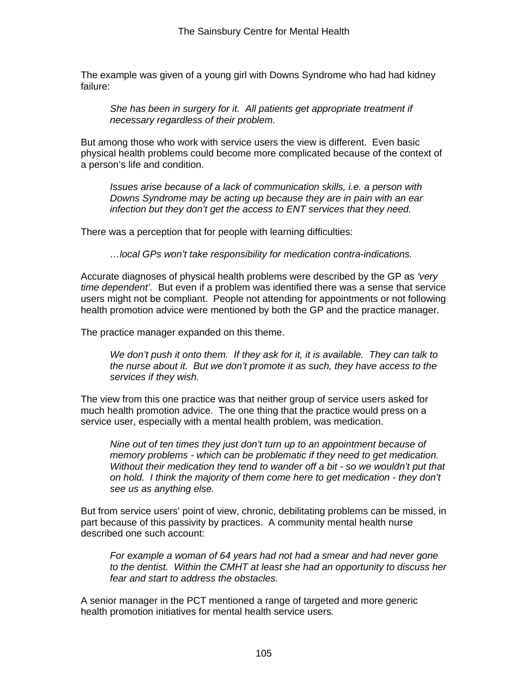The example was given of a young girl with Downs Syndrome who had had kidney failure:

She has been in surgery for it. All patients get appropriate treatment if *necessary regardless of their problem.*

But among those who work with service users the view is different. Even basic physical health problems could become more complicated because of the context of a person's life and condition.

*Issues arise because of a lack of communication skills, i.e. a person with Downs Syndrome may be acting up because they are in pain with an ear infection but they don't get the access to ENT services that they need.* 

There was a perception that for people with learning difficulties:

*…local GPs won't take responsibility for medication contra-indications.* 

Accurate diagnoses of physical health problems were described by the GP as *'very time dependent'.* But even if a problem was identified there was a sense that service users might not be compliant. People not attending for appointments or not following health promotion advice were mentioned by both the GP and the practice manager.

The practice manager expanded on this theme.

*We don't push it onto them. If they ask for it, it is available. They can talk to the nurse about it. But we don't promote it as such, they have access to the services if they wish.* 

The view from this one practice was that neither group of service users asked for much health promotion advice. The one thing that the practice would press on a service user, especially with a mental health problem, was medication.

*Nine out of ten times they just don't turn up to an appointment because of memory problems - which can be problematic if they need to get medication. Without their medication they tend to wander off a bit - so we wouldn't put that on hold. I think the majority of them come here to get medication - they don't see us as anything else.* 

But from service users' point of view, chronic, debilitating problems can be missed, in part because of this passivity by practices. A community mental health nurse described one such account:

*For example a woman of 64 years had not had a smear and had never gone to the dentist. Within the CMHT at least she had an opportunity to discuss her fear and start to address the obstacles.*

A senior manager in the PCT mentioned a range of targeted and more generic health promotion initiatives for mental health service users*.*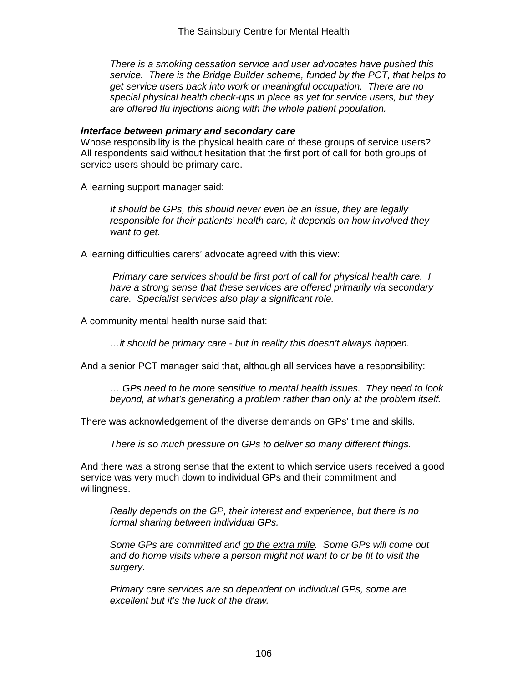*There is a smoking cessation service and user advocates have pushed this service. There is the Bridge Builder scheme, funded by the PCT, that helps to get service users back into work or meaningful occupation. There are no special physical health check-ups in place as yet for service users, but they are offered flu injections along with the whole patient population.* 

#### *Interface between primary and secondary care*

Whose responsibility is the physical health care of these groups of service users? All respondents said without hesitation that the first port of call for both groups of service users should be primary care.

A learning support manager said:

*It should be GPs, this should never even be an issue, they are legally responsible for their patients' health care, it depends on how involved they want to get.* 

A learning difficulties carers' advocate agreed with this view:

*Primary care services should be first port of call for physical health care. I have a strong sense that these services are offered primarily via secondary care. Specialist services also play a significant role.* 

A community mental health nurse said that:

*…it should be primary care - but in reality this doesn't always happen.* 

And a senior PCT manager said that, although all services have a responsibility:

*… GPs need to be more sensitive to mental health issues. They need to look*  beyond, at what's generating a problem rather than only at the problem itself.

There was acknowledgement of the diverse demands on GPs' time and skills.

*There is so much pressure on GPs to deliver so many different things.* 

And there was a strong sense that the extent to which service users received a good service was very much down to individual GPs and their commitment and willingness.

*Really depends on the GP, their interest and experience, but there is no formal sharing between individual GPs.* 

*Some GPs are committed and go the extra mile. Some GPs will come out and do home visits where a person might not want to or be fit to visit the surgery.* 

*Primary care services are so dependent on individual GPs, some are excellent but it's the luck of the draw.*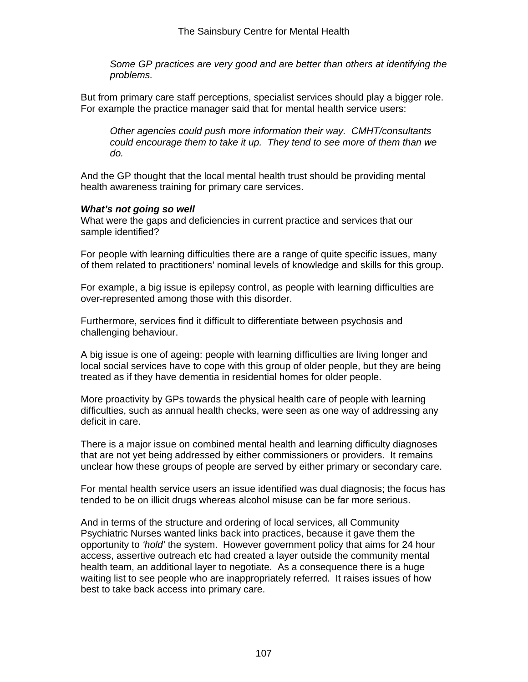*Some GP practices are very good and are better than others at identifying the problems.* 

But from primary care staff perceptions, specialist services should play a bigger role. For example the practice manager said that for mental health service users:

*Other agencies could push more information their way. CMHT/consultants could encourage them to take it up. They tend to see more of them than we do.* 

And the GP thought that the local mental health trust should be providing mental health awareness training for primary care services.

## *What's not going so well*

What were the gaps and deficiencies in current practice and services that our sample identified?

For people with learning difficulties there are a range of quite specific issues, many of them related to practitioners' nominal levels of knowledge and skills for this group.

For example, a big issue is epilepsy control, as people with learning difficulties are over-represented among those with this disorder.

Furthermore, services find it difficult to differentiate between psychosis and challenging behaviour.

A big issue is one of ageing: people with learning difficulties are living longer and local social services have to cope with this group of older people, but they are being treated as if they have dementia in residential homes for older people.

More proactivity by GPs towards the physical health care of people with learning difficulties, such as annual health checks, were seen as one way of addressing any deficit in care.

There is a major issue on combined mental health and learning difficulty diagnoses that are not yet being addressed by either commissioners or providers. It remains unclear how these groups of people are served by either primary or secondary care.

For mental health service users an issue identified was dual diagnosis; the focus has tended to be on illicit drugs whereas alcohol misuse can be far more serious.

And in terms of the structure and ordering of local services, all Community Psychiatric Nurses wanted links back into practices, because it gave them the opportunity to *'hold'* the system. However government policy that aims for 24 hour access, assertive outreach etc had created a layer outside the community mental health team, an additional layer to negotiate. As a consequence there is a huge waiting list to see people who are inappropriately referred. It raises issues of how best to take back access into primary care.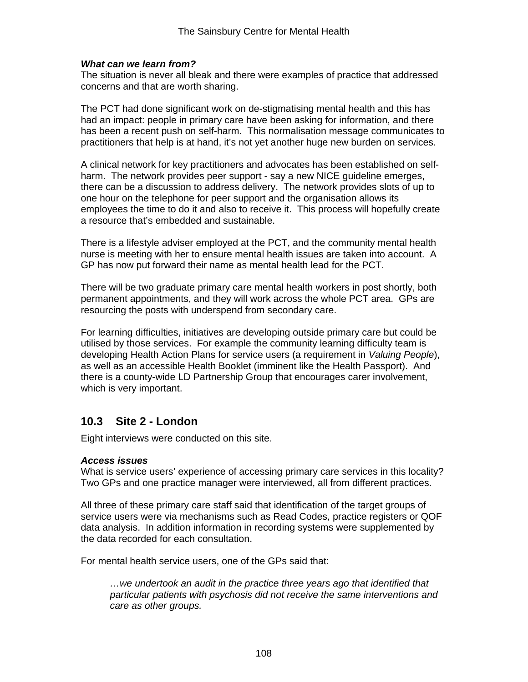## *What can we learn from?*

The situation is never all bleak and there were examples of practice that addressed concerns and that are worth sharing.

The PCT had done significant work on de-stigmatising mental health and this has had an impact: people in primary care have been asking for information, and there has been a recent push on self-harm. This normalisation message communicates to practitioners that help is at hand, it's not yet another huge new burden on services.

A clinical network for key practitioners and advocates has been established on selfharm. The network provides peer support - say a new NICE guideline emerges, there can be a discussion to address delivery. The network provides slots of up to one hour on the telephone for peer support and the organisation allows its employees the time to do it and also to receive it. This process will hopefully create a resource that's embedded and sustainable.

There is a lifestyle adviser employed at the PCT, and the community mental health nurse is meeting with her to ensure mental health issues are taken into account. A GP has now put forward their name as mental health lead for the PCT.

There will be two graduate primary care mental health workers in post shortly, both permanent appointments, and they will work across the whole PCT area. GPs are resourcing the posts with underspend from secondary care.

For learning difficulties, initiatives are developing outside primary care but could be utilised by those services. For example the community learning difficulty team is developing Health Action Plans for service users (a requirement in *Valuing People*), as well as an accessible Health Booklet (imminent like the Health Passport). And there is a county-wide LD Partnership Group that encourages carer involvement, which is very important.

## **10.3 Site 2 - London**

Eight interviews were conducted on this site.

## *Access issues*

What is service users' experience of accessing primary care services in this locality? Two GPs and one practice manager were interviewed, all from different practices.

All three of these primary care staff said that identification of the target groups of service users were via mechanisms such as Read Codes, practice registers or QOF data analysis. In addition information in recording systems were supplemented by the data recorded for each consultation.

For mental health service users, one of the GPs said that:

*…we undertook an audit in the practice three years ago that identified that particular patients with psychosis did not receive the same interventions and care as other groups.*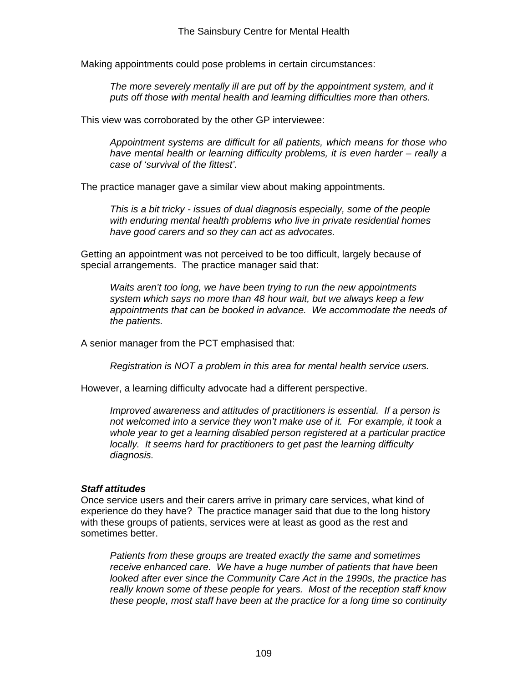Making appointments could pose problems in certain circumstances:

*The more severely mentally ill are put off by the appointment system, and it puts off those with mental health and learning difficulties more than others.* 

This view was corroborated by the other GP interviewee:

*Appointment systems are difficult for all patients, which means for those who have mental health or learning difficulty problems, it is even harder – really a case of 'survival of the fittest'.*

The practice manager gave a similar view about making appointments.

*This is a bit tricky - issues of dual diagnosis especially, some of the people with enduring mental health problems who live in private residential homes have good carers and so they can act as advocates.* 

Getting an appointment was not perceived to be too difficult, largely because of special arrangements. The practice manager said that:

*Waits aren't too long, we have been trying to run the new appointments system which says no more than 48 hour wait, but we always keep a few appointments that can be booked in advance. We accommodate the needs of the patients.* 

A senior manager from the PCT emphasised that:

*Registration is NOT a problem in this area for mental health service users.* 

However, a learning difficulty advocate had a different perspective.

*Improved awareness and attitudes of practitioners is essential. If a person is not welcomed into a service they won't make use of it. For example, it took a whole year to get a learning disabled person registered at a particular practice locally. It seems hard for practitioners to get past the learning difficulty diagnosis.* 

## *Staff attitudes*

Once service users and their carers arrive in primary care services, what kind of experience do they have? The practice manager said that due to the long history with these groups of patients, services were at least as good as the rest and sometimes better.

*Patients from these groups are treated exactly the same and sometimes receive enhanced care. We have a huge number of patients that have been looked after ever since the Community Care Act in the 1990s, the practice has really known some of these people for years. Most of the reception staff know these people, most staff have been at the practice for a long time so continuity*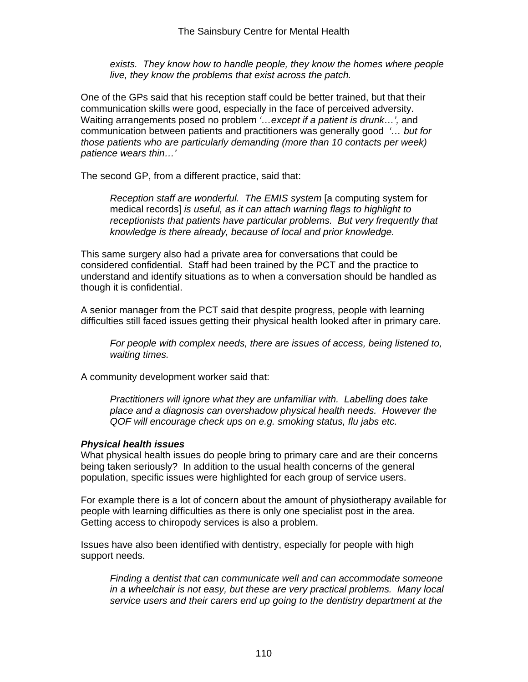*exists. They know how to handle people, they know the homes where people live, they know the problems that exist across the patch.* 

One of the GPs said that his reception staff could be better trained, but that their communication skills were good, especially in the face of perceived adversity. Waiting arrangements posed no problem *'…except if a patient is drunk…',* and communication between patients and practitioners was generally good *'… but for those patients who are particularly demanding (more than 10 contacts per week) patience wears thin…'* 

The second GP, from a different practice, said that:

*Reception staff are wonderful. The EMIS system* [a computing system for medical records] *is useful, as it can attach warning flags to highlight to receptionists that patients have particular problems. But very frequently that knowledge is there already, because of local and prior knowledge.*

This same surgery also had a private area for conversations that could be considered confidential. Staff had been trained by the PCT and the practice to understand and identify situations as to when a conversation should be handled as though it is confidential.

A senior manager from the PCT said that despite progress, people with learning difficulties still faced issues getting their physical health looked after in primary care.

*For people with complex needs, there are issues of access, being listened to, waiting times.*

A community development worker said that:

*Practitioners will ignore what they are unfamiliar with. Labelling does take place and a diagnosis can overshadow physical health needs. However the QOF will encourage check ups on e.g. smoking status, flu jabs etc.* 

## *Physical health issues*

What physical health issues do people bring to primary care and are their concerns being taken seriously? In addition to the usual health concerns of the general population, specific issues were highlighted for each group of service users.

For example there is a lot of concern about the amount of physiotherapy available for people with learning difficulties as there is only one specialist post in the area. Getting access to chiropody services is also a problem.

Issues have also been identified with dentistry, especially for people with high support needs.

*Finding a dentist that can communicate well and can accommodate someone in a wheelchair is not easy, but these are very practical problems. Many local service users and their carers end up going to the dentistry department at the*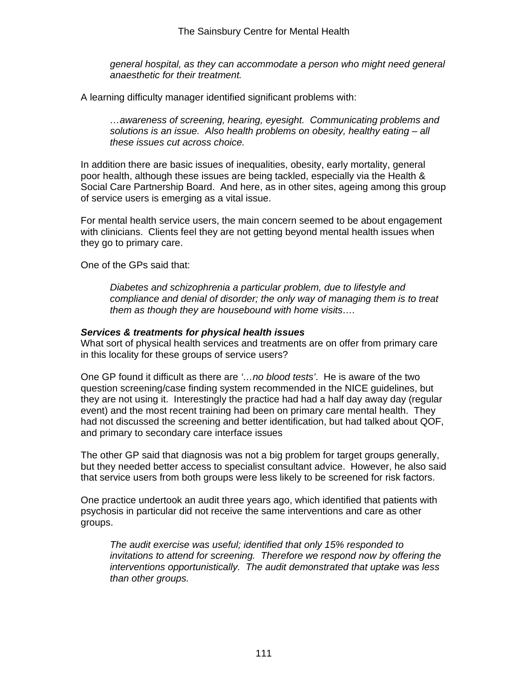*general hospital, as they can accommodate a person who might need general anaesthetic for their treatment.* 

A learning difficulty manager identified significant problems with:

*…awareness of screening, hearing, eyesight. Communicating problems and solutions is an issue. Also health problems on obesity, healthy eating – all these issues cut across choice.* 

In addition there are basic issues of inequalities, obesity, early mortality, general poor health, although these issues are being tackled, especially via the Health & Social Care Partnership Board. And here, as in other sites, ageing among this group of service users is emerging as a vital issue.

For mental health service users, the main concern seemed to be about engagement with clinicians. Clients feel they are not getting beyond mental health issues when they go to primary care.

One of the GPs said that:

*Diabetes and schizophrenia a particular problem, due to lifestyle and compliance and denial of disorder; the only way of managing them is to treat them as though they are housebound with home visits….* 

#### *Services & treatments for physical health issues*

What sort of physical health services and treatments are on offer from primary care in this locality for these groups of service users?

One GP found it difficult as there are *'…no blood tests'*.He is aware of the two question screening/case finding system recommended in the NICE guidelines, but they are not using it. Interestingly the practice had had a half day away day (regular event) and the most recent training had been on primary care mental health. They had not discussed the screening and better identification, but had talked about QOF, and primary to secondary care interface issues

The other GP said that diagnosis was not a big problem for target groups generally, but they needed better access to specialist consultant advice. However, he also said that service users from both groups were less likely to be screened for risk factors.

One practice undertook an audit three years ago, which identified that patients with psychosis in particular did not receive the same interventions and care as other groups.

*The audit exercise was useful; identified that only 15% responded to invitations to attend for screening. Therefore we respond now by offering the interventions opportunistically. The audit demonstrated that uptake was less than other groups.*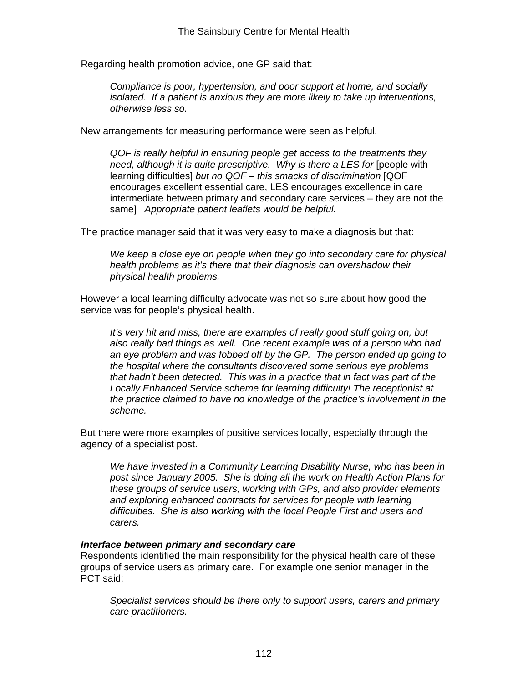Regarding health promotion advice, one GP said that:

*Compliance is poor, hypertension, and poor support at home, and socially isolated. If a patient is anxious they are more likely to take up interventions, otherwise less so.* 

New arrangements for measuring performance were seen as helpful.

*QOF is really helpful in ensuring people get access to the treatments they need, although it is quite prescriptive. Why is there a LES for* [people with learning difficulties] *but no QOF – this smacks of discrimination* [QOF encourages excellent essential care, LES encourages excellence in care intermediate between primary and secondary care services – they are not the same] *Appropriate patient leaflets would be helpful.*

The practice manager said that it was very easy to make a diagnosis but that:

*We keep a close eye on people when they go into secondary care for physical health problems as it's there that their diagnosis can overshadow their physical health problems.* 

However a local learning difficulty advocate was not so sure about how good the service was for people's physical health.

*It's very hit and miss, there are examples of really good stuff going on, but also really bad things as well. One recent example was of a person who had an eye problem and was fobbed off by the GP. The person ended up going to the hospital where the consultants discovered some serious eye problems that hadn't been detected. This was in a practice that in fact was part of the Locally Enhanced Service scheme for learning difficulty! The receptionist at the practice claimed to have no knowledge of the practice's involvement in the scheme.* 

But there were more examples of positive services locally, especially through the agency of a specialist post.

*We have invested in a Community Learning Disability Nurse, who has been in post since January 2005. She is doing all the work on Health Action Plans for these groups of service users, working with GPs, and also provider elements and exploring enhanced contracts for services for people with learning difficulties. She is also working with the local People First and users and carers.* 

## *Interface between primary and secondary care*

Respondents identified the main responsibility for the physical health care of these groups of service users as primary care. For example one senior manager in the PCT said:

*Specialist services should be there only to support users, carers and primary care practitioners.*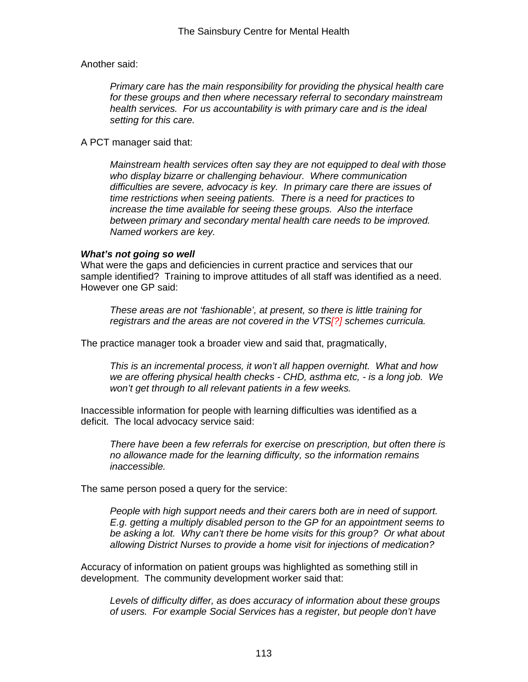Another said:

*Primary care has the main responsibility for providing the physical health care for these groups and then where necessary referral to secondary mainstream health services. For us accountability is with primary care and is the ideal setting for this care.* 

A PCT manager said that:

*Mainstream health services often say they are not equipped to deal with those who display bizarre or challenging behaviour. Where communication difficulties are severe, advocacy is key. In primary care there are issues of time restrictions when seeing patients. There is a need for practices to increase the time available for seeing these groups. Also the interface between primary and secondary mental health care needs to be improved. Named workers are key.* 

#### *What's not going so well*

What were the gaps and deficiencies in current practice and services that our sample identified? Training to improve attitudes of all staff was identified as a need. However one GP said:

*These areas are not 'fashionable', at present, so there is little training for registrars and the areas are not covered in the VTS[?] schemes curricula.* 

The practice manager took a broader view and said that, pragmatically,

*This is an incremental process, it won't all happen overnight. What and how we are offering physical health checks - CHD, asthma etc, - is a long job. We won't get through to all relevant patients in a few weeks.* 

Inaccessible information for people with learning difficulties was identified as a deficit. The local advocacy service said:

*There have been a few referrals for exercise on prescription, but often there is no allowance made for the learning difficulty, so the information remains inaccessible.* 

The same person posed a query for the service:

*People with high support needs and their carers both are in need of support. E.g. getting a multiply disabled person to the GP for an appointment seems to be asking a lot. Why can't there be home visits for this group? Or what about allowing District Nurses to provide a home visit for injections of medication?* 

Accuracy of information on patient groups was highlighted as something still in development. The community development worker said that:

*Levels of difficulty differ, as does accuracy of information about these groups of users. For example Social Services has a register, but people don't have*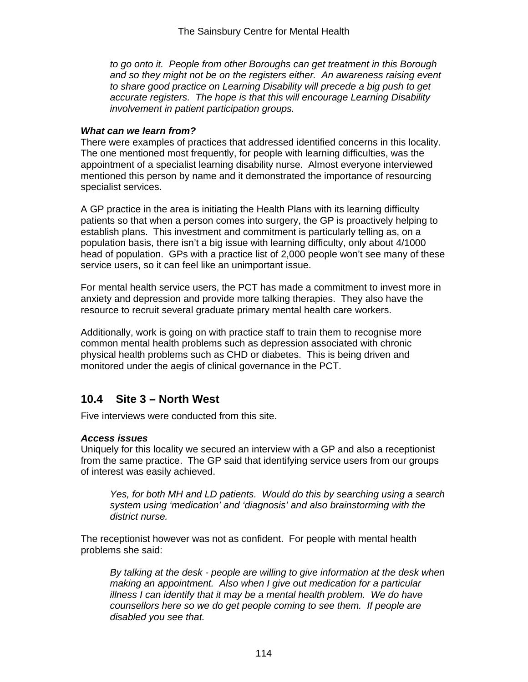*to go onto it. People from other Boroughs can get treatment in this Borough*  and so they might not be on the registers either. An awareness raising event *to share good practice on Learning Disability will precede a big push to get accurate registers. The hope is that this will encourage Learning Disability involvement in patient participation groups.*

#### *What can we learn from?*

There were examples of practices that addressed identified concerns in this locality. The one mentioned most frequently, for people with learning difficulties, was the appointment of a specialist learning disability nurse. Almost everyone interviewed mentioned this person by name and it demonstrated the importance of resourcing specialist services.

A GP practice in the area is initiating the Health Plans with its learning difficulty patients so that when a person comes into surgery, the GP is proactively helping to establish plans. This investment and commitment is particularly telling as, on a population basis, there isn't a big issue with learning difficulty, only about 4/1000 head of population. GPs with a practice list of 2,000 people won't see many of these service users, so it can feel like an unimportant issue.

For mental health service users, the PCT has made a commitment to invest more in anxiety and depression and provide more talking therapies. They also have the resource to recruit several graduate primary mental health care workers.

Additionally, work is going on with practice staff to train them to recognise more common mental health problems such as depression associated with chronic physical health problems such as CHD or diabetes. This is being driven and monitored under the aegis of clinical governance in the PCT.

## **10.4 Site 3 – North West**

Five interviews were conducted from this site.

## *Access issues*

Uniquely for this locality we secured an interview with a GP and also a receptionist from the same practice. The GP said that identifying service users from our groups of interest was easily achieved.

*Yes, for both MH and LD patients. Would do this by searching using a search system using 'medication' and 'diagnosis' and also brainstorming with the district nurse.*

The receptionist however was not as confident. For people with mental health problems she said:

*By talking at the desk - people are willing to give information at the desk when making an appointment. Also when I give out medication for a particular illness I can identify that it may be a mental health problem. We do have counsellors here so we do get people coming to see them. If people are disabled you see that.*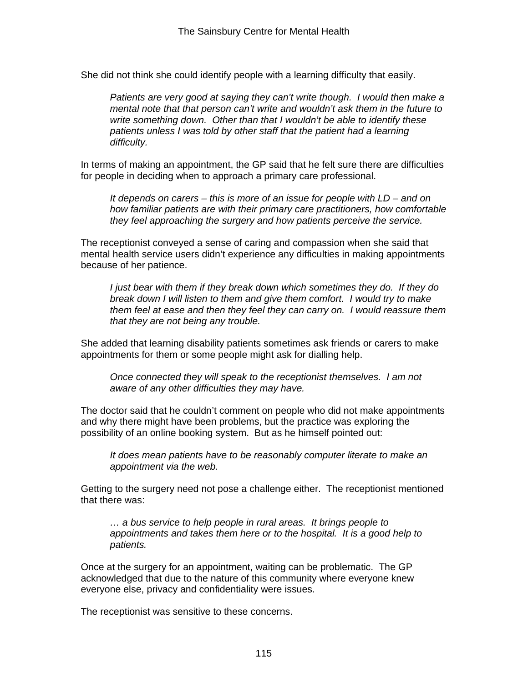She did not think she could identify people with a learning difficulty that easily.

*Patients are very good at saying they can't write though. I would then make a mental note that that person can't write and wouldn't ask them in the future to write something down. Other than that I wouldn't be able to identify these patients unless I was told by other staff that the patient had a learning difficulty.* 

In terms of making an appointment, the GP said that he felt sure there are difficulties for people in deciding when to approach a primary care professional.

*It depends on carers – this is more of an issue for people with LD – and on how familiar patients are with their primary care practitioners, how comfortable they feel approaching the surgery and how patients perceive the service.* 

The receptionist conveyed a sense of caring and compassion when she said that mental health service users didn't experience any difficulties in making appointments because of her patience.

*I just bear with them if they break down which sometimes they do. If they do break down I will listen to them and give them comfort. I would try to make them feel at ease and then they feel they can carry on. I would reassure them that they are not being any trouble.*

She added that learning disability patients sometimes ask friends or carers to make appointments for them or some people might ask for dialling help.

*Once connected they will speak to the receptionist themselves. I am not aware of any other difficulties they may have.* 

The doctor said that he couldn't comment on people who did not make appointments and why there might have been problems, but the practice was exploring the possibility of an online booking system. But as he himself pointed out:

*It does mean patients have to be reasonably computer literate to make an appointment via the web.*

Getting to the surgery need not pose a challenge either. The receptionist mentioned that there was:

*… a bus service to help people in rural areas. It brings people to appointments and takes them here or to the hospital. It is a good help to patients.* 

Once at the surgery for an appointment, waiting can be problematic. The GP acknowledged that due to the nature of this community where everyone knew everyone else, privacy and confidentiality were issues.

The receptionist was sensitive to these concerns.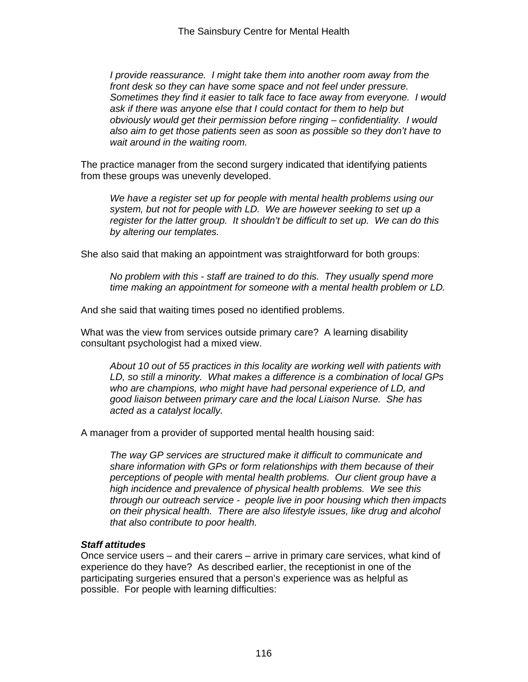*I provide reassurance. I might take them into another room away from the front desk so they can have some space and not feel under pressure. Sometimes they find it easier to talk face to face away from everyone. I would ask if there was anyone else that I could contact for them to help but obviously would get their permission before ringing – confidentiality. I would also aim to get those patients seen as soon as possible so they don't have to wait around in the waiting room.* 

The practice manager from the second surgery indicated that identifying patients from these groups was unevenly developed.

*We have a register set up for people with mental health problems using our system, but not for people with LD. We are however seeking to set up a register for the latter group. It shouldn't be difficult to set up. We can do this by altering our templates.* 

She also said that making an appointment was straightforward for both groups:

*No problem with this - staff are trained to do this. They usually spend more time making an appointment for someone with a mental health problem or LD.* 

And she said that waiting times posed no identified problems.

What was the view from services outside primary care? A learning disability consultant psychologist had a mixed view.

*About 10 out of 55 practices in this locality are working well with patients with LD, so still a minority. What makes a difference is a combination of local GPs who are champions, who might have had personal experience of LD, and good liaison between primary care and the local Liaison Nurse. She has acted as a catalyst locally.* 

A manager from a provider of supported mental health housing said:

*The way GP services are structured make it difficult to communicate and share information with GPs or form relationships with them because of their perceptions of people with mental health problems. Our client group have a high incidence and prevalence of physical health problems. We see this through our outreach service - people live in poor housing which then impacts on their physical health. There are also lifestyle issues, like drug and alcohol that also contribute to poor health.* 

## *Staff attitudes*

Once service users – and their carers – arrive in primary care services, what kind of experience do they have? As described earlier, the receptionist in one of the participating surgeries ensured that a person's experience was as helpful as possible. For people with learning difficulties: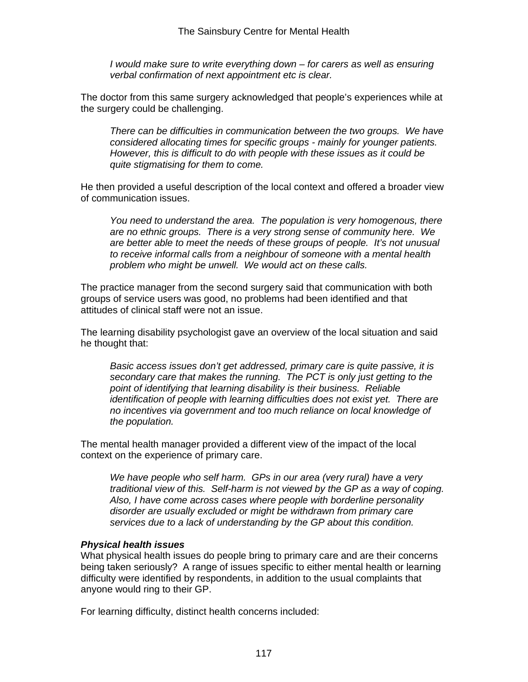*I* would make sure to write everything down – for carers as well as ensuring *verbal confirmation of next appointment etc is clear.* 

The doctor from this same surgery acknowledged that people's experiences while at the surgery could be challenging.

*There can be difficulties in communication between the two groups. We have considered allocating times for specific groups - mainly for younger patients. However, this is difficult to do with people with these issues as it could be quite stigmatising for them to come.* 

He then provided a useful description of the local context and offered a broader view of communication issues.

*You need to understand the area. The population is very homogenous, there are no ethnic groups. There is a very strong sense of community here. We are better able to meet the needs of these groups of people. It's not unusual to receive informal calls from a neighbour of someone with a mental health problem who might be unwell. We would act on these calls.* 

The practice manager from the second surgery said that communication with both groups of service users was good, no problems had been identified and that attitudes of clinical staff were not an issue.

The learning disability psychologist gave an overview of the local situation and said he thought that:

*Basic access issues don't get addressed, primary care is quite passive, it is secondary care that makes the running. The PCT is only just getting to the point of identifying that learning disability is their business. Reliable identification of people with learning difficulties does not exist yet. There are no incentives via government and too much reliance on local knowledge of the population.* 

The mental health manager provided a different view of the impact of the local context on the experience of primary care.

*We have people who self harm. GPs in our area (very rural) have a very traditional view of this. Self-harm is not viewed by the GP as a way of coping. Also, I have come across cases where people with borderline personality disorder are usually excluded or might be withdrawn from primary care services due to a lack of understanding by the GP about this condition.* 

## *Physical health issues*

What physical health issues do people bring to primary care and are their concerns being taken seriously? A range of issues specific to either mental health or learning difficulty were identified by respondents, in addition to the usual complaints that anyone would ring to their GP.

For learning difficulty, distinct health concerns included: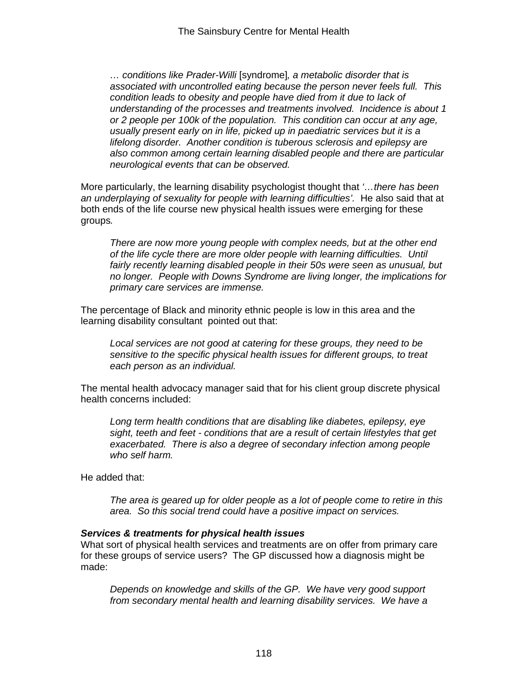*… conditions like Prader-Willi* [syndrome]*, a metabolic disorder that is associated with uncontrolled eating because the person never feels full. This condition leads to obesity and people have died from it due to lack of understanding of the processes and treatments involved. Incidence is about 1 or 2 people per 100k of the population. This condition can occur at any age, usually present early on in life, picked up in paediatric services but it is a lifelong disorder. Another condition is tuberous sclerosis and epilepsy are also common among certain learning disabled people and there are particular neurological events that can be observed.* 

More particularly, the learning disability psychologist thought that *'…there has been an underplaying of sexuality for people with learning difficulties'.* He also said that at both ends of the life course new physical health issues were emerging for these groups*.* 

*There are now more young people with complex needs, but at the other end of the life cycle there are more older people with learning difficulties. Until*  fairly recently learning disabled people in their 50s were seen as unusual, but *no longer. People with Downs Syndrome are living longer, the implications for primary care services are immense.*

The percentage of Black and minority ethnic people is low in this area and the learning disability consultant pointed out that:

*Local services are not good at catering for these groups, they need to be sensitive to the specific physical health issues for different groups, to treat each person as an individual.* 

The mental health advocacy manager said that for his client group discrete physical health concerns included:

*Long term health conditions that are disabling like diabetes, epilepsy, eye sight, teeth and feet - conditions that are a result of certain lifestyles that get exacerbated. There is also a degree of secondary infection among people who self harm.*

He added that:

*The area is geared up for older people as a lot of people come to retire in this area. So this social trend could have a positive impact on services.* 

#### *Services & treatments for physical health issues*

What sort of physical health services and treatments are on offer from primary care for these groups of service users? The GP discussed how a diagnosis might be made:

*Depends on knowledge and skills of the GP. We have very good support from secondary mental health and learning disability services. We have a*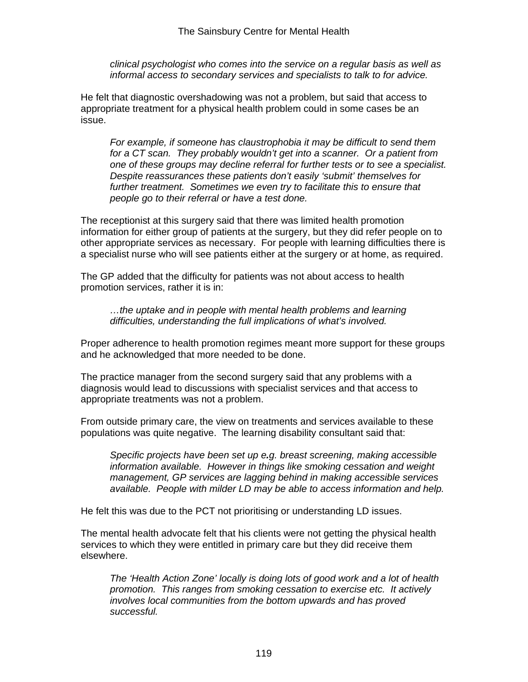*clinical psychologist who comes into the service on a regular basis as well as informal access to secondary services and specialists to talk to for advice.* 

He felt that diagnostic overshadowing was not a problem, but said that access to appropriate treatment for a physical health problem could in some cases be an issue.

*For example, if someone has claustrophobia it may be difficult to send them for a CT scan. They probably wouldn't get into a scanner. Or a patient from one of these groups may decline referral for further tests or to see a specialist. Despite reassurances these patients don't easily 'submit' themselves for*  further treatment. Sometimes we even try to facilitate this to ensure that *people go to their referral or have a test done.* 

The receptionist at this surgery said that there was limited health promotion information for either group of patients at the surgery, but they did refer people on to other appropriate services as necessary. For people with learning difficulties there is a specialist nurse who will see patients either at the surgery or at home, as required.

The GP added that the difficulty for patients was not about access to health promotion services, rather it is in:

*…the uptake and in people with mental health problems and learning difficulties, understanding the full implications of what's involved.*

Proper adherence to health promotion regimes meant more support for these groups and he acknowledged that more needed to be done.

The practice manager from the second surgery said that any problems with a diagnosis would lead to discussions with specialist services and that access to appropriate treatments was not a problem.

From outside primary care, the view on treatments and services available to these populations was quite negative. The learning disability consultant said that:

*Specific projects have been set up e.g. breast screening, making accessible information available. However in things like smoking cessation and weight management, GP services are lagging behind in making accessible services available. People with milder LD may be able to access information and help.*

He felt this was due to the PCT not prioritising or understanding LD issues.

The mental health advocate felt that his clients were not getting the physical health services to which they were entitled in primary care but they did receive them elsewhere.

*The 'Health Action Zone' locally is doing lots of good work and a lot of health promotion. This ranges from smoking cessation to exercise etc. It actively involves local communities from the bottom upwards and has proved successful.*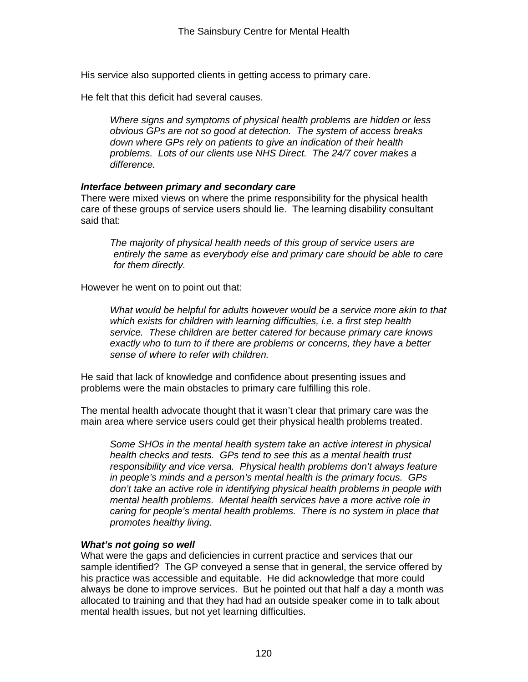His service also supported clients in getting access to primary care.

He felt that this deficit had several causes.

*Where signs and symptoms of physical health problems are hidden or less obvious GPs are not so good at detection. The system of access breaks down where GPs rely on patients to give an indication of their health problems. Lots of our clients use NHS Direct. The 24/7 cover makes a difference.*

## *Interface between primary and secondary care*

There were mixed views on where the prime responsibility for the physical health care of these groups of service users should lie. The learning disability consultant said that:

*The majority of physical health needs of this group of service users are entirely the same as everybody else and primary care should be able to care for them directly.* 

However he went on to point out that:

*What would be helpful for adults however would be a service more akin to that which exists for children with learning difficulties, i.e. a first step health service. These children are better catered for because primary care knows exactly who to turn to if there are problems or concerns, they have a better sense of where to refer with children.*

He said that lack of knowledge and confidence about presenting issues and problems were the main obstacles to primary care fulfilling this role.

The mental health advocate thought that it wasn't clear that primary care was the main area where service users could get their physical health problems treated.

*Some SHOs in the mental health system take an active interest in physical health checks and tests. GPs tend to see this as a mental health trust responsibility and vice versa. Physical health problems don't always feature in people's minds and a person's mental health is the primary focus. GPs don't take an active role in identifying physical health problems in people with mental health problems. Mental health services have a more active role in caring for people's mental health problems. There is no system in place that promotes healthy living.* 

## *What's not going so well*

What were the gaps and deficiencies in current practice and services that our sample identified? The GP conveyed a sense that in general, the service offered by his practice was accessible and equitable. He did acknowledge that more could always be done to improve services. But he pointed out that half a day a month was allocated to training and that they had had an outside speaker come in to talk about mental health issues, but not yet learning difficulties.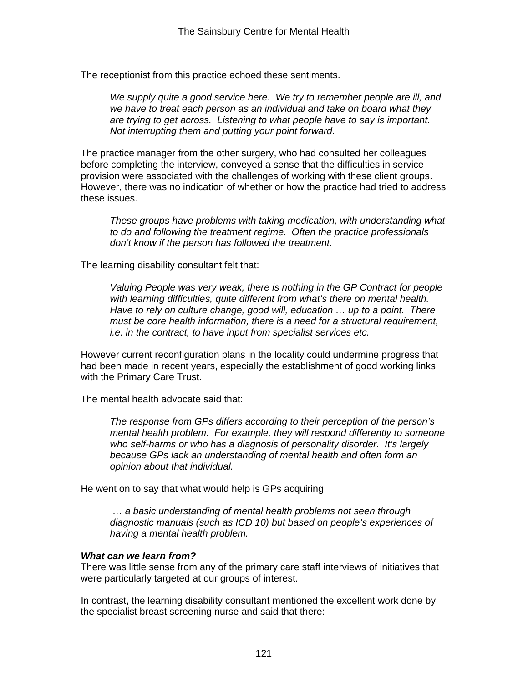The receptionist from this practice echoed these sentiments.

*We supply quite a good service here. We try to remember people are ill, and we have to treat each person as an individual and take on board what they are trying to get across. Listening to what people have to say is important. Not interrupting them and putting your point forward.*

The practice manager from the other surgery, who had consulted her colleagues before completing the interview, conveyed a sense that the difficulties in service provision were associated with the challenges of working with these client groups. However, there was no indication of whether or how the practice had tried to address these issues.

*These groups have problems with taking medication, with understanding what to do and following the treatment regime. Often the practice professionals don't know if the person has followed the treatment.*

The learning disability consultant felt that:

*Valuing People was very weak, there is nothing in the GP Contract for people with learning difficulties, quite different from what's there on mental health. Have to rely on culture change, good will, education … up to a point. There must be core health information, there is a need for a structural requirement, i.e. in the contract, to have input from specialist services etc.* 

However current reconfiguration plans in the locality could undermine progress that had been made in recent years, especially the establishment of good working links with the Primary Care Trust.

The mental health advocate said that:

*The response from GPs differs according to their perception of the person's mental health problem. For example, they will respond differently to someone who self-harms or who has a diagnosis of personality disorder. It's largely because GPs lack an understanding of mental health and often form an opinion about that individual.* 

He went on to say that what would help is GPs acquiring

*… a basic understanding of mental health problems not seen through diagnostic manuals (such as ICD 10) but based on people's experiences of having a mental health problem.* 

## *What can we learn from?*

There was little sense from any of the primary care staff interviews of initiatives that were particularly targeted at our groups of interest.

In contrast, the learning disability consultant mentioned the excellent work done by the specialist breast screening nurse and said that there: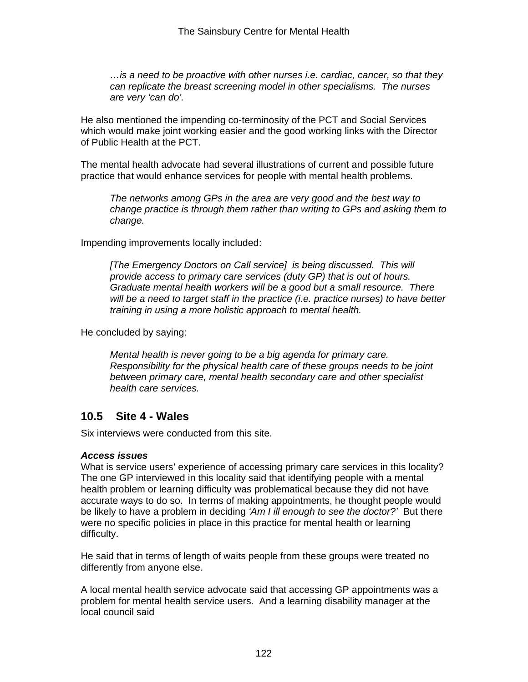*…is a need to be proactive with other nurses i.e. cardiac, cancer, so that they can replicate the breast screening model in other specialisms. The nurses are very 'can do'.* 

He also mentioned the impending co-terminosity of the PCT and Social Services which would make joint working easier and the good working links with the Director of Public Health at the PCT.

The mental health advocate had several illustrations of current and possible future practice that would enhance services for people with mental health problems.

*The networks among GPs in the area are very good and the best way to change practice is through them rather than writing to GPs and asking them to change.* 

Impending improvements locally included:

*[The Emergency Doctors on Call service] is being discussed. This will provide access to primary care services (duty GP) that is out of hours. Graduate mental health workers will be a good but a small resource. There will be a need to target staff in the practice (i.e. practice nurses) to have better training in using a more holistic approach to mental health.* 

He concluded by saying:

*Mental health is never going to be a big agenda for primary care. Responsibility for the physical health care of these groups needs to be joint between primary care, mental health secondary care and other specialist health care services.*

## **10.5 Site 4 - Wales**

Six interviews were conducted from this site.

## *Access issues*

What is service users' experience of accessing primary care services in this locality? The one GP interviewed in this locality said that identifying people with a mental health problem or learning difficulty was problematical because they did not have accurate ways to do so. In terms of making appointments, he thought people would be likely to have a problem in deciding *'Am I ill enough to see the doctor?'* But there were no specific policies in place in this practice for mental health or learning difficulty.

He said that in terms of length of waits people from these groups were treated no differently from anyone else.

A local mental health service advocate said that accessing GP appointments was a problem for mental health service users. And a learning disability manager at the local council said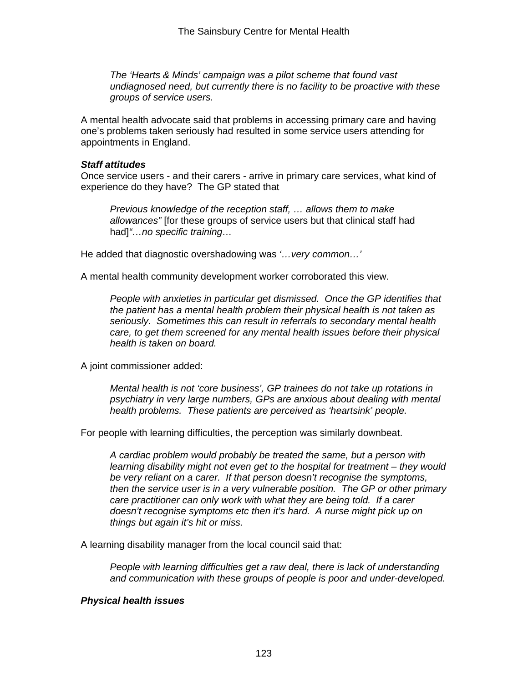*The 'Hearts & Minds' campaign was a pilot scheme that found vast undiagnosed need, but currently there is no facility to be proactive with these groups of service users.* 

A mental health advocate said that problems in accessing primary care and having one's problems taken seriously had resulted in some service users attending for appointments in England.

#### *Staff attitudes*

Once service users - and their carers - arrive in primary care services, what kind of experience do they have? The GP stated that

*Previous knowledge of the reception staff, … allows them to make allowances"* [for these groups of service users but that clinical staff had had]*"…no specific training…*

He added that diagnostic overshadowing was *'…very common…'*

A mental health community development worker corroborated this view.

*People with anxieties in particular get dismissed. Once the GP identifies that the patient has a mental health problem their physical health is not taken as seriously. Sometimes this can result in referrals to secondary mental health care, to get them screened for any mental health issues before their physical health is taken on board.* 

A joint commissioner added:

*Mental health is not 'core business', GP trainees do not take up rotations in psychiatry in very large numbers, GPs are anxious about dealing with mental health problems. These patients are perceived as 'heartsink' people.* 

For people with learning difficulties, the perception was similarly downbeat.

*A cardiac problem would probably be treated the same, but a person with learning disability might not even get to the hospital for treatment – they would be very reliant on a carer. If that person doesn't recognise the symptoms, then the service user is in a very vulnerable position. The GP or other primary care practitioner can only work with what they are being told. If a carer doesn't recognise symptoms etc then it's hard. A nurse might pick up on things but again it's hit or miss.* 

A learning disability manager from the local council said that:

*People with learning difficulties get a raw deal, there is lack of understanding and communication with these groups of people is poor and under-developed.* 

## *Physical health issues*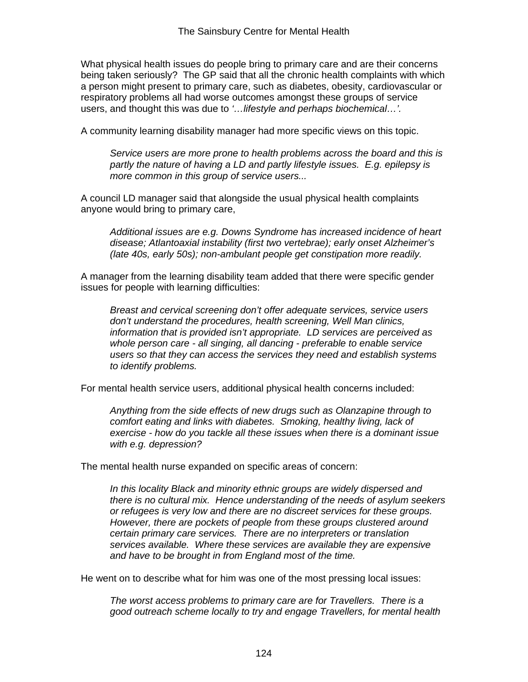What physical health issues do people bring to primary care and are their concerns being taken seriously? The GP said that all the chronic health complaints with which a person might present to primary care, such as diabetes, obesity, cardiovascular or respiratory problems all had worse outcomes amongst these groups of service users, and thought this was due to *'…lifestyle and perhaps biochemical…'.* 

A community learning disability manager had more specific views on this topic.

*Service users are more prone to health problems across the board and this is partly the nature of having a LD and partly lifestyle issues. E.g. epilepsy is more common in this group of service users...* 

A council LD manager said that alongside the usual physical health complaints anyone would bring to primary care,

*Additional issues are e.g. Downs Syndrome has increased incidence of heart disease; Atlantoaxial instability (first two vertebrae); early onset Alzheimer's (late 40s, early 50s); non-ambulant people get constipation more readily.* 

A manager from the learning disability team added that there were specific gender issues for people with learning difficulties:

*Breast and cervical screening don't offer adequate services, service users don't understand the procedures, health screening, Well Man clinics, information that is provided isn't appropriate. LD services are perceived as whole person care - all singing, all dancing - preferable to enable service users so that they can access the services they need and establish systems to identify problems.* 

For mental health service users, additional physical health concerns included:

*Anything from the side effects of new drugs such as Olanzapine through to comfort eating and links with diabetes. Smoking, healthy living, lack of exercise - how do you tackle all these issues when there is a dominant issue with e.g. depression?* 

The mental health nurse expanded on specific areas of concern:

*In this locality Black and minority ethnic groups are widely dispersed and there is no cultural mix. Hence understanding of the needs of asylum seekers or refugees is very low and there are no discreet services for these groups. However, there are pockets of people from these groups clustered around certain primary care services. There are no interpreters or translation services available. Where these services are available they are expensive and have to be brought in from England most of the time.*

He went on to describe what for him was one of the most pressing local issues:

*The worst access problems to primary care are for Travellers. There is a good outreach scheme locally to try and engage Travellers, for mental health*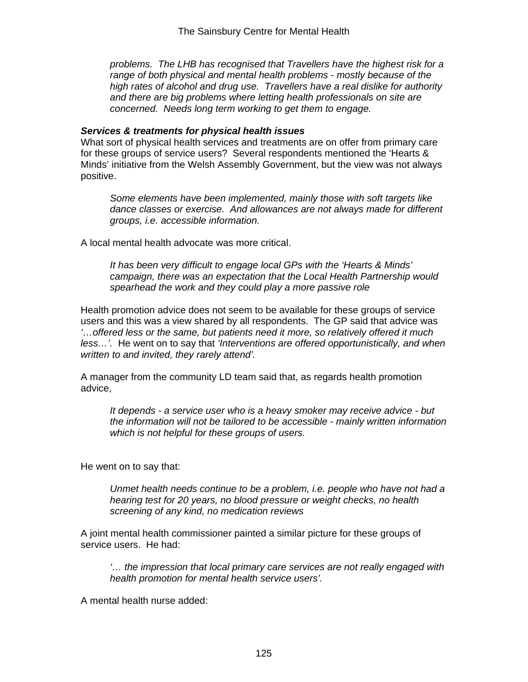*problems. The LHB has recognised that Travellers have the highest risk for a range of both physical and mental health problems - mostly because of the high rates of alcohol and drug use. Travellers have a real dislike for authority and there are big problems where letting health professionals on site are concerned. Needs long term working to get them to engage.* 

#### *Services & treatments for physical health issues*

What sort of physical health services and treatments are on offer from primary care for these groups of service users? Several respondents mentioned the 'Hearts & Minds' initiative from the Welsh Assembly Government, but the view was not always positive.

*Some elements have been implemented, mainly those with soft targets like dance classes or exercise. And allowances are not always made for different groups, i.e. accessible information.*

A local mental health advocate was more critical.

*It has been very difficult to engage local GPs with the 'Hearts & Minds' campaign, there was an expectation that the Local Health Partnership would spearhead the work and they could play a more passive role* 

Health promotion advice does not seem to be available for these groups of service users and this was a view shared by all respondents. The GP said that advice was *'…offered less or the same, but patients need it more, so relatively offered it much less…'.* He went on to say that *'Interventions are offered opportunistically, and when written to and invited, they rarely attend'.*

A manager from the community LD team said that, as regards health promotion advice,

*It depends - a service user who is a heavy smoker may receive advice - but the information will not be tailored to be accessible - mainly written information which is not helpful for these groups of users.*

He went on to say that:

*Unmet health needs continue to be a problem, i.e. people who have not had a hearing test for 20 years, no blood pressure or weight checks, no health screening of any kind, no medication reviews* 

A joint mental health commissioner painted a similar picture for these groups of service users. He had:

*'… the impression that local primary care services are not really engaged with health promotion for mental health service users'.*

A mental health nurse added: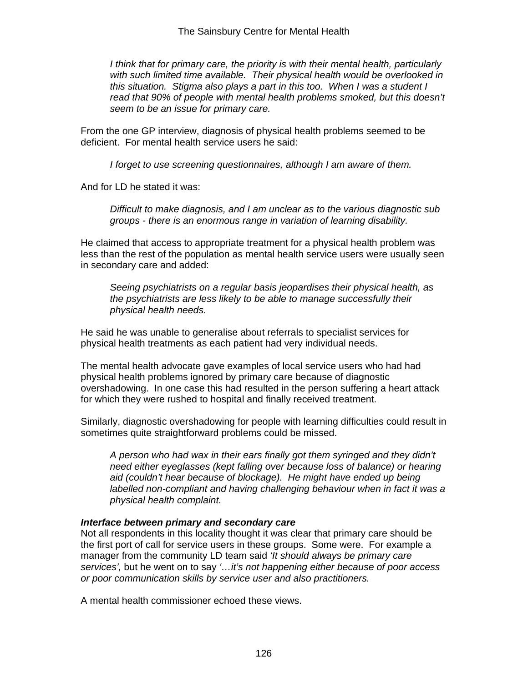*I think that for primary care, the priority is with their mental health, particularly with such limited time available. Their physical health would be overlooked in this situation. Stigma also plays a part in this too. When I was a student I read that 90% of people with mental health problems smoked, but this doesn't seem to be an issue for primary care.* 

From the one GP interview, diagnosis of physical health problems seemed to be deficient. For mental health service users he said:

*I forget to use screening questionnaires, although I am aware of them.*

And for LD he stated it was:

*Difficult to make diagnosis, and I am unclear as to the various diagnostic sub groups - there is an enormous range in variation of learning disability.* 

He claimed that access to appropriate treatment for a physical health problem was less than the rest of the population as mental health service users were usually seen in secondary care and added:

*Seeing psychiatrists on a regular basis jeopardises their physical health, as the psychiatrists are less likely to be able to manage successfully their physical health needs.*

He said he was unable to generalise about referrals to specialist services for physical health treatments as each patient had very individual needs.

The mental health advocate gave examples of local service users who had had physical health problems ignored by primary care because of diagnostic overshadowing. In one case this had resulted in the person suffering a heart attack for which they were rushed to hospital and finally received treatment.

Similarly, diagnostic overshadowing for people with learning difficulties could result in sometimes quite straightforward problems could be missed.

*A person who had wax in their ears finally got them syringed and they didn't need either eyeglasses (kept falling over because loss of balance) or hearing aid (couldn't hear because of blockage). He might have ended up being labelled non-compliant and having challenging behaviour when in fact it was a physical health complaint.* 

## *Interface between primary and secondary care*

Not all respondents in this locality thought it was clear that primary care should be the first port of call for service users in these groups. Some were. For example a manager from the community LD team said *'It should always be primary care services',* but he went on to say *'…it's not happening either because of poor access or poor communication skills by service user and also practitioners.*

A mental health commissioner echoed these views.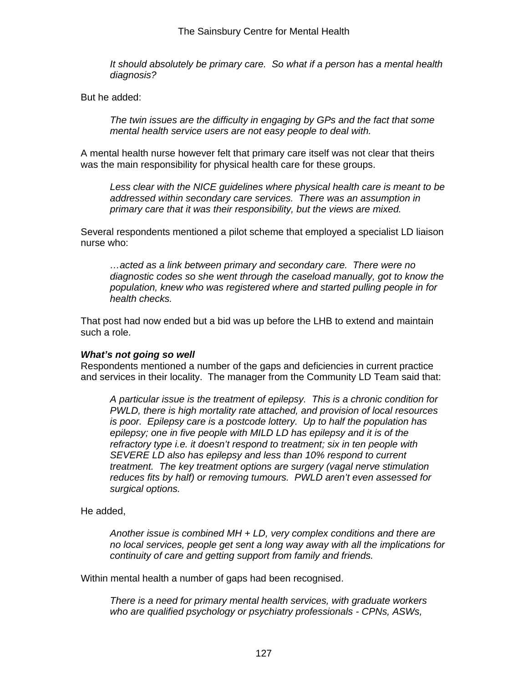*It should absolutely be primary care. So what if a person has a mental health diagnosis?*

But he added:

*The twin issues are the difficulty in engaging by GPs and the fact that some mental health service users are not easy people to deal with.* 

A mental health nurse however felt that primary care itself was not clear that theirs was the main responsibility for physical health care for these groups.

*Less clear with the NICE guidelines where physical health care is meant to be addressed within secondary care services. There was an assumption in primary care that it was their responsibility, but the views are mixed.* 

Several respondents mentioned a pilot scheme that employed a specialist LD liaison nurse who:

*…acted as a link between primary and secondary care. There were no diagnostic codes so she went through the caseload manually, got to know the population, knew who was registered where and started pulling people in for health checks.*

That post had now ended but a bid was up before the LHB to extend and maintain such a role.

## *What's not going so well*

Respondents mentioned a number of the gaps and deficiencies in current practice and services in their locality. The manager from the Community LD Team said that:

*A particular issue is the treatment of epilepsy. This is a chronic condition for PWLD, there is high mortality rate attached, and provision of local resources is poor. Epilepsy care is a postcode lottery. Up to half the population has epilepsy; one in five people with MILD LD has epilepsy and it is of the refractory type i.e. it doesn't respond to treatment; six in ten people with SEVERE LD also has epilepsy and less than 10% respond to current treatment. The key treatment options are surgery (vagal nerve stimulation reduces fits by half) or removing tumours. PWLD aren't even assessed for surgical options.* 

He added,

*Another issue is combined MH + LD, very complex conditions and there are no local services, people get sent a long way away with all the implications for continuity of care and getting support from family and friends.*

Within mental health a number of gaps had been recognised.

*There is a need for primary mental health services, with graduate workers who are qualified psychology or psychiatry professionals - CPNs, ASWs,*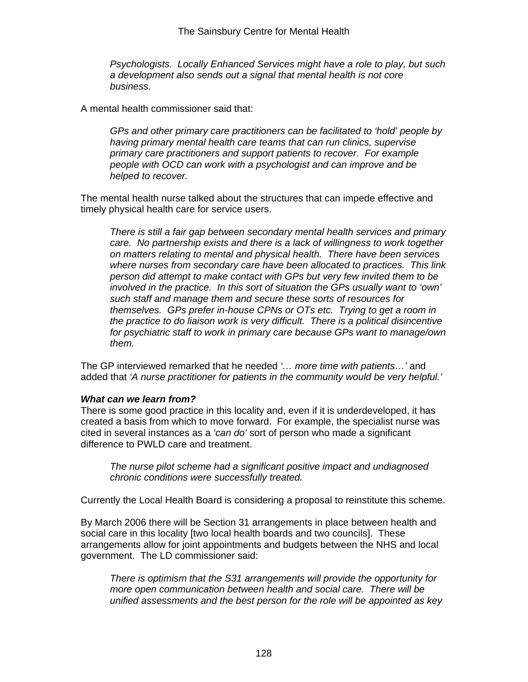*Psychologists. Locally Enhanced Services might have a role to play, but such a development also sends out a signal that mental health is not core business.*

A mental health commissioner said that:

*GPs and other primary care practitioners can be facilitated to 'hold' people by having primary mental health care teams that can run clinics, supervise primary care practitioners and support patients to recover. For example people with OCD can work with a psychologist and can improve and be helped to recover.* 

The mental health nurse talked about the structures that can impede effective and timely physical health care for service users.

*There is still a fair gap between secondary mental health services and primary care. No partnership exists and there is a lack of willingness to work together on matters relating to mental and physical health. There have been services where nurses from secondary care have been allocated to practices. This link person did attempt to make contact with GPs but very few invited them to be involved in the practice. In this sort of situation the GPs usually want to 'own' such staff and manage them and secure these sorts of resources for themselves. GPs prefer in-house CPNs or OTs etc. Trying to get a room in the practice to do liaison work is very difficult. There is a political disincentive for psychiatric staff to work in primary care because GPs want to manage/own them.* 

The GP interviewed remarked that he needed *'… more time with patients…'* and added that *'A nurse practitioner for patients in the community would be very helpful.'* 

#### *What can we learn from?*

There is some good practice in this locality and, even if it is underdeveloped, it has created a basis from which to move forward. For example, the specialist nurse was cited in several instances as a *'can do'* sort of person who made a significant difference to PWLD care and treatment.

*The nurse pilot scheme had a significant positive impact and undiagnosed chronic conditions were successfully treated.*

Currently the Local Health Board is considering a proposal to reinstitute this scheme.

By March 2006 there will be Section 31 arrangements in place between health and social care in this locality [two local health boards and two councils]. These arrangements allow for joint appointments and budgets between the NHS and local government. The LD commissioner said:

*There is optimism that the S31 arrangements will provide the opportunity for more open communication between health and social care. There will be unified assessments and the best person for the role will be appointed as key*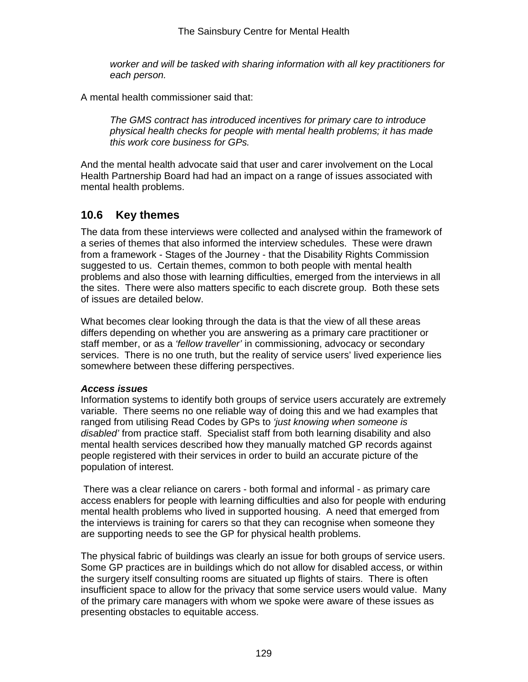*worker and will be tasked with sharing information with all key practitioners for each person.* 

A mental health commissioner said that:

*The GMS contract has introduced incentives for primary care to introduce physical health checks for people with mental health problems; it has made this work core business for GPs.* 

And the mental health advocate said that user and carer involvement on the Local Health Partnership Board had had an impact on a range of issues associated with mental health problems.

## **10.6 Key themes**

The data from these interviews were collected and analysed within the framework of a series of themes that also informed the interview schedules. These were drawn from a framework - Stages of the Journey - that the Disability Rights Commission suggested to us. Certain themes, common to both people with mental health problems and also those with learning difficulties, emerged from the interviews in all the sites. There were also matters specific to each discrete group. Both these sets of issues are detailed below.

What becomes clear looking through the data is that the view of all these areas differs depending on whether you are answering as a primary care practitioner or staff member, or as a *'fellow traveller'* in commissioning, advocacy or secondary services. There is no one truth, but the reality of service users' lived experience lies somewhere between these differing perspectives.

## *Access issues*

Information systems to identify both groups of service users accurately are extremely variable. There seems no one reliable way of doing this and we had examples that ranged from utilising Read Codes by GPs to *'just knowing when someone is disabled'* from practice staff. Specialist staff from both learning disability and also mental health services described how they manually matched GP records against people registered with their services in order to build an accurate picture of the population of interest.

 There was a clear reliance on carers - both formal and informal - as primary care access enablers for people with learning difficulties and also for people with enduring mental health problems who lived in supported housing. A need that emerged from the interviews is training for carers so that they can recognise when someone they are supporting needs to see the GP for physical health problems.

The physical fabric of buildings was clearly an issue for both groups of service users. Some GP practices are in buildings which do not allow for disabled access, or within the surgery itself consulting rooms are situated up flights of stairs. There is often insufficient space to allow for the privacy that some service users would value. Many of the primary care managers with whom we spoke were aware of these issues as presenting obstacles to equitable access.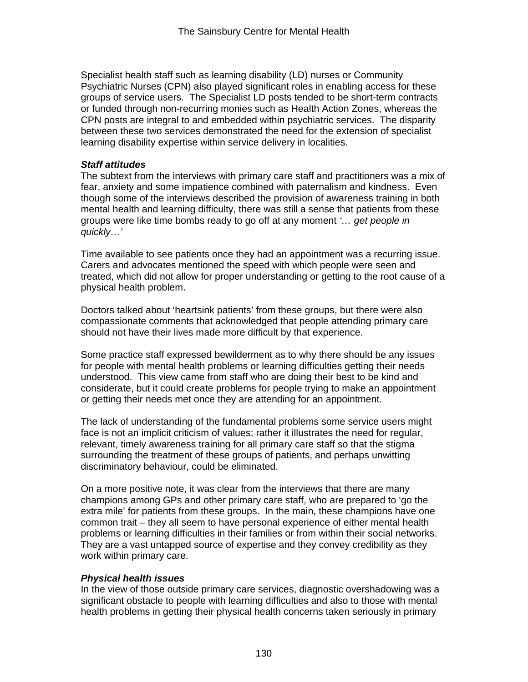Specialist health staff such as learning disability (LD) nurses or Community Psychiatric Nurses (CPN) also played significant roles in enabling access for these groups of service users. The Specialist LD posts tended to be short-term contracts or funded through non-recurring monies such as Health Action Zones, whereas the CPN posts are integral to and embedded within psychiatric services. The disparity between these two services demonstrated the need for the extension of specialist learning disability expertise within service delivery in localities.

## *Staff attitudes*

The subtext from the interviews with primary care staff and practitioners was a mix of fear, anxiety and some impatience combined with paternalism and kindness. Even though some of the interviews described the provision of awareness training in both mental health and learning difficulty, there was still a sense that patients from these groups were like time bombs ready to go off at any moment *'… get people in quickly…'*

Time available to see patients once they had an appointment was a recurring issue. Carers and advocates mentioned the speed with which people were seen and treated, which did not allow for proper understanding or getting to the root cause of a physical health problem.

Doctors talked about 'heartsink patients' from these groups, but there were also compassionate comments that acknowledged that people attending primary care should not have their lives made more difficult by that experience.

Some practice staff expressed bewilderment as to why there should be any issues for people with mental health problems or learning difficulties getting their needs understood. This view came from staff who are doing their best to be kind and considerate, but it could create problems for people trying to make an appointment or getting their needs met once they are attending for an appointment.

The lack of understanding of the fundamental problems some service users might face is not an implicit criticism of values; rather it illustrates the need for regular, relevant, timely awareness training for all primary care staff so that the stigma surrounding the treatment of these groups of patients, and perhaps unwitting discriminatory behaviour, could be eliminated.

On a more positive note, it was clear from the interviews that there are many champions among GPs and other primary care staff, who are prepared to 'go the extra mile' for patients from these groups. In the main, these champions have one common trait – they all seem to have personal experience of either mental health problems or learning difficulties in their families or from within their social networks. They are a vast untapped source of expertise and they convey credibility as they work within primary care.

## *Physical health issues*

In the view of those outside primary care services, diagnostic overshadowing was a significant obstacle to people with learning difficulties and also to those with mental health problems in getting their physical health concerns taken seriously in primary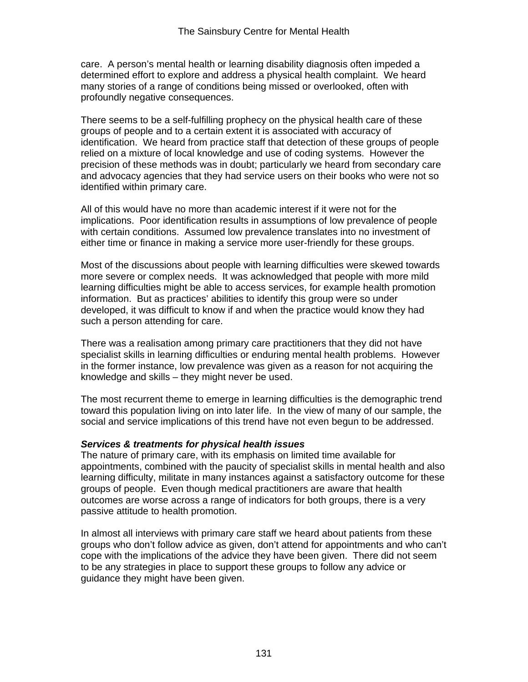care. A person's mental health or learning disability diagnosis often impeded a determined effort to explore and address a physical health complaint. We heard many stories of a range of conditions being missed or overlooked, often with profoundly negative consequences.

There seems to be a self-fulfilling prophecy on the physical health care of these groups of people and to a certain extent it is associated with accuracy of identification. We heard from practice staff that detection of these groups of people relied on a mixture of local knowledge and use of coding systems. However the precision of these methods was in doubt; particularly we heard from secondary care and advocacy agencies that they had service users on their books who were not so identified within primary care.

All of this would have no more than academic interest if it were not for the implications. Poor identification results in assumptions of low prevalence of people with certain conditions. Assumed low prevalence translates into no investment of either time or finance in making a service more user-friendly for these groups.

Most of the discussions about people with learning difficulties were skewed towards more severe or complex needs. It was acknowledged that people with more mild learning difficulties might be able to access services, for example health promotion information. But as practices' abilities to identify this group were so under developed, it was difficult to know if and when the practice would know they had such a person attending for care.

There was a realisation among primary care practitioners that they did not have specialist skills in learning difficulties or enduring mental health problems. However in the former instance, low prevalence was given as a reason for not acquiring the knowledge and skills – they might never be used.

The most recurrent theme to emerge in learning difficulties is the demographic trend toward this population living on into later life. In the view of many of our sample, the social and service implications of this trend have not even begun to be addressed.

## *Services & treatments for physical health issues*

The nature of primary care, with its emphasis on limited time available for appointments, combined with the paucity of specialist skills in mental health and also learning difficulty, militate in many instances against a satisfactory outcome for these groups of people. Even though medical practitioners are aware that health outcomes are worse across a range of indicators for both groups, there is a very passive attitude to health promotion.

In almost all interviews with primary care staff we heard about patients from these groups who don't follow advice as given, don't attend for appointments and who can't cope with the implications of the advice they have been given. There did not seem to be any strategies in place to support these groups to follow any advice or guidance they might have been given.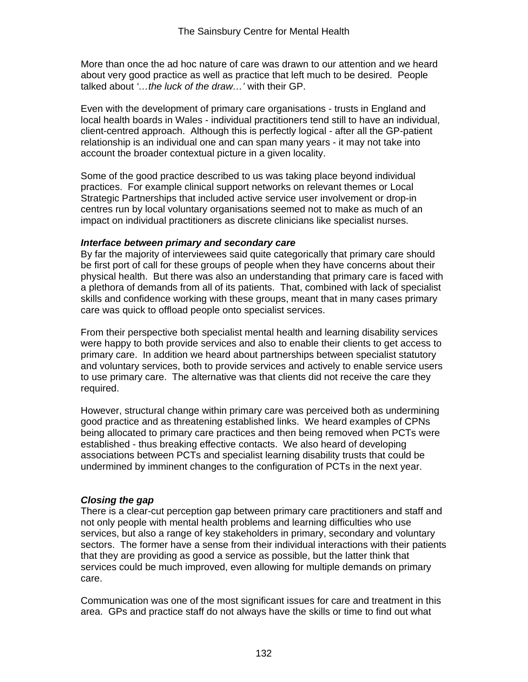More than once the ad hoc nature of care was drawn to our attention and we heard about very good practice as well as practice that left much to be desired. People talked about *'…the luck of the draw…'* with their GP.

Even with the development of primary care organisations - trusts in England and local health boards in Wales - individual practitioners tend still to have an individual, client-centred approach. Although this is perfectly logical - after all the GP-patient relationship is an individual one and can span many years - it may not take into account the broader contextual picture in a given locality.

Some of the good practice described to us was taking place beyond individual practices. For example clinical support networks on relevant themes or Local Strategic Partnerships that included active service user involvement or drop-in centres run by local voluntary organisations seemed not to make as much of an impact on individual practitioners as discrete clinicians like specialist nurses.

#### *Interface between primary and secondary care*

By far the majority of interviewees said quite categorically that primary care should be first port of call for these groups of people when they have concerns about their physical health. But there was also an understanding that primary care is faced with a plethora of demands from all of its patients. That, combined with lack of specialist skills and confidence working with these groups, meant that in many cases primary care was quick to offload people onto specialist services.

From their perspective both specialist mental health and learning disability services were happy to both provide services and also to enable their clients to get access to primary care. In addition we heard about partnerships between specialist statutory and voluntary services, both to provide services and actively to enable service users to use primary care. The alternative was that clients did not receive the care they required.

However, structural change within primary care was perceived both as undermining good practice and as threatening established links. We heard examples of CPNs being allocated to primary care practices and then being removed when PCTs were established - thus breaking effective contacts. We also heard of developing associations between PCTs and specialist learning disability trusts that could be undermined by imminent changes to the configuration of PCTs in the next year.

## *Closing the gap*

There is a clear-cut perception gap between primary care practitioners and staff and not only people with mental health problems and learning difficulties who use services, but also a range of key stakeholders in primary, secondary and voluntary sectors. The former have a sense from their individual interactions with their patients that they are providing as good a service as possible, but the latter think that services could be much improved, even allowing for multiple demands on primary care.

Communication was one of the most significant issues for care and treatment in this area. GPs and practice staff do not always have the skills or time to find out what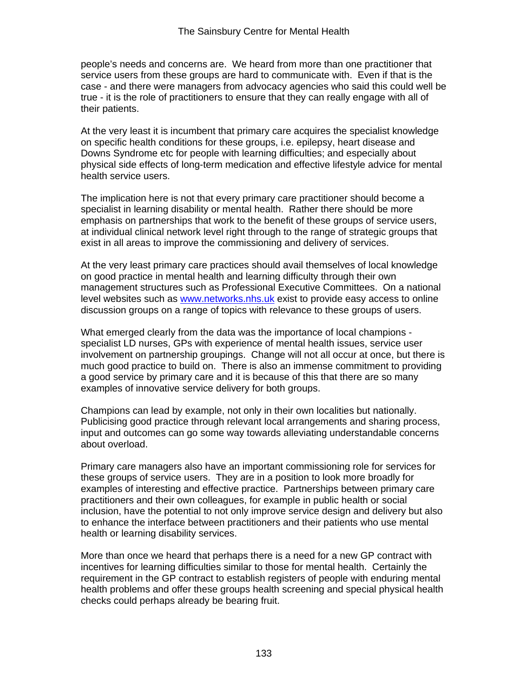people's needs and concerns are. We heard from more than one practitioner that service users from these groups are hard to communicate with. Even if that is the case - and there were managers from advocacy agencies who said this could well be true - it is the role of practitioners to ensure that they can really engage with all of their patients.

At the very least it is incumbent that primary care acquires the specialist knowledge on specific health conditions for these groups, i.e. epilepsy, heart disease and Downs Syndrome etc for people with learning difficulties; and especially about physical side effects of long-term medication and effective lifestyle advice for mental health service users.

The implication here is not that every primary care practitioner should become a specialist in learning disability or mental health. Rather there should be more emphasis on partnerships that work to the benefit of these groups of service users, at individual clinical network level right through to the range of strategic groups that exist in all areas to improve the commissioning and delivery of services.

At the very least primary care practices should avail themselves of local knowledge on good practice in mental health and learning difficulty through their own management structures such as Professional Executive Committees. On a national level websites such as www.networks.nhs.uk exist to provide easy access to online discussion groups on a range of topics with relevance to these groups of users.

What emerged clearly from the data was the importance of local champions specialist LD nurses, GPs with experience of mental health issues, service user involvement on partnership groupings. Change will not all occur at once, but there is much good practice to build on. There is also an immense commitment to providing a good service by primary care and it is because of this that there are so many examples of innovative service delivery for both groups.

Champions can lead by example, not only in their own localities but nationally. Publicising good practice through relevant local arrangements and sharing process, input and outcomes can go some way towards alleviating understandable concerns about overload.

Primary care managers also have an important commissioning role for services for these groups of service users. They are in a position to look more broadly for examples of interesting and effective practice. Partnerships between primary care practitioners and their own colleagues, for example in public health or social inclusion, have the potential to not only improve service design and delivery but also to enhance the interface between practitioners and their patients who use mental health or learning disability services.

More than once we heard that perhaps there is a need for a new GP contract with incentives for learning difficulties similar to those for mental health. Certainly the requirement in the GP contract to establish registers of people with enduring mental health problems and offer these groups health screening and special physical health checks could perhaps already be bearing fruit.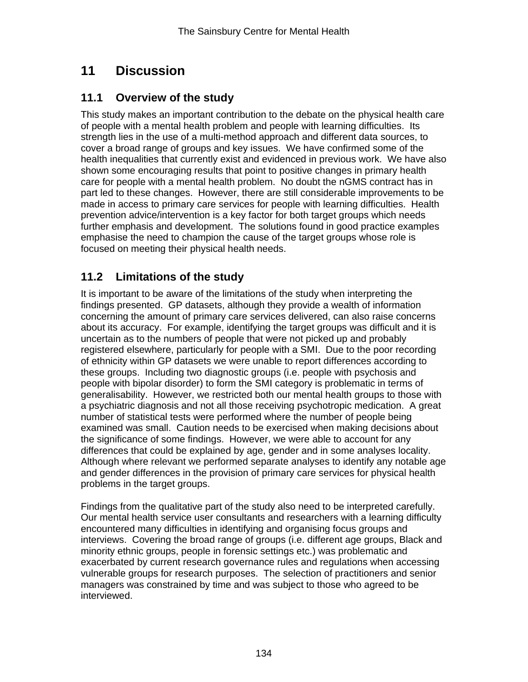# **11 Discussion**

# **11.1 Overview of the study**

This study makes an important contribution to the debate on the physical health care of people with a mental health problem and people with learning difficulties. Its strength lies in the use of a multi-method approach and different data sources, to cover a broad range of groups and key issues. We have confirmed some of the health inequalities that currently exist and evidenced in previous work. We have also shown some encouraging results that point to positive changes in primary health care for people with a mental health problem. No doubt the nGMS contract has in part led to these changes. However, there are still considerable improvements to be made in access to primary care services for people with learning difficulties. Health prevention advice/intervention is a key factor for both target groups which needs further emphasis and development. The solutions found in good practice examples emphasise the need to champion the cause of the target groups whose role is focused on meeting their physical health needs.

# **11.2 Limitations of the study**

It is important to be aware of the limitations of the study when interpreting the findings presented. GP datasets, although they provide a wealth of information concerning the amount of primary care services delivered, can also raise concerns about its accuracy. For example, identifying the target groups was difficult and it is uncertain as to the numbers of people that were not picked up and probably registered elsewhere, particularly for people with a SMI. Due to the poor recording of ethnicity within GP datasets we were unable to report differences according to these groups. Including two diagnostic groups (i.e. people with psychosis and people with bipolar disorder) to form the SMI category is problematic in terms of generalisability. However, we restricted both our mental health groups to those with a psychiatric diagnosis and not all those receiving psychotropic medication. A great number of statistical tests were performed where the number of people being examined was small. Caution needs to be exercised when making decisions about the significance of some findings. However, we were able to account for any differences that could be explained by age, gender and in some analyses locality. Although where relevant we performed separate analyses to identify any notable age and gender differences in the provision of primary care services for physical health problems in the target groups.

Findings from the qualitative part of the study also need to be interpreted carefully. Our mental health service user consultants and researchers with a learning difficulty encountered many difficulties in identifying and organising focus groups and interviews. Covering the broad range of groups (i.e. different age groups, Black and minority ethnic groups, people in forensic settings etc.) was problematic and exacerbated by current research governance rules and regulations when accessing vulnerable groups for research purposes. The selection of practitioners and senior managers was constrained by time and was subject to those who agreed to be interviewed.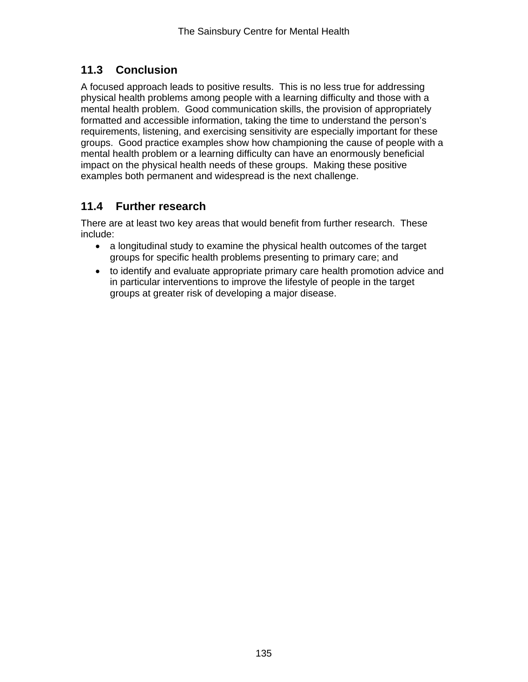# **11.3 Conclusion**

A focused approach leads to positive results. This is no less true for addressing physical health problems among people with a learning difficulty and those with a mental health problem. Good communication skills, the provision of appropriately formatted and accessible information, taking the time to understand the person's requirements, listening, and exercising sensitivity are especially important for these groups. Good practice examples show how championing the cause of people with a mental health problem or a learning difficulty can have an enormously beneficial impact on the physical health needs of these groups. Making these positive examples both permanent and widespread is the next challenge.

# **11.4 Further research**

There are at least two key areas that would benefit from further research. These include:

- a longitudinal study to examine the physical health outcomes of the target groups for specific health problems presenting to primary care; and
- to identify and evaluate appropriate primary care health promotion advice and in particular interventions to improve the lifestyle of people in the target groups at greater risk of developing a major disease.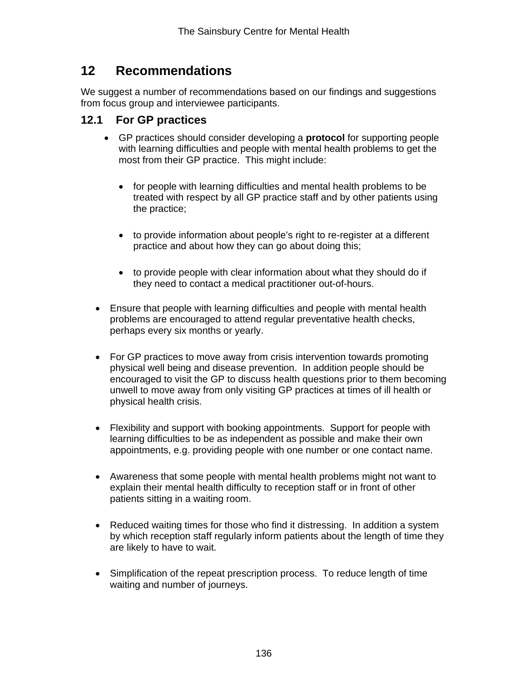# **12 Recommendations**

We suggest a number of recommendations based on our findings and suggestions from focus group and interviewee participants.

## **12.1 For GP practices**

- GP practices should consider developing a **protocol** for supporting people with learning difficulties and people with mental health problems to get the most from their GP practice. This might include:
	- for people with learning difficulties and mental health problems to be treated with respect by all GP practice staff and by other patients using the practice;
	- to provide information about people's right to re-register at a different practice and about how they can go about doing this;
	- to provide people with clear information about what they should do if they need to contact a medical practitioner out-of-hours.
- Ensure that people with learning difficulties and people with mental health problems are encouraged to attend regular preventative health checks, perhaps every six months or yearly.
- For GP practices to move away from crisis intervention towards promoting physical well being and disease prevention. In addition people should be encouraged to visit the GP to discuss health questions prior to them becoming unwell to move away from only visiting GP practices at times of ill health or physical health crisis.
- Flexibility and support with booking appointments. Support for people with learning difficulties to be as independent as possible and make their own appointments, e.g. providing people with one number or one contact name.
- Awareness that some people with mental health problems might not want to explain their mental health difficulty to reception staff or in front of other patients sitting in a waiting room.
- Reduced waiting times for those who find it distressing. In addition a system by which reception staff regularly inform patients about the length of time they are likely to have to wait.
- Simplification of the repeat prescription process. To reduce length of time waiting and number of journeys.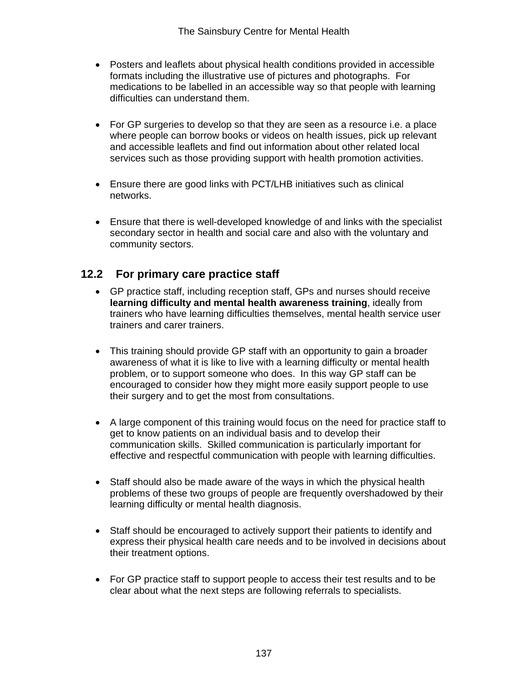- Posters and leaflets about physical health conditions provided in accessible formats including the illustrative use of pictures and photographs. For medications to be labelled in an accessible way so that people with learning difficulties can understand them.
- For GP surgeries to develop so that they are seen as a resource i.e. a place where people can borrow books or videos on health issues, pick up relevant and accessible leaflets and find out information about other related local services such as those providing support with health promotion activities.
- Ensure there are good links with PCT/LHB initiatives such as clinical networks.
- Ensure that there is well-developed knowledge of and links with the specialist secondary sector in health and social care and also with the voluntary and community sectors.

# **12.2 For primary care practice staff**

- GP practice staff, including reception staff, GPs and nurses should receive **learning difficulty and mental health awareness training**, ideally from trainers who have learning difficulties themselves, mental health service user trainers and carer trainers.
- This training should provide GP staff with an opportunity to gain a broader awareness of what it is like to live with a learning difficulty or mental health problem, or to support someone who does. In this way GP staff can be encouraged to consider how they might more easily support people to use their surgery and to get the most from consultations.
- A large component of this training would focus on the need for practice staff to get to know patients on an individual basis and to develop their communication skills. Skilled communication is particularly important for effective and respectful communication with people with learning difficulties.
- Staff should also be made aware of the ways in which the physical health problems of these two groups of people are frequently overshadowed by their learning difficulty or mental health diagnosis.
- Staff should be encouraged to actively support their patients to identify and express their physical health care needs and to be involved in decisions about their treatment options.
- For GP practice staff to support people to access their test results and to be clear about what the next steps are following referrals to specialists.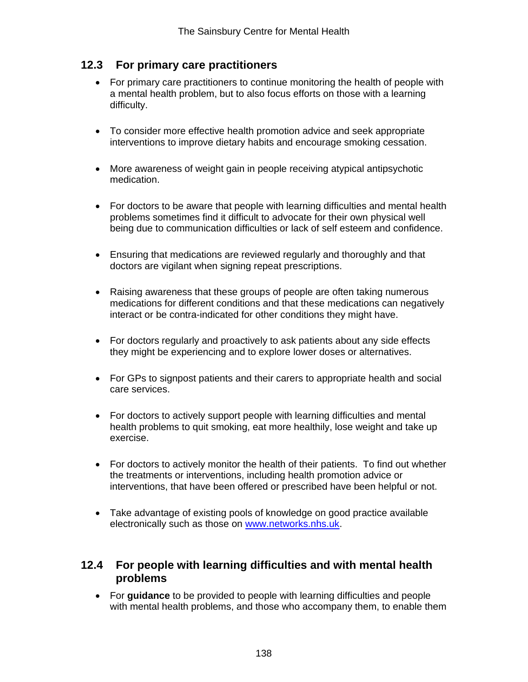# **12.3 For primary care practitioners**

- For primary care practitioners to continue monitoring the health of people with a mental health problem, but to also focus efforts on those with a learning difficulty.
- To consider more effective health promotion advice and seek appropriate interventions to improve dietary habits and encourage smoking cessation.
- More awareness of weight gain in people receiving atypical antipsychotic medication.
- For doctors to be aware that people with learning difficulties and mental health problems sometimes find it difficult to advocate for their own physical well being due to communication difficulties or lack of self esteem and confidence.
- Ensuring that medications are reviewed regularly and thoroughly and that doctors are vigilant when signing repeat prescriptions.
- Raising awareness that these groups of people are often taking numerous medications for different conditions and that these medications can negatively interact or be contra-indicated for other conditions they might have.
- For doctors regularly and proactively to ask patients about any side effects they might be experiencing and to explore lower doses or alternatives.
- For GPs to signpost patients and their carers to appropriate health and social care services.
- For doctors to actively support people with learning difficulties and mental health problems to quit smoking, eat more healthily, lose weight and take up exercise.
- For doctors to actively monitor the health of their patients. To find out whether the treatments or interventions, including health promotion advice or interventions, that have been offered or prescribed have been helpful or not.
- Take advantage of existing pools of knowledge on good practice available electronically such as those on www.networks.nhs.uk.

## **12.4 For people with learning difficulties and with mental health problems**

• For **guidance** to be provided to people with learning difficulties and people with mental health problems, and those who accompany them, to enable them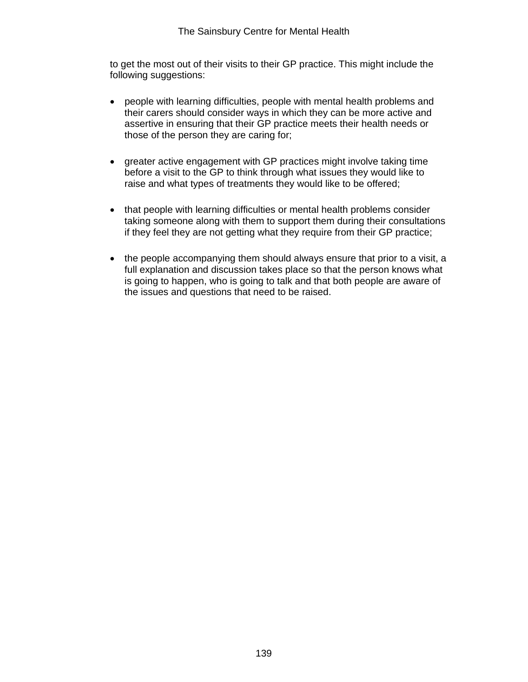to get the most out of their visits to their GP practice. This might include the following suggestions:

- people with learning difficulties, people with mental health problems and their carers should consider ways in which they can be more active and assertive in ensuring that their GP practice meets their health needs or those of the person they are caring for;
- greater active engagement with GP practices might involve taking time before a visit to the GP to think through what issues they would like to raise and what types of treatments they would like to be offered;
- that people with learning difficulties or mental health problems consider taking someone along with them to support them during their consultations if they feel they are not getting what they require from their GP practice;
- the people accompanying them should always ensure that prior to a visit, a full explanation and discussion takes place so that the person knows what is going to happen, who is going to talk and that both people are aware of the issues and questions that need to be raised.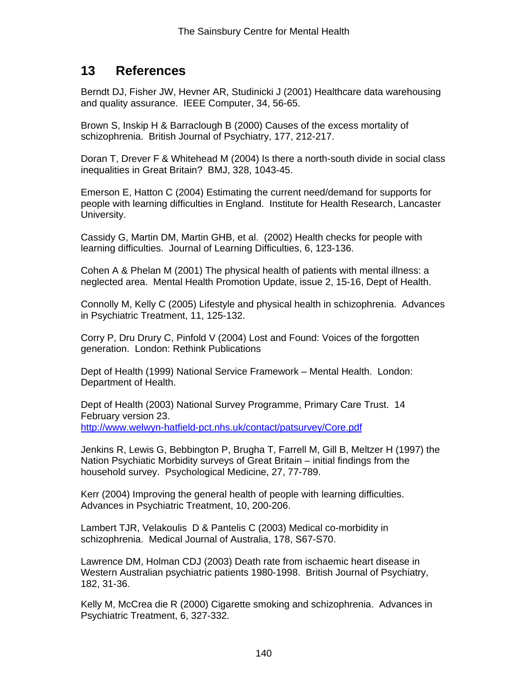# **13 References**

Berndt DJ, Fisher JW, Hevner AR, Studinicki J (2001) Healthcare data warehousing and quality assurance. IEEE Computer, 34, 56-65.

Brown S, Inskip H & Barraclough B (2000) Causes of the excess mortality of schizophrenia. British Journal of Psychiatry, 177, 212-217.

Doran T, Drever F & Whitehead M (2004) Is there a north-south divide in social class inequalities in Great Britain? BMJ, 328, 1043-45.

Emerson E, Hatton C (2004) Estimating the current need/demand for supports for people with learning difficulties in England. Institute for Health Research, Lancaster University.

Cassidy G, Martin DM, Martin GHB, et al. (2002) Health checks for people with learning difficulties. Journal of Learning Difficulties, 6, 123-136.

Cohen A & Phelan M (2001) The physical health of patients with mental illness: a neglected area. Mental Health Promotion Update, issue 2, 15-16, Dept of Health.

Connolly M, Kelly C (2005) Lifestyle and physical health in schizophrenia. Advances in Psychiatric Treatment, 11, 125-132.

Corry P, Dru Drury C, Pinfold V (2004) Lost and Found: Voices of the forgotten generation. London: Rethink Publications

Dept of Health (1999) National Service Framework – Mental Health. London: Department of Health.

Dept of Health (2003) National Survey Programme, Primary Care Trust. 14 February version 23. http://www.welwyn-hatfield-pct.nhs.uk/contact/patsurvey/Core.pdf

Jenkins R, Lewis G, Bebbington P, Brugha T, Farrell M, Gill B, Meltzer H (1997) the Nation Psychiatic Morbidity surveys of Great Britain – initial findings from the household survey. Psychological Medicine, 27, 77-789.

Kerr (2004) Improving the general health of people with learning difficulties. Advances in Psychiatric Treatment, 10, 200-206.

Lambert TJR, Velakoulis D & Pantelis C (2003) Medical co-morbidity in schizophrenia. Medical Journal of Australia, 178, S67-S70.

Lawrence DM, Holman CDJ (2003) Death rate from ischaemic heart disease in Western Australian psychiatric patients 1980-1998. British Journal of Psychiatry, 182, 31-36.

Kelly M, McCrea die R (2000) Cigarette smoking and schizophrenia. Advances in Psychiatric Treatment, 6, 327-332.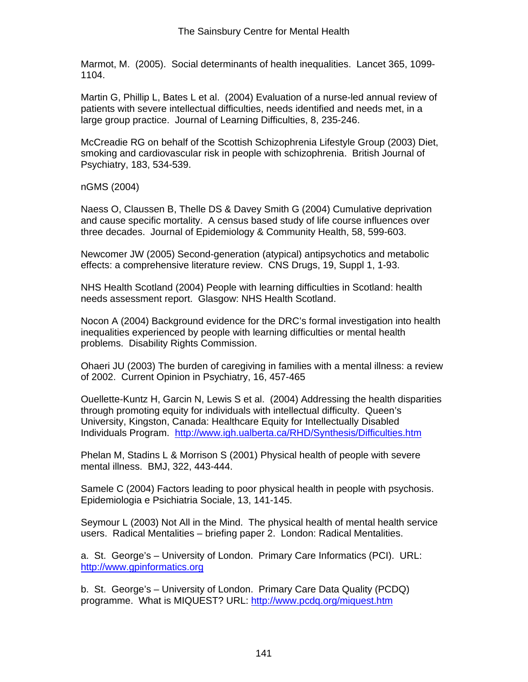Marmot, M. (2005). Social determinants of health inequalities. Lancet 365, 1099- 1104.

Martin G, Phillip L, Bates L et al. (2004) Evaluation of a nurse-led annual review of patients with severe intellectual difficulties, needs identified and needs met, in a large group practice. Journal of Learning Difficulties, 8, 235-246.

McCreadie RG on behalf of the Scottish Schizophrenia Lifestyle Group (2003) Diet, smoking and cardiovascular risk in people with schizophrenia. British Journal of Psychiatry, 183, 534-539.

nGMS (2004)

Naess O, Claussen B, Thelle DS & Davey Smith G (2004) Cumulative deprivation and cause specific mortality. A census based study of life course influences over three decades. Journal of Epidemiology & Community Health, 58, 599-603.

Newcomer JW (2005) Second-generation (atypical) antipsychotics and metabolic effects: a comprehensive literature review. CNS Drugs, 19, Suppl 1, 1-93.

NHS Health Scotland (2004) People with learning difficulties in Scotland: health needs assessment report. Glasgow: NHS Health Scotland.

Nocon A (2004) Background evidence for the DRC's formal investigation into health inequalities experienced by people with learning difficulties or mental health problems. Disability Rights Commission.

Ohaeri JU (2003) The burden of caregiving in families with a mental illness: a review of 2002. Current Opinion in Psychiatry, 16, 457-465

Ouellette-Kuntz H, Garcin N, Lewis S et al. (2004) Addressing the health disparities through promoting equity for individuals with intellectual difficulty. Queen's University, Kingston, Canada: Healthcare Equity for Intellectually Disabled Individuals Program. http://www.igh.ualberta.ca/RHD/Synthesis/Difficulties.htm

Phelan M, Stadins L & Morrison S (2001) Physical health of people with severe mental illness. BMJ, 322, 443-444.

Samele C (2004) Factors leading to poor physical health in people with psychosis. Epidemiologia e Psichiatria Sociale, 13, 141-145.

Seymour L (2003) Not All in the Mind. The physical health of mental health service users. Radical Mentalities – briefing paper 2. London: Radical Mentalities.

a. St. George's – University of London. Primary Care Informatics (PCI). URL: http://www.gpinformatics.org

b. St. George's – University of London. Primary Care Data Quality (PCDQ) programme. What is MIQUEST? URL: http://www.pcdq.org/miquest.htm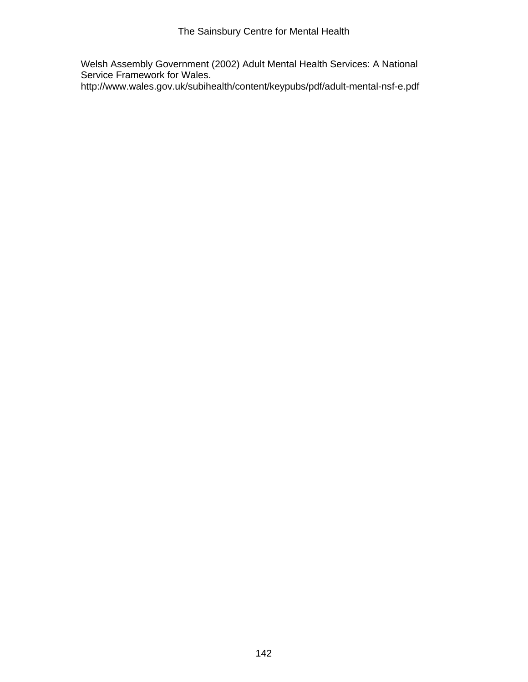Welsh Assembly Government (2002) Adult Mental Health Services: A National Service Framework for Wales.

http://www.wales.gov.uk/subihealth/content/keypubs/pdf/adult-mental-nsf-e.pdf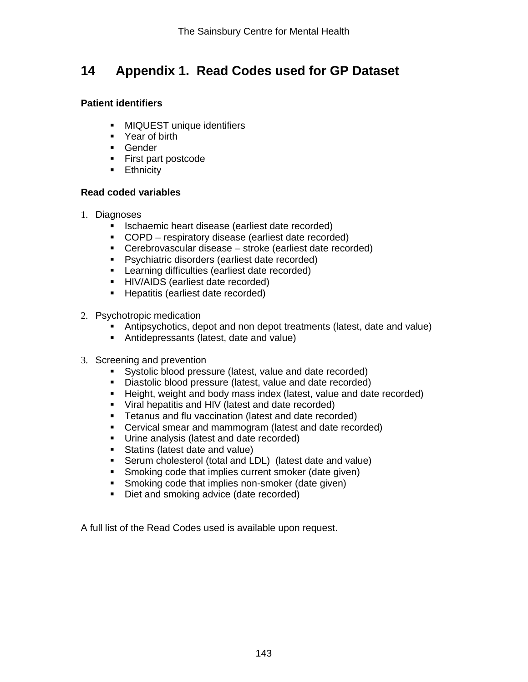# **14 Appendix 1. Read Codes used for GP Dataset**

#### **Patient identifiers**

- **MIQUEST unique identifiers**
- Year of birth
- **Gender**
- **First part postcode**
- **Ethnicity**

#### **Read coded variables**

- 1. Diagnoses
	- **In Ischaemic heart disease (earliest date recorded)**
	- COPD respiratory disease (earliest date recorded)
	- Cerebrovascular disease stroke (earliest date recorded)
	- **Psychiatric disorders (earliest date recorded)**
	- **EXECTE:** Learning difficulties (earliest date recorded)
	- **HIV/AIDS (earliest date recorded)**
	- **Hepatitis (earliest date recorded)**
- 2. Psychotropic medication
	- Antipsychotics, depot and non depot treatments (latest, date and value)
	- Antidepressants (latest, date and value)
- 3. Screening and prevention
	- Systolic blood pressure (latest, value and date recorded)
	- Diastolic blood pressure (latest, value and date recorded)
	- Height, weight and body mass index (latest, value and date recorded)
	- Viral hepatitis and HIV (latest and date recorded)
	- **Tetanus and flu vaccination (latest and date recorded)**
	- Cervical smear and mammogram (latest and date recorded)
	- **Urine analysis (latest and date recorded)**
	- Statins (latest date and value)
	- Serum cholesterol (total and LDL) (latest date and value)
	- **Smoking code that implies current smoker (date given)**
	- **Smoking code that implies non-smoker (date given)**
	- Diet and smoking advice (date recorded)

A full list of the Read Codes used is available upon request.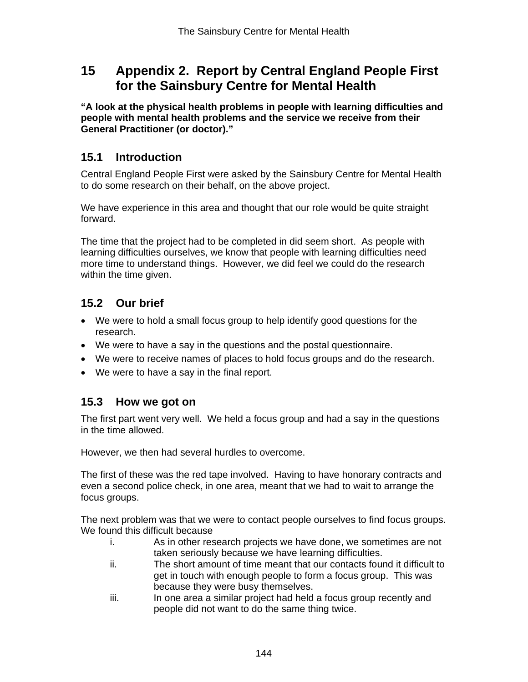# **15 Appendix 2. Report by Central England People First for the Sainsbury Centre for Mental Health**

**"A look at the physical health problems in people with learning difficulties and people with mental health problems and the service we receive from their General Practitioner (or doctor)."** 

## **15.1 Introduction**

Central England People First were asked by the Sainsbury Centre for Mental Health to do some research on their behalf, on the above project.

We have experience in this area and thought that our role would be quite straight forward.

The time that the project had to be completed in did seem short. As people with learning difficulties ourselves, we know that people with learning difficulties need more time to understand things. However, we did feel we could do the research within the time given.

# **15.2 Our brief**

- We were to hold a small focus group to help identify good questions for the research.
- We were to have a say in the questions and the postal questionnaire.
- We were to receive names of places to hold focus groups and do the research.
- We were to have a say in the final report.

# **15.3 How we got on**

The first part went very well. We held a focus group and had a say in the questions in the time allowed.

However, we then had several hurdles to overcome.

The first of these was the red tape involved. Having to have honorary contracts and even a second police check, in one area, meant that we had to wait to arrange the focus groups.

The next problem was that we were to contact people ourselves to find focus groups. We found this difficult because

- i. As in other research projects we have done, we sometimes are not taken seriously because we have learning difficulties.
- ii. The short amount of time meant that our contacts found it difficult to get in touch with enough people to form a focus group. This was because they were busy themselves.
- iii. In one area a similar project had held a focus group recently and people did not want to do the same thing twice.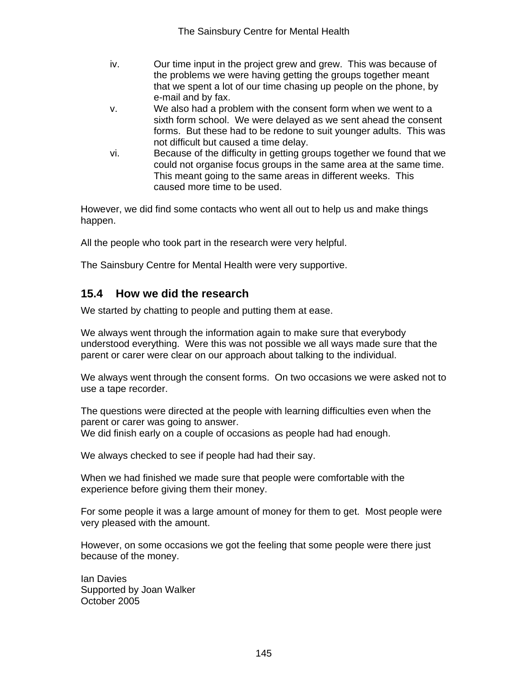- iv. Our time input in the project grew and grew. This was because of the problems we were having getting the groups together meant that we spent a lot of our time chasing up people on the phone, by e-mail and by fax.
- v. We also had a problem with the consent form when we went to a sixth form school. We were delayed as we sent ahead the consent forms. But these had to be redone to suit younger adults. This was not difficult but caused a time delay.
- vi. Because of the difficulty in getting groups together we found that we could not organise focus groups in the same area at the same time. This meant going to the same areas in different weeks. This caused more time to be used.

However, we did find some contacts who went all out to help us and make things happen.

All the people who took part in the research were very helpful.

The Sainsbury Centre for Mental Health were very supportive.

## **15.4 How we did the research**

We started by chatting to people and putting them at ease.

We always went through the information again to make sure that everybody understood everything. Were this was not possible we all ways made sure that the parent or carer were clear on our approach about talking to the individual.

We always went through the consent forms. On two occasions we were asked not to use a tape recorder.

The questions were directed at the people with learning difficulties even when the parent or carer was going to answer. We did finish early on a couple of occasions as people had had enough.

We always checked to see if people had had their say.

When we had finished we made sure that people were comfortable with the experience before giving them their money.

For some people it was a large amount of money for them to get. Most people were very pleased with the amount.

However, on some occasions we got the feeling that some people were there just because of the money.

Ian Davies Supported by Joan Walker October 2005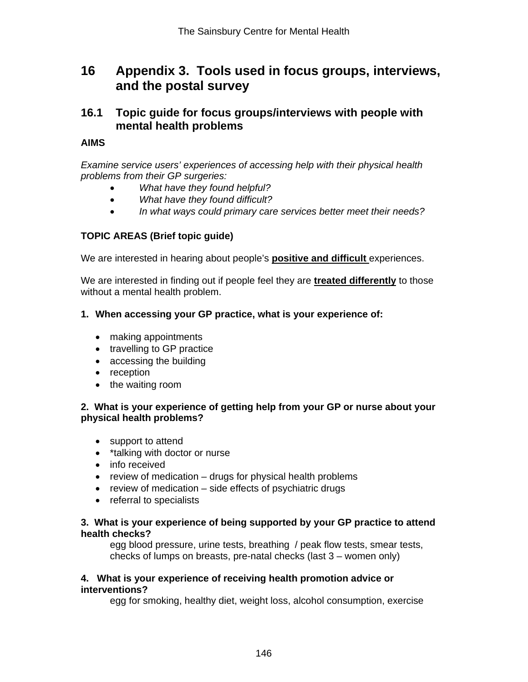# **16 Appendix 3. Tools used in focus groups, interviews, and the postal survey**

## **16.1 Topic guide for focus groups/interviews with people with mental health problems**

#### **AIMS**

*Examine service users' experiences of accessing help with their physical health problems from their GP surgeries:* 

- *What have they found helpful?*
- *What have they found difficult?*
- *In what ways could primary care services better meet their needs?*

### **TOPIC AREAS (Brief topic guide)**

We are interested in hearing about people's **positive and difficult** experiences.

We are interested in finding out if people feel they are **treated differently** to those without a mental health problem.

#### **1. When accessing your GP practice, what is your experience of:**

- making appointments
- travelling to GP practice
- accessing the building
- reception
- the waiting room

#### **2. What is your experience of getting help from your GP or nurse about your physical health problems?**

- support to attend
- \*talking with doctor or nurse
- info received
- review of medication drugs for physical health problems
- review of medication side effects of psychiatric drugs
- referral to specialists

#### **3. What is your experience of being supported by your GP practice to attend health checks?**

egg blood pressure, urine tests, breathing / peak flow tests, smear tests, checks of lumps on breasts, pre-natal checks (last 3 – women only)

#### **4. What is your experience of receiving health promotion advice or interventions?**

egg for smoking, healthy diet, weight loss, alcohol consumption, exercise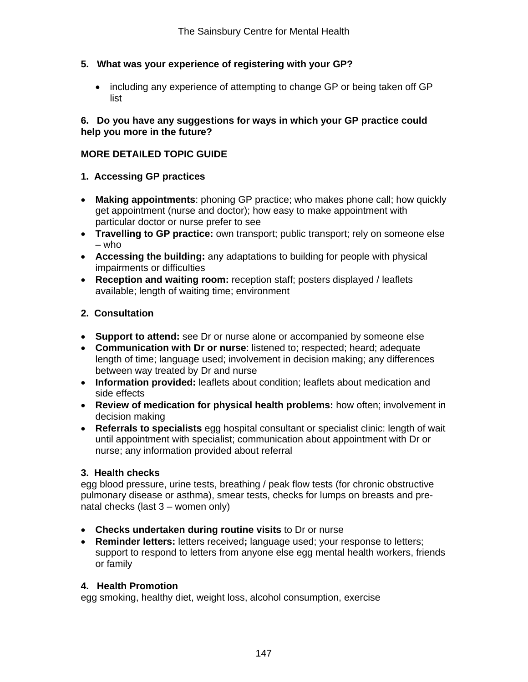### **5. What was your experience of registering with your GP?**

• including any experience of attempting to change GP or being taken off GP list

#### **6. Do you have any suggestions for ways in which your GP practice could help you more in the future?**

### **MORE DETAILED TOPIC GUIDE**

- **1. Accessing GP practices**
- **Making appointments**: phoning GP practice; who makes phone call; how quickly get appointment (nurse and doctor); how easy to make appointment with particular doctor or nurse prefer to see
- **Travelling to GP practice:** own transport; public transport; rely on someone else  $-$  who
- **Accessing the building:** any adaptations to building for people with physical impairments or difficulties
- **Reception and waiting room:** reception staff; posters displayed / leaflets available; length of waiting time; environment

### **2. Consultation**

- **Support to attend:** see Dr or nurse alone or accompanied by someone else
- **Communication with Dr or nurse**: listened to; respected; heard; adequate length of time; language used; involvement in decision making; any differences between way treated by Dr and nurse
- **Information provided:** leaflets about condition; leaflets about medication and side effects
- **Review of medication for physical health problems:** how often; involvement in decision making
- **Referrals to specialists** egg hospital consultant or specialist clinic: length of wait until appointment with specialist; communication about appointment with Dr or nurse; any information provided about referral

### **3. Health checks**

egg blood pressure, urine tests, breathing / peak flow tests (for chronic obstructive pulmonary disease or asthma), smear tests, checks for lumps on breasts and prenatal checks (last 3 – women only)

- **Checks undertaken during routine visits** to Dr or nurse
- **Reminder letters:** letters received**;** language used; your response to letters; support to respond to letters from anyone else egg mental health workers, friends or family

#### **4. Health Promotion**

egg smoking, healthy diet, weight loss, alcohol consumption, exercise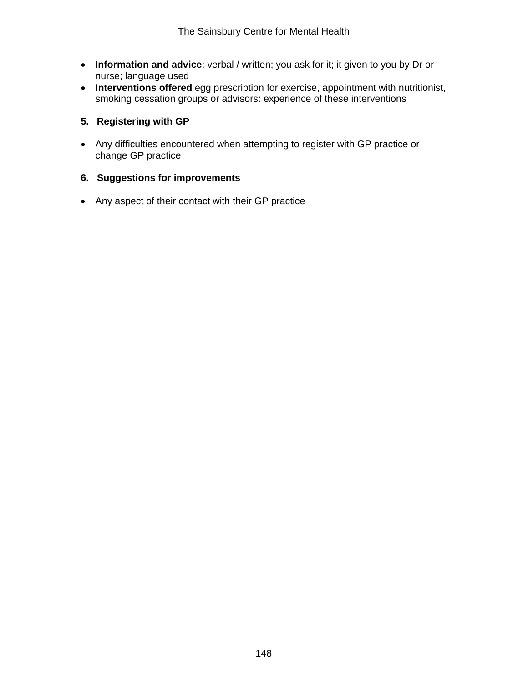- **Information and advice**: verbal / written; you ask for it; it given to you by Dr or nurse; language used
- **Interventions offered** egg prescription for exercise, appointment with nutritionist, smoking cessation groups or advisors: experience of these interventions

#### **5. Registering with GP**

• Any difficulties encountered when attempting to register with GP practice or change GP practice

### **6. Suggestions for improvements**

• Any aspect of their contact with their GP practice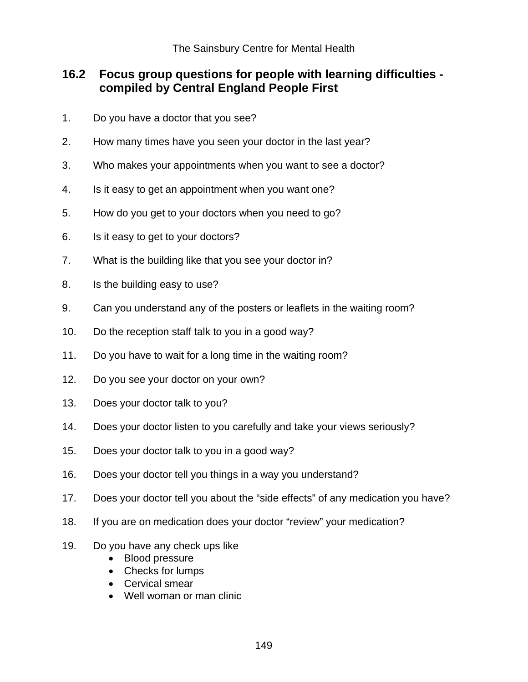# **16.2 Focus group questions for people with learning difficulties compiled by Central England People First**

- 1. Do you have a doctor that you see?
- 2. How many times have you seen your doctor in the last year?
- 3. Who makes your appointments when you want to see a doctor?
- 4. Is it easy to get an appointment when you want one?
- 5. How do you get to your doctors when you need to go?
- 6. Is it easy to get to your doctors?
- 7. What is the building like that you see your doctor in?
- 8. Is the building easy to use?
- 9. Can you understand any of the posters or leaflets in the waiting room?
- 10. Do the reception staff talk to you in a good way?
- 11. Do you have to wait for a long time in the waiting room?
- 12. Do you see your doctor on your own?
- 13. Does your doctor talk to you?
- 14. Does your doctor listen to you carefully and take your views seriously?
- 15. Does your doctor talk to you in a good way?
- 16. Does your doctor tell you things in a way you understand?
- 17. Does your doctor tell you about the "side effects" of any medication you have?
- 18. If you are on medication does your doctor "review" your medication?
- 19. Do you have any check ups like
	- Blood pressure
	- Checks for lumps
	- Cervical smear
	- Well woman or man clinic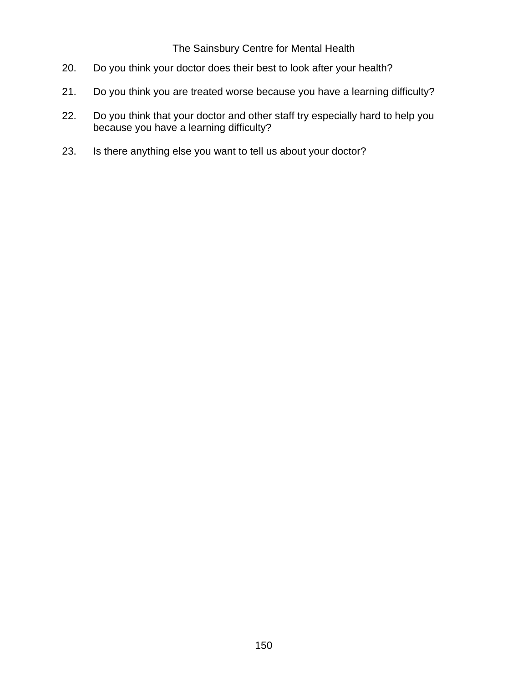### The Sainsbury Centre for Mental Health

- 20. Do you think your doctor does their best to look after your health?
- 21. Do you think you are treated worse because you have a learning difficulty?
- 22. Do you think that your doctor and other staff try especially hard to help you because you have a learning difficulty?
- 23. Is there anything else you want to tell us about your doctor?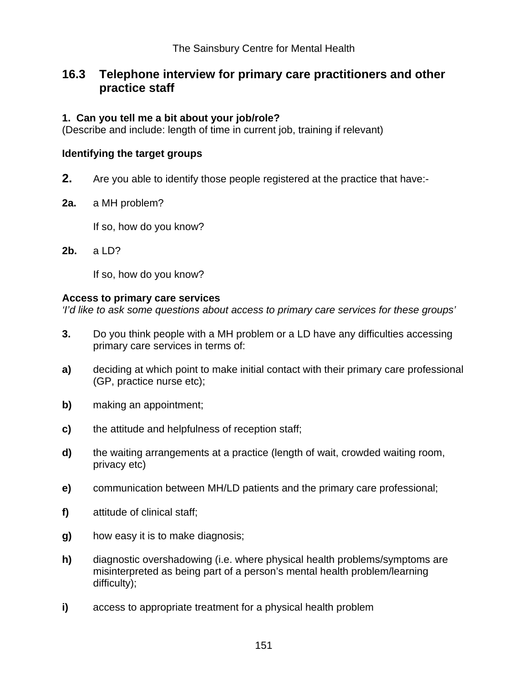# **16.3 Telephone interview for primary care practitioners and other practice staff**

### **1. Can you tell me a bit about your job/role?**

(Describe and include: length of time in current job, training if relevant)

### **Identifying the target groups**

- **2.** Are you able to identify those people registered at the practice that have:-
- **2a.** a MH problem?

If so, how do you know?

**2b.** a LD?

If so, how do you know?

#### **Access to primary care services**

*'I'd like to ask some questions about access to primary care services for these groups'* 

- **3.** Do you think people with a MH problem or a LD have any difficulties accessing primary care services in terms of:
- **a)** deciding at which point to make initial contact with their primary care professional (GP, practice nurse etc);
- **b)** making an appointment;
- **c)** the attitude and helpfulness of reception staff;
- **d)** the waiting arrangements at a practice (length of wait, crowded waiting room, privacy etc)
- **e)** communication between MH/LD patients and the primary care professional;
- **f)** attitude of clinical staff;
- **g)** how easy it is to make diagnosis;
- **h)** diagnostic overshadowing (i.e. where physical health problems/symptoms are misinterpreted as being part of a person's mental health problem/learning difficulty);
- **i)** access to appropriate treatment for a physical health problem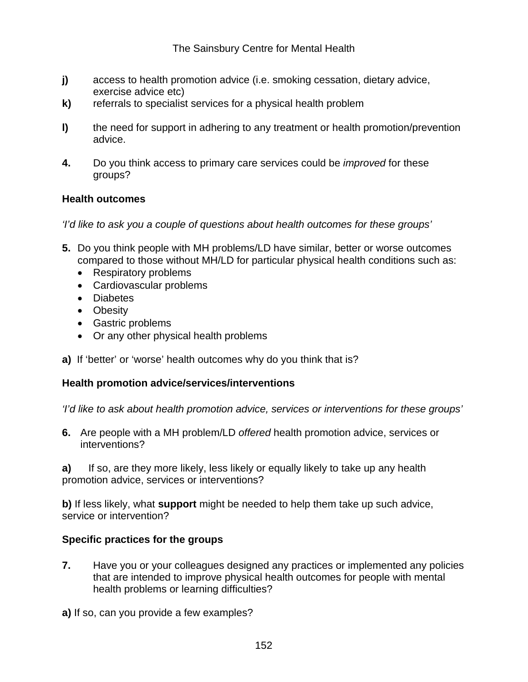- **j)** access to health promotion advice (i.e. smoking cessation, dietary advice, exercise advice etc)
- **k)** referrals to specialist services for a physical health problem
- **l)** the need for support in adhering to any treatment or health promotion/prevention advice.
- **4.** Do you think access to primary care services could be *improved* for these groups?

### **Health outcomes**

*'I'd like to ask you a couple of questions about health outcomes for these groups'* 

- **5.** Do you think people with MH problems/LD have similar, better or worse outcomes compared to those without MH/LD for particular physical health conditions such as:
	- Respiratory problems
	- Cardiovascular problems
	- Diabetes
	- Obesity
	- Gastric problems
	- Or any other physical health problems
- **a)** If 'better' or 'worse' health outcomes why do you think that is?

### **Health promotion advice/services/interventions**

*'I'd like to ask about health promotion advice, services or interventions for these groups'* 

**6.** Are people with a MH problem/LD *offered* health promotion advice, services or interventions?

**a)** If so, are they more likely, less likely or equally likely to take up any health promotion advice, services or interventions?

**b)** If less likely, what **support** might be needed to help them take up such advice, service or intervention?

#### **Specific practices for the groups**

**7.** Have you or your colleagues designed any practices or implemented any policies that are intended to improve physical health outcomes for people with mental health problems or learning difficulties?

**a)** If so, can you provide a few examples?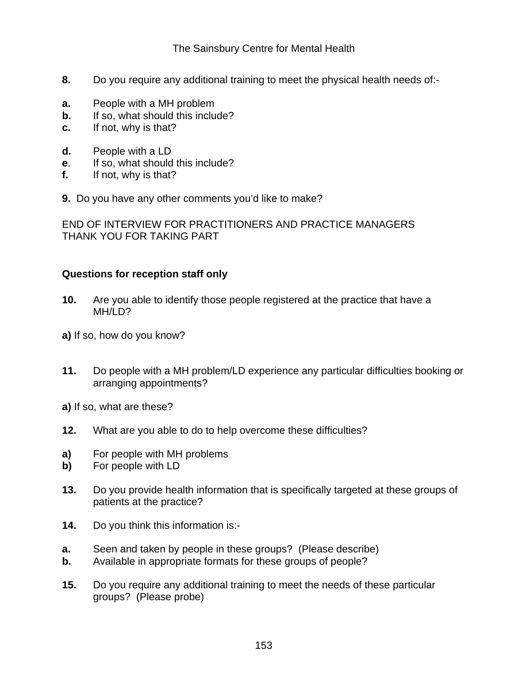### The Sainsbury Centre for Mental Health

- **8.** Do you require any additional training to meet the physical health needs of:-
- **a.** People with a MH problem
- **b.** If so, what should this include?
- **c.** If not, why is that?
- **d.** People with a LD
- **e**. If so, what should this include?
- **f.** If not, why is that?
- **9.** Do you have any other comments you'd like to make?

END OF INTERVIEW FOR PRACTITIONERS AND PRACTICE MANAGERS THANK YOU FOR TAKING PART

#### **Questions for reception staff only**

- **10.** Are you able to identify those people registered at the practice that have a MH/LD?
- **a)** If so, how do you know?
- **11.** Do people with a MH problem/LD experience any particular difficulties booking or arranging appointments?
- **a)** If so, what are these?
- **12.** What are you able to do to help overcome these difficulties?
- **a)** For people with MH problems
- **b)** For people with LD
- **13.** Do you provide health information that is specifically targeted at these groups of patients at the practice?
- **14.** Do you think this information is:-
- **a.** Seen and taken by people in these groups? (Please describe)
- **b.** Available in appropriate formats for these groups of people?
- **15.** Do you require any additional training to meet the needs of these particular groups? (Please probe)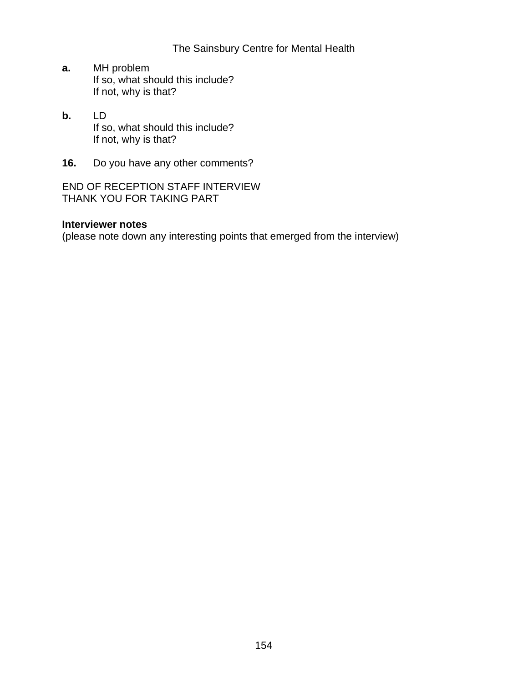### The Sainsbury Centre for Mental Health

- **a.** MH problem If so, what should this include? If not, why is that?
- **b.** LD If so, what should this include? If not, why is that?
- **16.** Do you have any other comments?

END OF RECEPTION STAFF INTERVIEW THANK YOU FOR TAKING PART

### **Interviewer notes**

(please note down any interesting points that emerged from the interview)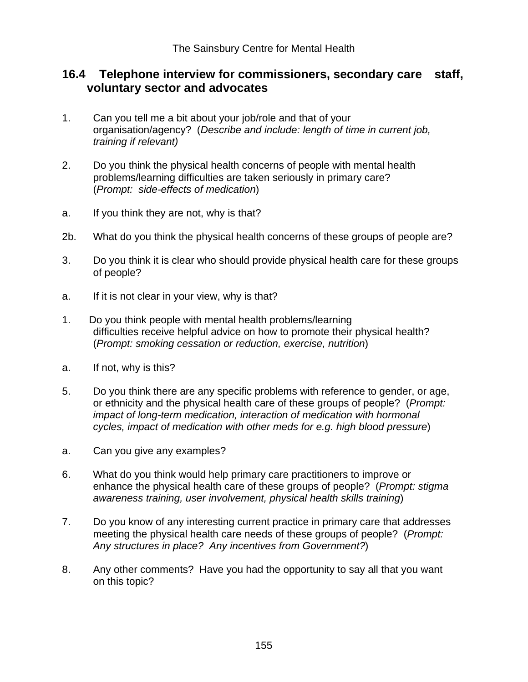# **16.4 Telephone interview for commissioners, secondary care staff, voluntary sector and advocates**

- 1. Can you tell me a bit about your job/role and that of your organisation/agency? (*Describe and include: length of time in current job, training if relevant)*
- 2. Do you think the physical health concerns of people with mental health problems/learning difficulties are taken seriously in primary care? (*Prompt: side-effects of medication*)
- a. If you think they are not, why is that?
- 2b. What do you think the physical health concerns of these groups of people are?
- 3. Do you think it is clear who should provide physical health care for these groups of people?
- a. If it is not clear in your view, why is that?
- 1. Do you think people with mental health problems/learning difficulties receive helpful advice on how to promote their physical health? (*Prompt: smoking cessation or reduction, exercise, nutrition*)
- a. If not, why is this?
- 5. Do you think there are any specific problems with reference to gender, or age, or ethnicity and the physical health care of these groups of people? (*Prompt: impact of long-term medication, interaction of medication with hormonal cycles, impact of medication with other meds for e.g. high blood pressure*)
- a. Can you give any examples?
- 6. What do you think would help primary care practitioners to improve or enhance the physical health care of these groups of people? (*Prompt: stigma awareness training, user involvement, physical health skills training*)
- 7. Do you know of any interesting current practice in primary care that addresses meeting the physical health care needs of these groups of people? (*Prompt: Any structures in place? Any incentives from Government?*)
- 8. Any other comments? Have you had the opportunity to say all that you want on this topic?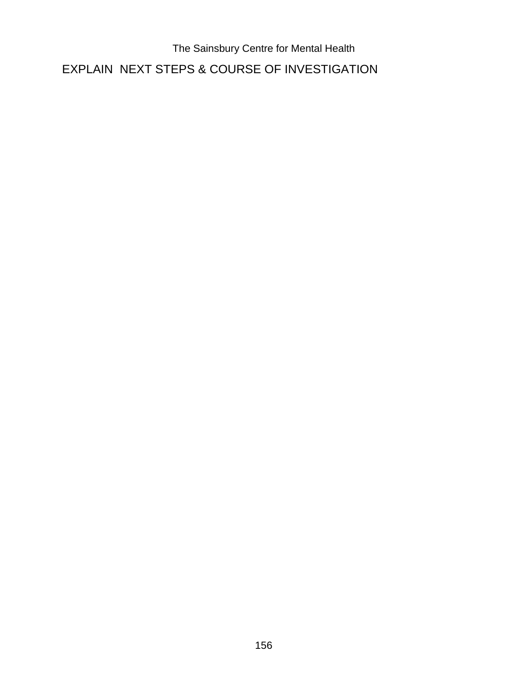The Sainsbury Centre for Mental Health EXPLAIN NEXT STEPS & COURSE OF INVESTIGATION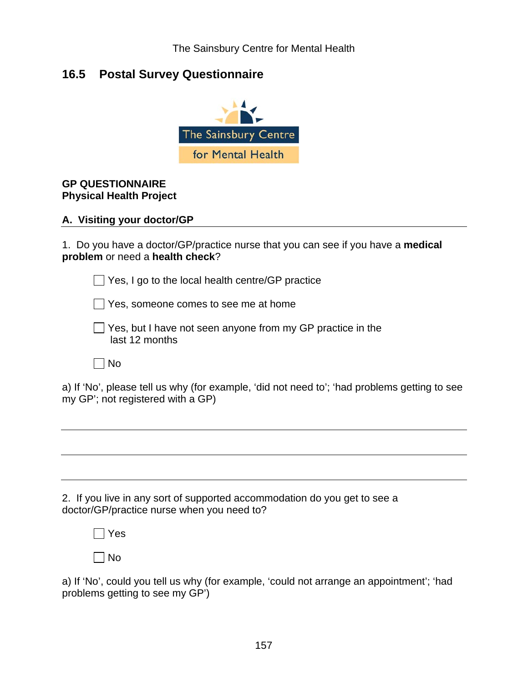# **16.5 Postal Survey Questionnaire**



### **GP QUESTIONNAIRE Physical Health Project**

#### **A. Visiting your doctor/GP**

1. Do you have a doctor/GP/practice nurse that you can see if you have a **medical problem** or need a **health check**?

 $\Box$  Yes, I go to the local health centre/GP practice

Yes, someone comes to see me at home

 $\Box$  Yes, but I have not seen anyone from my GP practice in the last 12 months

 $\Box$  No

a) If 'No', please tell us why (for example, 'did not need to'; 'had problems getting to see my GP'; not registered with a GP)

2. If you live in any sort of supported accommodation do you get to see a doctor/GP/practice nurse when you need to?

Yes

| |No

a) If 'No', could you tell us why (for example, 'could not arrange an appointment'; 'had problems getting to see my GP')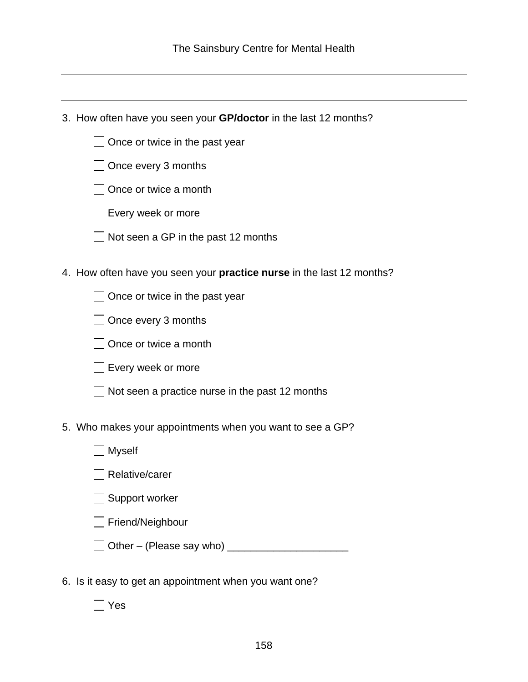3. How often have you seen your **GP/doctor** in the last 12 months?

Once every 3 months

□ Once or twice a month

Every week or more

 $\Box$  Not seen a GP in the past 12 months

4. How often have you seen your **practice nurse** in the last 12 months?

 $\Box$  Once or twice in the past year

Once every 3 months

□ Once or twice a month

 $\Box$  Every week or more

 $\Box$  Not seen a practice nurse in the past 12 months

5. Who makes your appointments when you want to see a GP?

| Myself                          |  |
|---------------------------------|--|
| Relative/carer                  |  |
| Support worker                  |  |
| Friend/Neighbour                |  |
| $\Box$ Other – (Please say who) |  |

6. Is it easy to get an appointment when you want one?

Yes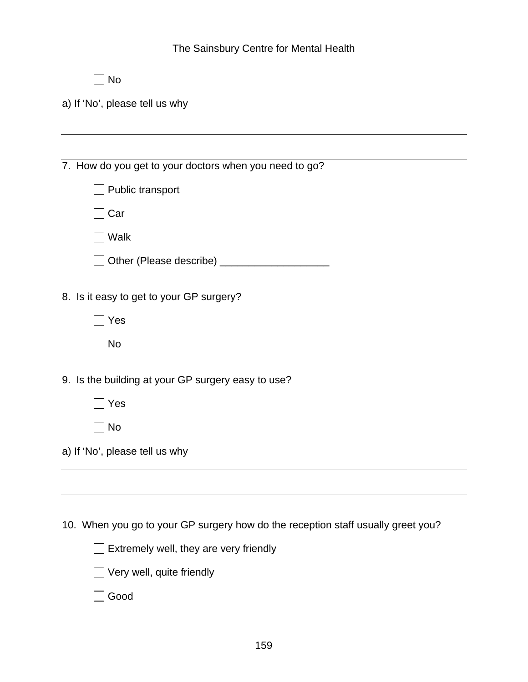|  | The Sainsbury Centre for Mental Health |
|--|----------------------------------------|
|--|----------------------------------------|

| w<br>۰. |
|---------|
|---------|

a) If 'No', please tell us why

7. How do you get to your doctors when you need to go? Public transport

 $\Box$  Car

Walk

| □ Other (Please describe) |  |
|---------------------------|--|
|                           |  |

8. Is it easy to get to your GP surgery?

| × |
|---|
|   |

 $\Box$  No

9. Is the building at your GP surgery easy to use?

Yes

 $\Box$  No

a) If 'No', please tell us why

10. When you go to your GP surgery how do the reception staff usually greet you?



|  |  |  |  | $\Box$ Very well, quite friendly |
|--|--|--|--|----------------------------------|
|--|--|--|--|----------------------------------|

Good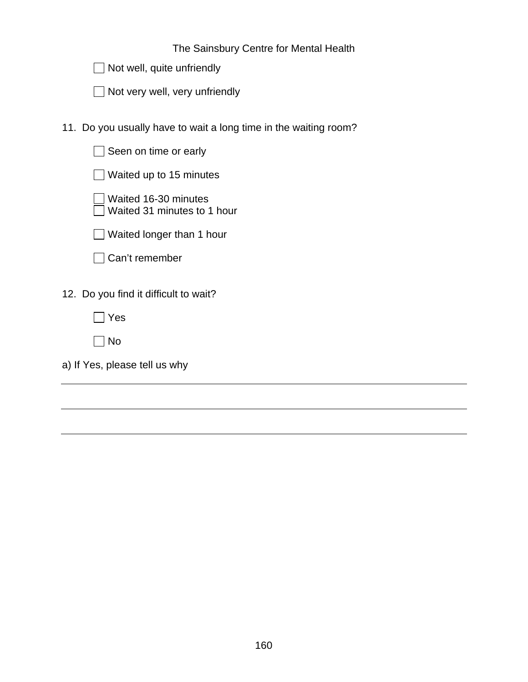| The Sainsbury Centre for Mental Health |
|----------------------------------------|
|----------------------------------------|

|  | $\Box$ Not well, quite unfriendly |
|--|-----------------------------------|
|--|-----------------------------------|

| □ Not very well, very unfriendly |  |
|----------------------------------|--|
|----------------------------------|--|

11. Do you usually have to wait a long time in the waiting room?

| Seen on time or early                               |  |
|-----------------------------------------------------|--|
| Waited up to 15 minutes                             |  |
| Waited 16-30 minutes<br>Waited 31 minutes to 1 hour |  |
| Waited longer than 1 hour                           |  |
| Can't remember                                      |  |
| 12. Do you find it difficult to wait?               |  |
| Yes                                                 |  |
| No                                                  |  |
| a) If Yes, please tell us why                       |  |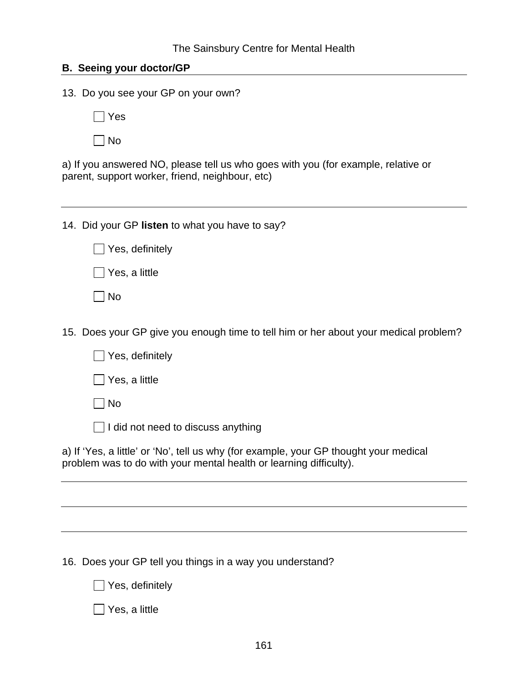### **B. Seeing your doctor/GP**

13. Do you see your GP on your own?

Yes

 $\Box$  No

a) If you answered NO, please tell us who goes with you (for example, relative or parent, support worker, friend, neighbour, etc)

14. Did your GP **listen** to what you have to say?

|  | $\Box$ Yes, definitely |
|--|------------------------|
|  | Yes, a little          |

 $\square$  No

15. Does your GP give you enough time to tell him or her about your medical problem?

|  | $\Box$ Yes, definitely |
|--|------------------------|
|--|------------------------|

 $\Box$  Yes, a little

 $\Box$  No

 $\Box$  I did not need to discuss anything

a) If 'Yes, a little' or 'No', tell us why (for example, your GP thought your medical problem was to do with your mental health or learning difficulty).

16. Does your GP tell you things in a way you understand?

 $\Box$  Yes, definitely

 $\Box$  Yes, a little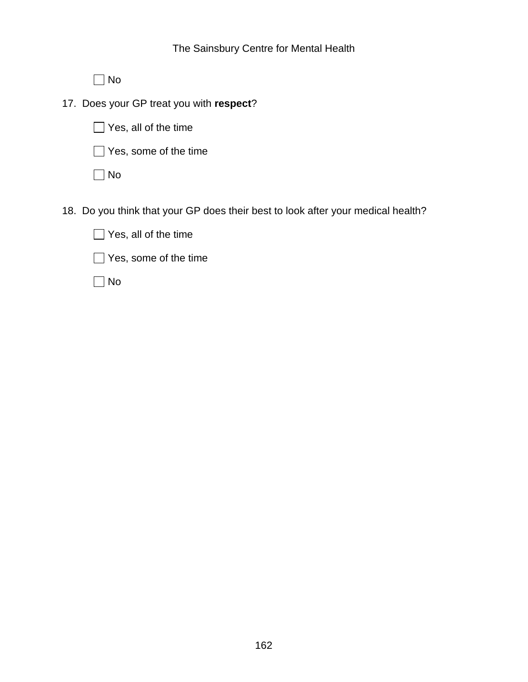No

17. Does your GP treat you with **respect**?

Yes, all of the time

Yes, some of the time

 $\Box$  No

18. Do you think that your GP does their best to look after your medical health?

| $\Box$ Yes, all of the time  |
|------------------------------|
| $\Box$ Yes, some of the time |

No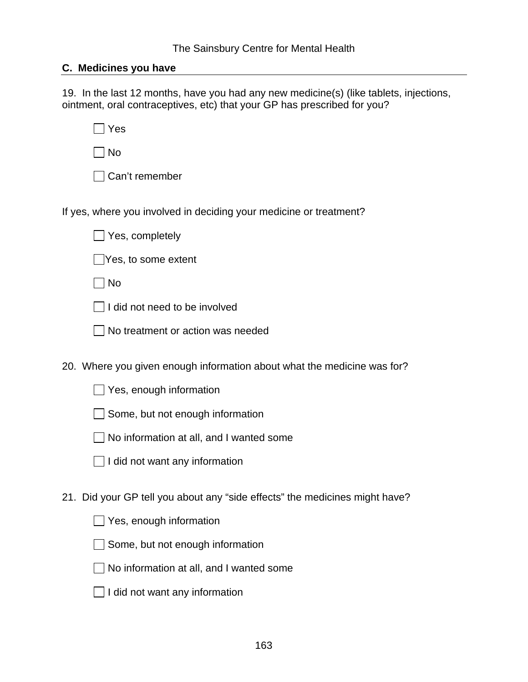#### **C. Medicines you have**

19. In the last 12 months, have you had any new medicine(s) (like tablets, injections, ointment, oral contraceptives, etc) that your GP has prescribed for you?

Yes

 $\Box$  No

Can't remember

If yes, where you involved in deciding your medicine or treatment?

Yes, completely

Yes, to some extent

 $\Box$  No

 $\Box$  I did not need to be involved

No treatment or action was needed

20. Where you given enough information about what the medicine was for?

 $\Box$  Yes, enough information

 $\Box$  Some, but not enough information

 $\Box$  No information at all, and I wanted some

| $\Box$ I did not want any information |  |
|---------------------------------------|--|
|---------------------------------------|--|

21. Did your GP tell you about any "side effects" the medicines might have?

 $\Box$  Yes, enough information

 $\Box$  Some, but not enough information

 $\Box$  No information at all, and I wanted some

| $\Box$ I did not want any information |  |
|---------------------------------------|--|
|---------------------------------------|--|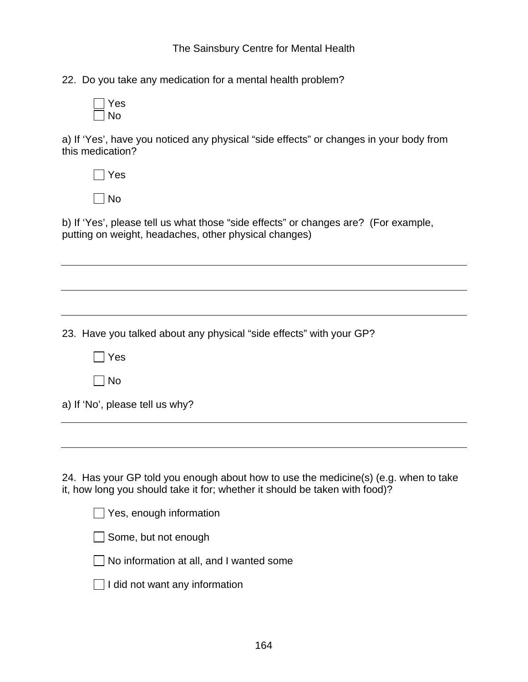22. Do you take any medication for a mental health problem?



a) If 'Yes', have you noticed any physical "side effects" or changes in your body from this medication?

| es |
|----|
| N٥ |

b) If 'Yes', please tell us what those "side effects" or changes are? (For example, putting on weight, headaches, other physical changes)

23. Have you talked about any physical "side effects" with your GP?

 $\Box$  Yes

 $\Box$  No

|  | a) If 'No', please tell us why? |  |  |
|--|---------------------------------|--|--|

24. Has your GP told you enough about how to use the medicine(s) (e.g. when to take it, how long you should take it for; whether it should be taken with food)?

|  |  | $\Box$ Yes, enough information |  |
|--|--|--------------------------------|--|
|  |  |                                |  |
|  |  |                                |  |

Some, but not enough

 $\Box$  No information at all, and I wanted some

| $\Box$ I did not want any information |  |
|---------------------------------------|--|
|---------------------------------------|--|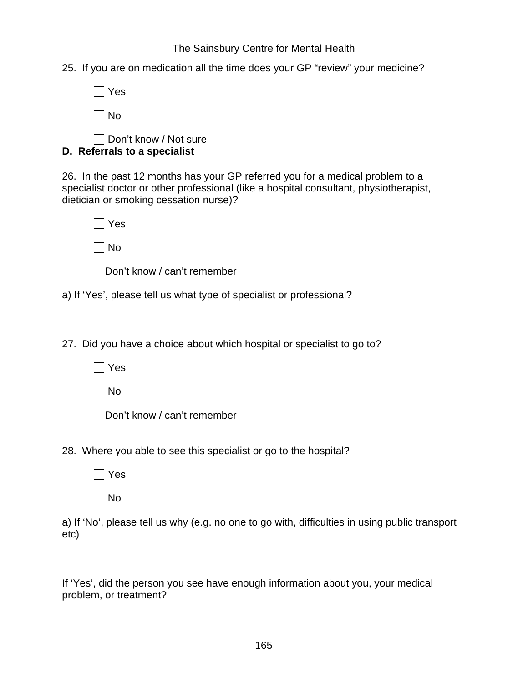The Sainsbury Centre for Mental Health

25. If you are on medication all the time does your GP "review" your medicine?

| Yes                                                                                                                                                                                                              |
|------------------------------------------------------------------------------------------------------------------------------------------------------------------------------------------------------------------|
| <b>No</b>                                                                                                                                                                                                        |
| Don't know / Not sure<br>D. Referrals to a specialist                                                                                                                                                            |
| 26. In the past 12 months has your GP referred you for a medical problem to a<br>specialist doctor or other professional (like a hospital consultant, physiotherapist,<br>dietician or smoking cessation nurse)? |
| Yes                                                                                                                                                                                                              |
| <b>No</b>                                                                                                                                                                                                        |
| Don't know / can't remember                                                                                                                                                                                      |
| a) If 'Yes', please tell us what type of specialist or professional?                                                                                                                                             |
|                                                                                                                                                                                                                  |
| 27. Did you have a choice about which hospital or specialist to go to?                                                                                                                                           |
| ∏Yes                                                                                                                                                                                                             |
| No                                                                                                                                                                                                               |
| Don't know / can't remember                                                                                                                                                                                      |
| 20 Mbore vay able to see this epocialist or go to the bespitel?                                                                                                                                                  |

28. Where you able to see this specialist or go to the hospital?

 $\Box$  Yes

 $\Box$  No

a) If 'No', please tell us why (e.g. no one to go with, difficulties in using public transport etc)

If 'Yes', did the person you see have enough information about you, your medical problem, or treatment?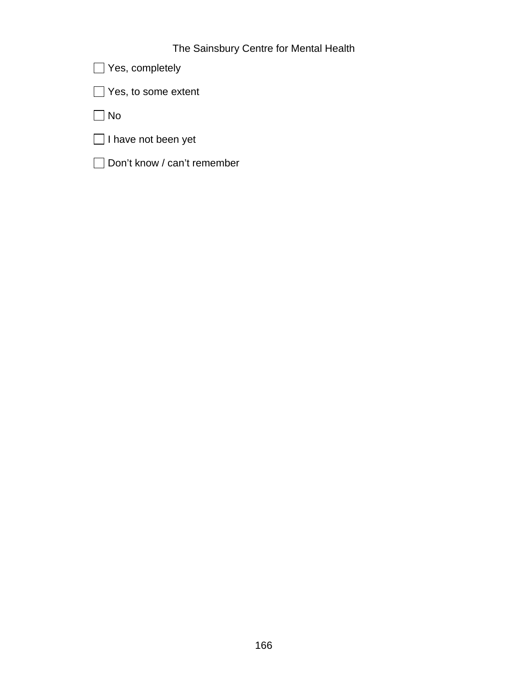## The Sainsbury Centre for Mental Health

Yes, completely

Yes, to some extent

No

 $\Box$  I have not been yet

Don't know / can't remember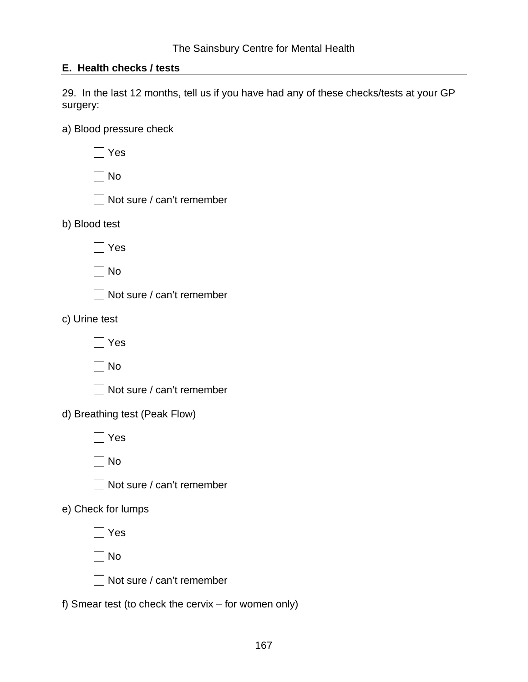# **E. Health checks / tests**

29. In the last 12 months, tell us if you have had any of these checks/tests at your GP surgery:

a) Blood pressure check

| Yes                                                    |
|--------------------------------------------------------|
| $\overline{\phantom{a}}$ No                            |
| Not sure / can't remember                              |
| b) Blood test                                          |
| Yes                                                    |
| ∣No                                                    |
| Not sure / can't remember                              |
| c) Urine test                                          |
| Yes                                                    |
| No                                                     |
| Not sure / can't remember                              |
| d) Breathing test (Peak Flow)                          |
| Yes                                                    |
| No                                                     |
| Not sure / can't remember                              |
| e) Check for lumps                                     |
| $\exists$ Yes<br>┍                                     |
| No                                                     |
| Not sure / can't remember                              |
| f) Smear test (to check the cervix $-$ for women only) |
|                                                        |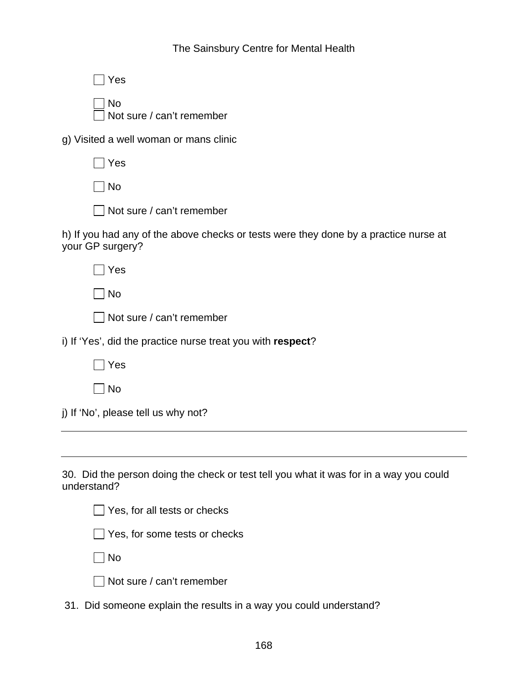## The Sainsbury Centre for Mental Health

| Yes                                                                                                      |
|----------------------------------------------------------------------------------------------------------|
| No<br>Not sure / can't remember                                                                          |
| g) Visited a well woman or mans clinic                                                                   |
| Yes                                                                                                      |
| No                                                                                                       |
| Not sure / can't remember                                                                                |
| h) If you had any of the above checks or tests were they done by a practice nurse at<br>your GP surgery? |
| Yes                                                                                                      |
| No                                                                                                       |
| Not sure / can't remember                                                                                |
| i) If 'Yes', did the practice nurse treat you with respect?                                              |
| Yes                                                                                                      |
| No                                                                                                       |
| j) If 'No', please tell us why not?                                                                      |
|                                                                                                          |
| 30. Did the person doing the check or test tell you what it was for in a way you could<br>understand?    |
| Yes, for all tests or checks                                                                             |
|                                                                                                          |

| $\vert$ $\vert$ Yes, for all tests or checks |
|----------------------------------------------|
| Yes, for some tests or checks                |
| $\Box$ No                                    |
| $\Box$ Not sure / can't remember             |

| 31. Did someone explain the results in a way you could understand? |  |  |  |
|--------------------------------------------------------------------|--|--|--|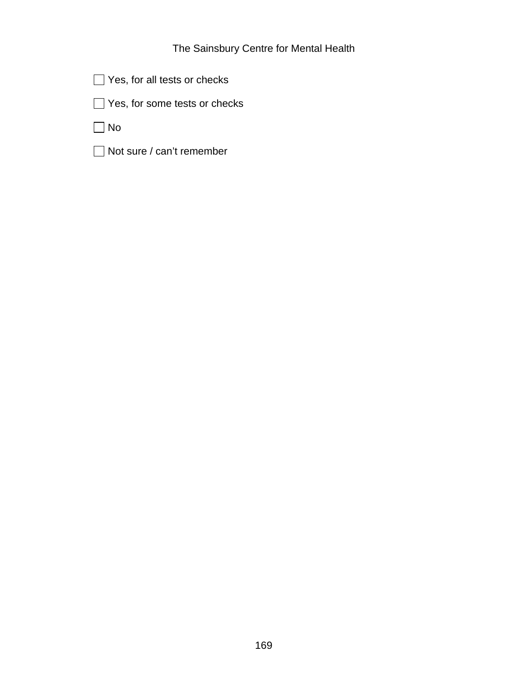| $\Box$ Yes, for all tests or checks |
|-------------------------------------|
|-------------------------------------|

Yes, for some tests or checks

 $\Box$  No

Not sure / can't remember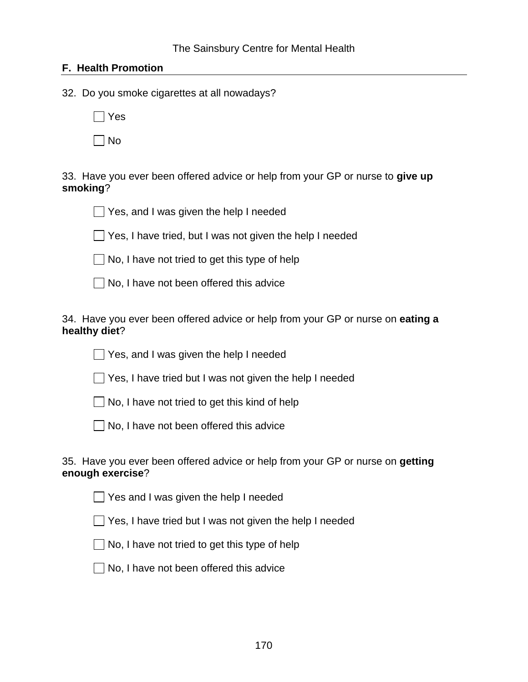### **F. Health Promotion**

32. Do you smoke cigarettes at all nowadays?

 $\Box$  Yes

 $\Box$  No

33. Have you ever been offered advice or help from your GP or nurse to **give up smoking**?



 $\Box$  Yes, I have tried, but I was not given the help I needed

 $\Box$  No, I have not tried to get this type of help

No, I have not been offered this advice

34. Have you ever been offered advice or help from your GP or nurse on **eating a healthy diet**?

Yes, and I was given the help I needed

Yes, I have tried but I was not given the help I needed

 $\Box$  No, I have not tried to get this kind of help

 $\Box$  No, I have not been offered this advice

### 35. Have you ever been offered advice or help from your GP or nurse on **getting enough exercise**?

Yes and I was given the help I needed

 $\Box$  Yes, I have tried but I was not given the help I needed



 $\Box$  No, I have not been offered this advice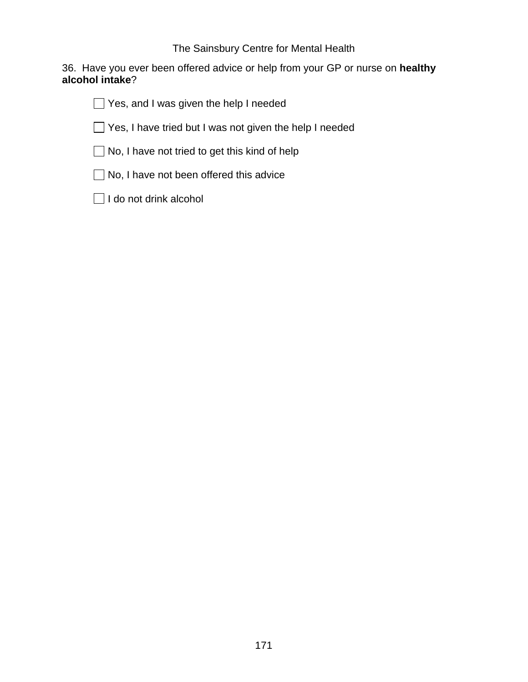36. Have you ever been offered advice or help from your GP or nurse on **healthy alcohol intake**?

Yes, and I was given the help I needed

Yes, I have tried but I was not given the help I needed

 $\Box$  No, I have not tried to get this kind of help

No, I have not been offered this advice

 $\Box$  I do not drink alcohol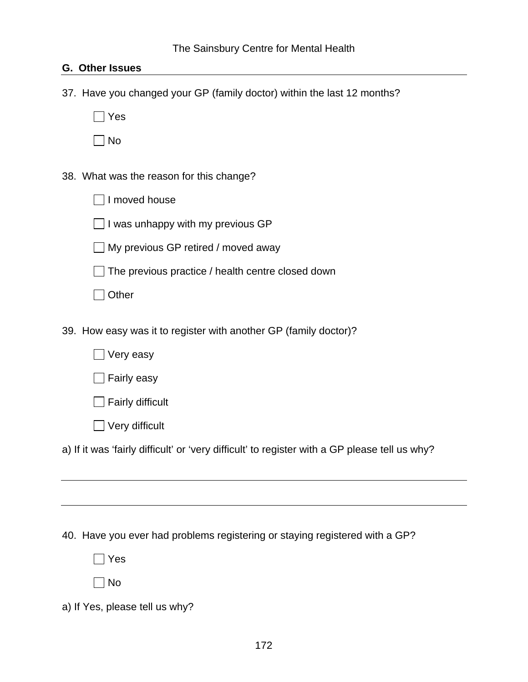### **G. Other Issues**

37. Have you changed your GP (family doctor) within the last 12 months?

Yes

 $\Box$  No

38. What was the reason for this change?

 $\Box$  I moved house

 $\Box$  I was unhappy with my previous GP

My previous GP retired / moved away

 $\Box$  The previous practice / health centre closed down

□ Other

39. How easy was it to register with another GP (family doctor)?

■ Very easy

 $\Box$  Fairly easy

 $\Box$  Fairly difficult

 $\Box$  Very difficult

a) If it was 'fairly difficult' or 'very difficult' to register with a GP please tell us why?

40. Have you ever had problems registering or staying registered with a GP?

 $\Box$  Yes

No

a) If Yes, please tell us why?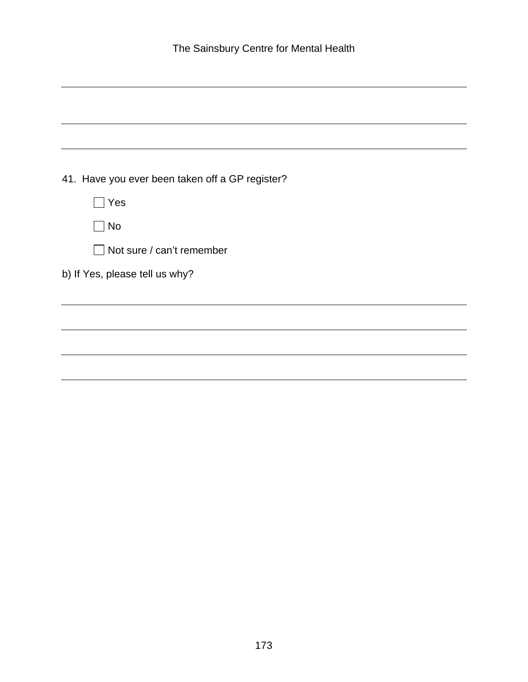| 41. Have you ever been taken off a GP register? |
|-------------------------------------------------|
| Yes                                             |
| $\blacksquare$ No                               |
| $\Box$ Not sure / can't remember                |
| b) If Yes, please tell us why?                  |
|                                                 |
|                                                 |
|                                                 |
|                                                 |
|                                                 |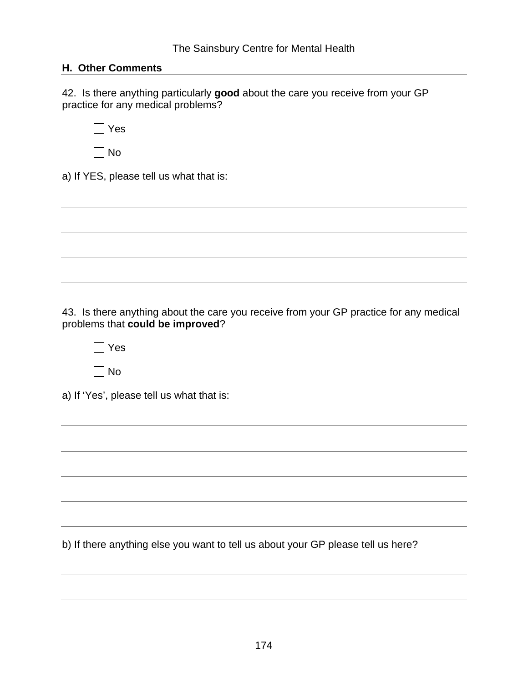### **H. Other Comments**

42. Is there anything particularly **good** about the care you receive from your GP practice for any medical problems?

 $\Box$  Yes

 $\Box$  No

a) If YES, please tell us what that is:

43. Is there anything about the care you receive from your GP practice for any medical problems that **could be improved**?

 $\Box$  Yes

 $\Box$  No

a) If 'Yes', please tell us what that is:

b) If there anything else you want to tell us about your GP please tell us here?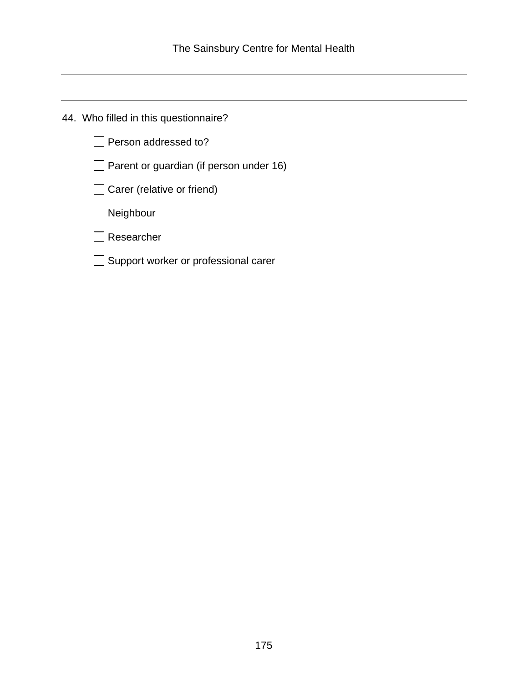44. Who filled in this questionnaire?

Person addressed to?

 $\Box$  Parent or guardian (if person under 16)

Carer (relative or friend)

**□** Neighbour

Researcher

Support worker or professional carer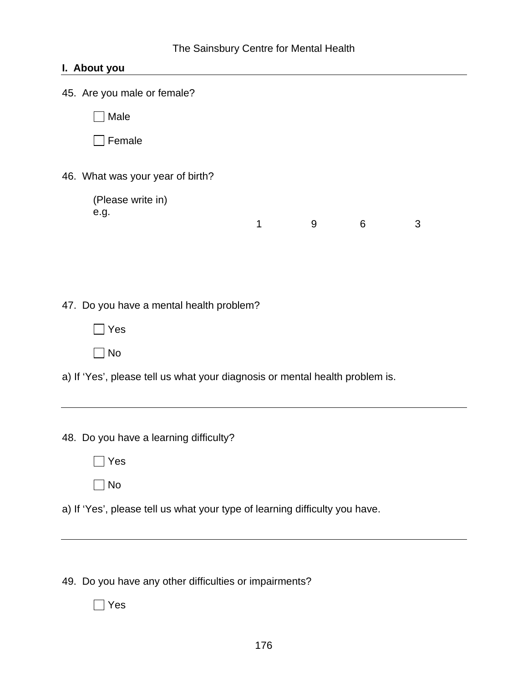# **I. About you**

| 45. Are you male or female?                                                  |   |   |   |   |  |  |  |  |
|------------------------------------------------------------------------------|---|---|---|---|--|--|--|--|
| Male                                                                         |   |   |   |   |  |  |  |  |
| Female                                                                       |   |   |   |   |  |  |  |  |
| 46. What was your year of birth?                                             |   |   |   |   |  |  |  |  |
| (Please write in)<br>e.g.                                                    | 1 | 9 | 6 | 3 |  |  |  |  |
|                                                                              |   |   |   |   |  |  |  |  |
| 47. Do you have a mental health problem?                                     |   |   |   |   |  |  |  |  |
| $\Box$ Yes                                                                   |   |   |   |   |  |  |  |  |
| $\exists$ No                                                                 |   |   |   |   |  |  |  |  |
| a) If 'Yes', please tell us what your diagnosis or mental health problem is. |   |   |   |   |  |  |  |  |
|                                                                              |   |   |   |   |  |  |  |  |
| 48. Do you have a learning difficulty?                                       |   |   |   |   |  |  |  |  |
| Yes                                                                          |   |   |   |   |  |  |  |  |
| <b>No</b>                                                                    |   |   |   |   |  |  |  |  |
| a) If 'Yes', please tell us what your type of learning difficulty you have.  |   |   |   |   |  |  |  |  |

49. Do you have any other difficulties or impairments?

Yes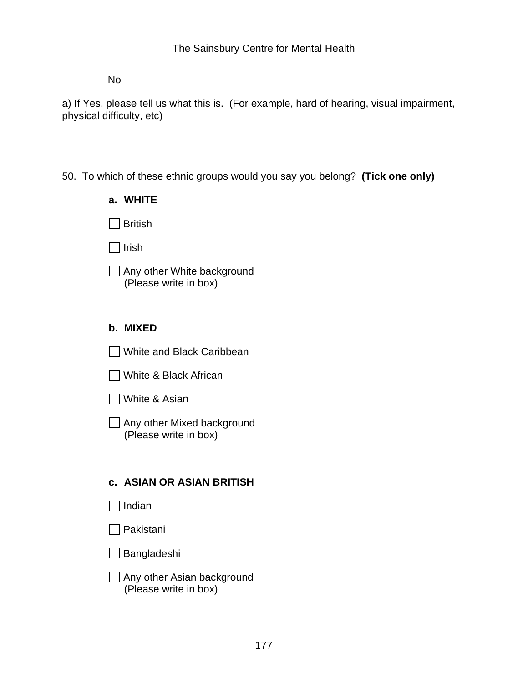No

a) If Yes, please tell us what this is. (For example, hard of hearing, visual impairment, physical difficulty, etc)

## 50. To which of these ethnic groups would you say you belong? **(Tick one only)**

| a. WHITE                                            |
|-----------------------------------------------------|
| British                                             |
| Irish                                               |
| Any other White background<br>(Please write in box) |
| b. MIXED                                            |
| White and Black Caribbean                           |
| White & Black African                               |
| □ White & Asian                                     |
| Any other Mixed background<br>(Please write in box) |
|                                                     |
| <b>c. ASIAN OR ASIAN BRITISH</b>                    |
| $\Box$ Indian                                       |
| l Pakistani                                         |
| _l Bangladeshi                                      |
| Any other Asian background<br>(Please write in box) |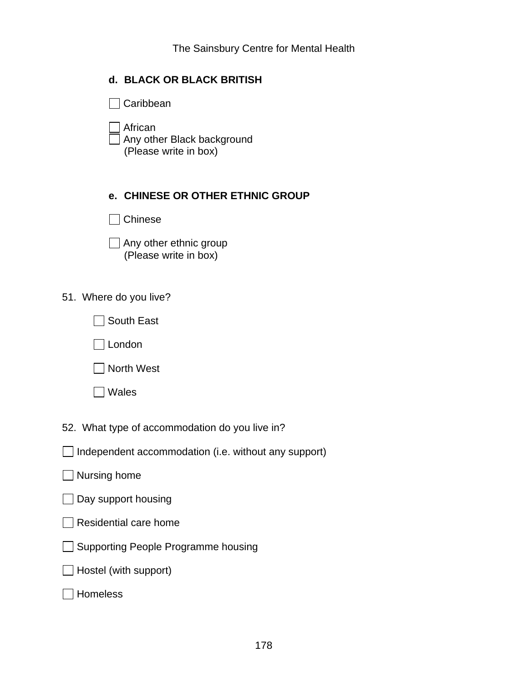## **d. BLACK OR BLACK BRITISH**

Caribbean

 African Any other Black background (Please write in box)

### **e. CHINESE OR OTHER ETHNIC GROUP**

Chinese

 $\Box$  Any other ethnic group (Please write in box)

51. Where do you live?

| <b>South East</b> |
|-------------------|
|-------------------|

London

North West

Wales

52. What type of accommodation do you live in?

 $\Box$  Independent accommodation (i.e. without any support)

### $\Box$  Nursing home

 $\Box$  Day support housing

 $\Box$  Residential care home

Supporting People Programme housing

 $\Box$  Hostel (with support)

**□** Homeless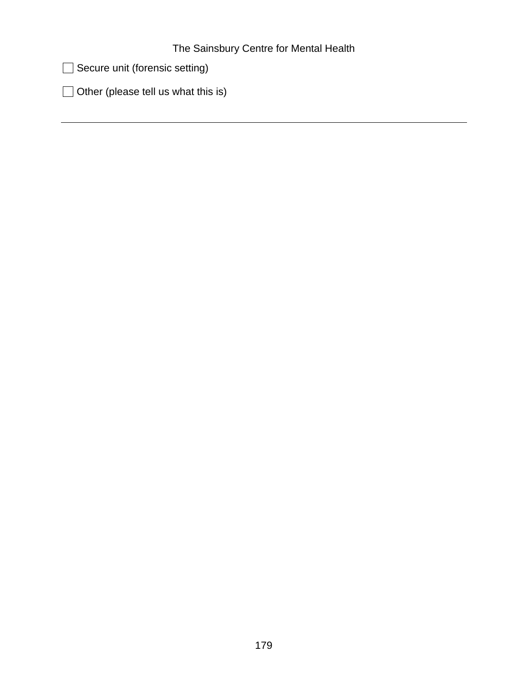Secure unit (forensic setting)

 $\Box$  Other (please tell us what this is)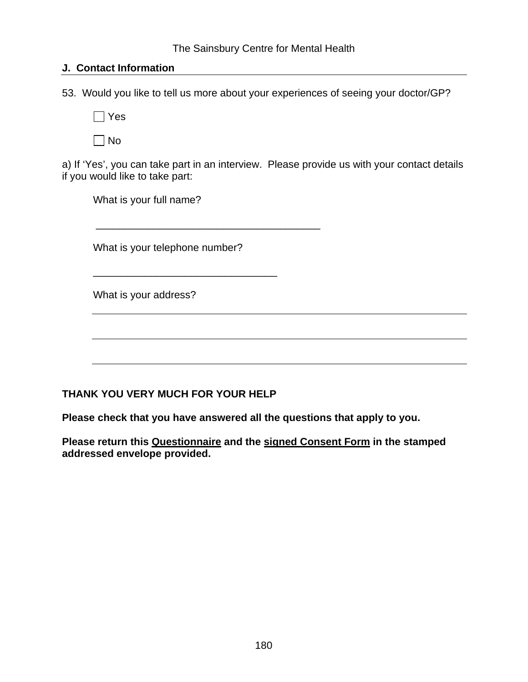### **J. Contact Information**

53. Would you like to tell us more about your experiences of seeing your doctor/GP?

 $\Box$  Yes

 $\Box$  No

a) If 'Yes', you can take part in an interview. Please provide us with your contact details if you would like to take part:

What is your full name?

What is your telephone number?

\_\_\_\_\_\_\_\_\_\_\_\_\_\_\_\_\_\_\_\_\_\_\_\_\_\_\_\_\_\_\_\_

\_\_\_\_\_\_\_\_\_\_\_\_\_\_\_\_\_\_\_\_\_\_\_\_\_\_\_\_\_\_\_\_\_\_\_\_\_\_\_

What is your address?

## **THANK YOU VERY MUCH FOR YOUR HELP**

**Please check that you have answered all the questions that apply to you.** 

**Please return this Questionnaire and the signed Consent Form in the stamped addressed envelope provided.**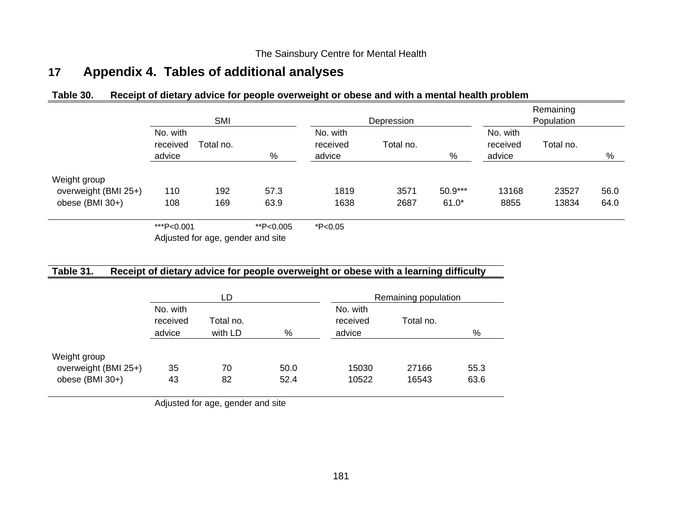# **17 Appendix 4. Tables of additional analyses**

### **Table 30. Receipt of dietary advice for people overweight or obese and with a mental health problem**

|                                         |                                             | SMI        |              |              | Depression                                  | Remaining<br>Population |                                             |                |              |  |
|-----------------------------------------|---------------------------------------------|------------|--------------|--------------|---------------------------------------------|-------------------------|---------------------------------------------|----------------|--------------|--|
|                                         | No. with<br>received<br>Total no.<br>advice |            | %            |              | No. with<br>Total no.<br>received<br>advice |                         | No. with<br>received<br>Total no.<br>advice |                | %            |  |
|                                         |                                             |            |              |              |                                             | %                       |                                             |                |              |  |
| Weight group                            |                                             |            |              |              |                                             |                         |                                             |                |              |  |
| overweight (BMI 25+)<br>obese (BMI 30+) | 110<br>108                                  | 192<br>169 | 57.3<br>63.9 | 1819<br>1638 | 3571<br>2687                                | 50.9***<br>$61.0*$      | 13168<br>8855                               | 23527<br>13834 | 56.0<br>64.0 |  |
|                                         |                                             |            |              |              |                                             |                         |                                             |                |              |  |
|                                         | ***P<0.001                                  |            | **P<0.005    | $*P<0.05$    |                                             |                         |                                             |                |              |  |

Adjusted for age, gender and site

### **Table 31. Receipt of dietary advice for people overweight or obese with a learning difficulty**

|                      |          | LD        |      | Remaining population |           |      |  |
|----------------------|----------|-----------|------|----------------------|-----------|------|--|
|                      | No. with |           |      | No. with             |           |      |  |
|                      | received | Total no. |      | received             | Total no. |      |  |
|                      | advice   | with LD   | %    | advice               |           | %    |  |
|                      |          |           |      |                      |           |      |  |
| Weight group         |          |           |      |                      |           |      |  |
| overweight (BMI 25+) | 35       | 70        | 50.0 | 15030                | 27166     | 55.3 |  |
| obese (BMI $30+$ )   | 43       | 82        | 52.4 | 10522                | 16543     | 63.6 |  |

Adjusted for age, gender and site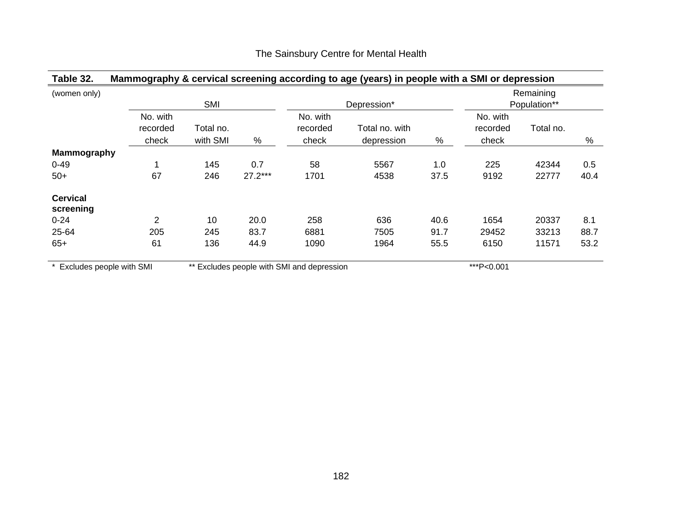| (women only)               |                               | SMI                   |           |                                            | Depression*                  |      |                               | Remaining<br>Population** |      |
|----------------------------|-------------------------------|-----------------------|-----------|--------------------------------------------|------------------------------|------|-------------------------------|---------------------------|------|
|                            | No. with<br>recorded<br>check | Total no.<br>with SMI | $\%$      | No. with<br>recorded<br>check              | Total no. with<br>depression | %    | No. with<br>recorded<br>check | Total no.                 | %    |
| Mammography                |                               |                       |           |                                            |                              |      |                               |                           |      |
| $0 - 49$                   |                               | 145                   | 0.7       | 58                                         | 5567                         | 1.0  | 225                           | 42344                     | 0.5  |
| $50+$                      | 67                            | 246                   | $27.2***$ | 1701                                       | 4538                         | 37.5 | 9192                          | 22777                     | 40.4 |
| <b>Cervical</b>            |                               |                       |           |                                            |                              |      |                               |                           |      |
| screening                  |                               |                       |           |                                            |                              |      |                               |                           |      |
| $0 - 24$                   | $\overline{2}$                | 10                    | 20.0      | 258                                        | 636                          | 40.6 | 1654                          | 20337                     | 8.1  |
| 25-64                      | 205                           | 245                   | 83.7      | 6881                                       | 7505                         | 91.7 | 29452                         | 33213                     | 88.7 |
| $65+$                      | 61                            | 136                   | 44.9      | 1090                                       | 1964                         | 55.5 | 6150                          | 11571                     | 53.2 |
| * Excludes people with SMI |                               |                       |           | ** Excludes people with SMI and depression |                              |      | ***P<0.001                    |                           |      |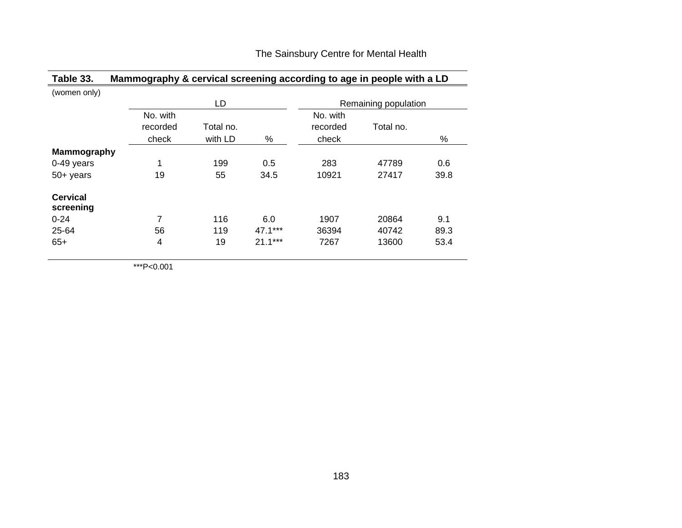| Table 33.                    | Mammography & cervical screening according to age in people with a LD |           |           |          |                      |      |
|------------------------------|-----------------------------------------------------------------------|-----------|-----------|----------|----------------------|------|
| (women only)                 |                                                                       |           |           |          |                      |      |
|                              |                                                                       | LD        |           |          | Remaining population |      |
|                              | No. with                                                              |           |           | No. with |                      |      |
|                              | recorded                                                              | Total no. |           | recorded | Total no.            |      |
|                              | check                                                                 | with LD   | %         | check    |                      | %    |
| <b>Mammography</b>           |                                                                       |           |           |          |                      |      |
| 0-49 years                   | 1                                                                     | 199       | 0.5       | 283      | 47789                | 0.6  |
| $50+$ years                  | 19                                                                    | 55        | 34.5      | 10921    | 27417                | 39.8 |
| <b>Cervical</b><br>screening |                                                                       |           |           |          |                      |      |
| $0 - 24$                     | 7                                                                     | 116       | 6.0       | 1907     | 20864                | 9.1  |
| 25-64                        | 56                                                                    | 119       | 47.1***   | 36394    | 40742                | 89.3 |
| $65+$                        | 4                                                                     | 19        | $21.1***$ | 7267     | 13600                | 53.4 |

\*\*\*P<0.001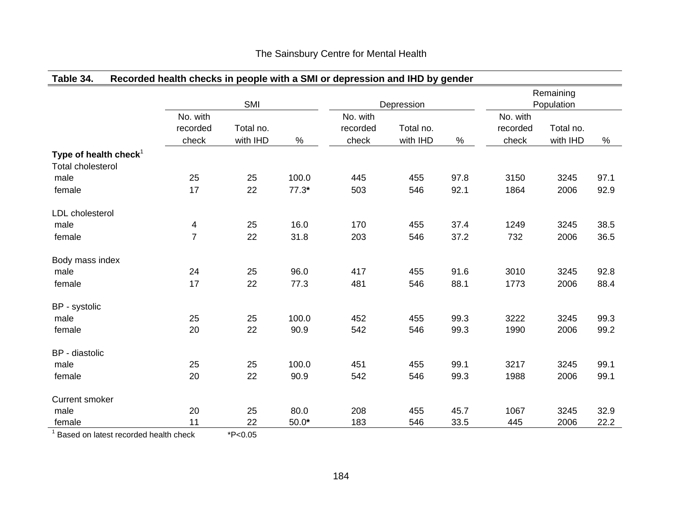# **Table 34. Recorded health checks in people with a SMI or depression and IHD by gender**

|                                                      |                               | SMI                   |         |                               | Depression            | Remaining<br>Population |                               |                       |      |
|------------------------------------------------------|-------------------------------|-----------------------|---------|-------------------------------|-----------------------|-------------------------|-------------------------------|-----------------------|------|
|                                                      | No. with<br>recorded<br>check | Total no.<br>with IHD | $\%$    | No. with<br>recorded<br>check | Total no.<br>with IHD | $\%$                    | No. with<br>recorded<br>check | Total no.<br>with IHD | $\%$ |
| Type of health check $1$<br><b>Total cholesterol</b> |                               |                       |         |                               |                       |                         |                               |                       |      |
| male                                                 | 25                            | 25                    | 100.0   | 445                           | 455                   | 97.8                    | 3150                          | 3245                  | 97.1 |
| female                                               | 17                            | 22                    | $77.3*$ | 503                           | 546                   | 92.1                    | 1864                          | 2006                  | 92.9 |
| <b>LDL</b> cholesterol                               |                               |                       |         |                               |                       |                         |                               |                       |      |
| male                                                 | 4                             | 25                    | 16.0    | 170                           | 455                   | 37.4                    | 1249                          | 3245                  | 38.5 |
| female                                               | $\overline{7}$                | 22                    | 31.8    | 203                           | 546                   | 37.2                    | 732                           | 2006                  | 36.5 |
| Body mass index                                      |                               |                       |         |                               |                       |                         |                               |                       |      |
| male                                                 | 24                            | 25                    | 96.0    | 417                           | 455                   | 91.6                    | 3010                          | 3245                  | 92.8 |
| female                                               | 17                            | 22                    | 77.3    | 481                           | 546                   | 88.1                    | 1773                          | 2006                  | 88.4 |
| BP - systolic                                        |                               |                       |         |                               |                       |                         |                               |                       |      |
| male                                                 | 25                            | 25                    | 100.0   | 452                           | 455                   | 99.3                    | 3222                          | 3245                  | 99.3 |
| female                                               | 20                            | 22                    | 90.9    | 542                           | 546                   | 99.3                    | 1990                          | 2006                  | 99.2 |
| BP - diastolic                                       |                               |                       |         |                               |                       |                         |                               |                       |      |
| male                                                 | 25                            | 25                    | 100.0   | 451                           | 455                   | 99.1                    | 3217                          | 3245                  | 99.1 |
| female                                               | 20                            | 22                    | 90.9    | 542                           | 546                   | 99.3                    | 1988                          | 2006                  | 99.1 |
| <b>Current smoker</b>                                |                               |                       |         |                               |                       |                         |                               |                       |      |
| male                                                 | 20                            | 25                    | 80.0    | 208                           | 455                   | 45.7                    | 1067                          | 3245                  | 32.9 |
| female                                               | 11                            | 22                    | $50.0*$ | 183                           | 546                   | 33.5                    | 445                           | 2006                  | 22.2 |

 $1$  Based on latest recorded health check  $*P<0.05$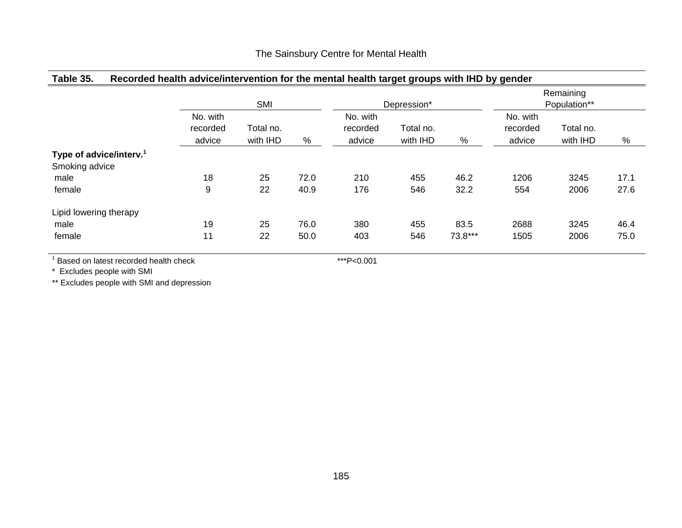# **Table 35. Recorded health advice/intervention for the mental health target groups with IHD by gender**

|                                                       | SMI                            |                       |      | Depression*                    |                       |         | Remaining<br>Population**      |                       |      |
|-------------------------------------------------------|--------------------------------|-----------------------|------|--------------------------------|-----------------------|---------|--------------------------------|-----------------------|------|
|                                                       | No. with<br>recorded<br>advice | Total no.<br>with IHD | %    | No. with<br>recorded<br>advice | Total no.<br>with IHD | %       | No. with<br>recorded<br>advice | Total no.<br>with IHD | $\%$ |
| Type of advice/interv. <sup>1</sup><br>Smoking advice |                                |                       |      |                                |                       |         |                                |                       |      |
| male                                                  | 18                             | 25                    | 72.0 | 210                            | 455                   | 46.2    | 1206                           | 3245                  | 17.1 |
| female                                                | 9                              | 22                    | 40.9 | 176                            | 546                   | 32.2    | 554                            | 2006                  | 27.6 |
| Lipid lowering therapy                                |                                |                       |      |                                |                       |         |                                |                       |      |
| male                                                  | 19                             | 25                    | 76.0 | 380                            | 455                   | 83.5    | 2688                           | 3245                  | 46.4 |
| female                                                | 11                             | 22                    | 50.0 | 403                            | 546                   | 73.8*** | 1505                           | 2006                  | 75.0 |

 $<sup>1</sup>$  Based on latest recorded health check</sup>

\*\*\*P<0.001

\* Excludes people with SMI

\*\* Excludes people with SMI and depression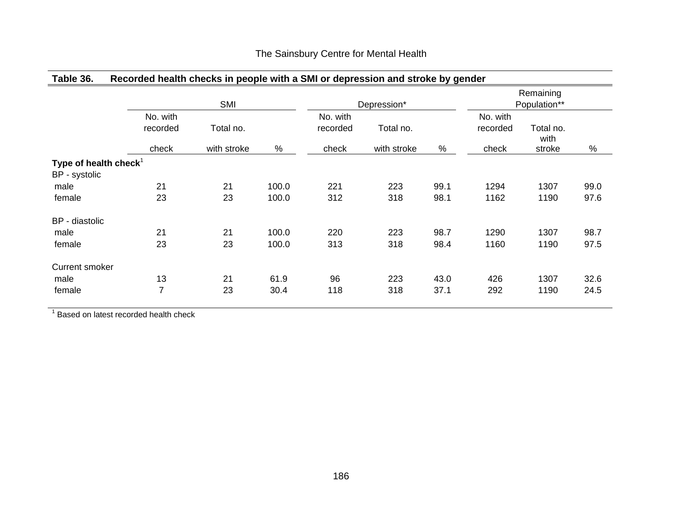|                                                    |                      | <b>SMI</b>  |       |                      | Depression* |      |                      | Remaining<br>Population** |      |
|----------------------------------------------------|----------------------|-------------|-------|----------------------|-------------|------|----------------------|---------------------------|------|
|                                                    | No. with<br>recorded | Total no.   |       | No. with<br>recorded | Total no.   |      | No. with<br>recorded | Total no.<br>with         |      |
|                                                    | check                | with stroke | $\%$  | check                | with stroke | $\%$ | check                | stroke                    | $\%$ |
| Type of health check <sup>1</sup><br>BP - systolic |                      |             |       |                      |             |      |                      |                           |      |
| male                                               | 21                   | 21          | 100.0 | 221                  | 223         | 99.1 | 1294                 | 1307                      | 99.0 |
| female                                             | 23                   | 23          | 100.0 | 312                  | 318         | 98.1 | 1162                 | 1190                      | 97.6 |
| BP - diastolic                                     |                      |             |       |                      |             |      |                      |                           |      |
| male                                               | 21                   | 21          | 100.0 | 220                  | 223         | 98.7 | 1290                 | 1307                      | 98.7 |
| female                                             | 23                   | 23          | 100.0 | 313                  | 318         | 98.4 | 1160                 | 1190                      | 97.5 |
| <b>Current smoker</b>                              |                      |             |       |                      |             |      |                      |                           |      |
| male                                               | 13                   | 21          | 61.9  | 96                   | 223         | 43.0 | 426                  | 1307                      | 32.6 |
| female                                             | 7                    | 23          | 30.4  | 118                  | 318         | 37.1 | 292                  | 1190                      | 24.5 |

#### **Table 36. Recorded health checks in people with a SMI or depression and stroke by gender**

<sup>1</sup> Based on latest recorded health check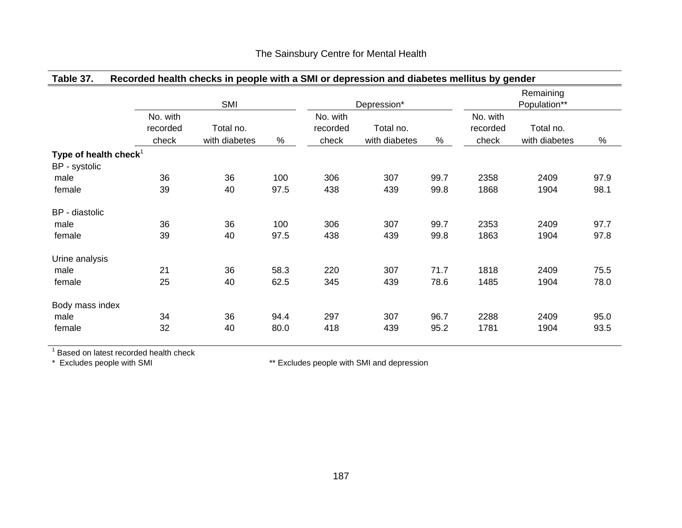|  |  |  | Table 37. Recorded health checks in people with a SMI or depression and diabetes mellitus by gender |  |
|--|--|--|-----------------------------------------------------------------------------------------------------|--|
|--|--|--|-----------------------------------------------------------------------------------------------------|--|

|                                           |                      | <b>SMI</b>    |      |                      | Depression*   |      |                      | Remaining<br>Population** |      |
|-------------------------------------------|----------------------|---------------|------|----------------------|---------------|------|----------------------|---------------------------|------|
|                                           | No. with<br>recorded | Total no.     |      | No. with<br>recorded | Total no.     |      | No. with<br>recorded | Total no.                 |      |
|                                           | check                | with diabetes | $\%$ | check                | with diabetes | %    | check                | with diabetes             | $\%$ |
| Type of health check $1$<br>BP - systolic |                      |               |      |                      |               |      |                      |                           |      |
| male                                      | 36                   | 36            | 100  | 306                  | 307           | 99.7 | 2358                 | 2409                      | 97.9 |
| female                                    | 39                   | 40            | 97.5 | 438                  | 439           | 99.8 | 1868                 | 1904                      | 98.1 |
| BP - diastolic                            |                      |               |      |                      |               |      |                      |                           |      |
| male                                      | 36                   | 36            | 100  | 306                  | 307           | 99.7 | 2353                 | 2409                      | 97.7 |
| female                                    | 39                   | 40            | 97.5 | 438                  | 439           | 99.8 | 1863                 | 1904                      | 97.8 |
| Urine analysis                            |                      |               |      |                      |               |      |                      |                           |      |
| male                                      | 21                   | 36            | 58.3 | 220                  | 307           | 71.7 | 1818                 | 2409                      | 75.5 |
| female                                    | 25                   | 40            | 62.5 | 345                  | 439           | 78.6 | 1485                 | 1904                      | 78.0 |
| Body mass index                           |                      |               |      |                      |               |      |                      |                           |      |
| male                                      | 34                   | 36            | 94.4 | 297                  | 307           | 96.7 | 2288                 | 2409                      | 95.0 |
| female                                    | 32                   | 40            | 80.0 | 418                  | 439           | 95.2 | 1781                 | 1904                      | 93.5 |
|                                           |                      |               |      |                      |               |      |                      |                           |      |

 $1$  Based on latest recorded health check

\* Excludes people with SMI \*\* Excludes people with SMI and depression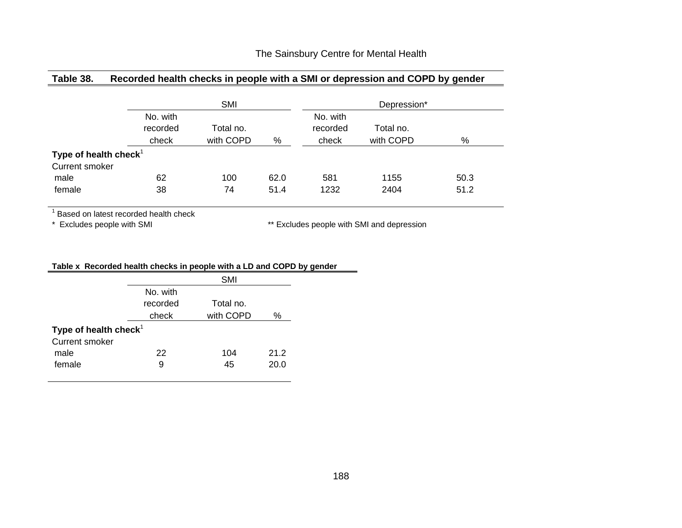## **Table 38. Recorded health checks in people with a SMI or depression and COPD by gender**

|                                   |                               | <b>SMI</b>             |      |                               | Depression*            |      |
|-----------------------------------|-------------------------------|------------------------|------|-------------------------------|------------------------|------|
|                                   | No. with<br>recorded<br>check | Total no.<br>with COPD | %    | No. with<br>recorded<br>check | Total no.<br>with COPD | %    |
| Type of health check <sup>1</sup> |                               |                        |      |                               |                        |      |
| <b>Current smoker</b>             |                               |                        |      |                               |                        |      |
| male                              | 62                            | 100                    | 62.0 | 581                           | 1155                   | 50.3 |
| female                            | 38                            | 74                     | 51.4 | 1232                          | 2404                   | 51.2 |

 $1$  Based on latest recorded health check

\* Excludes people with SMI \*\* Excludes people with SMI and depression

#### **Table x Recorded health checks in people with a LD and COPD by gender**

|                          |          | <b>SMI</b> |      |
|--------------------------|----------|------------|------|
|                          | No. with |            |      |
|                          | recorded | Total no.  |      |
|                          | check    | with COPD  | ℅    |
| Type of health check $1$ |          |            |      |
| <b>Current smoker</b>    |          |            |      |
| male                     | 22       | 104        | 21.2 |
| female                   | 9        | 45         | 20.0 |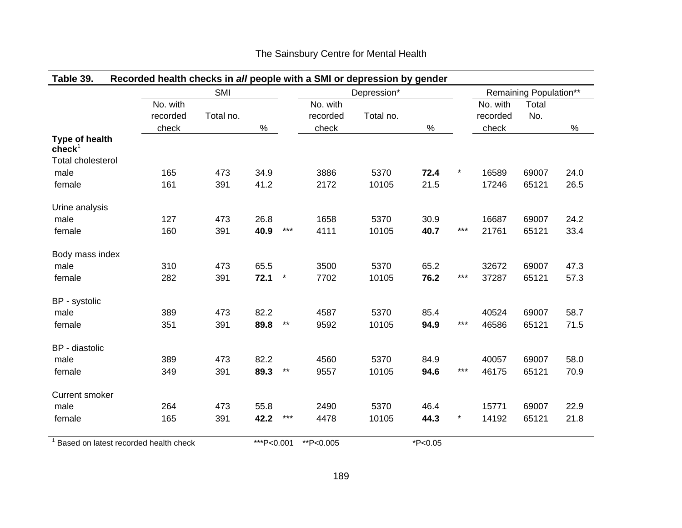|                                      |          | SMI       |      |         |          | Depression* |      |         |          | Remaining Population** |      |
|--------------------------------------|----------|-----------|------|---------|----------|-------------|------|---------|----------|------------------------|------|
|                                      | No. with |           |      |         | No. with |             |      |         | No. with | Total                  |      |
|                                      | recorded | Total no. |      |         | recorded | Total no.   |      |         | recorded | No.                    |      |
|                                      | check    |           | $\%$ |         | check    |             | $\%$ |         | check    |                        | $\%$ |
| Type of health<br>$\mathbf{check}^1$ |          |           |      |         |          |             |      |         |          |                        |      |
| <b>Total cholesterol</b>             |          |           |      |         |          |             |      |         |          |                        |      |
| male                                 | 165      | 473       | 34.9 |         | 3886     | 5370        | 72.4 | $\star$ | 16589    | 69007                  | 24.0 |
| female                               | 161      | 391       | 41.2 |         | 2172     | 10105       | 21.5 |         | 17246    | 65121                  | 26.5 |
| Urine analysis                       |          |           |      |         |          |             |      |         |          |                        |      |
| male                                 | 127      | 473       | 26.8 |         | 1658     | 5370        | 30.9 |         | 16687    | 69007                  | 24.2 |
| female                               | 160      | 391       | 40.9 | $***$   | 4111     | 10105       | 40.7 | ***     | 21761    | 65121                  | 33.4 |
| Body mass index                      |          |           |      |         |          |             |      |         |          |                        |      |
| male                                 | 310      | 473       | 65.5 |         | 3500     | 5370        | 65.2 |         | 32672    | 69007                  | 47.3 |
| female                               | 282      | 391       | 72.1 | $\star$ | 7702     | 10105       | 76.2 | $***$   | 37287    | 65121                  | 57.3 |
| BP - systolic                        |          |           |      |         |          |             |      |         |          |                        |      |
| male                                 | 389      | 473       | 82.2 |         | 4587     | 5370        | 85.4 |         | 40524    | 69007                  | 58.7 |
| female                               | 351      | 391       | 89.8 | $***$   | 9592     | 10105       | 94.9 | $***$   | 46586    | 65121                  | 71.5 |
| BP - diastolic                       |          |           |      |         |          |             |      |         |          |                        |      |
| male                                 | 389      | 473       | 82.2 |         | 4560     | 5370        | 84.9 |         | 40057    | 69007                  | 58.0 |
| female                               | 349      | 391       | 89.3 | $***$   | 9557     | 10105       | 94.6 | ***     | 46175    | 65121                  | 70.9 |
| <b>Current smoker</b>                |          |           |      |         |          |             |      |         |          |                        |      |
| male                                 | 264      | 473       | 55.8 |         | 2490     | 5370        | 46.4 |         | 15771    | 69007                  | 22.9 |
| female                               | 165      | 391       | 42.2 | $***$   | 4478     | 10105       | 44.3 | $\star$ | 14192    | 65121                  | 21.8 |